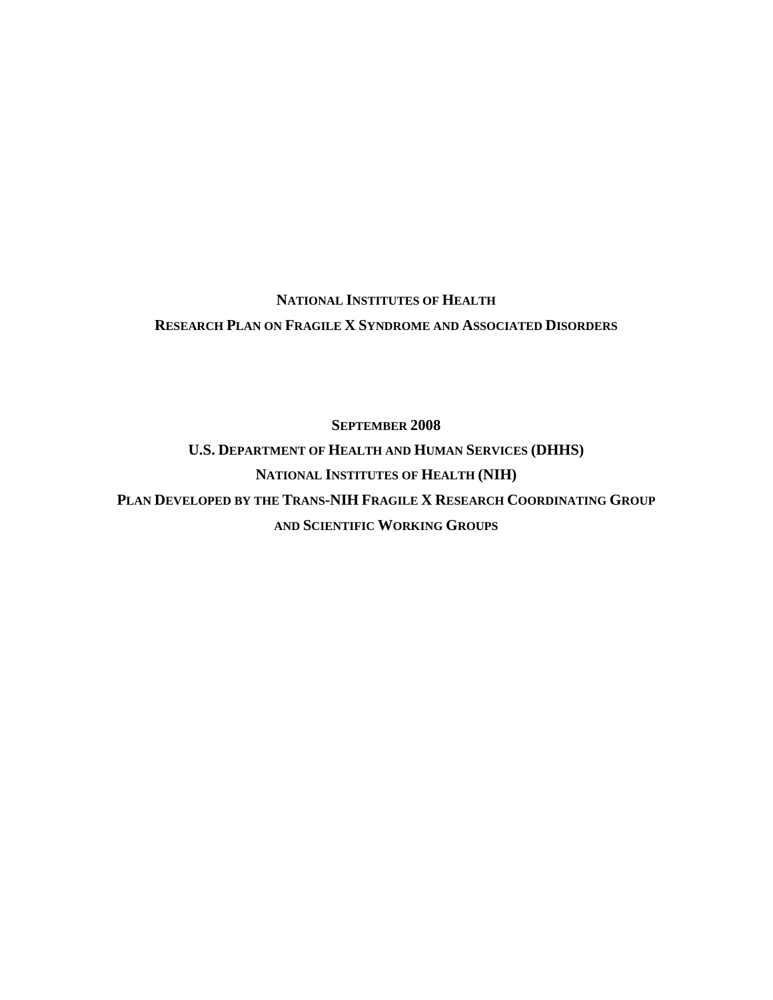# **NATIONAL INSTITUTES OF HEALTH RESEARCH PLAN ON FRAGILE X SYNDROME AND ASSOCIATED DISORDERS**

**SEPTEMBER 2008 U.S. DEPARTMENT OF HEALTH AND HUMAN SERVICES (DHHS) NATIONAL INSTITUTES OF HEALTH (NIH) PLAN DEVELOPED BY THE TRANS-NIH FRAGILE X RESEARCH COORDINATING GROUP AND SCIENTIFIC WORKING GROUPS**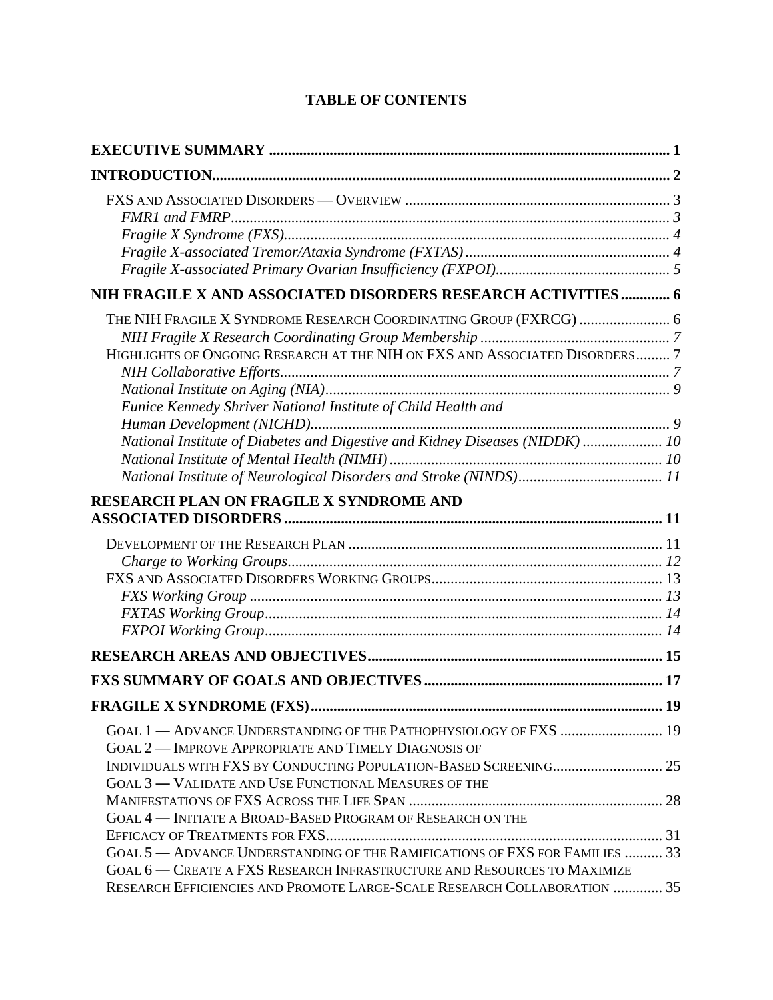| NIH FRAGILE X AND ASSOCIATED DISORDERS RESEARCH ACTIVITIES  6                                                                                                                                                                                                                                     |    |
|---------------------------------------------------------------------------------------------------------------------------------------------------------------------------------------------------------------------------------------------------------------------------------------------------|----|
| THE NIH FRAGILE X SYNDROME RESEARCH COORDINATING GROUP (FXRCG)  6<br>HIGHLIGHTS OF ONGOING RESEARCH AT THE NIH ON FXS AND ASSOCIATED DISORDERS 7<br>Eunice Kennedy Shriver National Institute of Child Health and<br>National Institute of Diabetes and Digestive and Kidney Diseases (NIDDK)  10 |    |
|                                                                                                                                                                                                                                                                                                   |    |
| <b>RESEARCH PLAN ON FRAGILE X SYNDROME AND</b>                                                                                                                                                                                                                                                    |    |
|                                                                                                                                                                                                                                                                                                   |    |
|                                                                                                                                                                                                                                                                                                   |    |
|                                                                                                                                                                                                                                                                                                   |    |
|                                                                                                                                                                                                                                                                                                   | 19 |
| GOAL 1 - ADVANCE UNDERSTANDING OF THE PATHOPHYSIOLOGY OF FXS  19<br><b>GOAL 2-IMPROVE APPROPRIATE AND TIMELY DIAGNOSIS OF</b>                                                                                                                                                                     |    |
| GOAL 3 — VALIDATE AND USE FUNCTIONAL MEASURES OF THE<br>GOAL 4 — INITIATE A BROAD-BASED PROGRAM OF RESEARCH ON THE                                                                                                                                                                                |    |
| GOAL 5 - ADVANCE UNDERSTANDING OF THE RAMIFICATIONS OF FXS FOR FAMILIES  33<br>GOAL 6 — CREATE A FXS RESEARCH INFRASTRUCTURE AND RESOURCES TO MAXIMIZE                                                                                                                                            |    |
| RESEARCH EFFICIENCIES AND PROMOTE LARGE-SCALE RESEARCH COLLABORATION  35                                                                                                                                                                                                                          |    |

# **TABLE OF CONTENTS**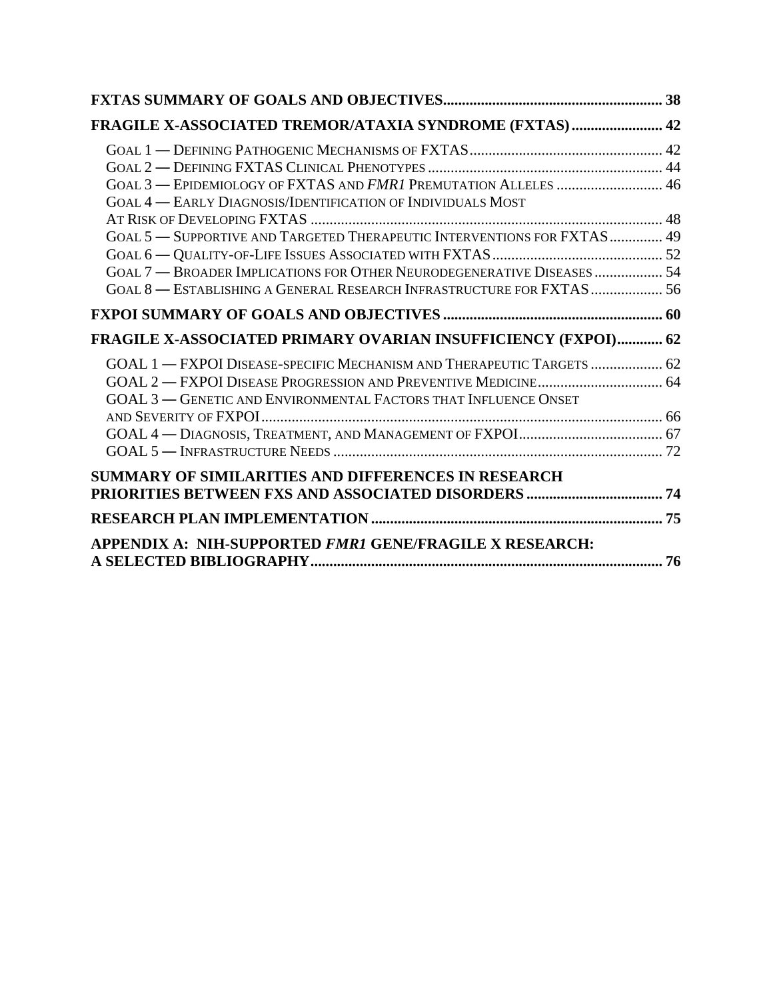| FRAGILE X-ASSOCIATED TREMOR/ATAXIA SYNDROME (FXTAS)  42                 |  |
|-------------------------------------------------------------------------|--|
|                                                                         |  |
|                                                                         |  |
| GOAL 3 - EPIDEMIOLOGY OF FXTAS AND FMR1 PREMUTATION ALLELES  46         |  |
| GOAL 4 - EARLY DIAGNOSIS/IDENTIFICATION OF INDIVIDUALS MOST             |  |
|                                                                         |  |
| GOAL 5 - SUPPORTIVE AND TARGETED THERAPEUTIC INTERVENTIONS FOR FXTAS 49 |  |
|                                                                         |  |
| GOAL 7 - BROADER IMPLICATIONS FOR OTHER NEURODEGENERATIVE DISEASES  54  |  |
| GOAL 8 - ESTABLISHING A GENERAL RESEARCH INFRASTRUCTURE FOR FXTAS  56   |  |
|                                                                         |  |
| FRAGILE X-ASSOCIATED PRIMARY OVARIAN INSUFFICIENCY (FXPOI) 62           |  |
| GOAL 1 - FXPOI DISEASE-SPECIFIC MECHANISM AND THERAPEUTIC TARGETS  62   |  |
|                                                                         |  |
| <b>GOAL 3 - GENETIC AND ENVIRONMENTAL FACTORS THAT INFLUENCE ONSET</b>  |  |
|                                                                         |  |
|                                                                         |  |
|                                                                         |  |
| <b>SUMMARY OF SIMILARITIES AND DIFFERENCES IN RESEARCH</b>              |  |
|                                                                         |  |
|                                                                         |  |
| APPENDIX A: NIH-SUPPORTED FMR1 GENE/FRAGILE X RESEARCH:                 |  |
|                                                                         |  |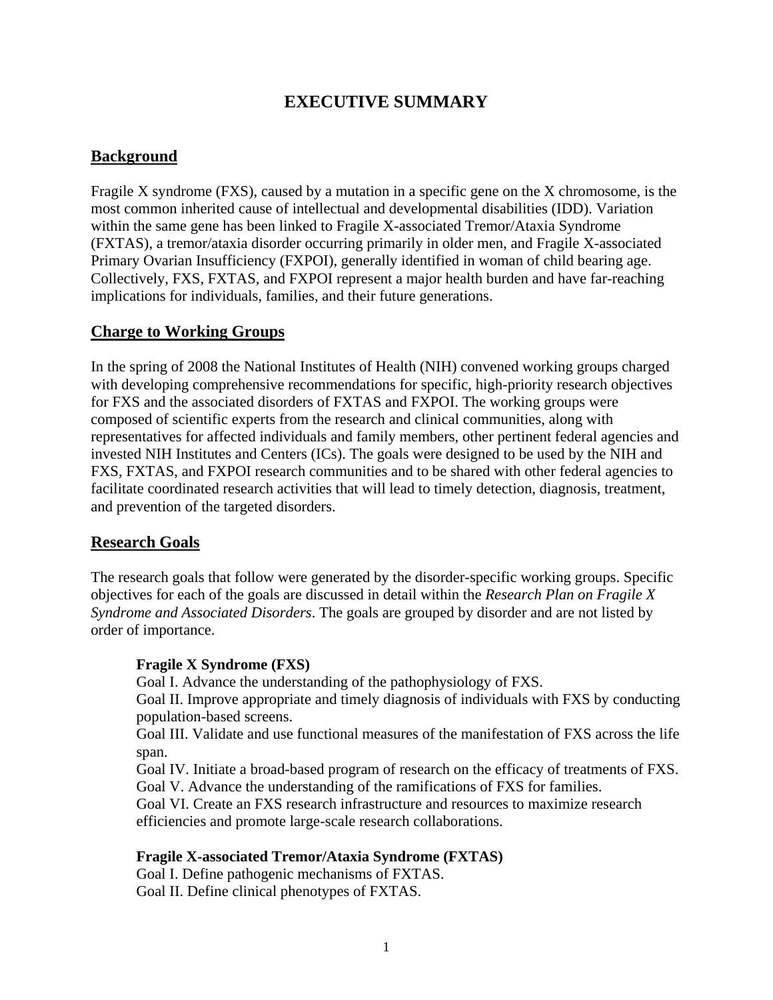# **EXECUTIVE SUMMARY**

## <span id="page-3-0"></span>**Background**

Fragile X syndrome (FXS), caused by a mutation in a specific gene on the X chromosome, is the most common inherited cause of intellectual and developmental disabilities (IDD). Variation within the same gene has been linked to Fragile X-associated Tremor/Ataxia Syndrome (FXTAS), a tremor/ataxia disorder occurring primarily in older men, and Fragile X-associated Primary Ovarian Insufficiency (FXPOI), generally identified in woman of child bearing age. Collectively, FXS, FXTAS, and FXPOI represent a major health burden and have far-reaching implications for individuals, families, and their future generations.

## **Charge to Working Groups**

In the spring of 2008 the National Institutes of Health (NIH) convened working groups charged with developing comprehensive recommendations for specific, high-priority research objectives for FXS and the associated disorders of FXTAS and FXPOI. The working groups were composed of scientific experts from the research and clinical communities, along with representatives for affected individuals and family members, other pertinent federal agencies and invested NIH Institutes and Centers (ICs). The goals were designed to be used by the NIH and FXS, FXTAS, and FXPOI research communities and to be shared with other federal agencies to facilitate coordinated research activities that will lead to timely detection, diagnosis, treatment, and prevention of the targeted disorders.

## **Research Goals**

The research goals that follow were generated by the disorder-specific working groups. Specific objectives for each of the goals are discussed in detail within the *Research Plan on Fragile X Syndrome and Associated Disorders*. The goals are grouped by disorder and are not listed by order of importance.

#### **Fragile X Syndrome (FXS)**

Goal I. Advance the understanding of the pathophysiology of FXS.

Goal II. Improve appropriate and timely diagnosis of individuals with FXS by conducting population-based screens.

Goal III. Validate and use functional measures of the manifestation of FXS across the life span.

Goal IV. Initiate a broad-based program of research on the efficacy of treatments of FXS. Goal V. Advance the understanding of the ramifications of FXS for families.

Goal VI. Create an FXS research infrastructure and resources to maximize research efficiencies and promote large-scale research collaborations.

#### **Fragile X-associated Tremor/Ataxia Syndrome (FXTAS)**

Goal I. Define pathogenic mechanisms of FXTAS. Goal II. Define clinical phenotypes of FXTAS.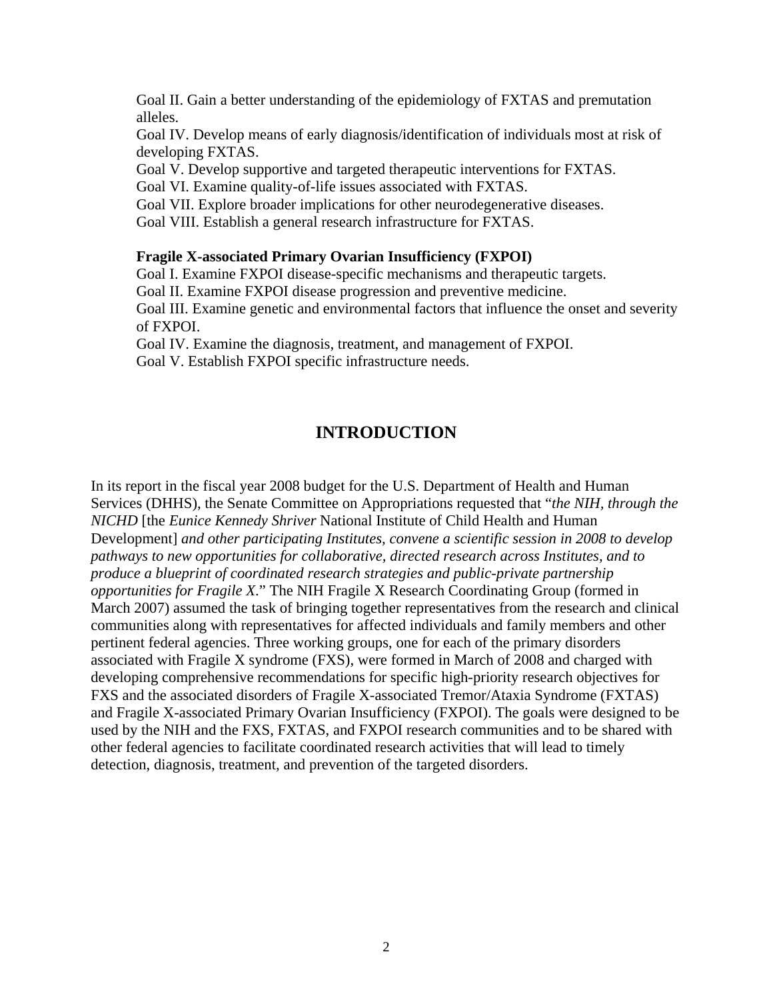<span id="page-4-0"></span>Goal II. Gain a better understanding of the epidemiology of FXTAS and premutation alleles.

Goal IV. Develop means of early diagnosis/identification of individuals most at risk of developing FXTAS.

Goal V. Develop supportive and targeted therapeutic interventions for FXTAS.

Goal VI. Examine quality-of-life issues associated with FXTAS.

Goal VII. Explore broader implications for other neurodegenerative diseases.

Goal VIII. Establish a general research infrastructure for FXTAS.

#### **Fragile X-associated Primary Ovarian Insufficiency (FXPOI)**

Goal I. Examine FXPOI disease-specific mechanisms and therapeutic targets.

Goal II. Examine FXPOI disease progression and preventive medicine.

Goal III. Examine genetic and environmental factors that influence the onset and severity of FXPOI.

Goal IV. Examine the diagnosis, treatment, and management of FXPOI.

Goal V. Establish FXPOI specific infrastructure needs.

## **INTRODUCTION**

In its report in the fiscal year 2008 budget for the U.S. Department of Health and Human Services (DHHS), the Senate Committee on Appropriations requested that "*the NIH, through the NICHD* [the *Eunice Kennedy Shriver* National Institute of Child Health and Human Development] *and other participating Institutes, convene a scientific session in 2008 to develop pathways to new opportunities for collaborative, directed research across Institutes, and to produce a blueprint of coordinated research strategies and public-private partnership opportunities for Fragile X*." The NIH Fragile X Research Coordinating Group (formed in March 2007) assumed the task of bringing together representatives from the research and clinical communities along with representatives for affected individuals and family members and other pertinent federal agencies. Three working groups, one for each of the primary disorders associated with Fragile X syndrome (FXS), were formed in March of 2008 and charged with developing comprehensive recommendations for specific high-priority research objectives for FXS and the associated disorders of Fragile X-associated Tremor/Ataxia Syndrome (FXTAS) and Fragile X-associated Primary Ovarian Insufficiency (FXPOI). The goals were designed to be used by the NIH and the FXS, FXTAS, and FXPOI research communities and to be shared with other federal agencies to facilitate coordinated research activities that will lead to timely detection, diagnosis, treatment, and prevention of the targeted disorders.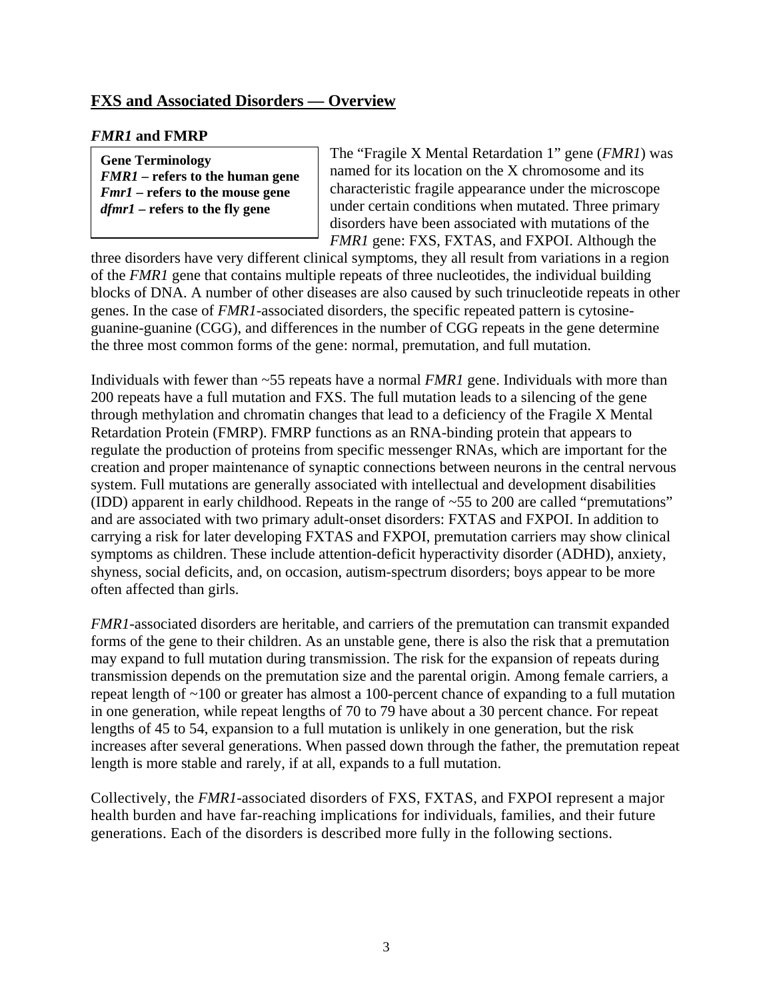## <span id="page-5-0"></span>**FXS and Associated Disorders — Overview**

## *FMR1* **and FMRP**

**Gene Terminology**  *FMR1* **– refers to the human gene**  *Fmr1* **– refers to the mouse gene**  *dfmr1* **– refers to the fly gene** 

The "Fragile X Mental Retardation 1" gene (*FMR1*) was named for its location on the X chromosome and its characteristic fragile appearance under the microscope under certain conditions when mutated. Three primary disorders have been associated with mutations of the *FMR1* gene: FXS, FXTAS, and FXPOI. Although the

three disorders have very different clinical symptoms, they all result from variations in a region of the *FMR1* gene that contains multiple repeats of three nucleotides, the individual building blocks of DNA. A number of other diseases are also caused by such trinucleotide repeats in other genes. In the case of *FMR1*-associated disorders, the specific repeated pattern is cytosineguanine-guanine (CGG), and differences in the number of CGG repeats in the gene determine the three most common forms of the gene: normal, premutation, and full mutation.

Individuals with fewer than ~55 repeats have a normal *FMR1* gene. Individuals with more than 200 repeats have a full mutation and FXS. The full mutation leads to a silencing of the gene through methylation and chromatin changes that lead to a deficiency of the Fragile X Mental Retardation Protein (FMRP). FMRP functions as an RNA-binding protein that appears to regulate the production of proteins from specific messenger RNAs, which are important for the creation and proper maintenance of synaptic connections between neurons in the central nervous system. Full mutations are generally associated with intellectual and development disabilities (IDD) apparent in early childhood. Repeats in the range of ~55 to 200 are called "premutations" and are associated with two primary adult-onset disorders: FXTAS and FXPOI. In addition to carrying a risk for later developing FXTAS and FXPOI, premutation carriers may show clinical symptoms as children. These include attention-deficit hyperactivity disorder (ADHD), anxiety, shyness, social deficits, and, on occasion, autism-spectrum disorders; boys appear to be more often affected than girls.

*FMR1*-associated disorders are heritable, and carriers of the premutation can transmit expanded forms of the gene to their children. As an unstable gene, there is also the risk that a premutation may expand to full mutation during transmission. The risk for the expansion of repeats during transmission depends on the premutation size and the parental origin. Among female carriers, a repeat length of ~100 or greater has almost a 100-percent chance of expanding to a full mutation in one generation, while repeat lengths of 70 to 79 have about a 30 percent chance. For repeat lengths of 45 to 54, expansion to a full mutation is unlikely in one generation, but the risk increases after several generations. When passed down through the father, the premutation repeat length is more stable and rarely, if at all, expands to a full mutation.

Collectively, the *FMR1-*associated disorders of FXS, FXTAS, and FXPOI represent a major health burden and have far-reaching implications for individuals, families, and their future generations. Each of the disorders is described more fully in the following sections.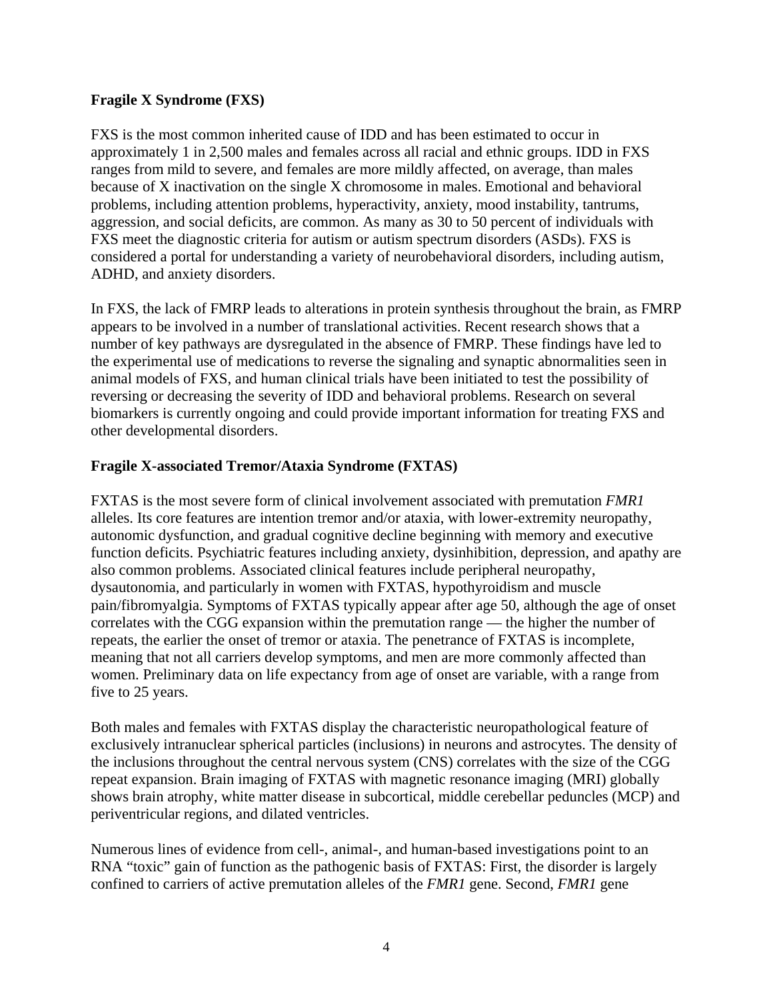## <span id="page-6-0"></span>**Fragile X Syndrome (FXS)**

FXS is the most common inherited cause of IDD and has been estimated to occur in approximately 1 in 2,500 males and females across all racial and ethnic groups. IDD in FXS ranges from mild to severe, and females are more mildly affected, on average, than males because of X inactivation on the single X chromosome in males. Emotional and behavioral problems, including attention problems, hyperactivity, anxiety, mood instability, tantrums, aggression, and social deficits, are common. As many as 30 to 50 percent of individuals with FXS meet the diagnostic criteria for autism or autism spectrum disorders (ASDs). FXS is considered a portal for understanding a variety of neurobehavioral disorders, including autism, ADHD, and anxiety disorders.

In FXS, the lack of FMRP leads to alterations in protein synthesis throughout the brain, as FMRP appears to be involved in a number of translational activities. Recent research shows that a number of key pathways are dysregulated in the absence of FMRP. These findings have led to the experimental use of medications to reverse the signaling and synaptic abnormalities seen in animal models of FXS, and human clinical trials have been initiated to test the possibility of reversing or decreasing the severity of IDD and behavioral problems. Research on several biomarkers is currently ongoing and could provide important information for treating FXS and other developmental disorders.

## **Fragile X-associated Tremor/Ataxia Syndrome (FXTAS)**

FXTAS is the most severe form of clinical involvement associated with premutation *FMR1* alleles. Its core features are intention tremor and/or ataxia, with lower-extremity neuropathy, autonomic dysfunction, and gradual cognitive decline beginning with memory and executive function deficits. Psychiatric features including anxiety, dysinhibition, depression, and apathy are also common problems. Associated clinical features include peripheral neuropathy, dysautonomia, and particularly in women with FXTAS, hypothyroidism and muscle pain/fibromyalgia. Symptoms of FXTAS typically appear after age 50, although the age of onset correlates with the CGG expansion within the premutation range — the higher the number of repeats, the earlier the onset of tremor or ataxia. The penetrance of FXTAS is incomplete, meaning that not all carriers develop symptoms, and men are more commonly affected than women. Preliminary data on life expectancy from age of onset are variable, with a range from five to 25 years.

Both males and females with FXTAS display the characteristic neuropathological feature of exclusively intranuclear spherical particles (inclusions) in neurons and astrocytes. The density of the inclusions throughout the central nervous system (CNS) correlates with the size of the CGG repeat expansion. Brain imaging of FXTAS with magnetic resonance imaging (MRI) globally shows brain atrophy, white matter disease in subcortical, middle cerebellar peduncles (MCP) and periventricular regions, and dilated ventricles.

Numerous lines of evidence from cell-, animal-, and human-based investigations point to an RNA "toxic" gain of function as the pathogenic basis of FXTAS: First, the disorder is largely confined to carriers of active premutation alleles of the *FMR1* gene. Second, *FMR1* gene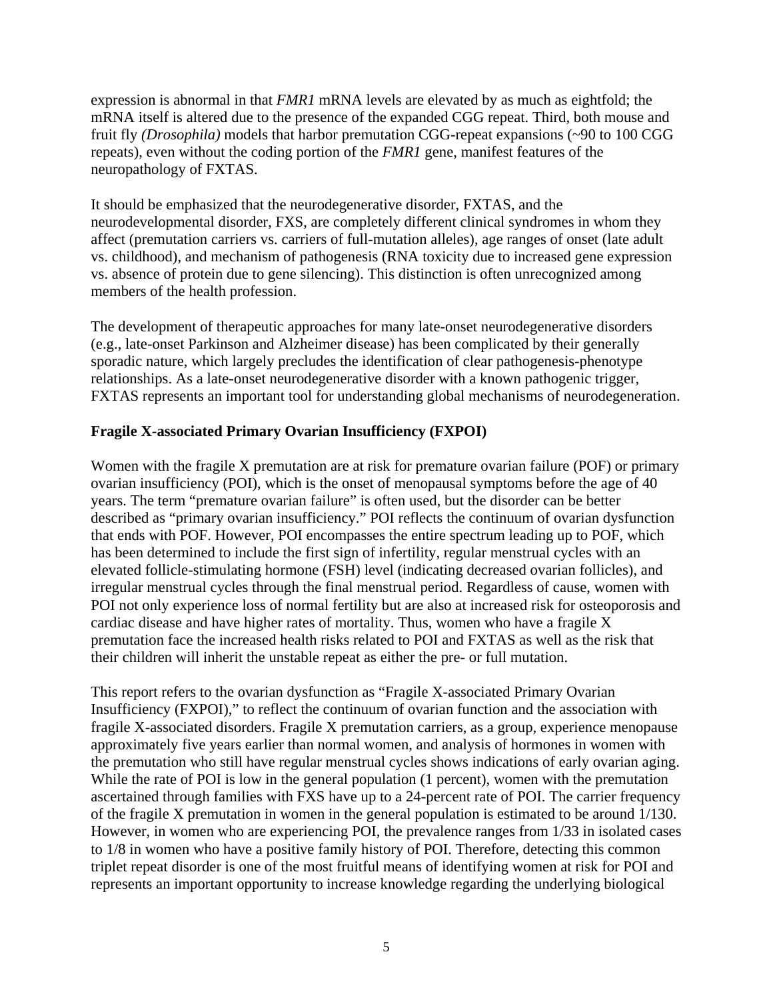<span id="page-7-0"></span>expression is abnormal in that *FMR1* mRNA levels are elevated by as much as eightfold; the mRNA itself is altered due to the presence of the expanded CGG repeat. Third, both mouse and fruit fly *(Drosophila)* models that harbor premutation CGG-repeat expansions (~90 to 100 CGG repeats), even without the coding portion of the *FMR1* gene, manifest features of the neuropathology of FXTAS.

It should be emphasized that the neurodegenerative disorder, FXTAS, and the neurodevelopmental disorder, FXS, are completely different clinical syndromes in whom they affect (premutation carriers vs. carriers of full-mutation alleles), age ranges of onset (late adult vs. childhood), and mechanism of pathogenesis (RNA toxicity due to increased gene expression vs. absence of protein due to gene silencing). This distinction is often unrecognized among members of the health profession.

The development of therapeutic approaches for many late-onset neurodegenerative disorders (e.g., late-onset Parkinson and Alzheimer disease) has been complicated by their generally sporadic nature, which largely precludes the identification of clear pathogenesis-phenotype relationships. As a late-onset neurodegenerative disorder with a known pathogenic trigger, FXTAS represents an important tool for understanding global mechanisms of neurodegeneration.

## **Fragile X-associated Primary Ovarian Insufficiency (FXPOI)**

Women with the fragile X premutation are at risk for premature ovarian failure (POF) or primary ovarian insufficiency (POI), which is the onset of menopausal symptoms before the age of 40 years. The term "premature ovarian failure" is often used, but the disorder can be better described as "primary ovarian insufficiency." POI reflects the continuum of ovarian dysfunction that ends with POF. However, POI encompasses the entire spectrum leading up to POF, which has been determined to include the first sign of infertility, regular menstrual cycles with an elevated follicle-stimulating hormone (FSH) level (indicating decreased ovarian follicles), and irregular menstrual cycles through the final menstrual period. Regardless of cause, women with POI not only experience loss of normal fertility but are also at increased risk for osteoporosis and cardiac disease and have higher rates of mortality. Thus, women who have a fragile X premutation face the increased health risks related to POI and FXTAS as well as the risk that their children will inherit the unstable repeat as either the pre- or full mutation.

This report refers to the ovarian dysfunction as "Fragile X-associated Primary Ovarian Insufficiency (FXPOI)," to reflect the continuum of ovarian function and the association with fragile X-associated disorders. Fragile X premutation carriers, as a group, experience menopause approximately five years earlier than normal women, and analysis of hormones in women with the premutation who still have regular menstrual cycles shows indications of early ovarian aging. While the rate of POI is low in the general population (1 percent), women with the premutation ascertained through families with FXS have up to a 24-percent rate of POI. The carrier frequency of the fragile X premutation in women in the general population is estimated to be around 1/130. However, in women who are experiencing POI, the prevalence ranges from 1/33 in isolated cases to 1/8 in women who have a positive family history of POI. Therefore, detecting this common triplet repeat disorder is one of the most fruitful means of identifying women at risk for POI and represents an important opportunity to increase knowledge regarding the underlying biological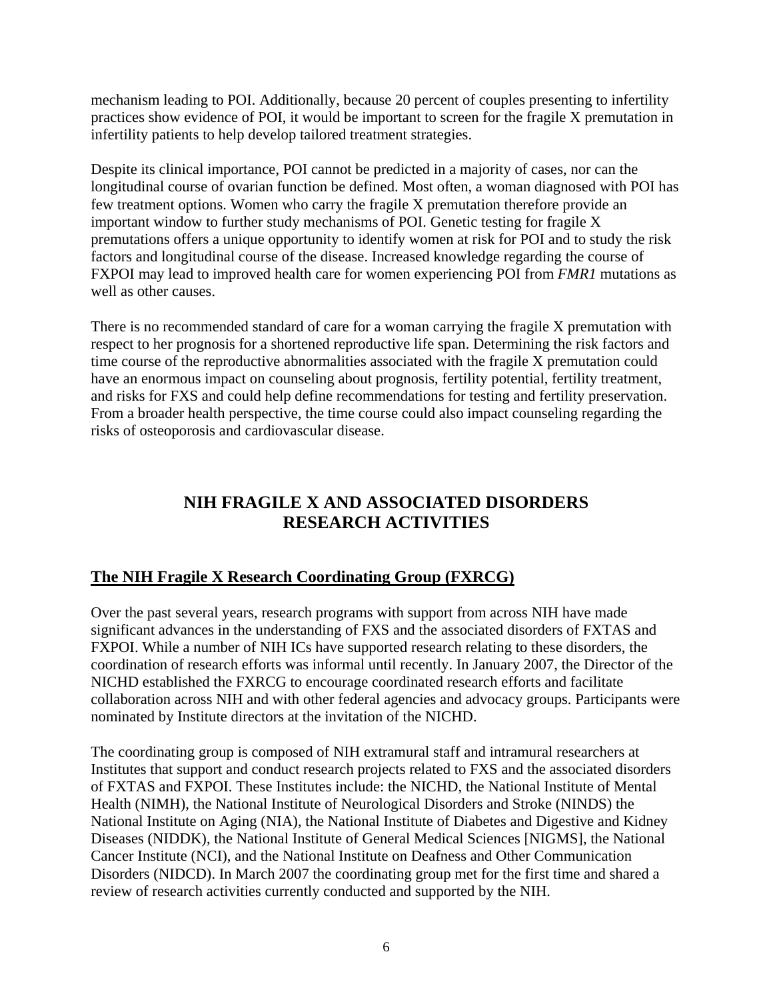<span id="page-8-0"></span>mechanism leading to POI. Additionally, because 20 percent of couples presenting to infertility practices show evidence of POI, it would be important to screen for the fragile X premutation in infertility patients to help develop tailored treatment strategies.

Despite its clinical importance, POI cannot be predicted in a majority of cases, nor can the longitudinal course of ovarian function be defined. Most often, a woman diagnosed with POI has few treatment options. Women who carry the fragile X premutation therefore provide an important window to further study mechanisms of POI. Genetic testing for fragile X premutations offers a unique opportunity to identify women at risk for POI and to study the risk factors and longitudinal course of the disease. Increased knowledge regarding the course of FXPOI may lead to improved health care for women experiencing POI from *FMR1* mutations as well as other causes.

There is no recommended standard of care for a woman carrying the fragile X premutation with respect to her prognosis for a shortened reproductive life span. Determining the risk factors and time course of the reproductive abnormalities associated with the fragile X premutation could have an enormous impact on counseling about prognosis, fertility potential, fertility treatment, and risks for FXS and could help define recommendations for testing and fertility preservation. From a broader health perspective, the time course could also impact counseling regarding the risks of osteoporosis and cardiovascular disease.

# **NIH FRAGILE X AND ASSOCIATED DISORDERS RESEARCH ACTIVITIES**

# **The NIH Fragile X Research Coordinating Group (FXRCG)**

Over the past several years, research programs with support from across NIH have made significant advances in the understanding of FXS and the associated disorders of FXTAS and FXPOI. While a number of NIH ICs have supported research relating to these disorders, the coordination of research efforts was informal until recently. In January 2007, the Director of the NICHD established the FXRCG to encourage coordinated research efforts and facilitate collaboration across NIH and with other federal agencies and advocacy groups. Participants were nominated by Institute directors at the invitation of the NICHD.

The coordinating group is composed of NIH extramural staff and intramural researchers at Institutes that support and conduct research projects related to FXS and the associated disorders of FXTAS and FXPOI. These Institutes include: the NICHD, the National Institute of Mental Health (NIMH), the National Institute of Neurological Disorders and Stroke (NINDS) the National Institute on Aging (NIA), the National Institute of Diabetes and Digestive and Kidney Diseases (NIDDK), the National Institute of General Medical Sciences [NIGMS], the National Cancer Institute (NCI), and the National Institute on Deafness and Other Communication Disorders (NIDCD). In March 2007 the coordinating group met for the first time and shared a review of research activities currently conducted and supported by the NIH.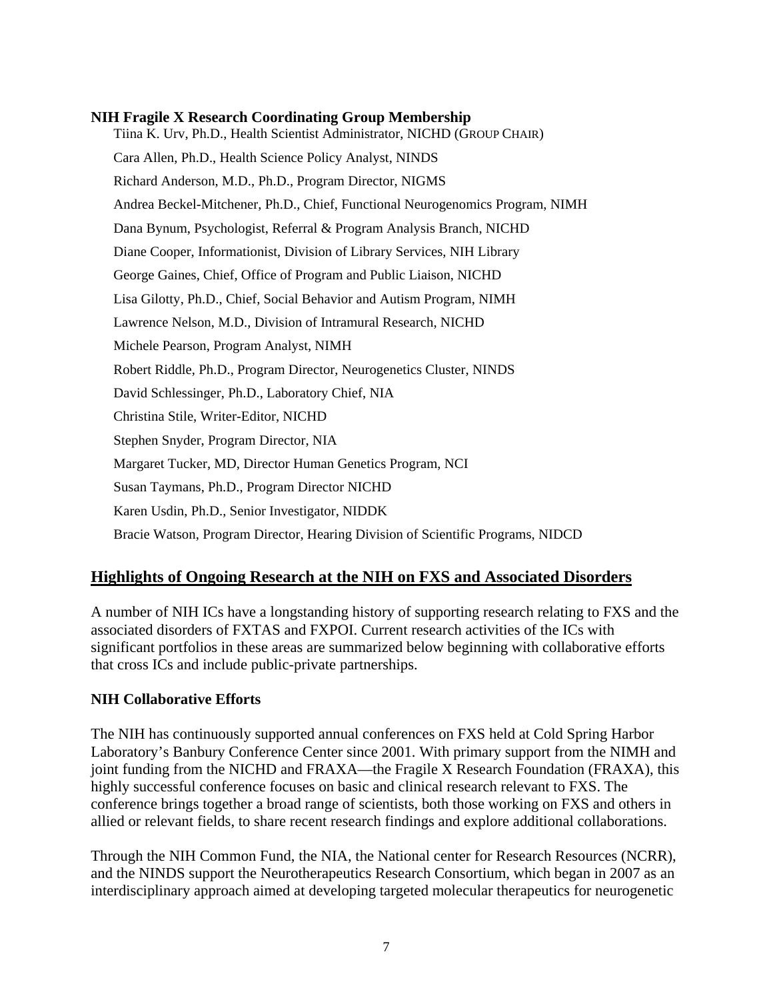## <span id="page-9-0"></span>**NIH Fragile X Research Coordinating Group Membership**

Tiina K. Urv, Ph.D., Health Scientist Administrator, NICHD (GROUP CHAIR) Cara Allen, Ph.D., Health Science Policy Analyst, NINDS Richard Anderson, M.D., Ph.D., Program Director, NIGMS Andrea Beckel-Mitchener, Ph.D., Chief, Functional Neurogenomics Program, NIMH Dana Bynum, Psychologist, Referral & Program Analysis Branch, NICHD Diane Cooper, Informationist, Division of Library Services, NIH Library George Gaines, Chief, Office of Program and Public Liaison, NICHD Lisa Gilotty, Ph.D., Chief, Social Behavior and Autism Program, NIMH Lawrence Nelson, M.D., Division of Intramural Research, NICHD Michele Pearson, Program Analyst, NIMH Robert Riddle, Ph.D., Program Director, Neurogenetics Cluster, NINDS David Schlessinger, Ph.D., Laboratory Chief, NIA Christina Stile, Writer-Editor, NICHD Stephen Snyder, Program Director, NIA Margaret Tucker, MD, Director Human Genetics Program, NCI Susan Taymans, Ph.D., Program Director NICHD Karen Usdin, Ph.D., Senior Investigator, NIDDK Bracie Watson, Program Director, Hearing Division of Scientific Programs, NIDCD

## **Highlights of Ongoing Research at the NIH on FXS and Associated Disorders**

A number of NIH ICs have a longstanding history of supporting research relating to FXS and the associated disorders of FXTAS and FXPOI. Current research activities of the ICs with significant portfolios in these areas are summarized below beginning with collaborative efforts that cross ICs and include public-private partnerships.

## **NIH Collaborative Efforts**

The NIH has continuously supported annual conferences on FXS held at Cold Spring Harbor Laboratory's Banbury Conference Center since 2001. With primary support from the NIMH and joint funding from the NICHD and FRAXA—the Fragile X Research Foundation (FRAXA), this highly successful conference focuses on basic and clinical research relevant to FXS. The conference brings together a broad range of scientists, both those working on FXS and others in allied or relevant fields, to share recent research findings and explore additional collaborations.

Through the NIH Common Fund, the NIA, the National center for Research Resources (NCRR), and the NINDS support the Neurotherapeutics Research Consortium, which began in 2007 as an interdisciplinary approach aimed at developing targeted molecular therapeutics for neurogenetic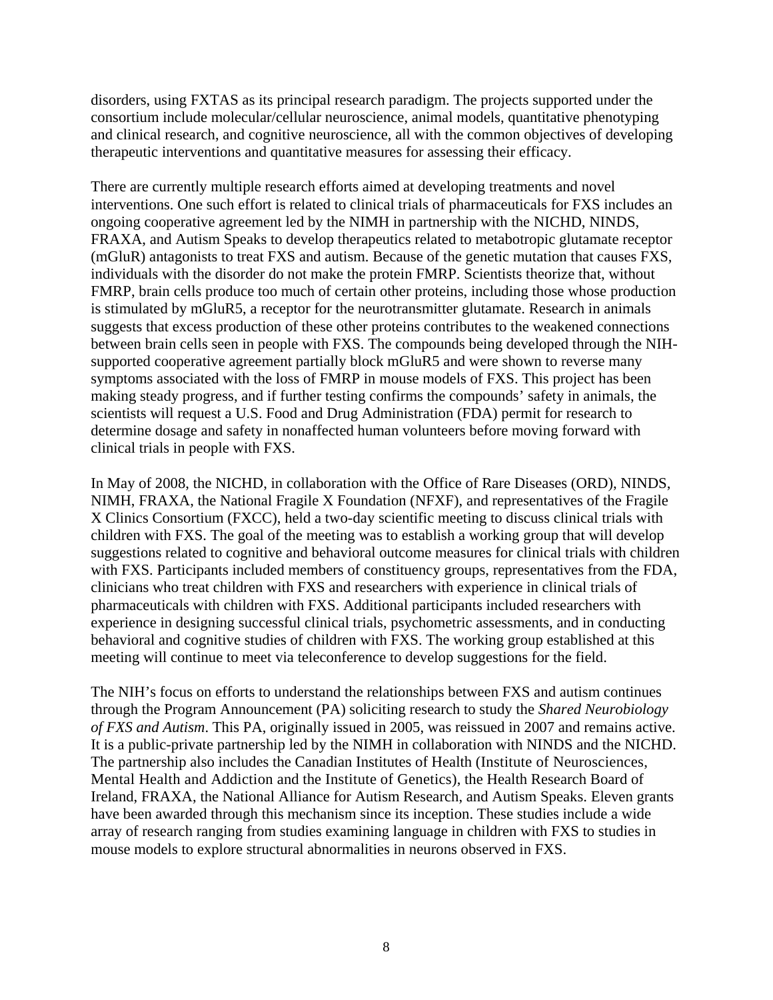disorders, using FXTAS as its principal research paradigm. The projects supported under the consortium include molecular/cellular neuroscience, animal models, quantitative phenotyping and clinical research, and cognitive neuroscience, all with the common objectives of developing therapeutic interventions and quantitative measures for assessing their efficacy.

There are currently multiple research efforts aimed at developing treatments and novel interventions. One such effort is related to clinical trials of pharmaceuticals for FXS includes an ongoing cooperative agreement led by the NIMH in partnership with the NICHD, NINDS, FRAXA, and Autism Speaks to develop therapeutics related to metabotropic glutamate receptor (mGluR) antagonists to treat FXS and autism. Because of the genetic mutation that causes FXS, individuals with the disorder do not make the protein FMRP. Scientists theorize that, without FMRP, brain cells produce too much of certain other proteins, including those whose production is stimulated by mGluR5, a receptor for the neurotransmitter glutamate. Research in animals suggests that excess production of these other proteins contributes to the weakened connections between brain cells seen in people with FXS. The compounds being developed through the NIHsupported cooperative agreement partially block mGluR5 and were shown to reverse many symptoms associated with the loss of FMRP in mouse models of FXS. This project has been making steady progress, and if further testing confirms the compounds' safety in animals, the scientists will request a U.S. Food and Drug Administration (FDA) permit for research to determine dosage and safety in nonaffected human volunteers before moving forward with clinical trials in people with FXS.

In May of 2008, the NICHD, in collaboration with the Office of Rare Diseases (ORD), NINDS, NIMH, FRAXA, the National Fragile X Foundation (NFXF), and representatives of the Fragile X Clinics Consortium (FXCC), held a two-day scientific meeting to discuss clinical trials with children with FXS. The goal of the meeting was to establish a working group that will develop suggestions related to cognitive and behavioral outcome measures for clinical trials with children with FXS. Participants included members of constituency groups, representatives from the FDA, clinicians who treat children with FXS and researchers with experience in clinical trials of pharmaceuticals with children with FXS. Additional participants included researchers with experience in designing successful clinical trials, psychometric assessments, and in conducting behavioral and cognitive studies of children with FXS. The working group established at this meeting will continue to meet via teleconference to develop suggestions for the field.

The NIH's focus on efforts to understand the relationships between FXS and autism continues through the Program Announcement (PA) soliciting research to study the *Shared Neurobiology of FXS and Autism*. This PA, originally issued in 2005, was reissued in 2007 and remains active. It is a public-private partnership led by the NIMH in collaboration with NINDS and the NICHD. The partnership also includes the Canadian Institutes of Health (Institute of Neurosciences, Mental Health and Addiction and the Institute of Genetics), the Health Research Board of Ireland, FRAXA, the National Alliance for Autism Research, and Autism Speaks. Eleven grants have been awarded through this mechanism since its inception. These studies include a wide array of research ranging from studies examining language in children with FXS to studies in mouse models to explore structural abnormalities in neurons observed in FXS.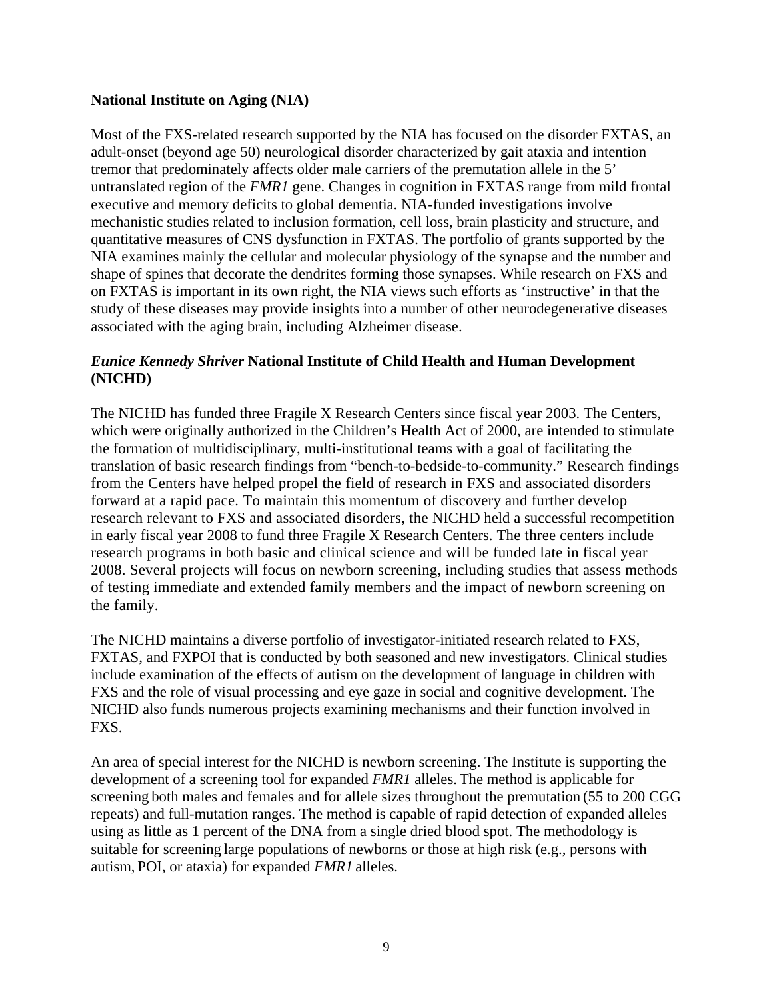## <span id="page-11-0"></span>**National Institute on Aging (NIA)**

Most of the FXS-related research supported by the NIA has focused on the disorder FXTAS, an adult-onset (beyond age 50) neurological disorder characterized by gait ataxia and intention tremor that predominately affects older male carriers of the premutation allele in the 5' untranslated region of the *FMR1* gene. Changes in cognition in FXTAS range from mild frontal executive and memory deficits to global dementia. NIA-funded investigations involve mechanistic studies related to inclusion formation, cell loss, brain plasticity and structure, and quantitative measures of CNS dysfunction in FXTAS. The portfolio of grants supported by the NIA examines mainly the cellular and molecular physiology of the synapse and the number and shape of spines that decorate the dendrites forming those synapses. While research on FXS and on FXTAS is important in its own right, the NIA views such efforts as 'instructive' in that the study of these diseases may provide insights into a number of other neurodegenerative diseases associated with the aging brain, including Alzheimer disease.

## *Eunice Kennedy Shriver* **National Institute of Child Health and Human Development (NICHD)**

The NICHD has funded three Fragile X Research Centers since fiscal year 2003. The Centers, which were originally authorized in the Children's Health Act of 2000, are intended to stimulate the formation of multidisciplinary, multi-institutional teams with a goal of facilitating the translation of basic research findings from "bench-to-bedside-to-community." Research findings from the Centers have helped propel the field of research in FXS and associated disorders forward at a rapid pace. To maintain this momentum of discovery and further develop research relevant to FXS and associated disorders, the NICHD held a successful recompetition in early fiscal year 2008 to fund three Fragile X Research Centers. The three centers include research programs in both basic and clinical science and will be funded late in fiscal year 2008. Several projects will focus on newborn screening, including studies that assess methods of testing immediate and extended family members and the impact of newborn screening on the family.

The NICHD maintains a diverse portfolio of investigator-initiated research related to FXS, FXTAS, and FXPOI that is conducted by both seasoned and new investigators. Clinical studies include examination of the effects of autism on the development of language in children with FXS and the role of visual processing and eye gaze in social and cognitive development. The NICHD also funds numerous projects examining mechanisms and their function involved in FXS.

An area of special interest for the NICHD is newborn screening. The Institute is supporting the development of a screening tool for expanded *FMR1* alleles. The method is applicable for screening both males and females and for allele sizes throughout the premutation (55 to 200 CGG repeats) and full-mutation ranges. The method is capable of rapid detection of expanded alleles using as little as 1 percent of the DNA from a single dried blood spot. The methodology is suitable for screening large populations of newborns or those at high risk (e.g., persons with autism, POI, or ataxia) for expanded *FMR1* alleles.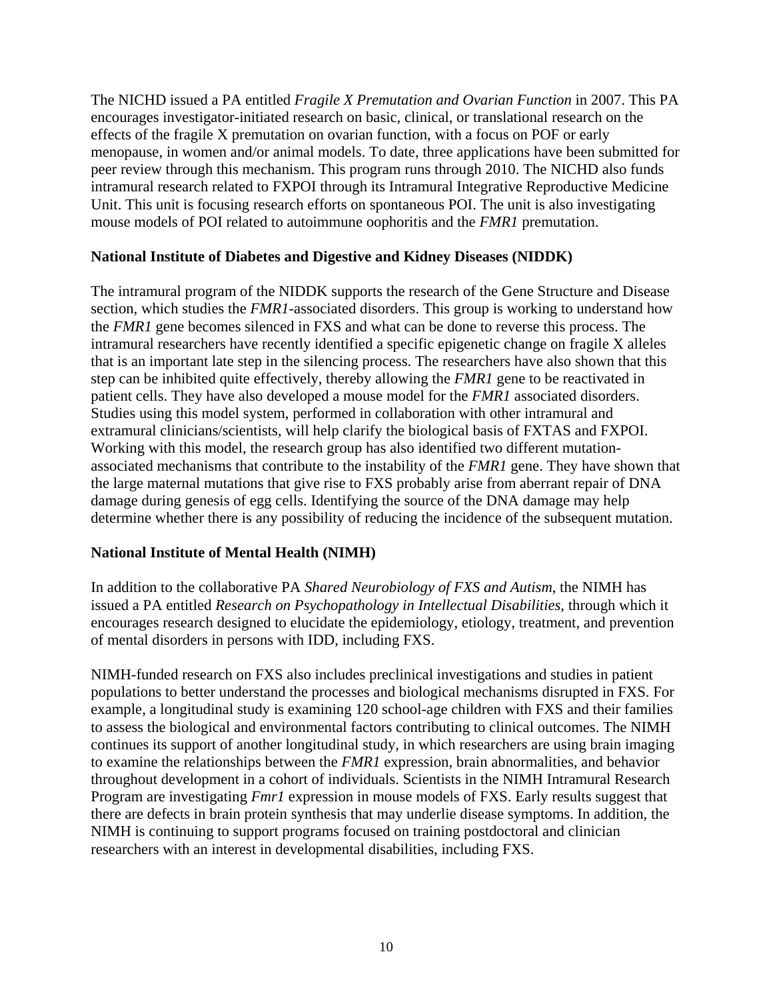<span id="page-12-0"></span>The NICHD issued a PA entitled *Fragile X Premutation and Ovarian Function* in 2007. This PA encourages investigator-initiated research on basic, clinical, or translational research on the effects of the fragile X premutation on ovarian function, with a focus on POF or early menopause, in women and/or animal models. To date, three applications have been submitted for peer review through this mechanism. This program runs through 2010. The NICHD also funds intramural research related to FXPOI through its Intramural Integrative Reproductive Medicine Unit. This unit is focusing research efforts on spontaneous POI. The unit is also investigating mouse models of POI related to autoimmune oophoritis and the *FMR1* premutation.

## **National Institute of Diabetes and Digestive and Kidney Diseases (NIDDK)**

The intramural program of the NIDDK supports the research of the Gene Structure and Disease section, which studies the *FMR1*-associated disorders. This group is working to understand how the *FMR1* gene becomes silenced in FXS and what can be done to reverse this process. The intramural researchers have recently identified a specific epigenetic change on fragile X alleles that is an important late step in the silencing process. The researchers have also shown that this step can be inhibited quite effectively, thereby allowing the *FMR1* gene to be reactivated in patient cells. They have also developed a mouse model for the *FMR1* associated disorders. Studies using this model system, performed in collaboration with other intramural and extramural clinicians/scientists, will help clarify the biological basis of FXTAS and FXPOI. Working with this model, the research group has also identified two different mutationassociated mechanisms that contribute to the instability of the *FMR1* gene. They have shown that the large maternal mutations that give rise to FXS probably arise from aberrant repair of DNA damage during genesis of egg cells. Identifying the source of the DNA damage may help determine whether there is any possibility of reducing the incidence of the subsequent mutation.

## **National Institute of Mental Health (NIMH)**

In addition to the collaborative PA *Shared Neurobiology of FXS and Autism*, the NIMH has issued a PA entitled *Research on Psychopathology in Intellectual Disabilities*, through which it encourages research designed to elucidate the epidemiology, etiology, treatment, and prevention of mental disorders in persons with IDD, including FXS.

NIMH-funded research on FXS also includes preclinical investigations and studies in patient populations to better understand the processes and biological mechanisms disrupted in FXS. For example, a longitudinal study is examining 120 school-age children with FXS and their families to assess the biological and environmental factors contributing to clinical outcomes. The NIMH continues its support of another longitudinal study, in which researchers are using brain imaging to examine the relationships between the *FMR1* expression, brain abnormalities, and behavior throughout development in a cohort of individuals. Scientists in the NIMH Intramural Research Program are investigating *Fmr1* expression in mouse models of FXS. Early results suggest that there are defects in brain protein synthesis that may underlie disease symptoms. In addition, the NIMH is continuing to support programs focused on training postdoctoral and clinician researchers with an interest in developmental disabilities, including FXS.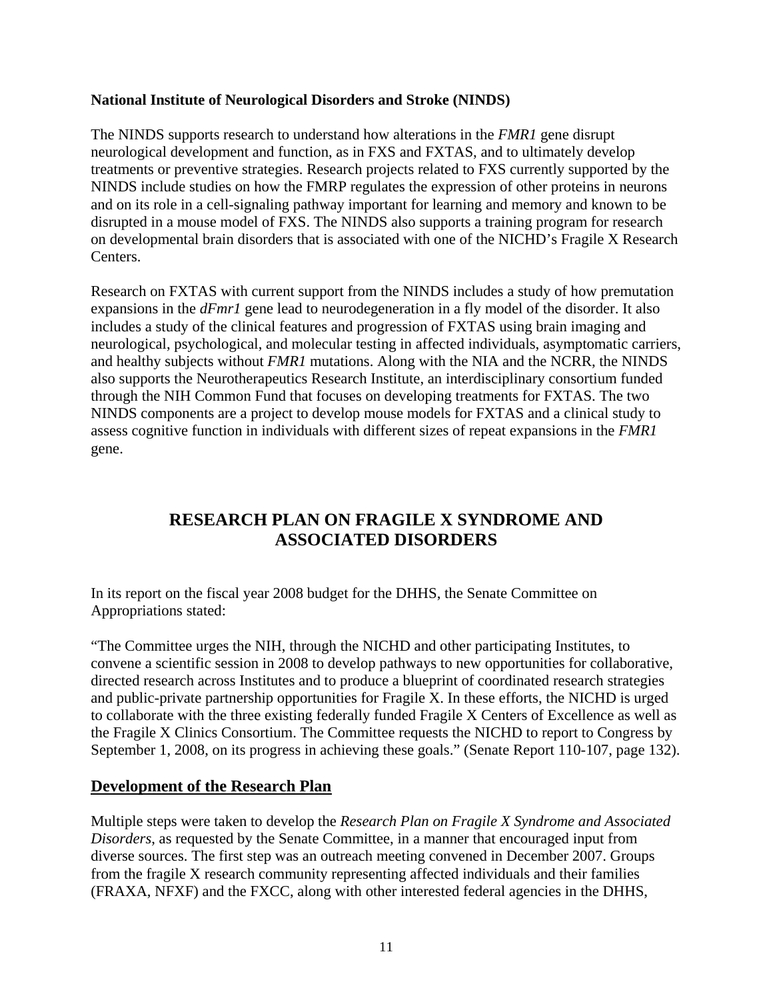## <span id="page-13-0"></span>**National Institute of Neurological Disorders and Stroke (NINDS)**

The NINDS supports research to understand how alterations in the *FMR1* gene disrupt neurological development and function, as in FXS and FXTAS, and to ultimately develop treatments or preventive strategies. Research projects related to FXS currently supported by the NINDS include studies on how the FMRP regulates the expression of other proteins in neurons and on its role in a cell-signaling pathway important for learning and memory and known to be disrupted in a mouse model of FXS. The NINDS also supports a training program for research on developmental brain disorders that is associated with one of the NICHD's Fragile X Research Centers.

Research on FXTAS with current support from the NINDS includes a study of how premutation expansions in the *dFmr1* gene lead to neurodegeneration in a fly model of the disorder. It also includes a study of the clinical features and progression of FXTAS using brain imaging and neurological, psychological, and molecular testing in affected individuals, asymptomatic carriers, and healthy subjects without *FMR1* mutations. Along with the NIA and the NCRR, the NINDS also supports the Neurotherapeutics Research Institute, an interdisciplinary consortium funded through the NIH Common Fund that focuses on developing treatments for FXTAS. The two NINDS components are a project to develop mouse models for FXTAS and a clinical study to assess cognitive function in individuals with different sizes of repeat expansions in the *FMR1* gene.

# **RESEARCH PLAN ON FRAGILE X SYNDROME AND ASSOCIATED DISORDERS**

In its report on the fiscal year 2008 budget for the DHHS, the Senate Committee on Appropriations stated:

"The Committee urges the NIH, through the NICHD and other participating Institutes, to convene a scientific session in 2008 to develop pathways to new opportunities for collaborative, directed research across Institutes and to produce a blueprint of coordinated research strategies and public-private partnership opportunities for Fragile X. In these efforts, the NICHD is urged to collaborate with the three existing federally funded Fragile X Centers of Excellence as well as the Fragile X Clinics Consortium. The Committee requests the NICHD to report to Congress by September 1, 2008, on its progress in achieving these goals." (Senate Report 110-107, page 132).

## **Development of the Research Plan**

Multiple steps were taken to develop the *Research Plan on Fragile X Syndrome and Associated Disorders*, as requested by the Senate Committee, in a manner that encouraged input from diverse sources. The first step was an outreach meeting convened in December 2007. Groups from the fragile X research community representing affected individuals and their families (FRAXA, NFXF) and the FXCC, along with other interested federal agencies in the DHHS,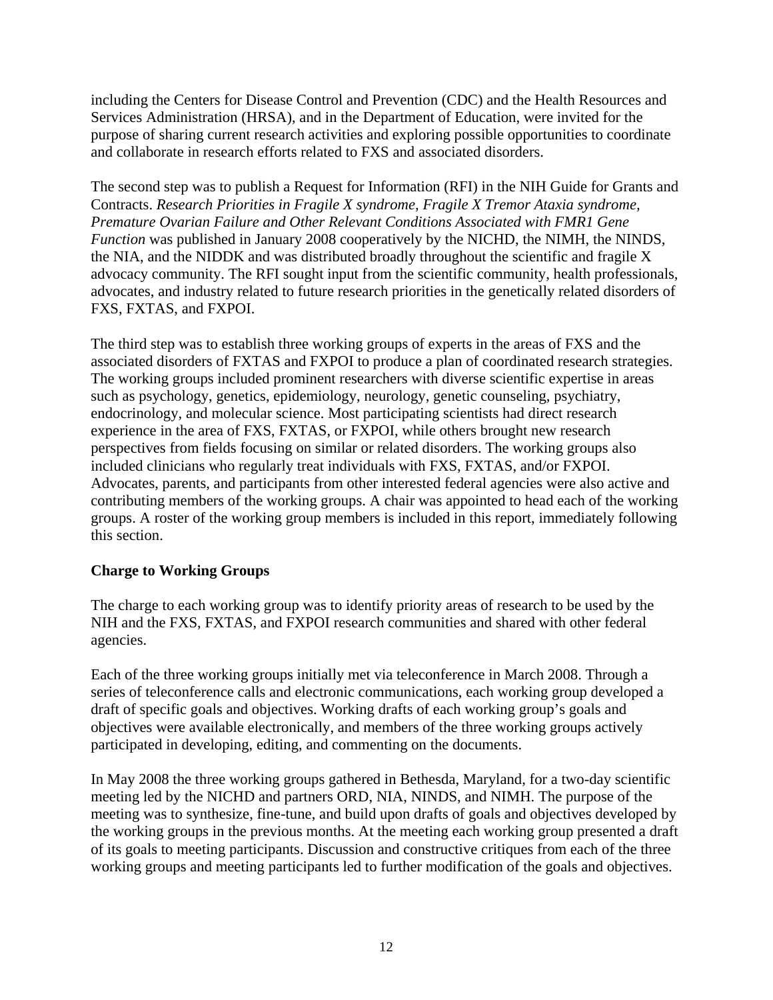<span id="page-14-0"></span>including the Centers for Disease Control and Prevention (CDC) and the Health Resources and Services Administration (HRSA), and in the Department of Education, were invited for the purpose of sharing current research activities and exploring possible opportunities to coordinate and collaborate in research efforts related to FXS and associated disorders.

The second step was to publish a Request for Information (RFI) in the NIH Guide for Grants and Contracts. *Research Priorities in Fragile X syndrome, Fragile X Tremor Ataxia syndrome, Premature Ovarian Failure and Other Relevant Conditions Associated with FMR1 Gene Function* was published in January 2008 cooperatively by the NICHD, the NIMH, the NINDS, the NIA, and the NIDDK and was distributed broadly throughout the scientific and fragile X advocacy community. The RFI sought input from the scientific community, health professionals, advocates, and industry related to future research priorities in the genetically related disorders of FXS, FXTAS, and FXPOI.

The third step was to establish three working groups of experts in the areas of FXS and the associated disorders of FXTAS and FXPOI to produce a plan of coordinated research strategies. The working groups included prominent researchers with diverse scientific expertise in areas such as psychology, genetics, epidemiology, neurology, genetic counseling, psychiatry, endocrinology, and molecular science. Most participating scientists had direct research experience in the area of FXS, FXTAS, or FXPOI, while others brought new research perspectives from fields focusing on similar or related disorders. The working groups also included clinicians who regularly treat individuals with FXS, FXTAS, and/or FXPOI. Advocates, parents, and participants from other interested federal agencies were also active and contributing members of the working groups. A chair was appointed to head each of the working groups. A roster of the working group members is included in this report, immediately following this section.

## **Charge to Working Groups**

The charge to each working group was to identify priority areas of research to be used by the NIH and the FXS, FXTAS, and FXPOI research communities and shared with other federal agencies.

Each of the three working groups initially met via teleconference in March 2008. Through a series of teleconference calls and electronic communications, each working group developed a draft of specific goals and objectives. Working drafts of each working group's goals and objectives were available electronically, and members of the three working groups actively participated in developing, editing, and commenting on the documents.

In May 2008 the three working groups gathered in Bethesda, Maryland, for a two-day scientific meeting led by the NICHD and partners ORD, NIA, NINDS, and NIMH. The purpose of the meeting was to synthesize, fine-tune, and build upon drafts of goals and objectives developed by the working groups in the previous months. At the meeting each working group presented a draft of its goals to meeting participants. Discussion and constructive critiques from each of the three working groups and meeting participants led to further modification of the goals and objectives.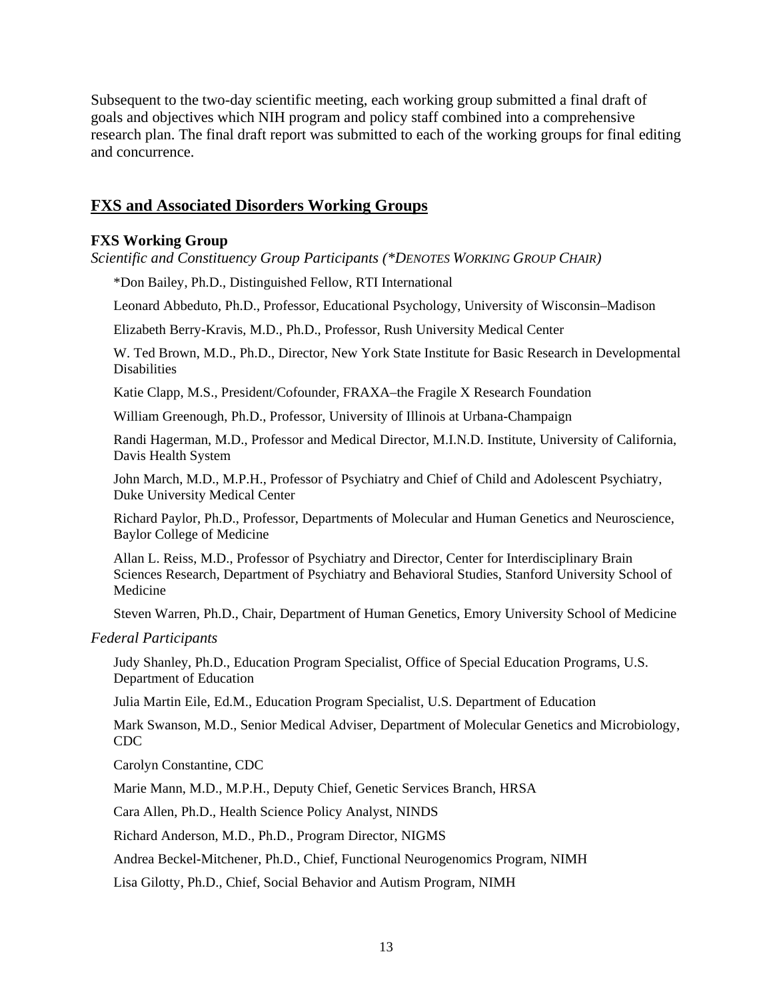<span id="page-15-0"></span>Subsequent to the two-day scientific meeting, each working group submitted a final draft of goals and objectives which NIH program and policy staff combined into a comprehensive research plan. The final draft report was submitted to each of the working groups for final editing and concurrence.

## **FXS and Associated Disorders Working Groups**

#### **FXS Working Group**

*Scientific and Constituency Group Participants (\*DENOTES WORKING GROUP CHAIR)* 

\*Don Bailey, Ph.D., Distinguished Fellow, RTI International

Leonard Abbeduto, Ph.D., Professor, Educational Psychology, University of Wisconsin–Madison

Elizabeth Berry-Kravis, M.D., Ph.D., Professor, Rush University Medical Center

W. Ted Brown, M.D., Ph.D., Director, New York State Institute for Basic Research in Developmental **Disabilities** 

Katie Clapp, M.S., President/Cofounder, FRAXA–the Fragile X Research Foundation

William Greenough, Ph.D., Professor, University of Illinois at Urbana-Champaign

Randi Hagerman, M.D., Professor and Medical Director, M.I.N.D. Institute, University of California, Davis Health System

John March, M.D., M.P.H., Professor of Psychiatry and Chief of Child and Adolescent Psychiatry, Duke University Medical Center

Richard Paylor, Ph.D., Professor, Departments of Molecular and Human Genetics and Neuroscience, Baylor College of Medicine

Allan L. Reiss, M.D., Professor of Psychiatry and Director, Center for Interdisciplinary Brain Sciences Research, Department of Psychiatry and Behavioral Studies, Stanford University School of Medicine

Steven Warren, Ph.D., Chair, Department of Human Genetics, Emory University School of Medicine

*Federal Participants* 

Judy Shanley, Ph.D., Education Program Specialist, Office of Special Education Programs, U.S. Department of Education

Julia Martin Eile, Ed.M., Education Program Specialist, U.S. Department of Education

Mark Swanson, M.D., Senior Medical Adviser, Department of Molecular Genetics and Microbiology, CDC

Carolyn Constantine, CDC

Marie Mann, M.D., M.P.H., Deputy Chief, Genetic Services Branch, HRSA

Cara Allen, Ph.D., Health Science Policy Analyst, NINDS

Richard Anderson, M.D., Ph.D., Program Director, NIGMS

Andrea Beckel-Mitchener, Ph.D., Chief, Functional Neurogenomics Program, NIMH

Lisa Gilotty, Ph.D., Chief, Social Behavior and Autism Program, NIMH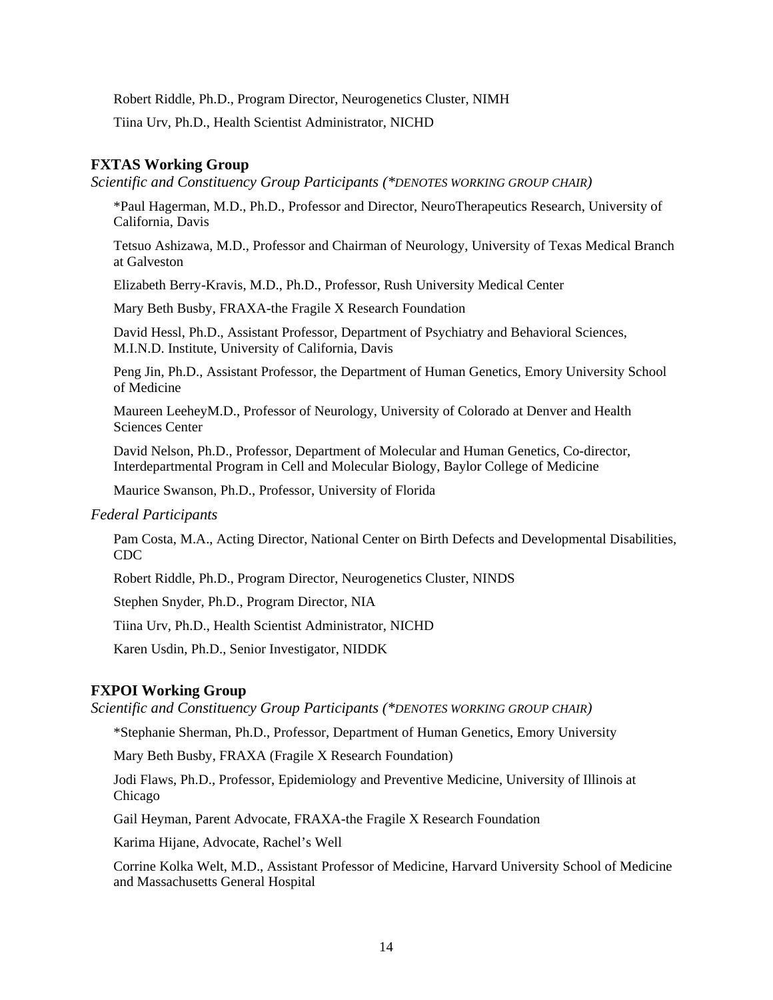<span id="page-16-0"></span>Robert Riddle, Ph.D., Program Director, Neurogenetics Cluster, NIMH

Tiina Urv, Ph.D., Health Scientist Administrator, NICHD

#### **FXTAS Working Group**

*Scientific and Constituency Group Participants (\*DENOTES WORKING GROUP CHAIR)* 

\*Paul Hagerman, M.D., Ph.D., Professor and Director, NeuroTherapeutics Research, University of California, Davis

Tetsuo Ashizawa, M.D., Professor and Chairman of Neurology, University of Texas Medical Branch at Galveston

Elizabeth Berry-Kravis, M.D., Ph.D., Professor, Rush University Medical Center

Mary Beth Busby, FRAXA-the Fragile X Research Foundation

David Hessl, Ph.D., Assistant Professor, Department of Psychiatry and Behavioral Sciences, M.I.N.D. Institute, University of California, Davis

Peng Jin, Ph.D., Assistant Professor, the Department of Human Genetics, Emory University School of Medicine

Maureen LeeheyM.D., Professor of Neurology, University of Colorado at Denver and Health Sciences Center

David Nelson, Ph.D., Professor, Department of Molecular and Human Genetics, Co-director, Interdepartmental Program in Cell and Molecular Biology, Baylor College of Medicine

Maurice Swanson, Ph.D., Professor, University of Florida

*Federal Participants* 

Pam Costa, M.A., Acting Director, National Center on Birth Defects and Developmental Disabilities, CDC

Robert Riddle, Ph.D., Program Director, Neurogenetics Cluster, NINDS

Stephen Snyder, Ph.D., Program Director, NIA

Tiina Urv, Ph.D., Health Scientist Administrator, NICHD

Karen Usdin, Ph.D., Senior Investigator, NIDDK

#### **FXPOI Working Group**

*Scientific and Constituency Group Participants (\*DENOTES WORKING GROUP CHAIR)* 

\*Stephanie Sherman, Ph.D., Professor, Department of Human Genetics, Emory University

Mary Beth Busby, FRAXA (Fragile X Research Foundation)

Jodi Flaws, Ph.D., Professor, Epidemiology and Preventive Medicine, University of Illinois at Chicago

Gail Heyman, Parent Advocate, FRAXA-the Fragile X Research Foundation

Karima Hijane, Advocate, Rachel's Well

Corrine Kolka Welt, M.D., Assistant Professor of Medicine, Harvard University School of Medicine and Massachusetts General Hospital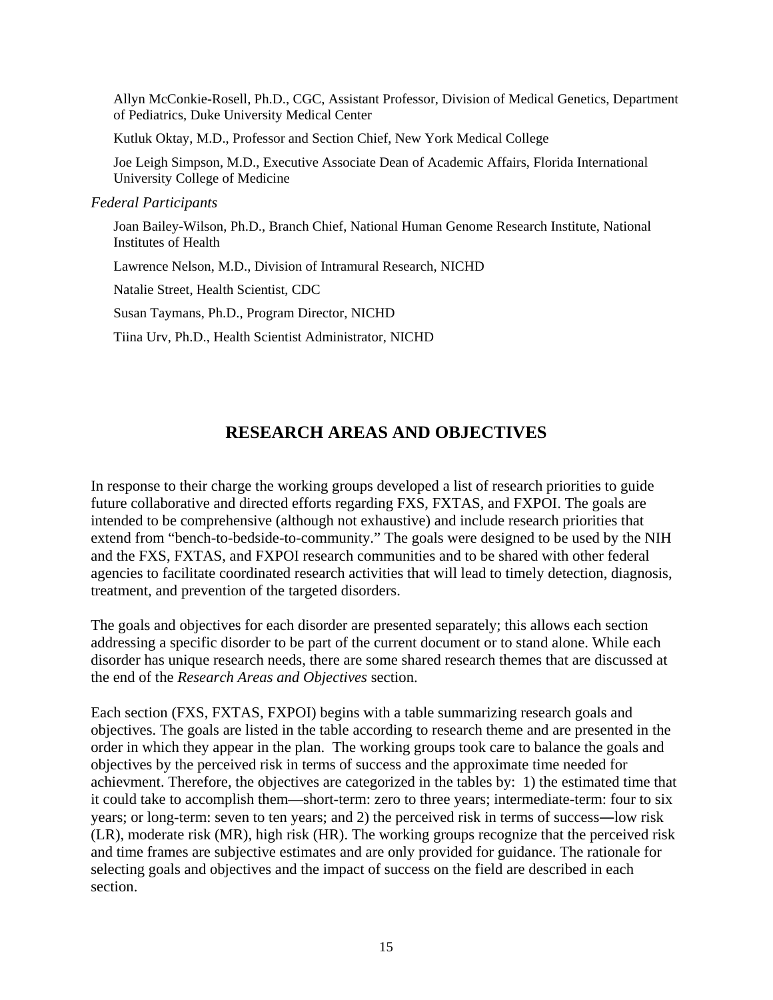<span id="page-17-0"></span>Allyn McConkie-Rosell, Ph.D., CGC, Assistant Professor, Division of Medical Genetics, Department of Pediatrics, Duke University Medical Center

Kutluk Oktay, M.D., Professor and Section Chief, New York Medical College

Joe Leigh Simpson, M.D., Executive Associate Dean of Academic Affairs, Florida International University College of Medicine

*Federal Participants* 

Joan Bailey-Wilson, Ph.D., Branch Chief, National Human Genome Research Institute, National Institutes of Health

Lawrence Nelson, M.D., Division of Intramural Research, NICHD

Natalie Street, Health Scientist, CDC

Susan Taymans, Ph.D., Program Director, NICHD

Tiina Urv, Ph.D., Health Scientist Administrator, NICHD

# **RESEARCH AREAS AND OBJECTIVES**

In response to their charge the working groups developed a list of research priorities to guide future collaborative and directed efforts regarding FXS, FXTAS, and FXPOI. The goals are intended to be comprehensive (although not exhaustive) and include research priorities that extend from "bench-to-bedside-to-community." The goals were designed to be used by the NIH and the FXS, FXTAS, and FXPOI research communities and to be shared with other federal agencies to facilitate coordinated research activities that will lead to timely detection, diagnosis, treatment, and prevention of the targeted disorders.

The goals and objectives for each disorder are presented separately; this allows each section addressing a specific disorder to be part of the current document or to stand alone. While each disorder has unique research needs, there are some shared research themes that are discussed at the end of the *Research Areas and Objectives* section.

Each section (FXS, FXTAS, FXPOI) begins with a table summarizing research goals and objectives. The goals are listed in the table according to research theme and are presented in the order in which they appear in the plan. The working groups took care to balance the goals and objectives by the perceived risk in terms of success and the approximate time needed for achievment. Therefore, the objectives are categorized in the tables by: 1) the estimated time that it could take to accomplish them—short-term: zero to three years; intermediate-term: four to six years; or long-term: seven to ten years; and 2) the perceived risk in terms of success―low risk (LR), moderate risk (MR), high risk (HR). The working groups recognize that the perceived risk and time frames are subjective estimates and are only provided for guidance. The rationale for selecting goals and objectives and the impact of success on the field are described in each section.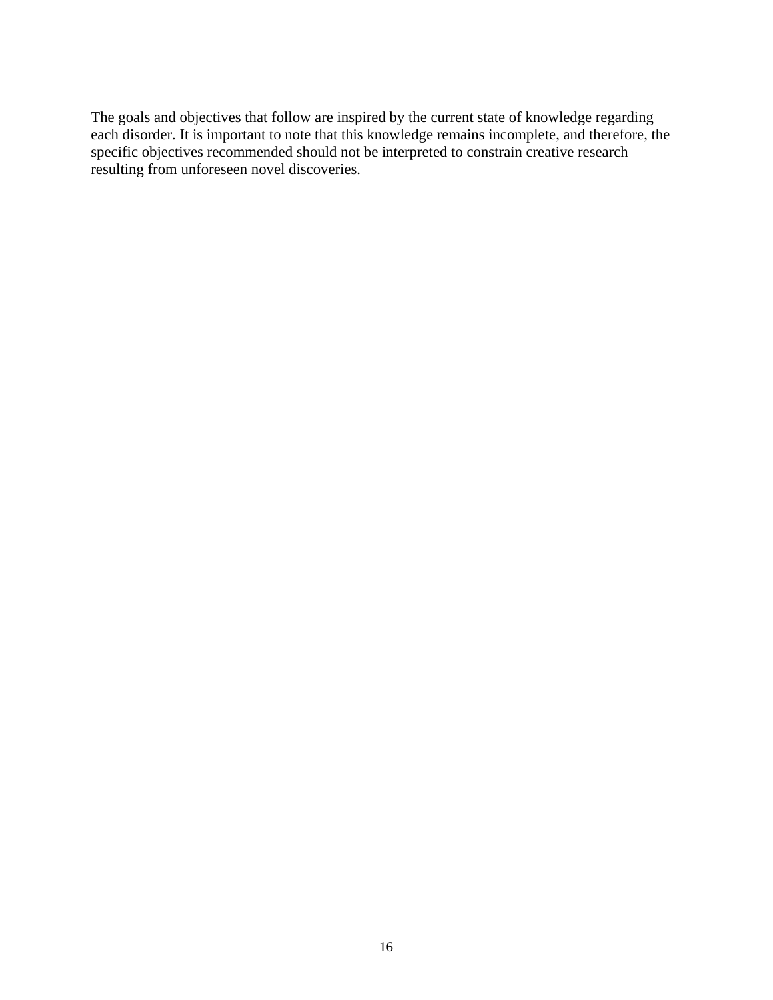The goals and objectives that follow are inspired by the current state of knowledge regarding each disorder. It is important to note that this knowledge remains incomplete, and therefore, the specific objectives recommended should not be interpreted to constrain creative research resulting from unforeseen novel discoveries.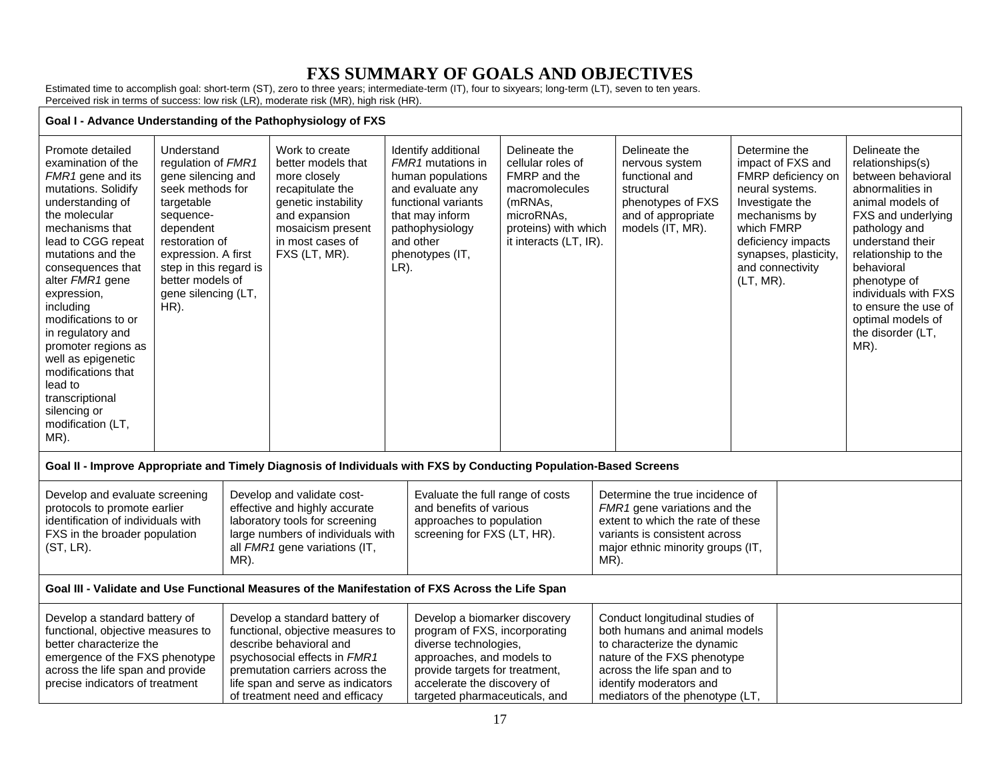# **FXS SUMMARY OF GOALS AND OBJECTIVES**

Estimated time to accomplish goal: short-term (ST), zero to three years; intermediate-term (IT), four to sixyears; long-term (LT), seven to ten years. Perceived risk in terms of success: low risk (LR), moderate risk (MR), high risk (HR).

#### <span id="page-19-0"></span>**Goal I - Advance Understanding of the Pathophysiology of FXS**  Promote detailed examination of the *FMR1* gene and its mutations. Solidify understanding of the molecular mechanisms that lead to CGG repeat mutations and the consequences that alter *FMR1* gene expression, including modifications to or in regulatory and promoter regions as well as epigenetic modifications that lead to transcriptional silencing or modification (LT, MR). Understand regulation of *FMR1* gene silencing and seek methods for targetable sequencedependent restoration of expression. A first step in this regard is better models of gene silencing (LT, HR). Work to create better models that more closely recapitulate the genetic instability and expansion mosaicism present in most cases of FXS (LT, MR). Identify additional *FMR1* mutations in human populations and evaluate any functional variants that may inform pathophysiology and other phenotypes (IT,  $LR$ ). Delineate the cellular roles of FMRP and the macromolecules (mRNAs, microRNAs, proteins) with which it interacts (LT, IR). Delineate the nervous system functional and structural phenotypes of FXS and of appropriate models (IT, MR). Determine the impact of FXS and FMRP deficiency on neural systems. Investigate the mechanisms by which FMRP deficiency impacts synapses, plasticity, and connectivity (LT, MR). Delineate the relationships(s) between behavioral abnormalities in animal models of FXS and underlying pathology and understand their relationship to the behavioral phenotype of individuals with FXS to ensure the use of optimal models of the disorder (LT, MR). **Goal II - Improve Appropriate and Timely Diagnosis of Individuals with FXS by Conducting Population-Based Screens**  Develop and evaluate screening protocols to promote earlier identification of individuals with FXS in the broader population (ST, LR). Develop and validate costeffective and highly accurate laboratory tools for screening large numbers of individuals with all *FMR1* gene variations (IT, MR). Evaluate the full range of costs and benefits of various approaches to population screening for FXS (LT, HR). Determine the true incidence of *FMR1* gene variations and the extent to which the rate of these variants is consistent across major ethnic minority groups (IT, MR). **Goal III - Validate and Use Functional Measures of the Manifestation of FXS Across the Life Span**  Develop a standard battery of functional, objective measures to better characterize the emergence of the FXS phenotype across the life span and provide precise indicators of treatment Develop a standard battery of functional, objective measures to describe behavioral and psychosocial effects in *FMR1* premutation carriers across the life span and serve as indicators of treatment need and efficacy Develop a biomarker discovery program of FXS, incorporating diverse technologies, approaches, and models to provide targets for treatment, accelerate the discovery of targeted pharmaceuticals, and Conduct longitudinal studies of both humans and animal models to characterize the dynamic nature of the FXS phenotype across the life span and to identify moderators and mediators of the phenotype (LT,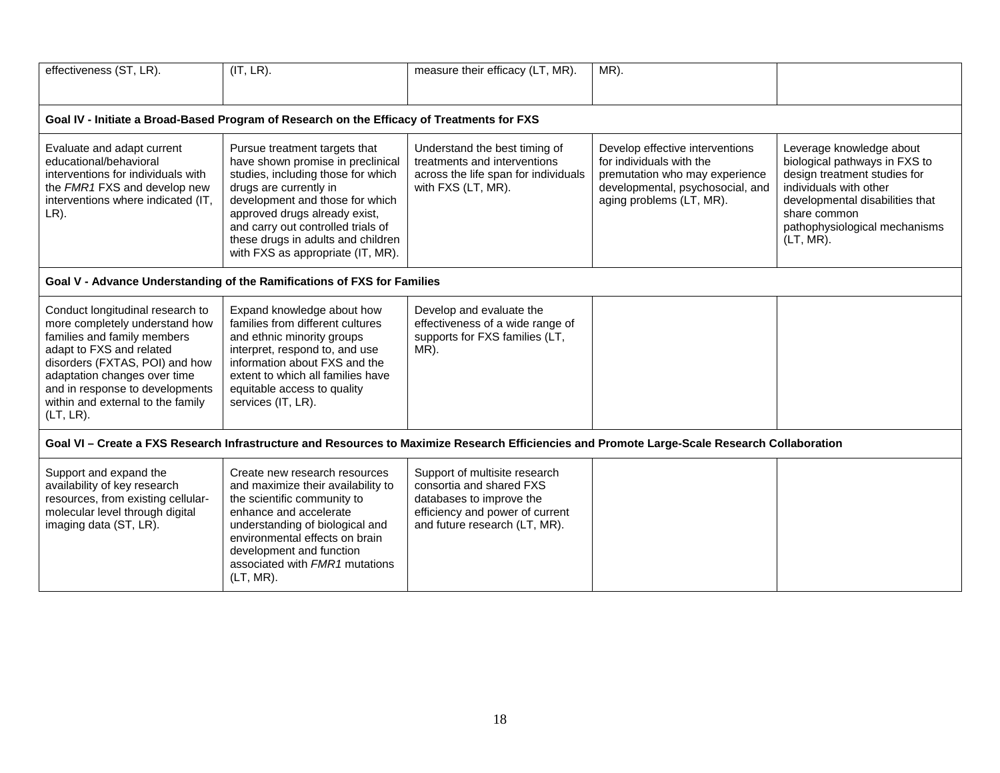| effectiveness (ST, LR).                                                                                                                                                                                                                                                                 | (IT, LR).                                                                                                                                                                                                                                                                                                               | measure their efficacy (LT, MR).                                                                                                                          | MR).                                                                                                                                                          |                                                                                                                                                                                                                         |  |  |  |
|-----------------------------------------------------------------------------------------------------------------------------------------------------------------------------------------------------------------------------------------------------------------------------------------|-------------------------------------------------------------------------------------------------------------------------------------------------------------------------------------------------------------------------------------------------------------------------------------------------------------------------|-----------------------------------------------------------------------------------------------------------------------------------------------------------|---------------------------------------------------------------------------------------------------------------------------------------------------------------|-------------------------------------------------------------------------------------------------------------------------------------------------------------------------------------------------------------------------|--|--|--|
| Goal IV - Initiate a Broad-Based Program of Research on the Efficacy of Treatments for FXS                                                                                                                                                                                              |                                                                                                                                                                                                                                                                                                                         |                                                                                                                                                           |                                                                                                                                                               |                                                                                                                                                                                                                         |  |  |  |
| Evaluate and adapt current<br>educational/behavioral<br>interventions for individuals with<br>the FMR1 FXS and develop new<br>interventions where indicated (IT,<br>$LR$ ).                                                                                                             | Pursue treatment targets that<br>have shown promise in preclinical<br>studies, including those for which<br>drugs are currently in<br>development and those for which<br>approved drugs already exist,<br>and carry out controlled trials of<br>these drugs in adults and children<br>with FXS as appropriate (IT, MR). | Understand the best timing of<br>treatments and interventions<br>across the life span for individuals<br>with FXS (LT, MR).                               | Develop effective interventions<br>for individuals with the<br>premutation who may experience<br>developmental, psychosocial, and<br>aging problems (LT, MR). | Leverage knowledge about<br>biological pathways in FXS to<br>design treatment studies for<br>individuals with other<br>developmental disabilities that<br>share common<br>pathophysiological mechanisms<br>$(LT, MR)$ . |  |  |  |
| Goal V - Advance Understanding of the Ramifications of FXS for Families                                                                                                                                                                                                                 |                                                                                                                                                                                                                                                                                                                         |                                                                                                                                                           |                                                                                                                                                               |                                                                                                                                                                                                                         |  |  |  |
| Conduct longitudinal research to<br>more completely understand how<br>families and family members<br>adapt to FXS and related<br>disorders (FXTAS, POI) and how<br>adaptation changes over time<br>and in response to developments<br>within and external to the family<br>$(LT, LR)$ . | Expand knowledge about how<br>families from different cultures<br>and ethnic minority groups<br>interpret, respond to, and use<br>information about FXS and the<br>extent to which all families have<br>equitable access to quality<br>services (IT, LR).                                                               | Develop and evaluate the<br>effectiveness of a wide range of<br>supports for FXS families (LT,<br>MR).                                                    |                                                                                                                                                               |                                                                                                                                                                                                                         |  |  |  |
| Goal VI - Create a FXS Research Infrastructure and Resources to Maximize Research Efficiencies and Promote Large-Scale Research Collaboration                                                                                                                                           |                                                                                                                                                                                                                                                                                                                         |                                                                                                                                                           |                                                                                                                                                               |                                                                                                                                                                                                                         |  |  |  |
| Support and expand the<br>availability of key research<br>resources, from existing cellular-<br>molecular level through digital<br>imaging data (ST, LR).                                                                                                                               | Create new research resources<br>and maximize their availability to<br>the scientific community to<br>enhance and accelerate<br>understanding of biological and<br>environmental effects on brain<br>development and function<br>associated with FMR1 mutations<br>(LT, MR).                                            | Support of multisite research<br>consortia and shared FXS<br>databases to improve the<br>efficiency and power of current<br>and future research (LT, MR). |                                                                                                                                                               |                                                                                                                                                                                                                         |  |  |  |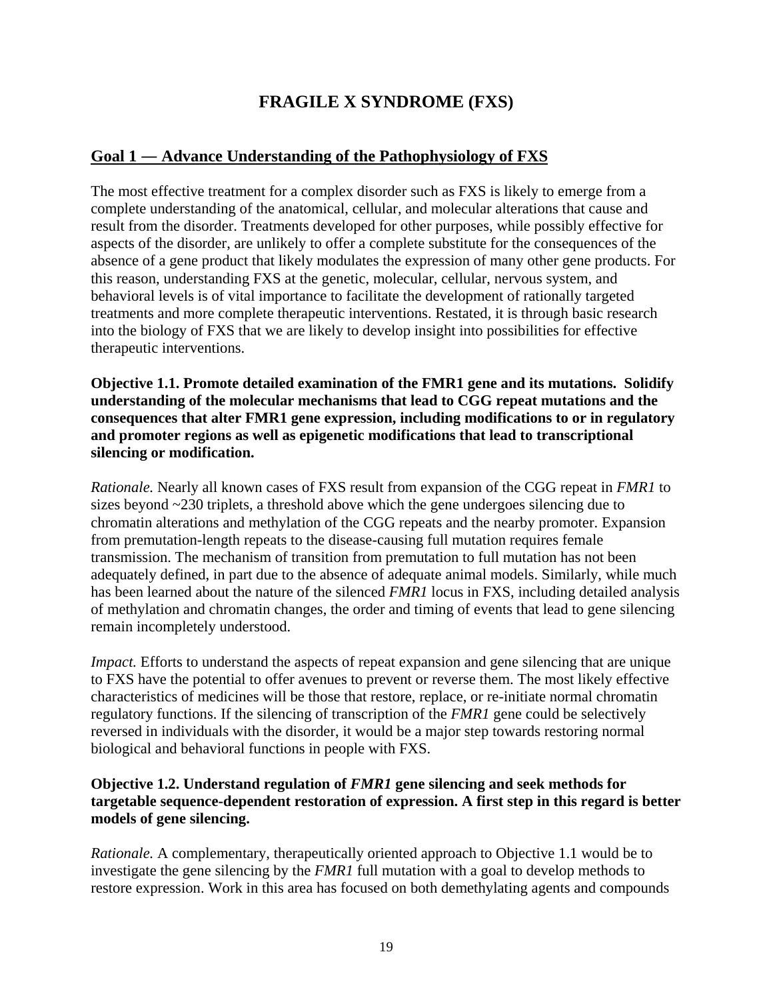# **FRAGILE X SYNDROME (FXS)**

## <span id="page-21-0"></span>**Goal 1 ― Advance Understanding of the Pathophysiology of FXS**

The most effective treatment for a complex disorder such as FXS is likely to emerge from a complete understanding of the anatomical, cellular, and molecular alterations that cause and result from the disorder. Treatments developed for other purposes, while possibly effective for aspects of the disorder, are unlikely to offer a complete substitute for the consequences of the absence of a gene product that likely modulates the expression of many other gene products. For this reason, understanding FXS at the genetic, molecular, cellular, nervous system, and behavioral levels is of vital importance to facilitate the development of rationally targeted treatments and more complete therapeutic interventions. Restated, it is through basic research into the biology of FXS that we are likely to develop insight into possibilities for effective therapeutic interventions.

**Objective 1.1. Promote detailed examination of the FMR1 gene and its mutations. Solidify understanding of the molecular mechanisms that lead to CGG repeat mutations and the consequences that alter FMR1 gene expression, including modifications to or in regulatory and promoter regions as well as epigenetic modifications that lead to transcriptional silencing or modification.** 

*Rationale.* Nearly all known cases of FXS result from expansion of the CGG repeat in *FMR1* to sizes beyond ~230 triplets, a threshold above which the gene undergoes silencing due to chromatin alterations and methylation of the CGG repeats and the nearby promoter. Expansion from premutation-length repeats to the disease-causing full mutation requires female transmission. The mechanism of transition from premutation to full mutation has not been adequately defined, in part due to the absence of adequate animal models. Similarly, while much has been learned about the nature of the silenced *FMR1* locus in FXS, including detailed analysis of methylation and chromatin changes, the order and timing of events that lead to gene silencing remain incompletely understood.

*Impact.* Efforts to understand the aspects of repeat expansion and gene silencing that are unique to FXS have the potential to offer avenues to prevent or reverse them. The most likely effective characteristics of medicines will be those that restore, replace, or re-initiate normal chromatin regulatory functions. If the silencing of transcription of the *FMR1* gene could be selectively reversed in individuals with the disorder, it would be a major step towards restoring normal biological and behavioral functions in people with FXS.

## **Objective 1.2. Understand regulation of** *FMR1* **gene silencing and seek methods for targetable sequence-dependent restoration of expression. A first step in this regard is better models of gene silencing.**

*Rationale.* A complementary, therapeutically oriented approach to Objective 1.1 would be to investigate the gene silencing by the *FMR1* full mutation with a goal to develop methods to restore expression. Work in this area has focused on both demethylating agents and compounds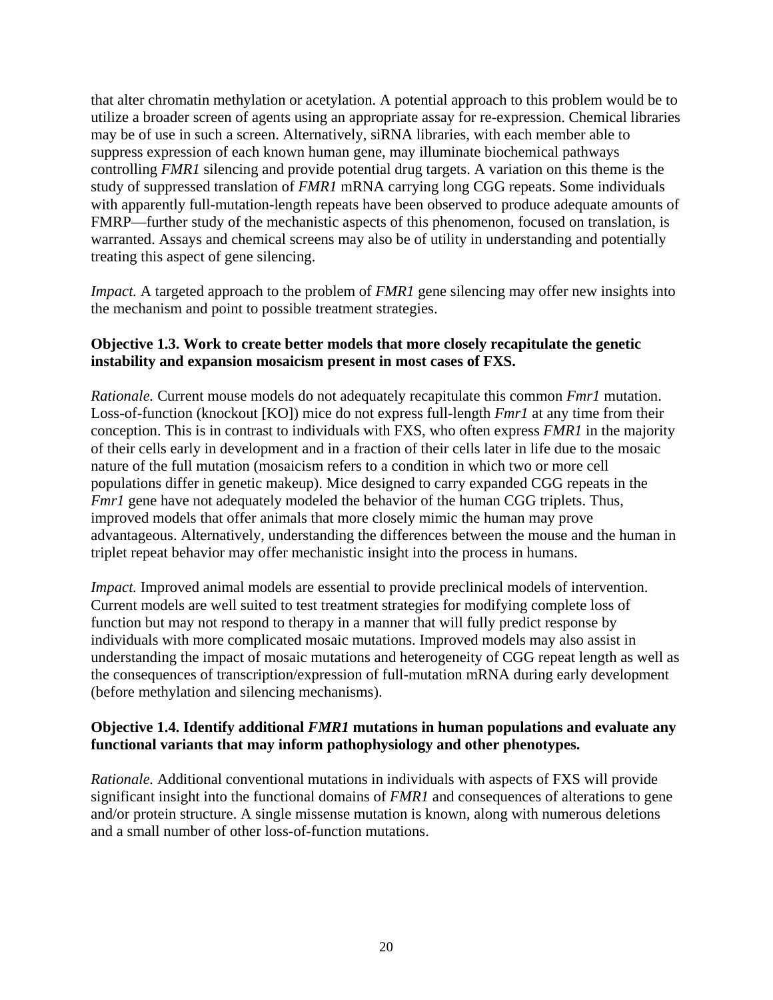that alter chromatin methylation or acetylation. A potential approach to this problem would be to utilize a broader screen of agents using an appropriate assay for re-expression. Chemical libraries may be of use in such a screen. Alternatively, siRNA libraries, with each member able to suppress expression of each known human gene, may illuminate biochemical pathways controlling *FMR1* silencing and provide potential drug targets. A variation on this theme is the study of suppressed translation of *FMR1* mRNA carrying long CGG repeats. Some individuals with apparently full-mutation-length repeats have been observed to produce adequate amounts of FMRP—further study of the mechanistic aspects of this phenomenon, focused on translation, is warranted. Assays and chemical screens may also be of utility in understanding and potentially treating this aspect of gene silencing.

*Impact.* A targeted approach to the problem of *FMR1* gene silencing may offer new insights into the mechanism and point to possible treatment strategies.

## **Objective 1.3. Work to create better models that more closely recapitulate the genetic instability and expansion mosaicism present in most cases of FXS.**

*Rationale.* Current mouse models do not adequately recapitulate this common *Fmr1* mutation. Loss-of-function (knockout [KO]) mice do not express full-length *Fmr1* at any time from their conception. This is in contrast to individuals with FXS, who often express *FMR1* in the majority of their cells early in development and in a fraction of their cells later in life due to the mosaic nature of the full mutation (mosaicism refers to a condition in which two or more cell populations differ in genetic makeup). Mice designed to carry expanded CGG repeats in the *Fmr1* gene have not adequately modeled the behavior of the human CGG triplets. Thus, improved models that offer animals that more closely mimic the human may prove advantageous. Alternatively, understanding the differences between the mouse and the human in triplet repeat behavior may offer mechanistic insight into the process in humans.

*Impact.* Improved animal models are essential to provide preclinical models of intervention. Current models are well suited to test treatment strategies for modifying complete loss of function but may not respond to therapy in a manner that will fully predict response by individuals with more complicated mosaic mutations. Improved models may also assist in understanding the impact of mosaic mutations and heterogeneity of CGG repeat length as well as the consequences of transcription/expression of full-mutation mRNA during early development (before methylation and silencing mechanisms).

## **Objective 1.4. Identify additional** *FMR1* **mutations in human populations and evaluate any functional variants that may inform pathophysiology and other phenotypes.**

*Rationale.* Additional conventional mutations in individuals with aspects of FXS will provide significant insight into the functional domains of *FMR1* and consequences of alterations to gene and/or protein structure. A single missense mutation is known, along with numerous deletions and a small number of other loss-of-function mutations.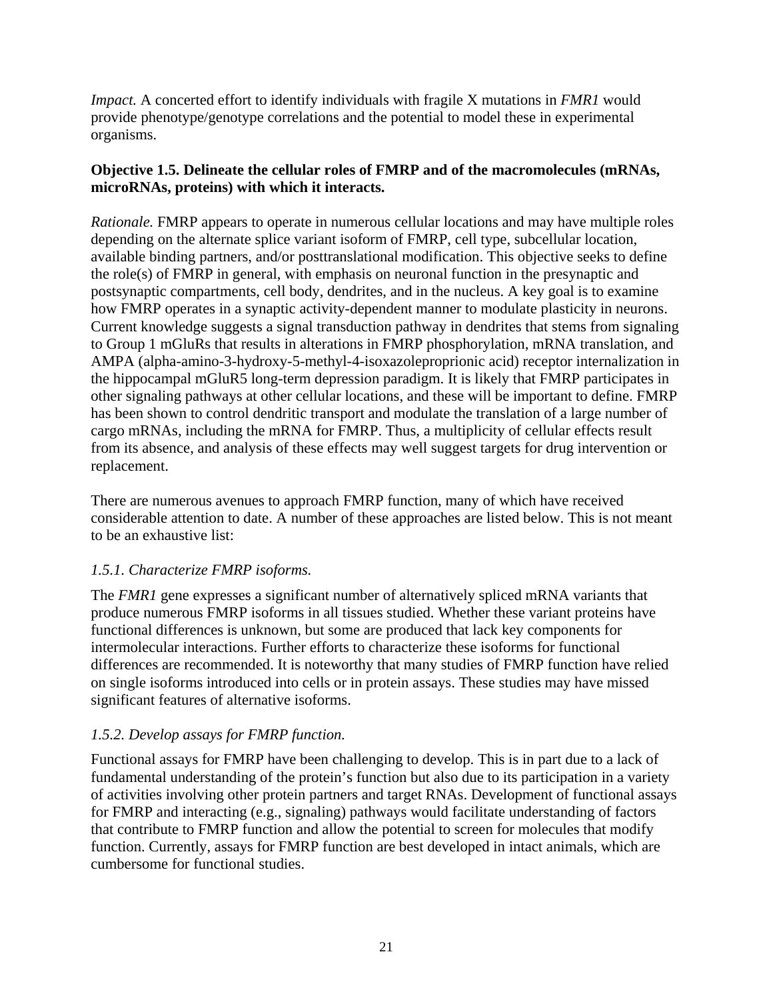*Impact.* A concerted effort to identify individuals with fragile X mutations in *FMR1* would provide phenotype/genotype correlations and the potential to model these in experimental organisms.

## **Objective 1.5. Delineate the cellular roles of FMRP and of the macromolecules (mRNAs, microRNAs, proteins) with which it interacts.**

*Rationale.* FMRP appears to operate in numerous cellular locations and may have multiple roles depending on the alternate splice variant isoform of FMRP, cell type, subcellular location, available binding partners, and/or posttranslational modification. This objective seeks to define the role(s) of FMRP in general, with emphasis on neuronal function in the presynaptic and postsynaptic compartments, cell body, dendrites, and in the nucleus. A key goal is to examine how FMRP operates in a synaptic activity-dependent manner to modulate plasticity in neurons. Current knowledge suggests a signal transduction pathway in dendrites that stems from signaling to Group 1 mGluRs that results in alterations in FMRP phosphorylation, mRNA translation, and AMPA (alpha-amino-3-hydroxy-5-methyl-4-isoxazoleproprionic acid) receptor internalization in the hippocampal mGluR5 long-term depression paradigm. It is likely that FMRP participates in other signaling pathways at other cellular locations, and these will be important to define. FMRP has been shown to control dendritic transport and modulate the translation of a large number of cargo mRNAs, including the mRNA for FMRP. Thus, a multiplicity of cellular effects result from its absence, and analysis of these effects may well suggest targets for drug intervention or replacement.

There are numerous avenues to approach FMRP function, many of which have received considerable attention to date. A number of these approaches are listed below. This is not meant to be an exhaustive list:

## *1.5.1. Characterize FMRP isoforms.*

The *FMR1* gene expresses a significant number of alternatively spliced mRNA variants that produce numerous FMRP isoforms in all tissues studied. Whether these variant proteins have functional differences is unknown, but some are produced that lack key components for intermolecular interactions. Further efforts to characterize these isoforms for functional differences are recommended. It is noteworthy that many studies of FMRP function have relied on single isoforms introduced into cells or in protein assays. These studies may have missed significant features of alternative isoforms.

## *1.5.2. Develop assays for FMRP function.*

Functional assays for FMRP have been challenging to develop. This is in part due to a lack of fundamental understanding of the protein's function but also due to its participation in a variety of activities involving other protein partners and target RNAs. Development of functional assays for FMRP and interacting (e.g., signaling) pathways would facilitate understanding of factors that contribute to FMRP function and allow the potential to screen for molecules that modify function. Currently, assays for FMRP function are best developed in intact animals, which are cumbersome for functional studies.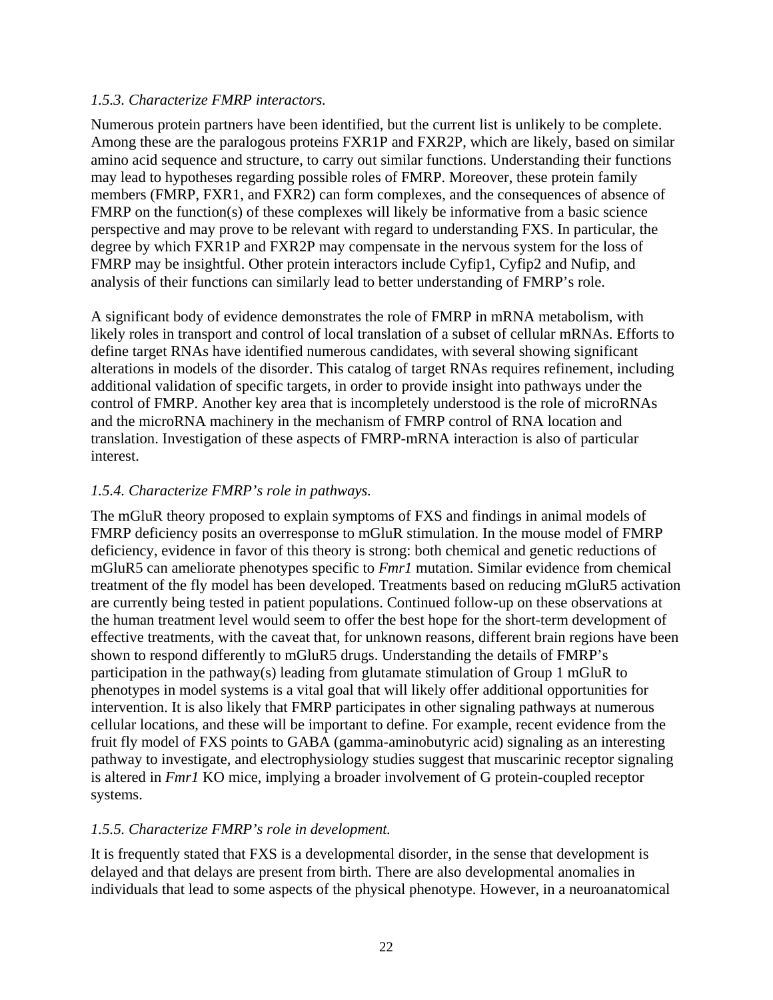## *1.5.3. Characterize FMRP interactors.*

Numerous protein partners have been identified, but the current list is unlikely to be complete. Among these are the paralogous proteins FXR1P and FXR2P, which are likely, based on similar amino acid sequence and structure, to carry out similar functions. Understanding their functions may lead to hypotheses regarding possible roles of FMRP. Moreover, these protein family members (FMRP, FXR1, and FXR2) can form complexes, and the consequences of absence of FMRP on the function(s) of these complexes will likely be informative from a basic science perspective and may prove to be relevant with regard to understanding FXS. In particular, the degree by which FXR1P and FXR2P may compensate in the nervous system for the loss of FMRP may be insightful. Other protein interactors include Cyfip1, Cyfip2 and Nufip, and analysis of their functions can similarly lead to better understanding of FMRP's role.

A significant body of evidence demonstrates the role of FMRP in mRNA metabolism, with likely roles in transport and control of local translation of a subset of cellular mRNAs. Efforts to define target RNAs have identified numerous candidates, with several showing significant alterations in models of the disorder. This catalog of target RNAs requires refinement, including additional validation of specific targets, in order to provide insight into pathways under the control of FMRP. Another key area that is incompletely understood is the role of microRNAs and the microRNA machinery in the mechanism of FMRP control of RNA location and translation. Investigation of these aspects of FMRP-mRNA interaction is also of particular interest.

## *1.5.4. Characterize FMRP's role in pathways.*

The mGluR theory proposed to explain symptoms of FXS and findings in animal models of FMRP deficiency posits an overresponse to mGluR stimulation. In the mouse model of FMRP deficiency, evidence in favor of this theory is strong: both chemical and genetic reductions of mGluR5 can ameliorate phenotypes specific to *Fmr1* mutation. Similar evidence from chemical treatment of the fly model has been developed. Treatments based on reducing mGluR5 activation are currently being tested in patient populations. Continued follow-up on these observations at the human treatment level would seem to offer the best hope for the short-term development of effective treatments, with the caveat that, for unknown reasons, different brain regions have been shown to respond differently to mGluR5 drugs. Understanding the details of FMRP's participation in the pathway(s) leading from glutamate stimulation of Group 1 mGluR to phenotypes in model systems is a vital goal that will likely offer additional opportunities for intervention. It is also likely that FMRP participates in other signaling pathways at numerous cellular locations, and these will be important to define. For example, recent evidence from the fruit fly model of FXS points to GABA (gamma-aminobutyric acid) signaling as an interesting pathway to investigate, and electrophysiology studies suggest that muscarinic receptor signaling is altered in *Fmr1* KO mice, implying a broader involvement of G protein-coupled receptor systems.

## *1.5.5. Characterize FMRP's role in development.*

It is frequently stated that FXS is a developmental disorder, in the sense that development is delayed and that delays are present from birth. There are also developmental anomalies in individuals that lead to some aspects of the physical phenotype. However, in a neuroanatomical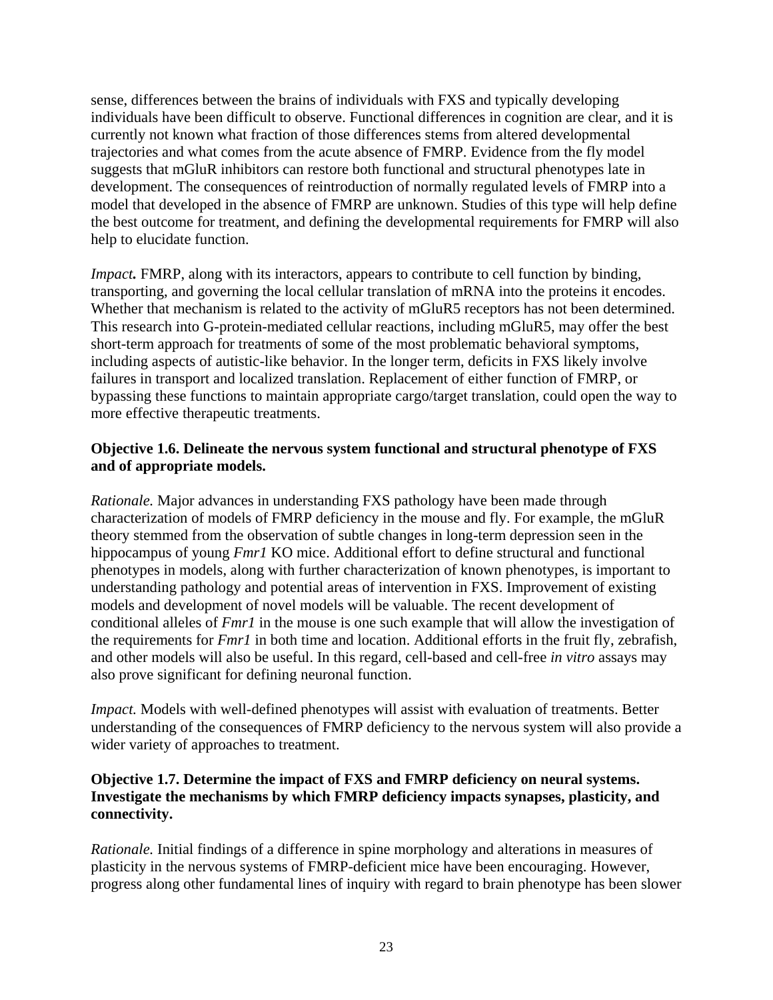sense, differences between the brains of individuals with FXS and typically developing individuals have been difficult to observe. Functional differences in cognition are clear, and it is currently not known what fraction of those differences stems from altered developmental trajectories and what comes from the acute absence of FMRP. Evidence from the fly model suggests that mGluR inhibitors can restore both functional and structural phenotypes late in development. The consequences of reintroduction of normally regulated levels of FMRP into a model that developed in the absence of FMRP are unknown. Studies of this type will help define the best outcome for treatment, and defining the developmental requirements for FMRP will also help to elucidate function.

*Impact*. FMRP, along with its interactors, appears to contribute to cell function by binding, transporting, and governing the local cellular translation of mRNA into the proteins it encodes. Whether that mechanism is related to the activity of mGluR5 receptors has not been determined. This research into G-protein-mediated cellular reactions, including mGluR5, may offer the best short-term approach for treatments of some of the most problematic behavioral symptoms, including aspects of autistic-like behavior. In the longer term, deficits in FXS likely involve failures in transport and localized translation. Replacement of either function of FMRP, or bypassing these functions to maintain appropriate cargo/target translation, could open the way to more effective therapeutic treatments.

## **Objective 1.6. Delineate the nervous system functional and structural phenotype of FXS and of appropriate models.**

*Rationale.* Major advances in understanding FXS pathology have been made through characterization of models of FMRP deficiency in the mouse and fly. For example, the mGluR theory stemmed from the observation of subtle changes in long-term depression seen in the hippocampus of young *Fmr1* KO mice. Additional effort to define structural and functional phenotypes in models, along with further characterization of known phenotypes, is important to understanding pathology and potential areas of intervention in FXS. Improvement of existing models and development of novel models will be valuable. The recent development of conditional alleles of *Fmr1* in the mouse is one such example that will allow the investigation of the requirements for *Fmr1* in both time and location. Additional efforts in the fruit fly, zebrafish, and other models will also be useful. In this regard, cell-based and cell-free *in vitro* assays may also prove significant for defining neuronal function.

*Impact.* Models with well-defined phenotypes will assist with evaluation of treatments. Better understanding of the consequences of FMRP deficiency to the nervous system will also provide a wider variety of approaches to treatment.

## **Objective 1.7. Determine the impact of FXS and FMRP deficiency on neural systems. Investigate the mechanisms by which FMRP deficiency impacts synapses, plasticity, and connectivity.**

*Rationale.* Initial findings of a difference in spine morphology and alterations in measures of plasticity in the nervous systems of FMRP-deficient mice have been encouraging. However, progress along other fundamental lines of inquiry with regard to brain phenotype has been slower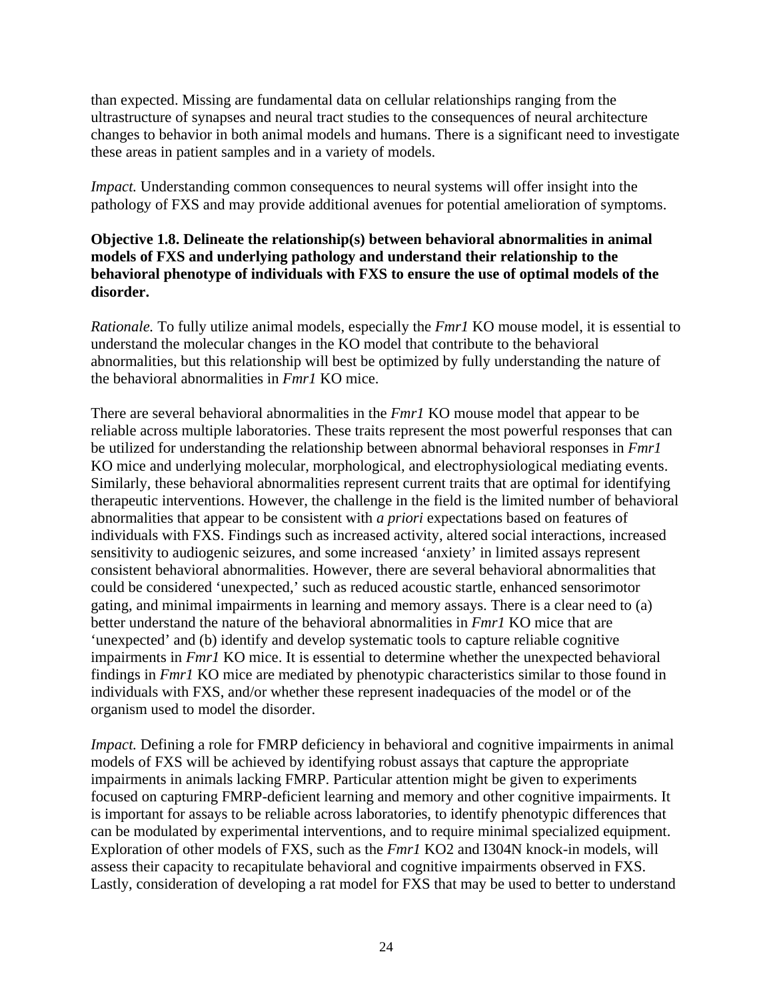than expected. Missing are fundamental data on cellular relationships ranging from the ultrastructure of synapses and neural tract studies to the consequences of neural architecture changes to behavior in both animal models and humans. There is a significant need to investigate these areas in patient samples and in a variety of models.

*Impact.* Understanding common consequences to neural systems will offer insight into the pathology of FXS and may provide additional avenues for potential amelioration of symptoms.

## **Objective 1.8. Delineate the relationship(s) between behavioral abnormalities in animal models of FXS and underlying pathology and understand their relationship to the behavioral phenotype of individuals with FXS to ensure the use of optimal models of the disorder.**

*Rationale.* To fully utilize animal models, especially the *Fmr1* KO mouse model, it is essential to understand the molecular changes in the KO model that contribute to the behavioral abnormalities, but this relationship will best be optimized by fully understanding the nature of the behavioral abnormalities in *Fmr1* KO mice.

There are several behavioral abnormalities in the *Fmr1* KO mouse model that appear to be reliable across multiple laboratories. These traits represent the most powerful responses that can be utilized for understanding the relationship between abnormal behavioral responses in *Fmr1* KO mice and underlying molecular, morphological, and electrophysiological mediating events. Similarly, these behavioral abnormalities represent current traits that are optimal for identifying therapeutic interventions. However, the challenge in the field is the limited number of behavioral abnormalities that appear to be consistent with *a priori* expectations based on features of individuals with FXS. Findings such as increased activity, altered social interactions, increased sensitivity to audiogenic seizures, and some increased 'anxiety' in limited assays represent consistent behavioral abnormalities. However, there are several behavioral abnormalities that could be considered 'unexpected,' such as reduced acoustic startle, enhanced sensorimotor gating, and minimal impairments in learning and memory assays. There is a clear need to (a) better understand the nature of the behavioral abnormalities in *Fmr1* KO mice that are 'unexpected' and (b) identify and develop systematic tools to capture reliable cognitive impairments in *Fmr1* KO mice. It is essential to determine whether the unexpected behavioral findings in *Fmr1* KO mice are mediated by phenotypic characteristics similar to those found in individuals with FXS, and/or whether these represent inadequacies of the model or of the organism used to model the disorder.

*Impact.* Defining a role for FMRP deficiency in behavioral and cognitive impairments in animal models of FXS will be achieved by identifying robust assays that capture the appropriate impairments in animals lacking FMRP. Particular attention might be given to experiments focused on capturing FMRP-deficient learning and memory and other cognitive impairments. It is important for assays to be reliable across laboratories, to identify phenotypic differences that can be modulated by experimental interventions, and to require minimal specialized equipment. Exploration of other models of FXS, such as the *Fmr1* KO2 and I304N knock-in models, will assess their capacity to recapitulate behavioral and cognitive impairments observed in FXS. Lastly, consideration of developing a rat model for FXS that may be used to better to understand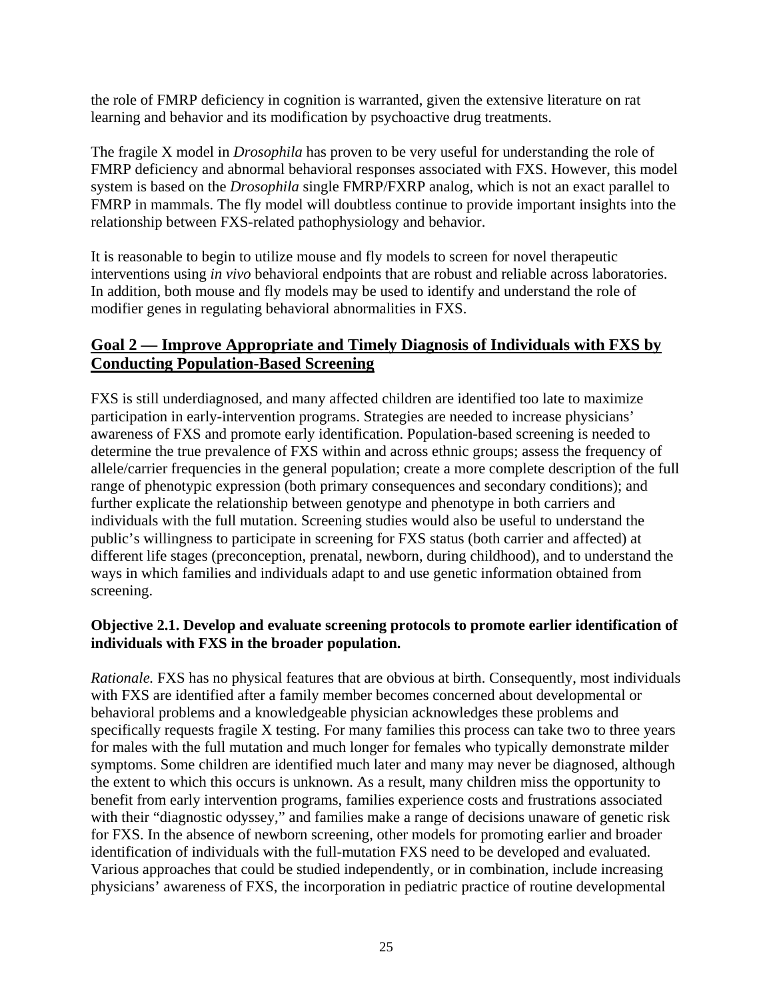<span id="page-27-0"></span>the role of FMRP deficiency in cognition is warranted, given the extensive literature on rat learning and behavior and its modification by psychoactive drug treatments.

The fragile X model in *Drosophila* has proven to be very useful for understanding the role of FMRP deficiency and abnormal behavioral responses associated with FXS. However, this model system is based on the *Drosophila* single FMRP/FXRP analog, which is not an exact parallel to FMRP in mammals. The fly model will doubtless continue to provide important insights into the relationship between FXS-related pathophysiology and behavior.

It is reasonable to begin to utilize mouse and fly models to screen for novel therapeutic interventions using *in vivo* behavioral endpoints that are robust and reliable across laboratories. In addition, both mouse and fly models may be used to identify and understand the role of modifier genes in regulating behavioral abnormalities in FXS.

## **Goal 2 — Improve Appropriate and Timely Diagnosis of Individuals with FXS by Conducting Population-Based Screening**

FXS is still underdiagnosed, and many affected children are identified too late to maximize participation in early-intervention programs. Strategies are needed to increase physicians' awareness of FXS and promote early identification. Population-based screening is needed to determine the true prevalence of FXS within and across ethnic groups; assess the frequency of allele/carrier frequencies in the general population; create a more complete description of the full range of phenotypic expression (both primary consequences and secondary conditions); and further explicate the relationship between genotype and phenotype in both carriers and individuals with the full mutation. Screening studies would also be useful to understand the public's willingness to participate in screening for FXS status (both carrier and affected) at different life stages (preconception, prenatal, newborn, during childhood), and to understand the ways in which families and individuals adapt to and use genetic information obtained from screening.

## **Objective 2.1. Develop and evaluate screening protocols to promote earlier identification of individuals with FXS in the broader population.**

*Rationale.* FXS has no physical features that are obvious at birth. Consequently, most individuals with FXS are identified after a family member becomes concerned about developmental or behavioral problems and a knowledgeable physician acknowledges these problems and specifically requests fragile X testing. For many families this process can take two to three years for males with the full mutation and much longer for females who typically demonstrate milder symptoms. Some children are identified much later and many may never be diagnosed, although the extent to which this occurs is unknown. As a result, many children miss the opportunity to benefit from early intervention programs, families experience costs and frustrations associated with their "diagnostic odyssey," and families make a range of decisions unaware of genetic risk for FXS. In the absence of newborn screening, other models for promoting earlier and broader identification of individuals with the full-mutation FXS need to be developed and evaluated. Various approaches that could be studied independently, or in combination, include increasing physicians' awareness of FXS, the incorporation in pediatric practice of routine developmental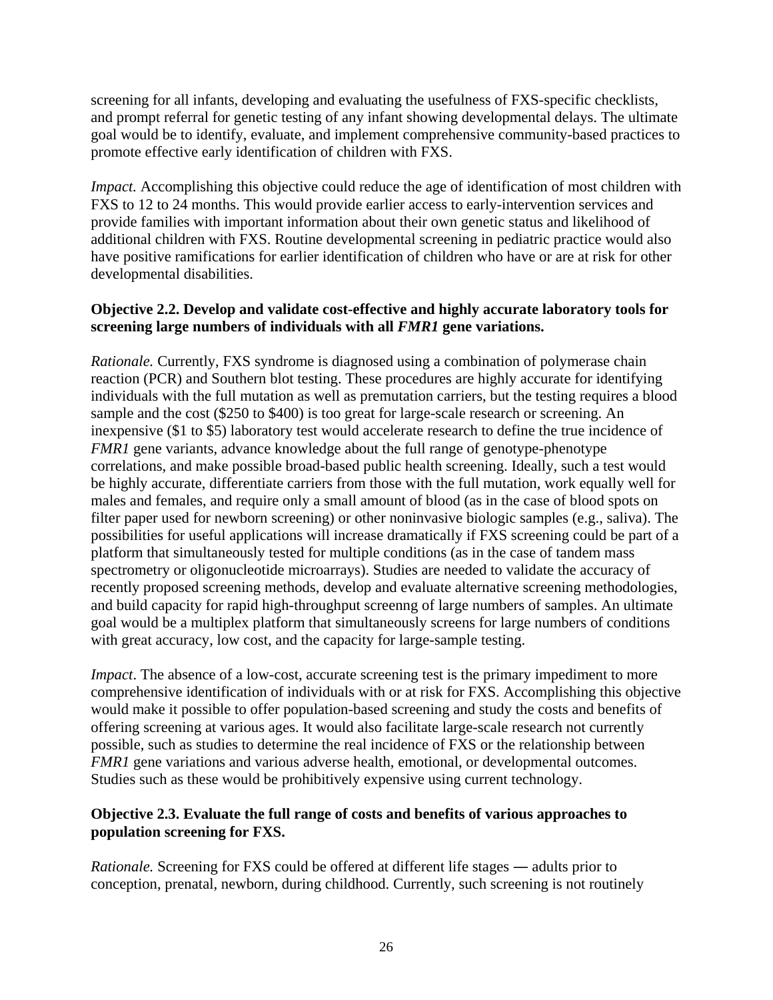screening for all infants, developing and evaluating the usefulness of FXS-specific checklists, and prompt referral for genetic testing of any infant showing developmental delays. The ultimate goal would be to identify, evaluate, and implement comprehensive community-based practices to promote effective early identification of children with FXS.

*Impact.* Accomplishing this objective could reduce the age of identification of most children with FXS to 12 to 24 months. This would provide earlier access to early-intervention services and provide families with important information about their own genetic status and likelihood of additional children with FXS. Routine developmental screening in pediatric practice would also have positive ramifications for earlier identification of children who have or are at risk for other developmental disabilities.

## **Objective 2.2. Develop and validate cost-effective and highly accurate laboratory tools for screening large numbers of individuals with all** *FMR1* **gene variations.**

*Rationale.* Currently, FXS syndrome is diagnosed using a combination of polymerase chain reaction (PCR) and Southern blot testing. These procedures are highly accurate for identifying individuals with the full mutation as well as premutation carriers, but the testing requires a blood sample and the cost (\$250 to \$400) is too great for large-scale research or screening. An inexpensive (\$1 to \$5) laboratory test would accelerate research to define the true incidence of *FMR1* gene variants, advance knowledge about the full range of genotype-phenotype correlations, and make possible broad-based public health screening. Ideally, such a test would be highly accurate, differentiate carriers from those with the full mutation, work equally well for males and females, and require only a small amount of blood (as in the case of blood spots on filter paper used for newborn screening) or other noninvasive biologic samples (e.g., saliva). The possibilities for useful applications will increase dramatically if FXS screening could be part of a platform that simultaneously tested for multiple conditions (as in the case of tandem mass spectrometry or oligonucleotide microarrays). Studies are needed to validate the accuracy of recently proposed screening methods, develop and evaluate alternative screening methodologies, and build capacity for rapid high-throughput screenng of large numbers of samples. An ultimate goal would be a multiplex platform that simultaneously screens for large numbers of conditions with great accuracy, low cost, and the capacity for large-sample testing.

*Impact*. The absence of a low-cost, accurate screening test is the primary impediment to more comprehensive identification of individuals with or at risk for FXS. Accomplishing this objective would make it possible to offer population-based screening and study the costs and benefits of offering screening at various ages. It would also facilitate large-scale research not currently possible, such as studies to determine the real incidence of FXS or the relationship between *FMR1* gene variations and various adverse health, emotional, or developmental outcomes. Studies such as these would be prohibitively expensive using current technology.

## **Objective 2.3. Evaluate the full range of costs and benefits of various approaches to population screening for FXS.**

*Rationale.* Screening for FXS could be offered at different life stages ― adults prior to conception, prenatal, newborn, during childhood. Currently, such screening is not routinely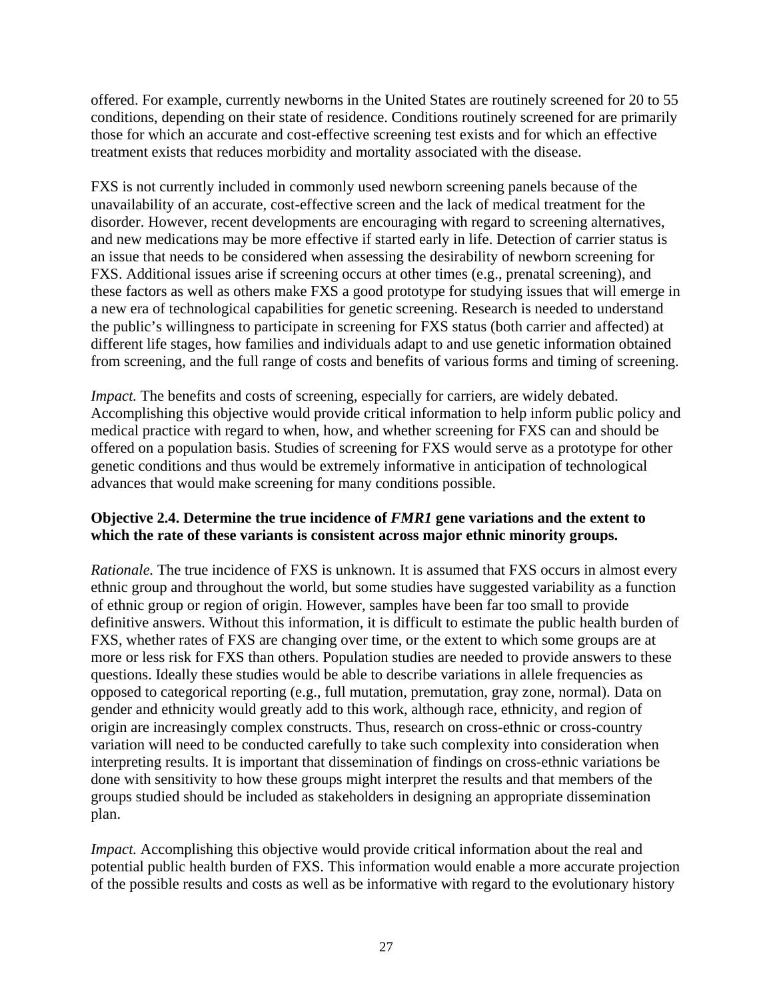offered. For example, currently newborns in the United States are routinely screened for 20 to 55 conditions, depending on their state of residence. Conditions routinely screened for are primarily those for which an accurate and cost-effective screening test exists and for which an effective treatment exists that reduces morbidity and mortality associated with the disease.

FXS is not currently included in commonly used newborn screening panels because of the unavailability of an accurate, cost-effective screen and the lack of medical treatment for the disorder. However, recent developments are encouraging with regard to screening alternatives, and new medications may be more effective if started early in life. Detection of carrier status is an issue that needs to be considered when assessing the desirability of newborn screening for FXS. Additional issues arise if screening occurs at other times (e.g., prenatal screening), and these factors as well as others make FXS a good prototype for studying issues that will emerge in a new era of technological capabilities for genetic screening. Research is needed to understand the public's willingness to participate in screening for FXS status (both carrier and affected) at different life stages, how families and individuals adapt to and use genetic information obtained from screening, and the full range of costs and benefits of various forms and timing of screening.

*Impact*. The benefits and costs of screening, especially for carriers, are widely debated. Accomplishing this objective would provide critical information to help inform public policy and medical practice with regard to when, how, and whether screening for FXS can and should be offered on a population basis. Studies of screening for FXS would serve as a prototype for other genetic conditions and thus would be extremely informative in anticipation of technological advances that would make screening for many conditions possible.

## **Objective 2.4. Determine the true incidence of** *FMR1* **gene variations and the extent to which the rate of these variants is consistent across major ethnic minority groups.**

*Rationale.* The true incidence of FXS is unknown. It is assumed that FXS occurs in almost every ethnic group and throughout the world, but some studies have suggested variability as a function of ethnic group or region of origin. However, samples have been far too small to provide definitive answers. Without this information, it is difficult to estimate the public health burden of FXS, whether rates of FXS are changing over time, or the extent to which some groups are at more or less risk for FXS than others. Population studies are needed to provide answers to these questions. Ideally these studies would be able to describe variations in allele frequencies as opposed to categorical reporting (e.g., full mutation, premutation, gray zone, normal). Data on gender and ethnicity would greatly add to this work, although race, ethnicity, and region of origin are increasingly complex constructs. Thus, research on cross-ethnic or cross-country variation will need to be conducted carefully to take such complexity into consideration when interpreting results. It is important that dissemination of findings on cross-ethnic variations be done with sensitivity to how these groups might interpret the results and that members of the groups studied should be included as stakeholders in designing an appropriate dissemination plan.

*Impact.* Accomplishing this objective would provide critical information about the real and potential public health burden of FXS. This information would enable a more accurate projection of the possible results and costs as well as be informative with regard to the evolutionary history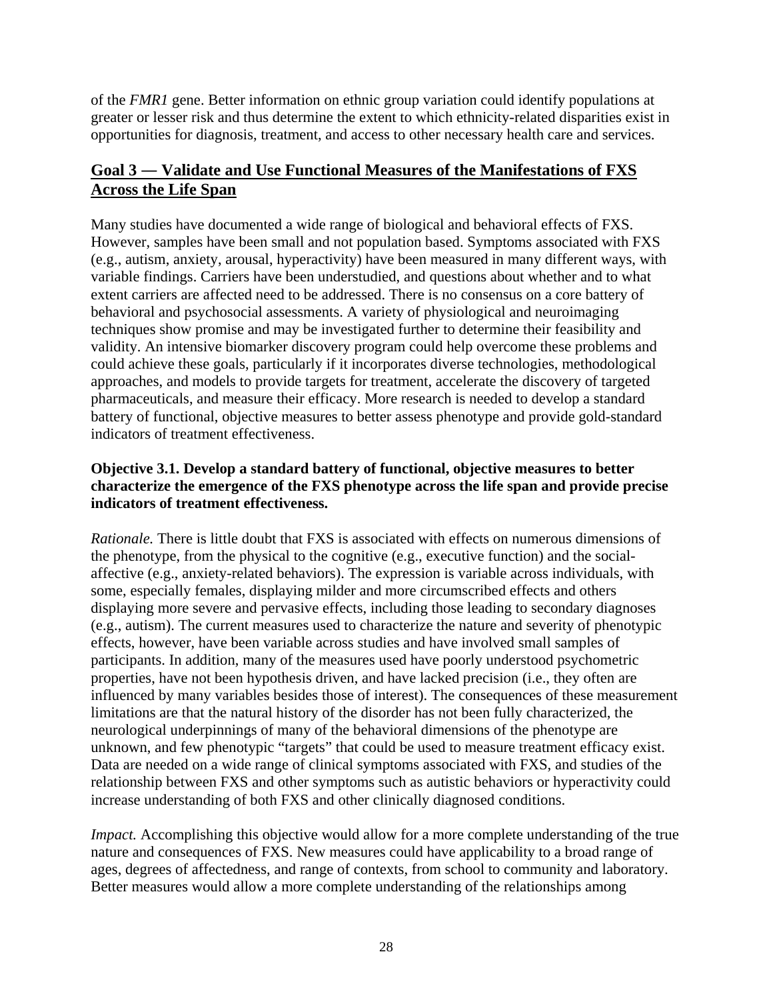<span id="page-30-0"></span>of the *FMR1* gene. Better information on ethnic group variation could identify populations at greater or lesser risk and thus determine the extent to which ethnicity-related disparities exist in opportunities for diagnosis, treatment, and access to other necessary health care and services.

## **Goal 3 ― Validate and Use Functional Measures of the Manifestations of FXS Across the Life Span**

Many studies have documented a wide range of biological and behavioral effects of FXS. However, samples have been small and not population based. Symptoms associated with FXS (e.g., autism, anxiety, arousal, hyperactivity) have been measured in many different ways, with variable findings. Carriers have been understudied, and questions about whether and to what extent carriers are affected need to be addressed. There is no consensus on a core battery of behavioral and psychosocial assessments. A variety of physiological and neuroimaging techniques show promise and may be investigated further to determine their feasibility and validity. An intensive biomarker discovery program could help overcome these problems and could achieve these goals, particularly if it incorporates diverse technologies, methodological approaches, and models to provide targets for treatment, accelerate the discovery of targeted pharmaceuticals, and measure their efficacy. More research is needed to develop a standard battery of functional, objective measures to better assess phenotype and provide gold-standard indicators of treatment effectiveness.

## **Objective 3.1. Develop a standard battery of functional, objective measures to better characterize the emergence of the FXS phenotype across the life span and provide precise indicators of treatment effectiveness.**

*Rationale.* There is little doubt that FXS is associated with effects on numerous dimensions of the phenotype, from the physical to the cognitive (e.g., executive function) and the socialaffective (e.g., anxiety-related behaviors). The expression is variable across individuals, with some, especially females, displaying milder and more circumscribed effects and others displaying more severe and pervasive effects, including those leading to secondary diagnoses (e.g., autism). The current measures used to characterize the nature and severity of phenotypic effects, however, have been variable across studies and have involved small samples of participants. In addition, many of the measures used have poorly understood psychometric properties, have not been hypothesis driven, and have lacked precision (i.e., they often are influenced by many variables besides those of interest). The consequences of these measurement limitations are that the natural history of the disorder has not been fully characterized, the neurological underpinnings of many of the behavioral dimensions of the phenotype are unknown, and few phenotypic "targets" that could be used to measure treatment efficacy exist. Data are needed on a wide range of clinical symptoms associated with FXS, and studies of the relationship between FXS and other symptoms such as autistic behaviors or hyperactivity could increase understanding of both FXS and other clinically diagnosed conditions.

*Impact.* Accomplishing this objective would allow for a more complete understanding of the true nature and consequences of FXS. New measures could have applicability to a broad range of ages, degrees of affectedness, and range of contexts, from school to community and laboratory. Better measures would allow a more complete understanding of the relationships among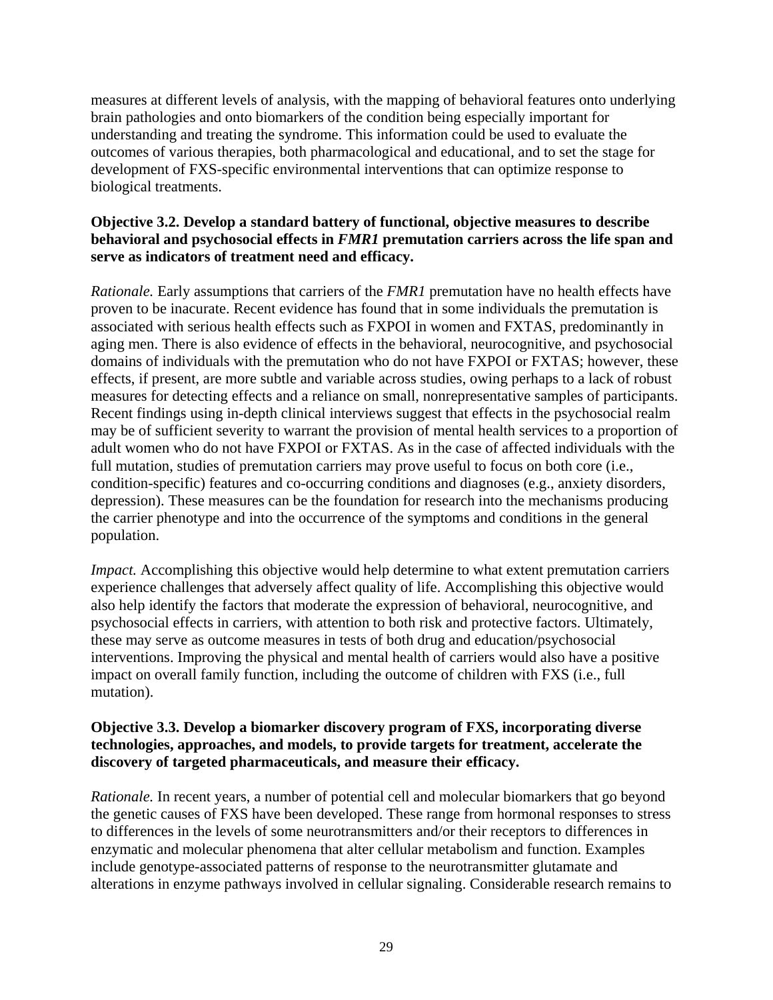measures at different levels of analysis, with the mapping of behavioral features onto underlying brain pathologies and onto biomarkers of the condition being especially important for understanding and treating the syndrome. This information could be used to evaluate the outcomes of various therapies, both pharmacological and educational, and to set the stage for development of FXS-specific environmental interventions that can optimize response to biological treatments.

## **Objective 3.2. Develop a standard battery of functional, objective measures to describe behavioral and psychosocial effects in** *FMR1* **premutation carriers across the life span and serve as indicators of treatment need and efficacy.**

*Rationale.* Early assumptions that carriers of the *FMR1* premutation have no health effects have proven to be inacurate. Recent evidence has found that in some individuals the premutation is associated with serious health effects such as FXPOI in women and FXTAS, predominantly in aging men. There is also evidence of effects in the behavioral, neurocognitive, and psychosocial domains of individuals with the premutation who do not have FXPOI or FXTAS; however, these effects, if present, are more subtle and variable across studies, owing perhaps to a lack of robust measures for detecting effects and a reliance on small, nonrepresentative samples of participants. Recent findings using in-depth clinical interviews suggest that effects in the psychosocial realm may be of sufficient severity to warrant the provision of mental health services to a proportion of adult women who do not have FXPOI or FXTAS. As in the case of affected individuals with the full mutation, studies of premutation carriers may prove useful to focus on both core (i.e., condition-specific) features and co-occurring conditions and diagnoses (e.g., anxiety disorders, depression). These measures can be the foundation for research into the mechanisms producing the carrier phenotype and into the occurrence of the symptoms and conditions in the general population.

*Impact.* Accomplishing this objective would help determine to what extent premutation carriers experience challenges that adversely affect quality of life. Accomplishing this objective would also help identify the factors that moderate the expression of behavioral, neurocognitive, and psychosocial effects in carriers, with attention to both risk and protective factors. Ultimately, these may serve as outcome measures in tests of both drug and education/psychosocial interventions. Improving the physical and mental health of carriers would also have a positive impact on overall family function, including the outcome of children with FXS (i.e., full mutation).

## **Objective 3.3. Develop a biomarker discovery program of FXS, incorporating diverse technologies, approaches, and models, to provide targets for treatment, accelerate the discovery of targeted pharmaceuticals, and measure their efficacy.**

*Rationale.* In recent years, a number of potential cell and molecular biomarkers that go beyond the genetic causes of FXS have been developed. These range from hormonal responses to stress to differences in the levels of some neurotransmitters and/or their receptors to differences in enzymatic and molecular phenomena that alter cellular metabolism and function. Examples include genotype-associated patterns of response to the neurotransmitter glutamate and alterations in enzyme pathways involved in cellular signaling. Considerable research remains to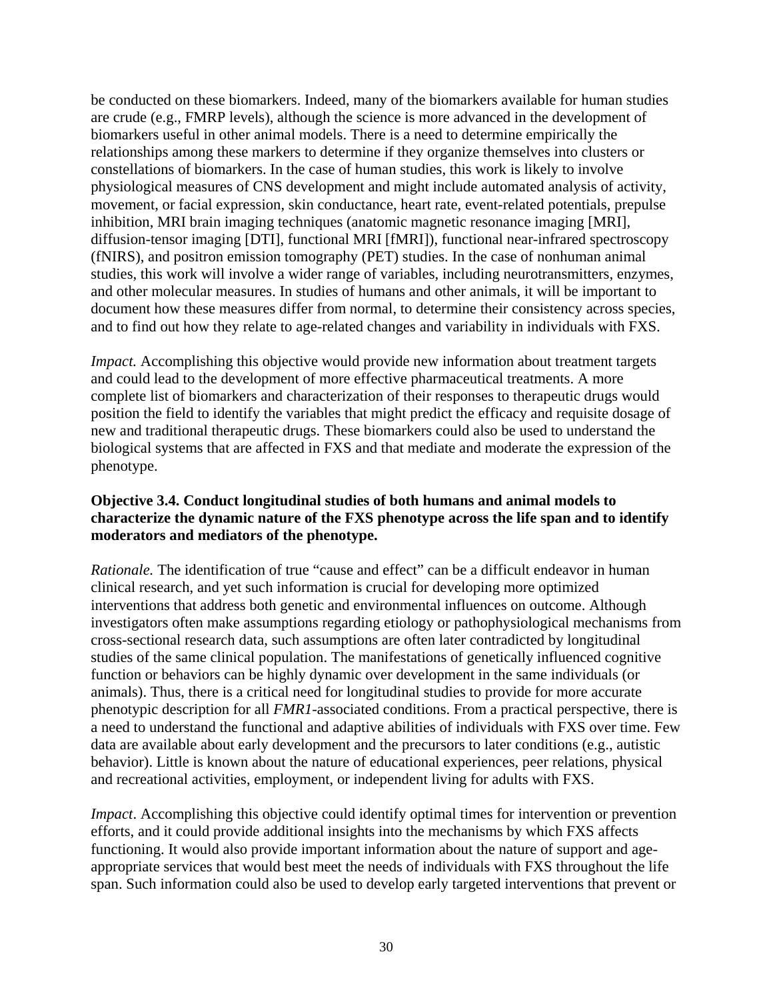be conducted on these biomarkers. Indeed, many of the biomarkers available for human studies are crude (e.g., FMRP levels), although the science is more advanced in the development of biomarkers useful in other animal models. There is a need to determine empirically the relationships among these markers to determine if they organize themselves into clusters or constellations of biomarkers. In the case of human studies, this work is likely to involve physiological measures of CNS development and might include automated analysis of activity, movement, or facial expression, skin conductance, heart rate, event-related potentials, prepulse inhibition, MRI brain imaging techniques (anatomic magnetic resonance imaging [MRI], diffusion-tensor imaging [DTI], functional MRI [fMRI]), functional near-infrared spectroscopy (fNIRS), and positron emission tomography (PET) studies. In the case of nonhuman animal studies, this work will involve a wider range of variables, including neurotransmitters, enzymes, and other molecular measures. In studies of humans and other animals, it will be important to document how these measures differ from normal, to determine their consistency across species, and to find out how they relate to age-related changes and variability in individuals with FXS.

*Impact.* Accomplishing this objective would provide new information about treatment targets and could lead to the development of more effective pharmaceutical treatments. A more complete list of biomarkers and characterization of their responses to therapeutic drugs would position the field to identify the variables that might predict the efficacy and requisite dosage of new and traditional therapeutic drugs. These biomarkers could also be used to understand the biological systems that are affected in FXS and that mediate and moderate the expression of the phenotype.

## **Objective 3.4. Conduct longitudinal studies of both humans and animal models to characterize the dynamic nature of the FXS phenotype across the life span and to identify moderators and mediators of the phenotype.**

*Rationale.* The identification of true "cause and effect" can be a difficult endeavor in human clinical research, and yet such information is crucial for developing more optimized interventions that address both genetic and environmental influences on outcome. Although investigators often make assumptions regarding etiology or pathophysiological mechanisms from cross-sectional research data, such assumptions are often later contradicted by longitudinal studies of the same clinical population. The manifestations of genetically influenced cognitive function or behaviors can be highly dynamic over development in the same individuals (or animals). Thus, there is a critical need for longitudinal studies to provide for more accurate phenotypic description for all *FMR1*-associated conditions. From a practical perspective, there is a need to understand the functional and adaptive abilities of individuals with FXS over time. Few data are available about early development and the precursors to later conditions (e.g., autistic behavior). Little is known about the nature of educational experiences, peer relations, physical and recreational activities, employment, or independent living for adults with FXS.

*Impact*. Accomplishing this objective could identify optimal times for intervention or prevention efforts, and it could provide additional insights into the mechanisms by which FXS affects functioning. It would also provide important information about the nature of support and ageappropriate services that would best meet the needs of individuals with FXS throughout the life span. Such information could also be used to develop early targeted interventions that prevent or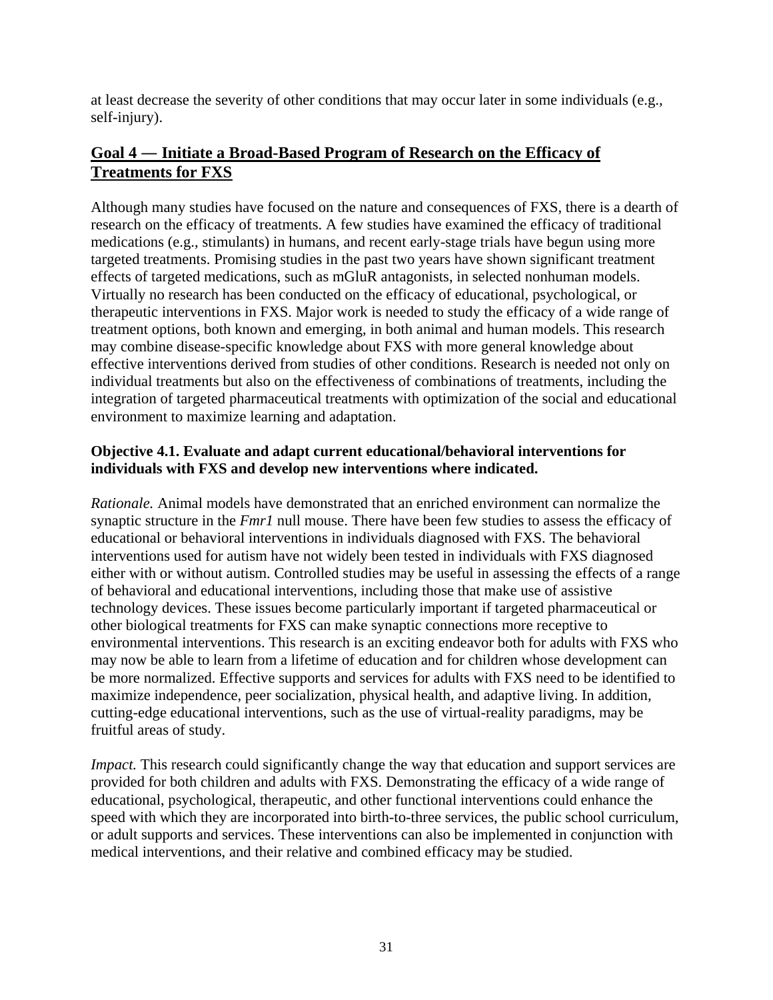<span id="page-33-0"></span>at least decrease the severity of other conditions that may occur later in some individuals (e.g., self-injury).

## **Goal 4 ― Initiate a Broad-Based Program of Research on the Efficacy of Treatments for FXS**

Although many studies have focused on the nature and consequences of FXS, there is a dearth of research on the efficacy of treatments. A few studies have examined the efficacy of traditional medications (e.g., stimulants) in humans, and recent early-stage trials have begun using more targeted treatments. Promising studies in the past two years have shown significant treatment effects of targeted medications, such as mGluR antagonists, in selected nonhuman models. Virtually no research has been conducted on the efficacy of educational, psychological, or therapeutic interventions in FXS. Major work is needed to study the efficacy of a wide range of treatment options, both known and emerging, in both animal and human models. This research may combine disease-specific knowledge about FXS with more general knowledge about effective interventions derived from studies of other conditions. Research is needed not only on individual treatments but also on the effectiveness of combinations of treatments, including the integration of targeted pharmaceutical treatments with optimization of the social and educational environment to maximize learning and adaptation.

## **Objective 4.1. Evaluate and adapt current educational/behavioral interventions for individuals with FXS and develop new interventions where indicated.**

*Rationale.* Animal models have demonstrated that an enriched environment can normalize the synaptic structure in the *Fmr1* null mouse. There have been few studies to assess the efficacy of educational or behavioral interventions in individuals diagnosed with FXS. The behavioral interventions used for autism have not widely been tested in individuals with FXS diagnosed either with or without autism. Controlled studies may be useful in assessing the effects of a range of behavioral and educational interventions, including those that make use of assistive technology devices. These issues become particularly important if targeted pharmaceutical or other biological treatments for FXS can make synaptic connections more receptive to environmental interventions. This research is an exciting endeavor both for adults with FXS who may now be able to learn from a lifetime of education and for children whose development can be more normalized. Effective supports and services for adults with FXS need to be identified to maximize independence, peer socialization, physical health, and adaptive living. In addition, cutting-edge educational interventions, such as the use of virtual-reality paradigms, may be fruitful areas of study.

*Impact.* This research could significantly change the way that education and support services are provided for both children and adults with FXS. Demonstrating the efficacy of a wide range of educational, psychological, therapeutic, and other functional interventions could enhance the speed with which they are incorporated into birth-to-three services, the public school curriculum, or adult supports and services. These interventions can also be implemented in conjunction with medical interventions, and their relative and combined efficacy may be studied.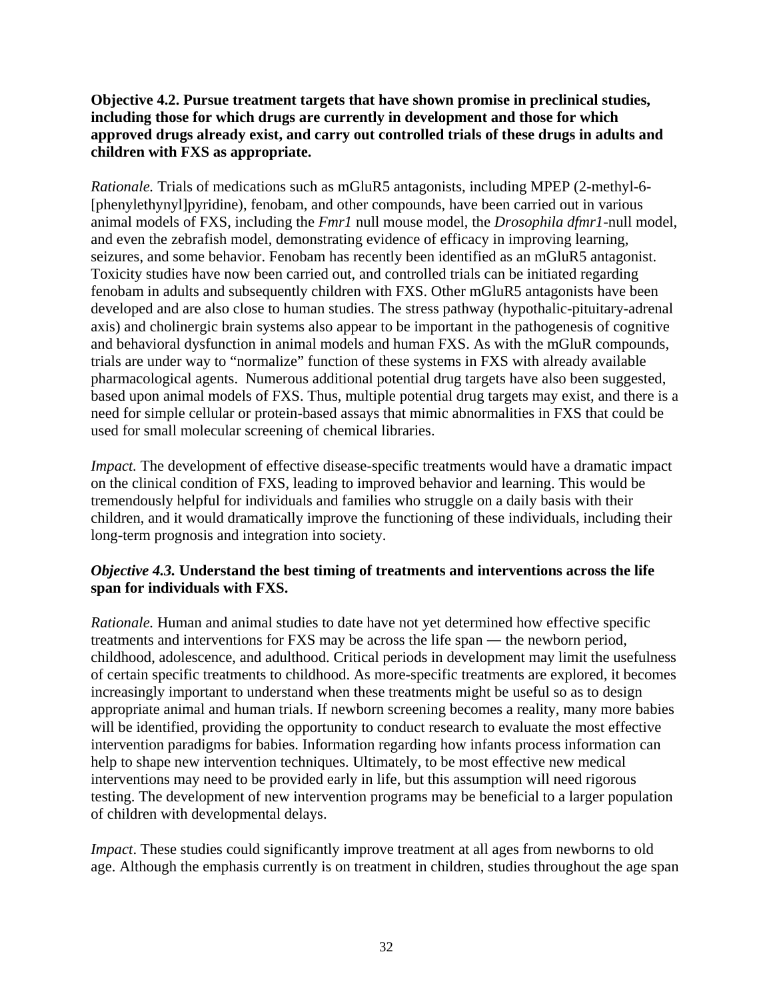## **Objective 4.2. Pursue treatment targets that have shown promise in preclinical studies, including those for which drugs are currently in development and those for which approved drugs already exist, and carry out controlled trials of these drugs in adults and children with FXS as appropriate.**

*Rationale.* Trials of medications such as mGluR5 antagonists, including MPEP (2-methyl-6- [phenylethynyl]pyridine), fenobam, and other compounds, have been carried out in various animal models of FXS, including the *Fmr1* null mouse model, the *Drosophila dfmr1*-null model, and even the zebrafish model, demonstrating evidence of efficacy in improving learning, seizures, and some behavior. Fenobam has recently been identified as an mGluR5 antagonist. Toxicity studies have now been carried out, and controlled trials can be initiated regarding fenobam in adults and subsequently children with FXS. Other mGluR5 antagonists have been developed and are also close to human studies. The stress pathway (hypothalic-pituitary-adrenal axis) and cholinergic brain systems also appear to be important in the pathogenesis of cognitive and behavioral dysfunction in animal models and human FXS. As with the mGluR compounds, trials are under way to "normalize" function of these systems in FXS with already available pharmacological agents. Numerous additional potential drug targets have also been suggested, based upon animal models of FXS. Thus, multiple potential drug targets may exist, and there is a need for simple cellular or protein-based assays that mimic abnormalities in FXS that could be used for small molecular screening of chemical libraries.

*Impact.* The development of effective disease-specific treatments would have a dramatic impact on the clinical condition of FXS, leading to improved behavior and learning. This would be tremendously helpful for individuals and families who struggle on a daily basis with their children, and it would dramatically improve the functioning of these individuals, including their long-term prognosis and integration into society.

## *Objective 4.3.* **Understand the best timing of treatments and interventions across the life span for individuals with FXS.**

*Rationale.* Human and animal studies to date have not yet determined how effective specific treatments and interventions for FXS may be across the life span ― the newborn period, childhood, adolescence, and adulthood. Critical periods in development may limit the usefulness of certain specific treatments to childhood. As more-specific treatments are explored, it becomes increasingly important to understand when these treatments might be useful so as to design appropriate animal and human trials. If newborn screening becomes a reality, many more babies will be identified, providing the opportunity to conduct research to evaluate the most effective intervention paradigms for babies. Information regarding how infants process information can help to shape new intervention techniques. Ultimately, to be most effective new medical interventions may need to be provided early in life, but this assumption will need rigorous testing. The development of new intervention programs may be beneficial to a larger population of children with developmental delays.

*Impact*. These studies could significantly improve treatment at all ages from newborns to old age. Although the emphasis currently is on treatment in children, studies throughout the age span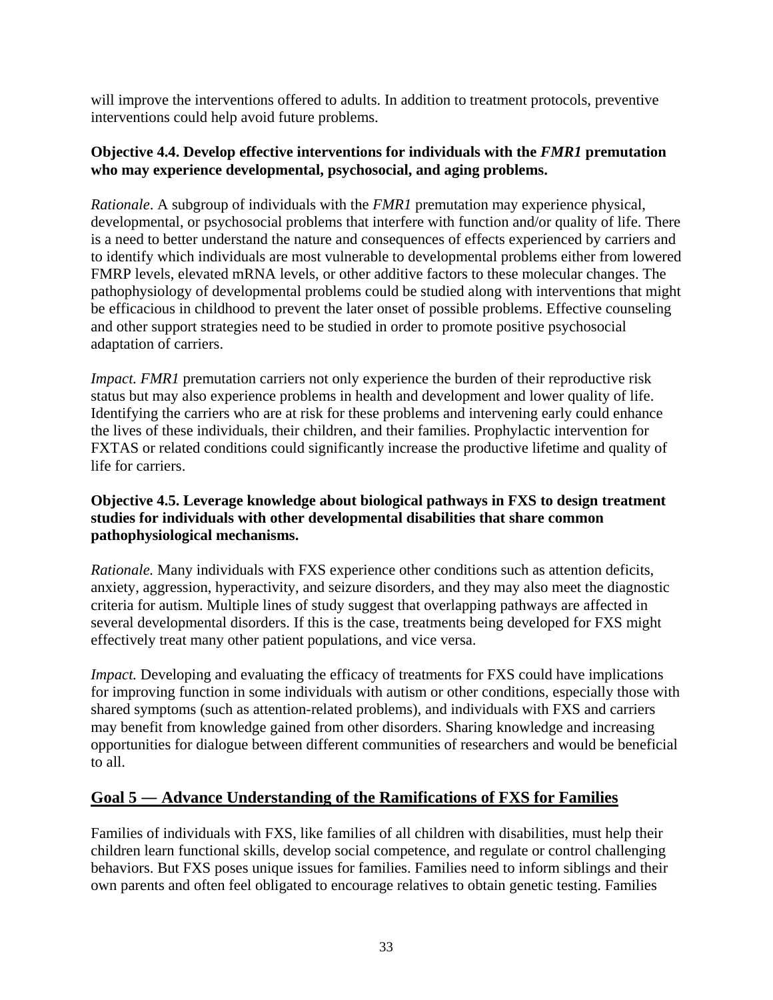<span id="page-35-0"></span>will improve the interventions offered to adults. In addition to treatment protocols, preventive interventions could help avoid future problems.

## **Objective 4.4. Develop effective interventions for individuals with the** *FMR1* **premutation who may experience developmental, psychosocial, and aging problems.**

*Rationale*. A subgroup of individuals with the *FMR1* premutation may experience physical, developmental, or psychosocial problems that interfere with function and/or quality of life. There is a need to better understand the nature and consequences of effects experienced by carriers and to identify which individuals are most vulnerable to developmental problems either from lowered FMRP levels, elevated mRNA levels, or other additive factors to these molecular changes. The pathophysiology of developmental problems could be studied along with interventions that might be efficacious in childhood to prevent the later onset of possible problems. Effective counseling and other support strategies need to be studied in order to promote positive psychosocial adaptation of carriers.

*Impact. FMR1* premutation carriers not only experience the burden of their reproductive risk status but may also experience problems in health and development and lower quality of life. Identifying the carriers who are at risk for these problems and intervening early could enhance the lives of these individuals, their children, and their families. Prophylactic intervention for FXTAS or related conditions could significantly increase the productive lifetime and quality of life for carriers.

## **Objective 4.5. Leverage knowledge about biological pathways in FXS to design treatment studies for individuals with other developmental disabilities that share common pathophysiological mechanisms.**

*Rationale.* Many individuals with FXS experience other conditions such as attention deficits, anxiety, aggression, hyperactivity, and seizure disorders, and they may also meet the diagnostic criteria for autism. Multiple lines of study suggest that overlapping pathways are affected in several developmental disorders. If this is the case, treatments being developed for FXS might effectively treat many other patient populations, and vice versa.

*Impact.* Developing and evaluating the efficacy of treatments for FXS could have implications for improving function in some individuals with autism or other conditions, especially those with shared symptoms (such as attention-related problems), and individuals with FXS and carriers may benefit from knowledge gained from other disorders. Sharing knowledge and increasing opportunities for dialogue between different communities of researchers and would be beneficial to all.

## **Goal 5 ― Advance Understanding of the Ramifications of FXS for Families**

Families of individuals with FXS, like families of all children with disabilities, must help their children learn functional skills, develop social competence, and regulate or control challenging behaviors. But FXS poses unique issues for families. Families need to inform siblings and their own parents and often feel obligated to encourage relatives to obtain genetic testing. Families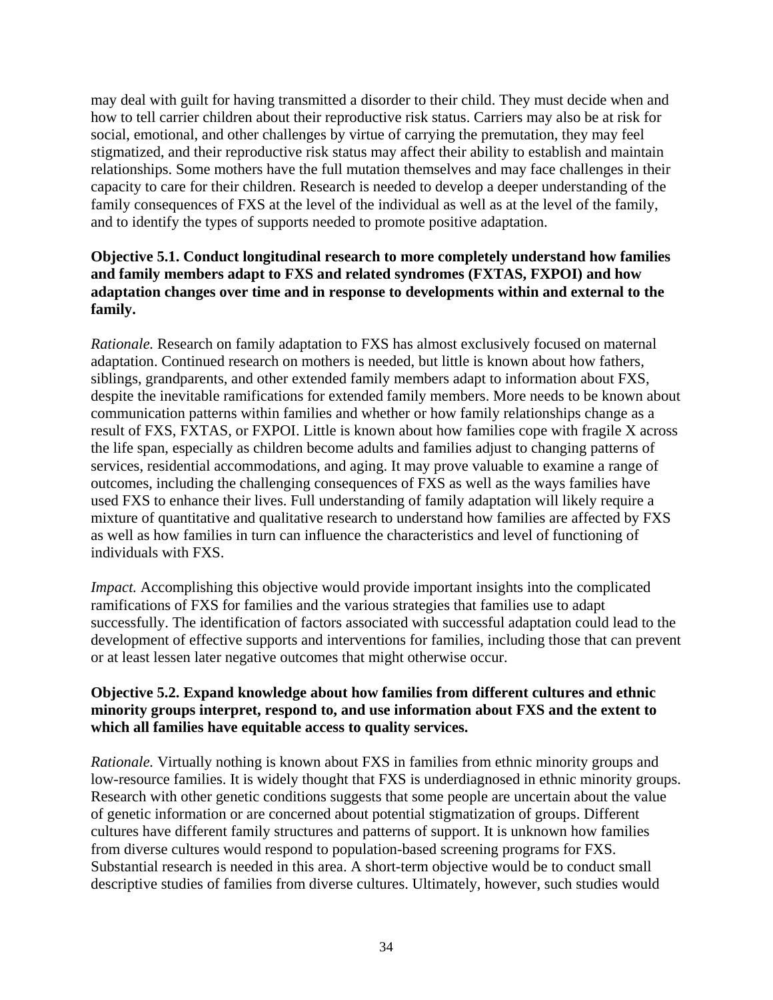may deal with guilt for having transmitted a disorder to their child. They must decide when and how to tell carrier children about their reproductive risk status. Carriers may also be at risk for social, emotional, and other challenges by virtue of carrying the premutation, they may feel stigmatized, and their reproductive risk status may affect their ability to establish and maintain relationships. Some mothers have the full mutation themselves and may face challenges in their capacity to care for their children. Research is needed to develop a deeper understanding of the family consequences of FXS at the level of the individual as well as at the level of the family, and to identify the types of supports needed to promote positive adaptation.

### **Objective 5.1. Conduct longitudinal research to more completely understand how families and family members adapt to FXS and related syndromes (FXTAS, FXPOI) and how adaptation changes over time and in response to developments within and external to the family.**

*Rationale.* Research on family adaptation to FXS has almost exclusively focused on maternal adaptation. Continued research on mothers is needed, but little is known about how fathers, siblings, grandparents, and other extended family members adapt to information about FXS, despite the inevitable ramifications for extended family members. More needs to be known about communication patterns within families and whether or how family relationships change as a result of FXS, FXTAS, or FXPOI. Little is known about how families cope with fragile X across the life span, especially as children become adults and families adjust to changing patterns of services, residential accommodations, and aging. It may prove valuable to examine a range of outcomes, including the challenging consequences of FXS as well as the ways families have used FXS to enhance their lives. Full understanding of family adaptation will likely require a mixture of quantitative and qualitative research to understand how families are affected by FXS as well as how families in turn can influence the characteristics and level of functioning of individuals with FXS.

*Impact.* Accomplishing this objective would provide important insights into the complicated ramifications of FXS for families and the various strategies that families use to adapt successfully. The identification of factors associated with successful adaptation could lead to the development of effective supports and interventions for families, including those that can prevent or at least lessen later negative outcomes that might otherwise occur.

### **Objective 5.2. Expand knowledge about how families from different cultures and ethnic minority groups interpret, respond to, and use information about FXS and the extent to which all families have equitable access to quality services.**

*Rationale.* Virtually nothing is known about FXS in families from ethnic minority groups and low-resource families. It is widely thought that FXS is underdiagnosed in ethnic minority groups. Research with other genetic conditions suggests that some people are uncertain about the value of genetic information or are concerned about potential stigmatization of groups. Different cultures have different family structures and patterns of support. It is unknown how families from diverse cultures would respond to population-based screening programs for FXS. Substantial research is needed in this area. A short-term objective would be to conduct small descriptive studies of families from diverse cultures. Ultimately, however, such studies would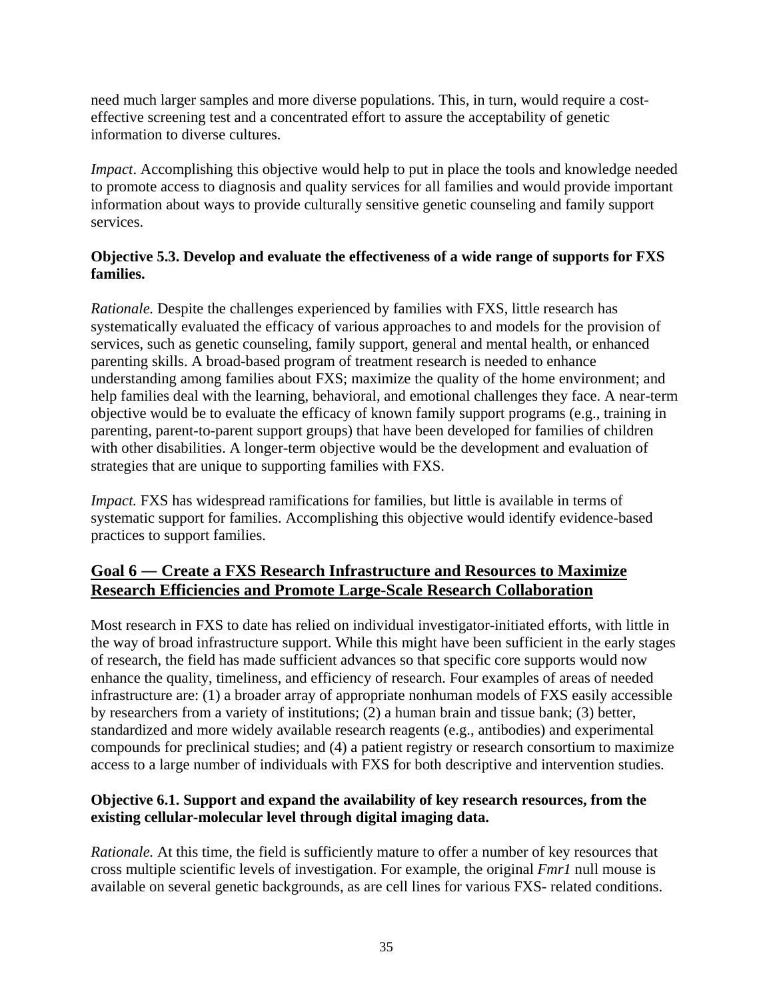need much larger samples and more diverse populations. This, in turn, would require a costeffective screening test and a concentrated effort to assure the acceptability of genetic information to diverse cultures.

*Impact*. Accomplishing this objective would help to put in place the tools and knowledge needed to promote access to diagnosis and quality services for all families and would provide important information about ways to provide culturally sensitive genetic counseling and family support services.

### **Objective 5.3. Develop and evaluate the effectiveness of a wide range of supports for FXS families.**

*Rationale.* Despite the challenges experienced by families with FXS, little research has systematically evaluated the efficacy of various approaches to and models for the provision of services, such as genetic counseling, family support, general and mental health, or enhanced parenting skills. A broad-based program of treatment research is needed to enhance understanding among families about FXS; maximize the quality of the home environment; and help families deal with the learning, behavioral, and emotional challenges they face. A near-term objective would be to evaluate the efficacy of known family support programs (e.g., training in parenting, parent-to-parent support groups) that have been developed for families of children with other disabilities. A longer-term objective would be the development and evaluation of strategies that are unique to supporting families with FXS.

*Impact.* FXS has widespread ramifications for families, but little is available in terms of systematic support for families. Accomplishing this objective would identify evidence-based practices to support families.

## **Goal 6 ― Create a FXS Research Infrastructure and Resources to Maximize Research Efficiencies and Promote Large-Scale Research Collaboration**

Most research in FXS to date has relied on individual investigator-initiated efforts, with little in the way of broad infrastructure support. While this might have been sufficient in the early stages of research, the field has made sufficient advances so that specific core supports would now enhance the quality, timeliness, and efficiency of research. Four examples of areas of needed infrastructure are: (1) a broader array of appropriate nonhuman models of FXS easily accessible by researchers from a variety of institutions; (2) a human brain and tissue bank; (3) better, standardized and more widely available research reagents (e.g., antibodies) and experimental compounds for preclinical studies; and (4) a patient registry or research consortium to maximize access to a large number of individuals with FXS for both descriptive and intervention studies.

### **Objective 6.1. Support and expand the availability of key research resources, from the existing cellular-molecular level through digital imaging data.**

*Rationale.* At this time, the field is sufficiently mature to offer a number of key resources that cross multiple scientific levels of investigation. For example, the original *Fmr1* null mouse is available on several genetic backgrounds, as are cell lines for various FXS- related conditions.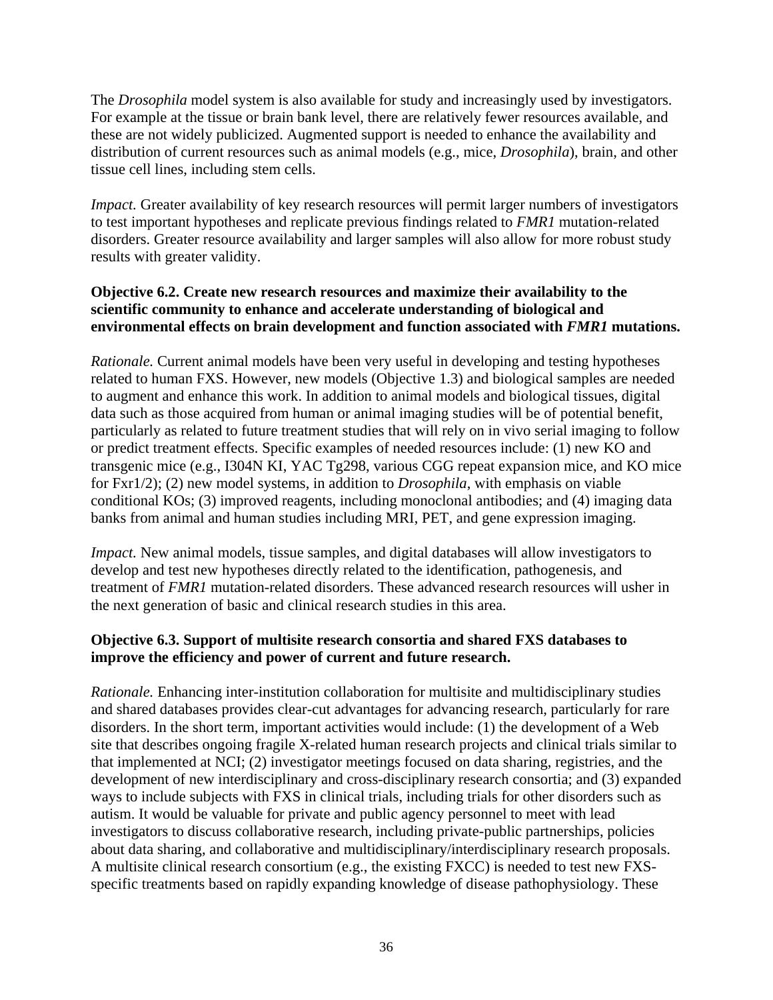The *Drosophila* model system is also available for study and increasingly used by investigators. For example at the tissue or brain bank level, there are relatively fewer resources available, and these are not widely publicized. Augmented support is needed to enhance the availability and distribution of current resources such as animal models (e.g., mice, *Drosophila*), brain, and other tissue cell lines, including stem cells.

*Impact.* Greater availability of key research resources will permit larger numbers of investigators to test important hypotheses and replicate previous findings related to *FMR1* mutation-related disorders. Greater resource availability and larger samples will also allow for more robust study results with greater validity.

### **Objective 6.2. Create new research resources and maximize their availability to the scientific community to enhance and accelerate understanding of biological and environmental effects on brain development and function associated with** *FMR1* **mutations.**

*Rationale.* Current animal models have been very useful in developing and testing hypotheses related to human FXS. However, new models (Objective 1.3) and biological samples are needed to augment and enhance this work. In addition to animal models and biological tissues, digital data such as those acquired from human or animal imaging studies will be of potential benefit, particularly as related to future treatment studies that will rely on in vivo serial imaging to follow or predict treatment effects. Specific examples of needed resources include: (1) new KO and transgenic mice (e.g., I304N KI, YAC Tg298, various CGG repeat expansion mice, and KO mice for Fxr1/2); (2) new model systems, in addition to *Drosophila*, with emphasis on viable conditional KOs; (3) improved reagents, including monoclonal antibodies; and (4) imaging data banks from animal and human studies including MRI, PET, and gene expression imaging.

*Impact.* New animal models, tissue samples, and digital databases will allow investigators to develop and test new hypotheses directly related to the identification, pathogenesis, and treatment of *FMR1* mutation-related disorders. These advanced research resources will usher in the next generation of basic and clinical research studies in this area.

### **Objective 6.3. Support of multisite research consortia and shared FXS databases to improve the efficiency and power of current and future research.**

*Rationale.* Enhancing inter-institution collaboration for multisite and multidisciplinary studies and shared databases provides clear-cut advantages for advancing research, particularly for rare disorders. In the short term, important activities would include: (1) the development of a Web site that describes ongoing fragile X-related human research projects and clinical trials similar to that implemented at NCI; (2) investigator meetings focused on data sharing, registries, and the development of new interdisciplinary and cross-disciplinary research consortia; and (3) expanded ways to include subjects with FXS in clinical trials, including trials for other disorders such as autism. It would be valuable for private and public agency personnel to meet with lead investigators to discuss collaborative research, including private-public partnerships, policies about data sharing, and collaborative and multidisciplinary/interdisciplinary research proposals. A multisite clinical research consortium (e.g., the existing FXCC) is needed to test new FXSspecific treatments based on rapidly expanding knowledge of disease pathophysiology. These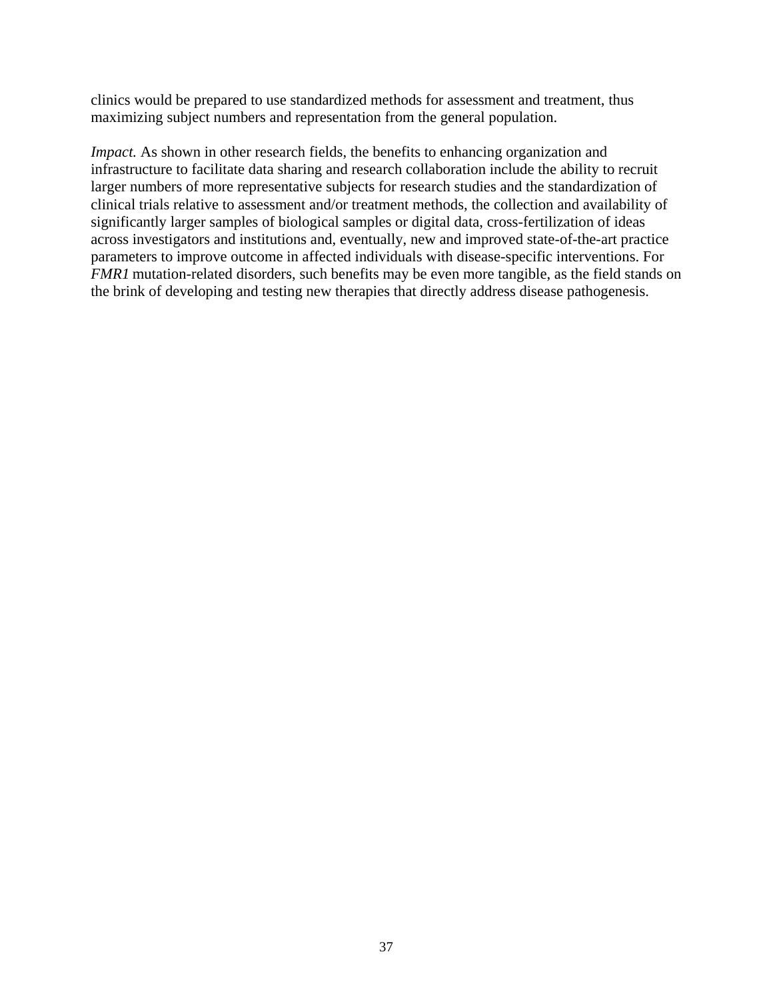clinics would be prepared to use standardized methods for assessment and treatment, thus maximizing subject numbers and representation from the general population.

*Impact.* As shown in other research fields, the benefits to enhancing organization and infrastructure to facilitate data sharing and research collaboration include the ability to recruit larger numbers of more representative subjects for research studies and the standardization of clinical trials relative to assessment and/or treatment methods, the collection and availability of significantly larger samples of biological samples or digital data, cross-fertilization of ideas across investigators and institutions and, eventually, new and improved state-of-the-art practice parameters to improve outcome in affected individuals with disease-specific interventions. For *FMR1* mutation-related disorders, such benefits may be even more tangible, as the field stands on the brink of developing and testing new therapies that directly address disease pathogenesis.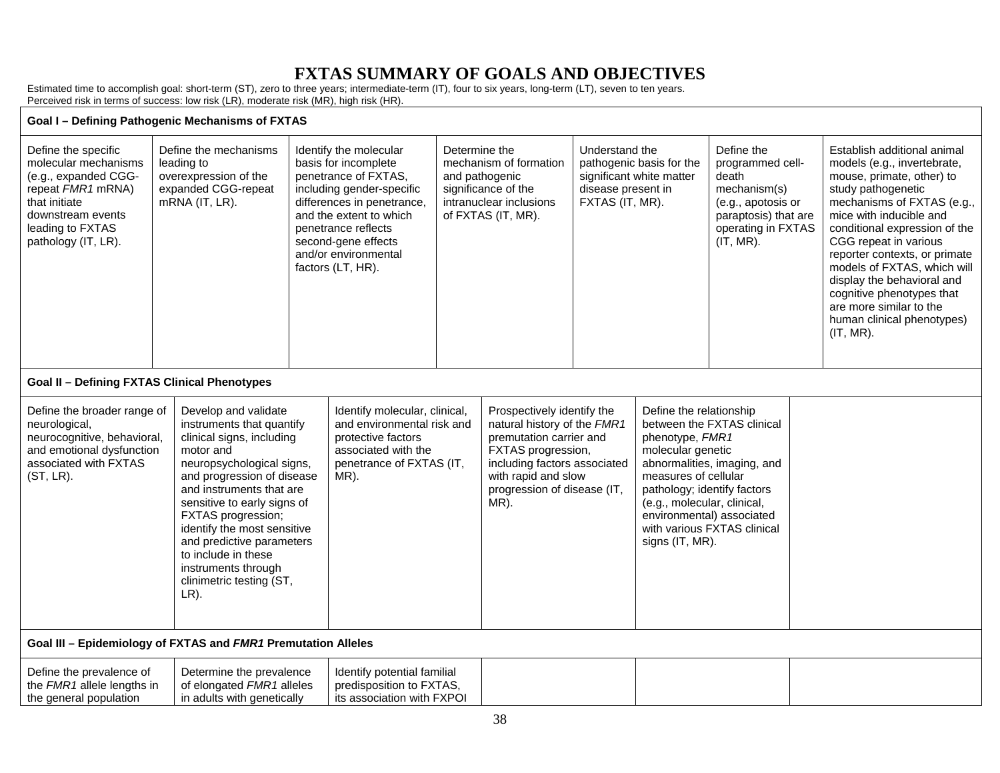# **FXTAS SUMMARY OF GOALS AND OBJECTIVES**

Estimated time to accomplish goal: short-term (ST), zero to three years; intermediate-term (IT), four to six years, long-term (LT), seven to ten years. Perceived risk in terms of success: low risk (LR), moderate risk (MR), high risk (HR).

#### **Goal I – Defining Pathogenic Mechanisms of FXTAS**

| Define the specific<br>molecular mechanisms<br>(e.g., expanded CGG-<br>repeat FMR1 mRNA)<br>that initiate<br>downstream events<br>leading to FXTAS<br>pathology (IT, LR). | Define the mechanisms<br>leading to<br>overexpression of the<br>expanded CGG-repeat<br>$mRNA$ (IT, LR).                                                                                                                                                                | Identify the molecular<br>basis for incomplete<br>penetrance of FXTAS.<br>including gender-specific<br>differences in penetrance,<br>and the extent to which<br>penetrance reflects<br>second-gene effects<br>and/or environmental<br>factors (LT, HR). | Determine the<br>mechanism of formation<br>and pathogenic<br>significance of the<br>intranuclear inclusions<br>of FXTAS (IT, MR). |                                                                                                                                                                                                                 | Understand the<br>pathogenic basis for the<br>significant white matter<br>disease present in<br>FXTAS (IT, MR). |                                                                                                                                                       | Define the<br>programmed cell-<br>death<br>mechanism(s)<br>(e.g., apotosis or<br>paraptosis) that are<br>operating in FXTAS<br>(IT, MR). |  | Establish additional animal<br>models (e.g., invertebrate,<br>mouse, primate, other) to<br>study pathogenetic<br>mechanisms of FXTAS (e.g.,<br>mice with inducible and<br>conditional expression of the<br>CGG repeat in various<br>reporter contexts, or primate<br>models of FXTAS, which will<br>display the behavioral and<br>cognitive phenotypes that<br>are more similar to the<br>human clinical phenotypes)<br>(IT, MR). |
|---------------------------------------------------------------------------------------------------------------------------------------------------------------------------|------------------------------------------------------------------------------------------------------------------------------------------------------------------------------------------------------------------------------------------------------------------------|---------------------------------------------------------------------------------------------------------------------------------------------------------------------------------------------------------------------------------------------------------|-----------------------------------------------------------------------------------------------------------------------------------|-----------------------------------------------------------------------------------------------------------------------------------------------------------------------------------------------------------------|-----------------------------------------------------------------------------------------------------------------|-------------------------------------------------------------------------------------------------------------------------------------------------------|------------------------------------------------------------------------------------------------------------------------------------------|--|-----------------------------------------------------------------------------------------------------------------------------------------------------------------------------------------------------------------------------------------------------------------------------------------------------------------------------------------------------------------------------------------------------------------------------------|
| <b>Goal II - Defining FXTAS Clinical Phenotypes</b>                                                                                                                       |                                                                                                                                                                                                                                                                        |                                                                                                                                                                                                                                                         |                                                                                                                                   |                                                                                                                                                                                                                 |                                                                                                                 |                                                                                                                                                       |                                                                                                                                          |  |                                                                                                                                                                                                                                                                                                                                                                                                                                   |
| Define the broader range of<br>neurological,<br>neurocognitive, behavioral,<br>and emotional dysfunction<br>associated with FXTAS<br>(ST, LR).                            | Develop and validate<br>instruments that quantify<br>clinical signs, including<br>motor and<br>neuropsychological signs,<br>and progression of disease<br>and instruments that are<br>sensitive to early signs of<br>FXTAS progression;<br>identify the most sensitive | Identify molecular, clinical,<br>and environmental risk and<br>protective factors<br>associated with the<br>penetrance of FXTAS (IT,<br>MR).                                                                                                            |                                                                                                                                   | Prospectively identify the<br>natural history of the FMR1<br>premutation carrier and<br><b>FXTAS</b> progression,<br>including factors associated<br>with rapid and slow<br>progression of disease (IT,<br>MR). |                                                                                                                 | Define the relationship<br>phenotype, FMR1<br>molecular genetic<br>measures of cellular<br>pathology; identify factors<br>(e.g., molecular, clinical, | between the FXTAS clinical<br>abnormalities, imaging, and<br>environmental) associated<br>with various FXTAS clinical                    |  |                                                                                                                                                                                                                                                                                                                                                                                                                                   |

**Goal III – Epidemiology of FXTAS and** *FMR1* **Premutation Alleles** 

LR).

and predictive parameters to include in these instruments through clinimetric testing (ST,

| Define the prevalence of          | Determine the prevalence   | Identify potential familial |  |  |
|-----------------------------------|----------------------------|-----------------------------|--|--|
| the <i>FMR1</i> allele lengths in | of elongated FMR1 alleles  | predisposition to FXTAS,    |  |  |
| the general population            | in adults with genetically | its association with FXPOI  |  |  |

signs (IT, MR).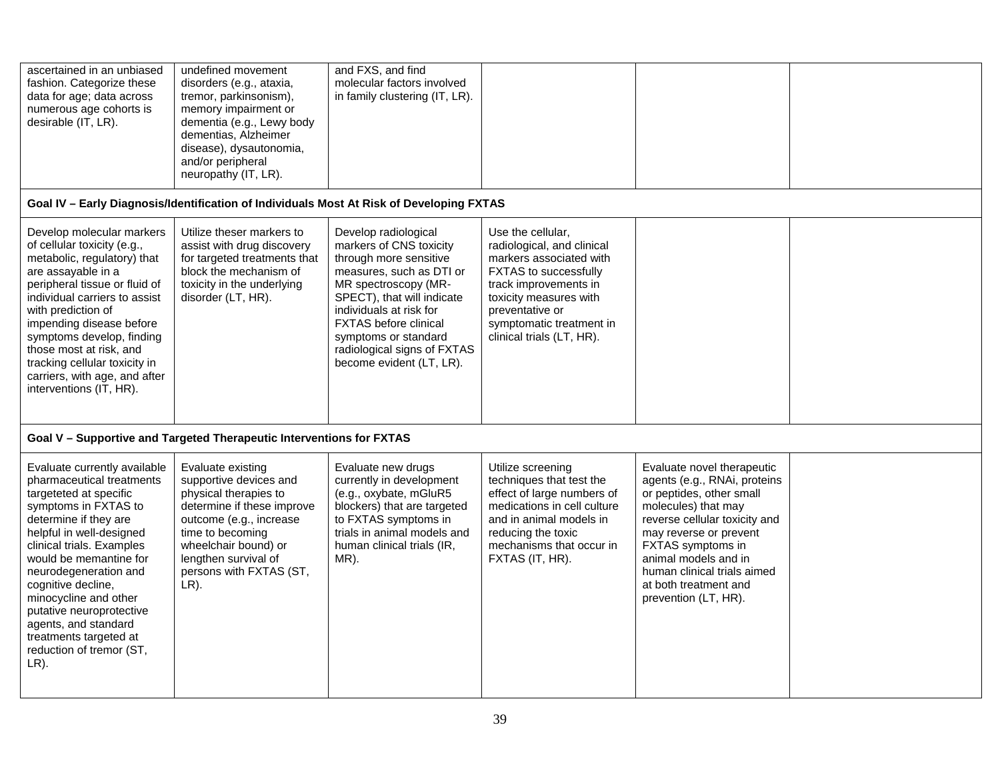| ascertained in an unbiased<br>fashion. Categorize these<br>data for age; data across<br>numerous age cohorts is<br>desirable (IT, LR).                                                                                                                                                                                                                                                                            | undefined movement<br>disorders (e.g., ataxia,<br>tremor, parkinsonism),<br>memory impairment or<br>dementia (e.g., Lewy body<br>dementias, Alzheimer<br>disease), dysautonomia,<br>and/or peripheral<br>neuropathy (IT, LR).           | and FXS, and find<br>molecular factors involved<br>in family clustering (IT, LR).                                                                                                                                                                                                                         |                                                                                                                                                                                                                                    |                                                                                                                                                                                                                                                                                                       |  |
|-------------------------------------------------------------------------------------------------------------------------------------------------------------------------------------------------------------------------------------------------------------------------------------------------------------------------------------------------------------------------------------------------------------------|-----------------------------------------------------------------------------------------------------------------------------------------------------------------------------------------------------------------------------------------|-----------------------------------------------------------------------------------------------------------------------------------------------------------------------------------------------------------------------------------------------------------------------------------------------------------|------------------------------------------------------------------------------------------------------------------------------------------------------------------------------------------------------------------------------------|-------------------------------------------------------------------------------------------------------------------------------------------------------------------------------------------------------------------------------------------------------------------------------------------------------|--|
|                                                                                                                                                                                                                                                                                                                                                                                                                   |                                                                                                                                                                                                                                         | Goal IV - Early Diagnosis/Identification of Individuals Most At Risk of Developing FXTAS                                                                                                                                                                                                                  |                                                                                                                                                                                                                                    |                                                                                                                                                                                                                                                                                                       |  |
| Develop molecular markers<br>of cellular toxicity (e.g.,<br>metabolic, regulatory) that<br>are assayable in a<br>peripheral tissue or fluid of<br>individual carriers to assist<br>with prediction of<br>impending disease before<br>symptoms develop, finding<br>those most at risk, and<br>tracking cellular toxicity in<br>carriers, with age, and after<br>interventions (IT, HR).                            | Utilize theser markers to<br>assist with drug discovery<br>for targeted treatments that<br>block the mechanism of<br>toxicity in the underlying<br>disorder (LT, HR).                                                                   | Develop radiological<br>markers of CNS toxicity<br>through more sensitive<br>measures, such as DTI or<br>MR spectroscopy (MR-<br>SPECT), that will indicate<br>individuals at risk for<br><b>FXTAS</b> before clinical<br>symptoms or standard<br>radiological signs of FXTAS<br>become evident (LT, LR). | Use the cellular,<br>radiological, and clinical<br>markers associated with<br>FXTAS to successfully<br>track improvements in<br>toxicity measures with<br>preventative or<br>symptomatic treatment in<br>clinical trials (LT, HR). |                                                                                                                                                                                                                                                                                                       |  |
|                                                                                                                                                                                                                                                                                                                                                                                                                   | Goal V - Supportive and Targeted Therapeutic Interventions for FXTAS                                                                                                                                                                    |                                                                                                                                                                                                                                                                                                           |                                                                                                                                                                                                                                    |                                                                                                                                                                                                                                                                                                       |  |
| Evaluate currently available<br>pharmaceutical treatments<br>targeteted at specific<br>symptoms in FXTAS to<br>determine if they are<br>helpful in well-designed<br>clinical trials. Examples<br>would be memantine for<br>neurodegeneration and<br>cognitive decline,<br>minocycline and other<br>putative neuroprotective<br>agents, and standard<br>treatments targeted at<br>reduction of tremor (ST,<br>LR). | Evaluate existing<br>supportive devices and<br>physical therapies to<br>determine if these improve<br>outcome (e.g., increase<br>time to becoming<br>wheelchair bound) or<br>lengthen survival of<br>persons with FXTAS (ST,<br>$LR$ ). | Evaluate new drugs<br>currently in development<br>(e.g., oxybate, mGluR5<br>blockers) that are targeted<br>to FXTAS symptoms in<br>trials in animal models and<br>human clinical trials (IR,<br>MR).                                                                                                      | Utilize screening<br>techniques that test the<br>effect of large numbers of<br>medications in cell culture<br>and in animal models in<br>reducing the toxic<br>mechanisms that occur in<br>FXTAS (IT, HR).                         | Evaluate novel therapeutic<br>agents (e.g., RNAi, proteins<br>or peptides, other small<br>molecules) that may<br>reverse cellular toxicity and<br>may reverse or prevent<br>FXTAS symptoms in<br>animal models and in<br>human clinical trials aimed<br>at both treatment and<br>prevention (LT, HR). |  |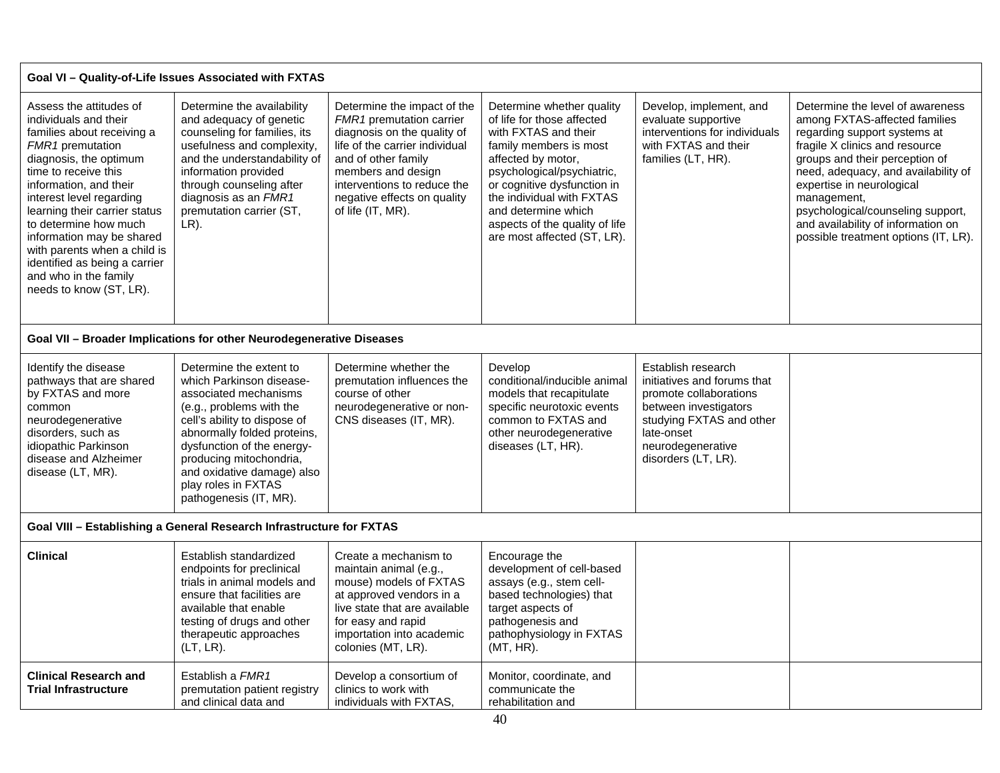#### **Goal VI – Quality-of-Life Issues Associated with FXTAS**

| Assess the attitudes of<br>individuals and their<br>families about receiving a<br><b>FMR1</b> premutation<br>diagnosis, the optimum<br>time to receive this<br>information, and their<br>interest level regarding<br>learning their carrier status<br>to determine how much<br>information may be shared<br>with parents when a child is<br>identified as being a carrier<br>and who in the family<br>needs to know (ST, LR). | Determine the availability<br>and adequacy of genetic<br>counseling for families, its<br>usefulness and complexity,<br>and the understandability of<br>information provided<br>through counseling after<br>diagnosis as an FMR1<br>premutation carrier (ST,<br>LR). | Determine the impact of the<br><b>FMR1</b> premutation carrier<br>diagnosis on the quality of<br>life of the carrier individual<br>and of other family<br>members and design<br>interventions to reduce the<br>negative effects on quality<br>of life (IT, MR). | Determine whether quality<br>of life for those affected<br>with FXTAS and their<br>family members is most<br>affected by motor,<br>psychological/psychiatric,<br>or cognitive dysfunction in<br>the individual with FXTAS<br>and determine which<br>aspects of the quality of life<br>are most affected (ST, LR). | Develop, implement, and<br>evaluate supportive<br>interventions for individuals<br>with FXTAS and their<br>families (LT, HR). | Determine the level of awareness<br>among FXTAS-affected families<br>regarding support systems at<br>fragile X clinics and resource<br>groups and their perception of<br>need, adequacy, and availability of<br>expertise in neurological<br>management,<br>psychological/counseling support,<br>and availability of information on<br>possible treatment options (IT, LR). |  |  |  |  |  |
|-------------------------------------------------------------------------------------------------------------------------------------------------------------------------------------------------------------------------------------------------------------------------------------------------------------------------------------------------------------------------------------------------------------------------------|---------------------------------------------------------------------------------------------------------------------------------------------------------------------------------------------------------------------------------------------------------------------|-----------------------------------------------------------------------------------------------------------------------------------------------------------------------------------------------------------------------------------------------------------------|-------------------------------------------------------------------------------------------------------------------------------------------------------------------------------------------------------------------------------------------------------------------------------------------------------------------|-------------------------------------------------------------------------------------------------------------------------------|-----------------------------------------------------------------------------------------------------------------------------------------------------------------------------------------------------------------------------------------------------------------------------------------------------------------------------------------------------------------------------|--|--|--|--|--|
| Goal VII - Broader Implications for other Neurodegenerative Diseases                                                                                                                                                                                                                                                                                                                                                          |                                                                                                                                                                                                                                                                     |                                                                                                                                                                                                                                                                 |                                                                                                                                                                                                                                                                                                                   |                                                                                                                               |                                                                                                                                                                                                                                                                                                                                                                             |  |  |  |  |  |
| Identify the disease                                                                                                                                                                                                                                                                                                                                                                                                          | Determine the extent to                                                                                                                                                                                                                                             | Determine whether the                                                                                                                                                                                                                                           | Develop                                                                                                                                                                                                                                                                                                           | Establish research                                                                                                            |                                                                                                                                                                                                                                                                                                                                                                             |  |  |  |  |  |

| Identify the disease     | Determine the extent to      | Determine whether the      | Develop                      | Establish research          |
|--------------------------|------------------------------|----------------------------|------------------------------|-----------------------------|
| pathways that are shared | which Parkinson disease-     | premutation influences the | conditional/inducible animal | initiatives and forums that |
| by FXTAS and more        | associated mechanisms        | course of other            | models that recapitulate     | promote collaborations      |
| common                   | (e.g., problems with the     | neurodegenerative or non-  | specific neurotoxic events   | between investigators       |
| neurodegenerative        | cell's ability to dispose of | CNS diseases (IT, MR).     | common to FXTAS and          | studying FXTAS and other    |
| disorders, such as       | abnormally folded proteins,  |                            | other neurodegenerative      | late-onset                  |
| idiopathic Parkinson     | dysfunction of the energy-   |                            | diseases (LT, HR).           | neurodegenerative           |
| disease and Alzheimer    | producing mitochondria,      |                            |                              | disorders (LT, LR).         |
| disease (LT, MR).        | and oxidative damage) also   |                            |                              |                             |
|                          | play roles in FXTAS          |                            |                              |                             |
|                          | pathogenesis (IT, MR).       |                            |                              |                             |
|                          |                              |                            |                              |                             |

**Goal VIII – Establishing a General Research Infrastructure for FXTAS** 

| <b>Clinical</b>                                             | Establish standardized<br>endpoints for preclinical<br>trials in animal models and<br>ensure that facilities are<br>available that enable<br>testing of drugs and other<br>therapeutic approaches<br>$(LT, LR)$ . | Create a mechanism to<br>maintain animal (e.g.,<br>mouse) models of FXTAS<br>at approved vendors in a<br>live state that are available<br>for easy and rapid<br>importation into academic<br>colonies (MT, LR). | Encourage the<br>development of cell-based<br>assays (e.g., stem cell-<br>based technologies) that<br>target aspects of<br>pathogenesis and<br>pathophysiology in FXTAS<br>(MT, HR). |  |
|-------------------------------------------------------------|-------------------------------------------------------------------------------------------------------------------------------------------------------------------------------------------------------------------|-----------------------------------------------------------------------------------------------------------------------------------------------------------------------------------------------------------------|--------------------------------------------------------------------------------------------------------------------------------------------------------------------------------------|--|
| <b>Clinical Research and</b><br><b>Trial Infrastructure</b> | Establish a FMR1<br>premutation patient registry<br>and clinical data and                                                                                                                                         | Develop a consortium of<br>clinics to work with<br>individuals with FXTAS,                                                                                                                                      | Monitor, coordinate, and<br>communicate the<br>rehabilitation and                                                                                                                    |  |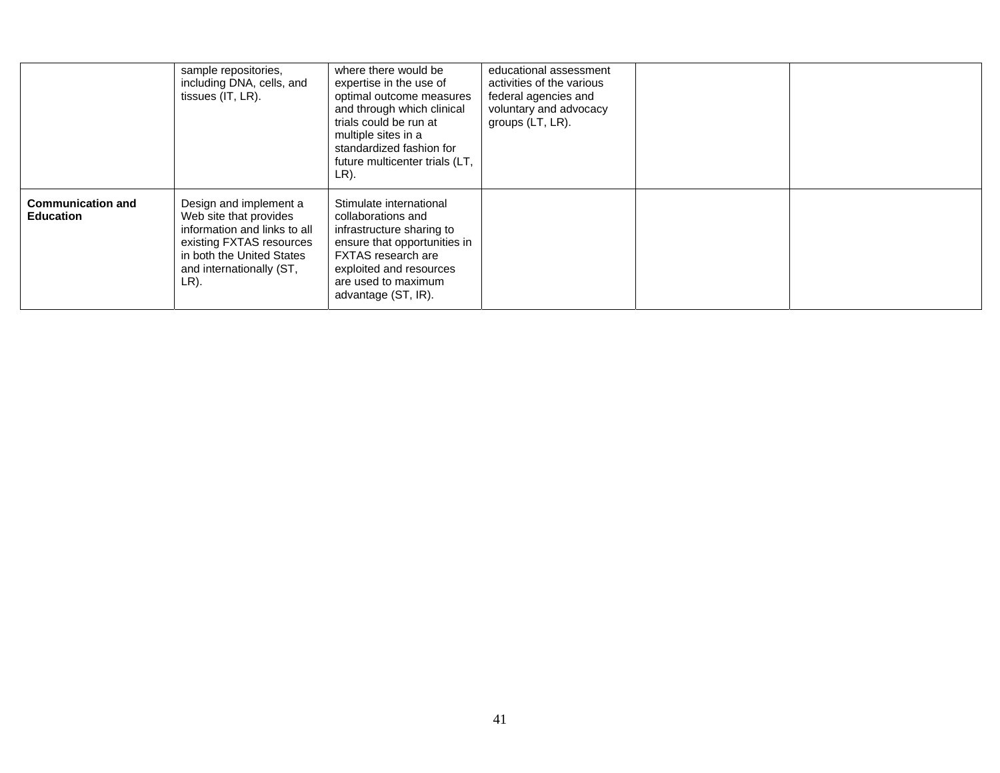|                                              | sample repositories,<br>including DNA, cells, and<br>tissues (IT, LR).                                                                                                        | where there would be<br>expertise in the use of<br>optimal outcome measures<br>and through which clinical<br>trials could be run at<br>multiple sites in a<br>standardized fashion for<br>future multicenter trials (LT,<br>LR). | educational assessment<br>activities of the various<br>federal agencies and<br>voluntary and advocacy<br>groups (LT, LR). |  |
|----------------------------------------------|-------------------------------------------------------------------------------------------------------------------------------------------------------------------------------|----------------------------------------------------------------------------------------------------------------------------------------------------------------------------------------------------------------------------------|---------------------------------------------------------------------------------------------------------------------------|--|
| <b>Communication and</b><br><b>Education</b> | Design and implement a<br>Web site that provides<br>information and links to all<br>existing FXTAS resources<br>in both the United States<br>and internationally (ST,<br>LR). | Stimulate international<br>collaborations and<br>infrastructure sharing to<br>ensure that opportunities in<br><b>FXTAS</b> research are<br>exploited and resources<br>are used to maximum<br>advantage (ST, IR).                 |                                                                                                                           |  |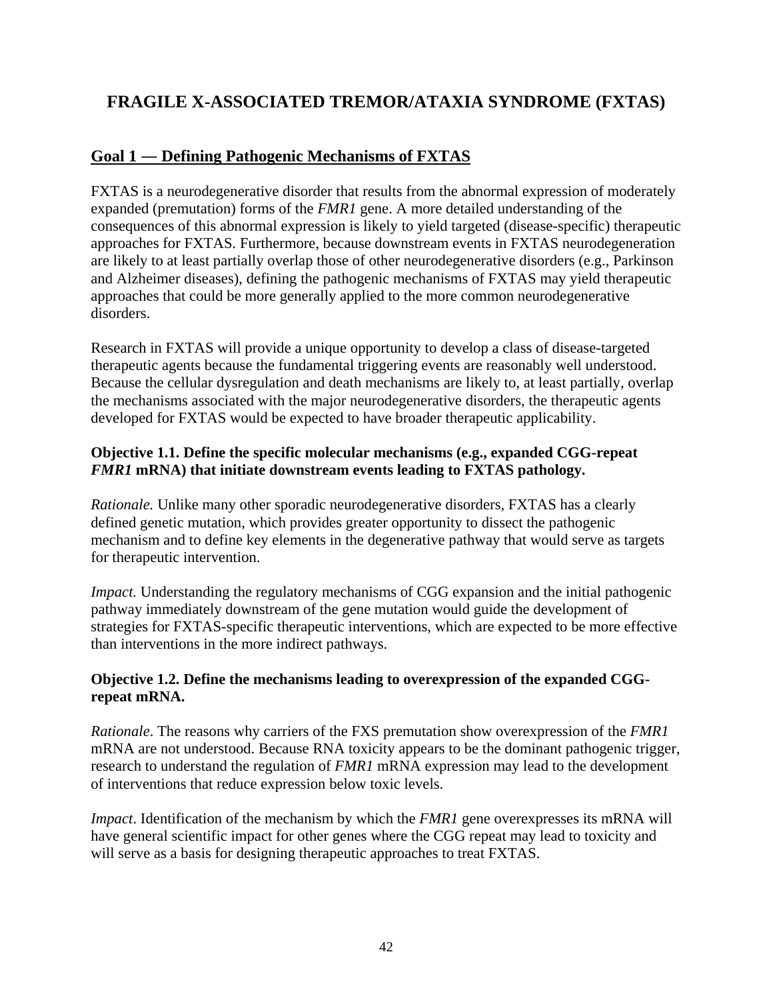# **FRAGILE X-ASSOCIATED TREMOR/ATAXIA SYNDROME (FXTAS)**

### **Goal 1 ― Defining Pathogenic Mechanisms of FXTAS**

FXTAS is a neurodegenerative disorder that results from the abnormal expression of moderately expanded (premutation) forms of the *FMR1* gene. A more detailed understanding of the consequences of this abnormal expression is likely to yield targeted (disease-specific) therapeutic approaches for FXTAS. Furthermore, because downstream events in FXTAS neurodegeneration are likely to at least partially overlap those of other neurodegenerative disorders (e.g., Parkinson and Alzheimer diseases), defining the pathogenic mechanisms of FXTAS may yield therapeutic approaches that could be more generally applied to the more common neurodegenerative disorders.

Research in FXTAS will provide a unique opportunity to develop a class of disease-targeted therapeutic agents because the fundamental triggering events are reasonably well understood. Because the cellular dysregulation and death mechanisms are likely to, at least partially, overlap the mechanisms associated with the major neurodegenerative disorders, the therapeutic agents developed for FXTAS would be expected to have broader therapeutic applicability.

### **Objective 1.1. Define the specific molecular mechanisms (e.g., expanded CGG-repeat**  *FMR1* **mRNA) that initiate downstream events leading to FXTAS pathology.**

*Rationale.* Unlike many other sporadic neurodegenerative disorders, FXTAS has a clearly defined genetic mutation, which provides greater opportunity to dissect the pathogenic mechanism and to define key elements in the degenerative pathway that would serve as targets for therapeutic intervention.

*Impact.* Understanding the regulatory mechanisms of CGG expansion and the initial pathogenic pathway immediately downstream of the gene mutation would guide the development of strategies for FXTAS-specific therapeutic interventions, which are expected to be more effective than interventions in the more indirect pathways.

### **Objective 1.2. Define the mechanisms leading to overexpression of the expanded CGGrepeat mRNA.**

*Rationale*. The reasons why carriers of the FXS premutation show overexpression of the *FMR1* mRNA are not understood. Because RNA toxicity appears to be the dominant pathogenic trigger, research to understand the regulation of *FMR1* mRNA expression may lead to the development of interventions that reduce expression below toxic levels.

*Impact*. Identification of the mechanism by which the *FMR1* gene overexpresses its mRNA will have general scientific impact for other genes where the CGG repeat may lead to toxicity and will serve as a basis for designing therapeutic approaches to treat FXTAS.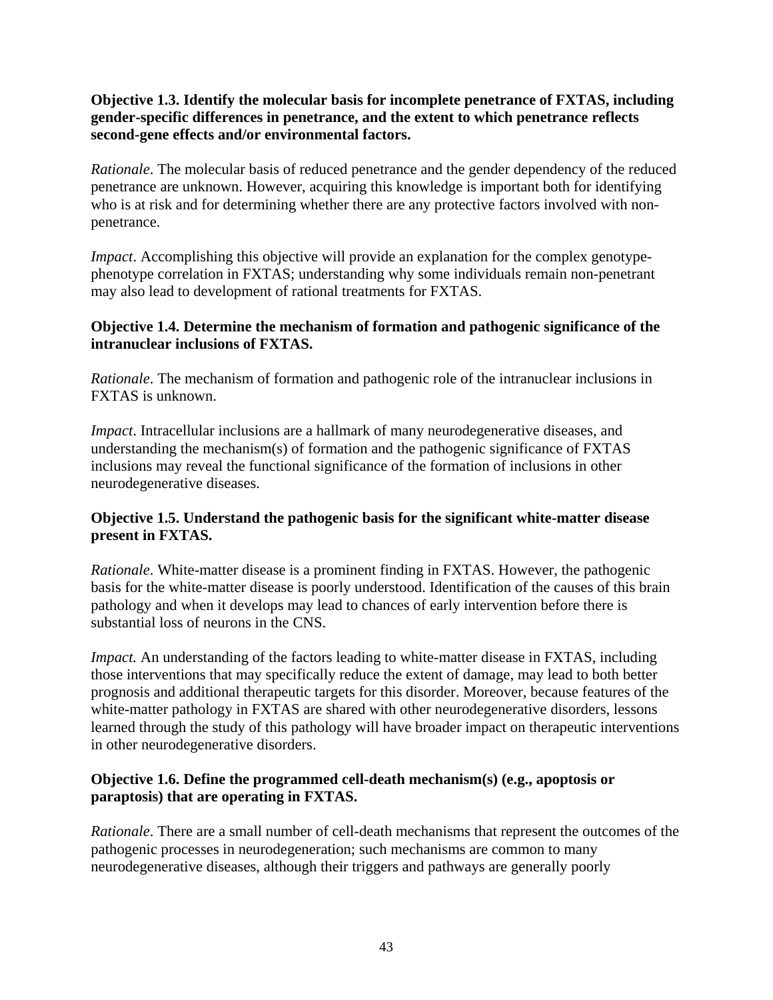### **Objective 1.3. Identify the molecular basis for incomplete penetrance of FXTAS, including gender-specific differences in penetrance, and the extent to which penetrance reflects second-gene effects and/or environmental factors.**

*Rationale*. The molecular basis of reduced penetrance and the gender dependency of the reduced penetrance are unknown. However, acquiring this knowledge is important both for identifying who is at risk and for determining whether there are any protective factors involved with nonpenetrance.

*Impact*. Accomplishing this objective will provide an explanation for the complex genotypephenotype correlation in FXTAS; understanding why some individuals remain non-penetrant may also lead to development of rational treatments for FXTAS.

### **Objective 1.4. Determine the mechanism of formation and pathogenic significance of the intranuclear inclusions of FXTAS.**

*Rationale*. The mechanism of formation and pathogenic role of the intranuclear inclusions in FXTAS is unknown.

*Impact*. Intracellular inclusions are a hallmark of many neurodegenerative diseases, and understanding the mechanism(s) of formation and the pathogenic significance of FXTAS inclusions may reveal the functional significance of the formation of inclusions in other neurodegenerative diseases.

### **Objective 1.5. Understand the pathogenic basis for the significant white-matter disease present in FXTAS.**

*Rationale*. White-matter disease is a prominent finding in FXTAS. However, the pathogenic basis for the white-matter disease is poorly understood. Identification of the causes of this brain pathology and when it develops may lead to chances of early intervention before there is substantial loss of neurons in the CNS.

*Impact.* An understanding of the factors leading to white-matter disease in FXTAS, including those interventions that may specifically reduce the extent of damage, may lead to both better prognosis and additional therapeutic targets for this disorder. Moreover, because features of the white-matter pathology in FXTAS are shared with other neurodegenerative disorders, lessons learned through the study of this pathology will have broader impact on therapeutic interventions in other neurodegenerative disorders.

### **Objective 1.6. Define the programmed cell-death mechanism(s) (e.g., apoptosis or paraptosis) that are operating in FXTAS.**

*Rationale*. There are a small number of cell-death mechanisms that represent the outcomes of the pathogenic processes in neurodegeneration; such mechanisms are common to many neurodegenerative diseases, although their triggers and pathways are generally poorly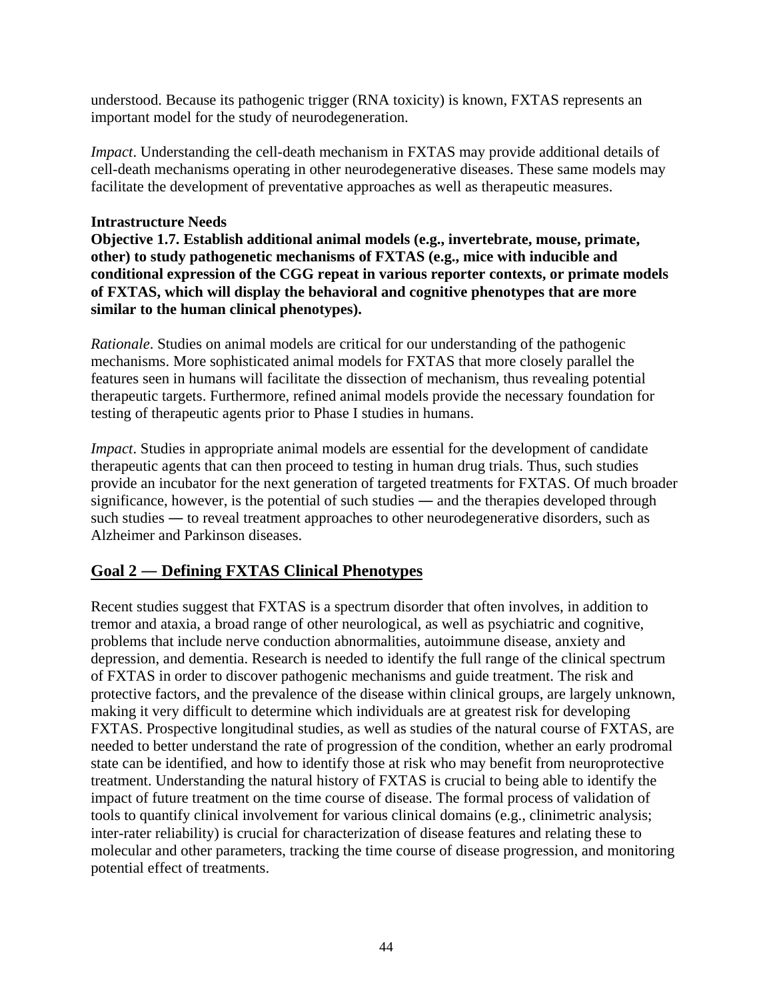understood. Because its pathogenic trigger (RNA toxicity) is known, FXTAS represents an important model for the study of neurodegeneration.

*Impact*. Understanding the cell-death mechanism in FXTAS may provide additional details of cell-death mechanisms operating in other neurodegenerative diseases. These same models may facilitate the development of preventative approaches as well as therapeutic measures.

### **Intrastructure Needs**

**Objective 1.7. Establish additional animal models (e.g., invertebrate, mouse, primate, other) to study pathogenetic mechanisms of FXTAS (e.g., mice with inducible and conditional expression of the CGG repeat in various reporter contexts, or primate models of FXTAS, which will display the behavioral and cognitive phenotypes that are more similar to the human clinical phenotypes).** 

*Rationale*. Studies on animal models are critical for our understanding of the pathogenic mechanisms. More sophisticated animal models for FXTAS that more closely parallel the features seen in humans will facilitate the dissection of mechanism, thus revealing potential therapeutic targets. Furthermore, refined animal models provide the necessary foundation for testing of therapeutic agents prior to Phase I studies in humans.

*Impact*. Studies in appropriate animal models are essential for the development of candidate therapeutic agents that can then proceed to testing in human drug trials. Thus, such studies provide an incubator for the next generation of targeted treatments for FXTAS. Of much broader significance, however, is the potential of such studies ― and the therapies developed through such studies ― to reveal treatment approaches to other neurodegenerative disorders, such as Alzheimer and Parkinson diseases.

### **Goal 2 ― Defining FXTAS Clinical Phenotypes**

Recent studies suggest that FXTAS is a spectrum disorder that often involves, in addition to tremor and ataxia, a broad range of other neurological, as well as psychiatric and cognitive, problems that include nerve conduction abnormalities, autoimmune disease, anxiety and depression, and dementia. Research is needed to identify the full range of the clinical spectrum of FXTAS in order to discover pathogenic mechanisms and guide treatment. The risk and protective factors, and the prevalence of the disease within clinical groups, are largely unknown, making it very difficult to determine which individuals are at greatest risk for developing FXTAS. Prospective longitudinal studies, as well as studies of the natural course of FXTAS, are needed to better understand the rate of progression of the condition, whether an early prodromal state can be identified, and how to identify those at risk who may benefit from neuroprotective treatment. Understanding the natural history of FXTAS is crucial to being able to identify the impact of future treatment on the time course of disease. The formal process of validation of tools to quantify clinical involvement for various clinical domains (e.g., clinimetric analysis; inter-rater reliability) is crucial for characterization of disease features and relating these to molecular and other parameters, tracking the time course of disease progression, and monitoring potential effect of treatments.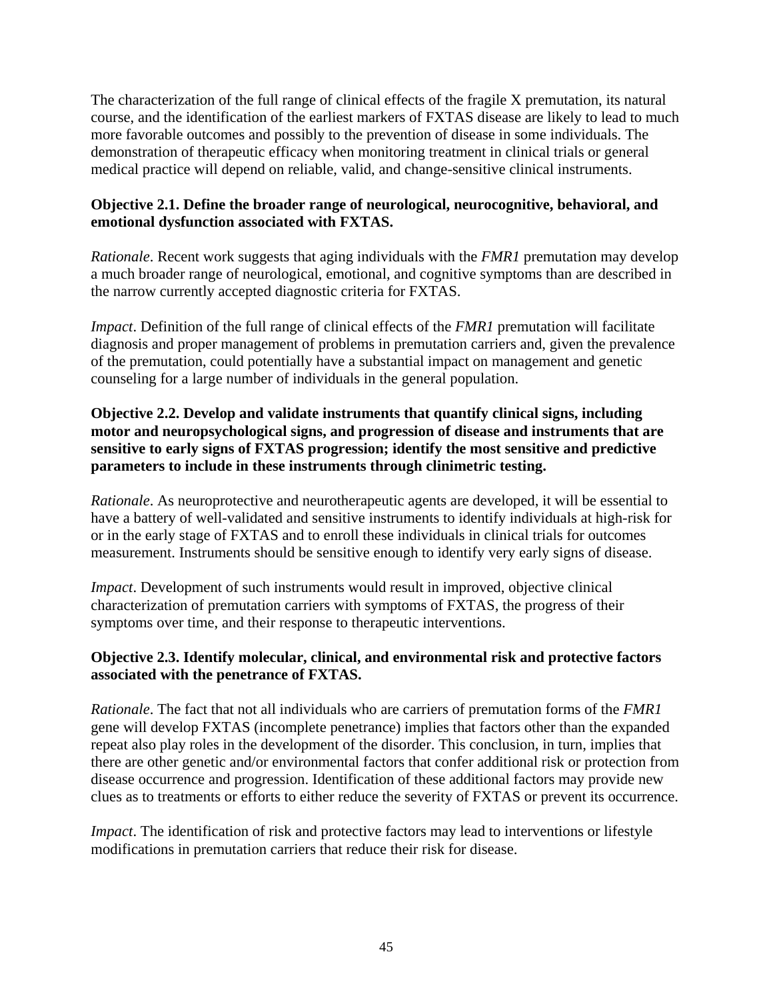The characterization of the full range of clinical effects of the fragile X premutation, its natural course, and the identification of the earliest markers of FXTAS disease are likely to lead to much more favorable outcomes and possibly to the prevention of disease in some individuals. The demonstration of therapeutic efficacy when monitoring treatment in clinical trials or general medical practice will depend on reliable, valid, and change-sensitive clinical instruments.

### **Objective 2.1. Define the broader range of neurological, neurocognitive, behavioral, and emotional dysfunction associated with FXTAS.**

*Rationale*. Recent work suggests that aging individuals with the *FMR1* premutation may develop a much broader range of neurological, emotional, and cognitive symptoms than are described in the narrow currently accepted diagnostic criteria for FXTAS.

*Impact*. Definition of the full range of clinical effects of the *FMR1* premutation will facilitate diagnosis and proper management of problems in premutation carriers and, given the prevalence of the premutation, could potentially have a substantial impact on management and genetic counseling for a large number of individuals in the general population.

### **Objective 2.2. Develop and validate instruments that quantify clinical signs, including motor and neuropsychological signs, and progression of disease and instruments that are sensitive to early signs of FXTAS progression; identify the most sensitive and predictive parameters to include in these instruments through clinimetric testing.**

*Rationale*. As neuroprotective and neurotherapeutic agents are developed, it will be essential to have a battery of well-validated and sensitive instruments to identify individuals at high-risk for or in the early stage of FXTAS and to enroll these individuals in clinical trials for outcomes measurement. Instruments should be sensitive enough to identify very early signs of disease.

*Impact*. Development of such instruments would result in improved, objective clinical characterization of premutation carriers with symptoms of FXTAS, the progress of their symptoms over time, and their response to therapeutic interventions.

### **Objective 2.3. Identify molecular, clinical, and environmental risk and protective factors associated with the penetrance of FXTAS.**

*Rationale*. The fact that not all individuals who are carriers of premutation forms of the *FMR1* gene will develop FXTAS (incomplete penetrance) implies that factors other than the expanded repeat also play roles in the development of the disorder. This conclusion, in turn, implies that there are other genetic and/or environmental factors that confer additional risk or protection from disease occurrence and progression. Identification of these additional factors may provide new clues as to treatments or efforts to either reduce the severity of FXTAS or prevent its occurrence.

*Impact*. The identification of risk and protective factors may lead to interventions or lifestyle modifications in premutation carriers that reduce their risk for disease.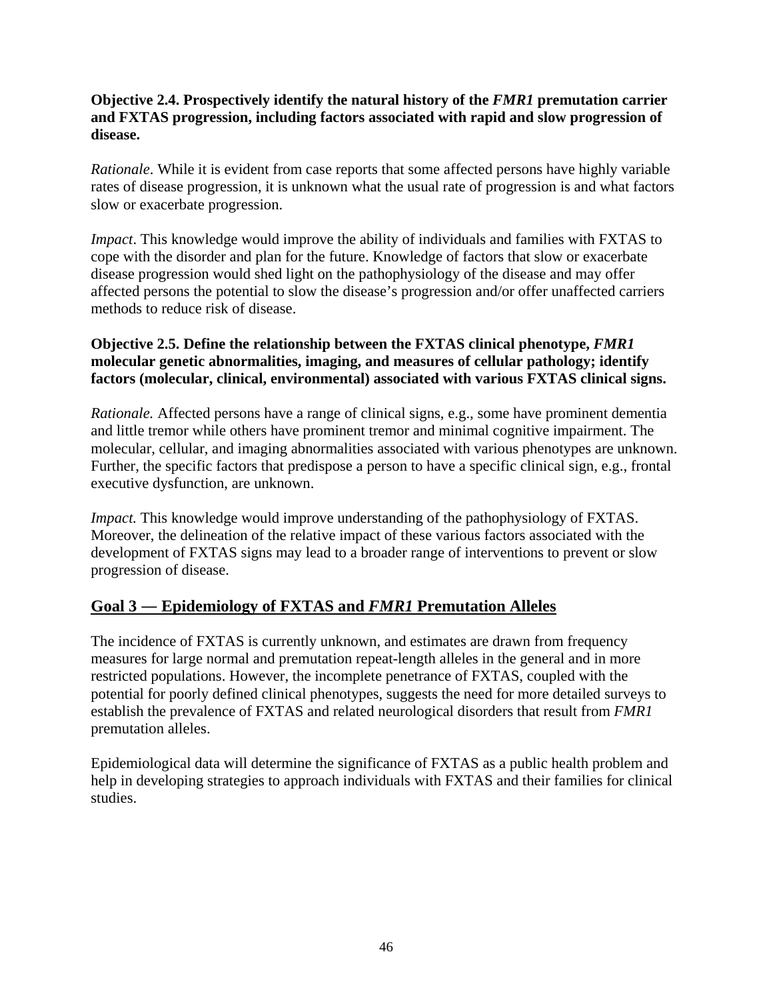### **Objective 2.4. Prospectively identify the natural history of the** *FMR1* **premutation carrier and FXTAS progression, including factors associated with rapid and slow progression of disease.**

*Rationale*. While it is evident from case reports that some affected persons have highly variable rates of disease progression, it is unknown what the usual rate of progression is and what factors slow or exacerbate progression.

*Impact*. This knowledge would improve the ability of individuals and families with FXTAS to cope with the disorder and plan for the future. Knowledge of factors that slow or exacerbate disease progression would shed light on the pathophysiology of the disease and may offer affected persons the potential to slow the disease's progression and/or offer unaffected carriers methods to reduce risk of disease.

### **Objective 2.5. Define the relationship between the FXTAS clinical phenotype,** *FMR1* **molecular genetic abnormalities, imaging, and measures of cellular pathology; identify factors (molecular, clinical, environmental) associated with various FXTAS clinical signs.**

*Rationale.* Affected persons have a range of clinical signs, e.g., some have prominent dementia and little tremor while others have prominent tremor and minimal cognitive impairment. The molecular, cellular, and imaging abnormalities associated with various phenotypes are unknown. Further, the specific factors that predispose a person to have a specific clinical sign, e.g., frontal executive dysfunction, are unknown.

*Impact*. This knowledge would improve understanding of the pathophysiology of FXTAS. Moreover, the delineation of the relative impact of these various factors associated with the development of FXTAS signs may lead to a broader range of interventions to prevent or slow progression of disease.

### **Goal 3 ― Epidemiology of FXTAS and** *FMR1* **Premutation Alleles**

The incidence of FXTAS is currently unknown, and estimates are drawn from frequency measures for large normal and premutation repeat-length alleles in the general and in more restricted populations. However, the incomplete penetrance of FXTAS, coupled with the potential for poorly defined clinical phenotypes, suggests the need for more detailed surveys to establish the prevalence of FXTAS and related neurological disorders that result from *FMR1* premutation alleles.

Epidemiological data will determine the significance of FXTAS as a public health problem and help in developing strategies to approach individuals with FXTAS and their families for clinical studies.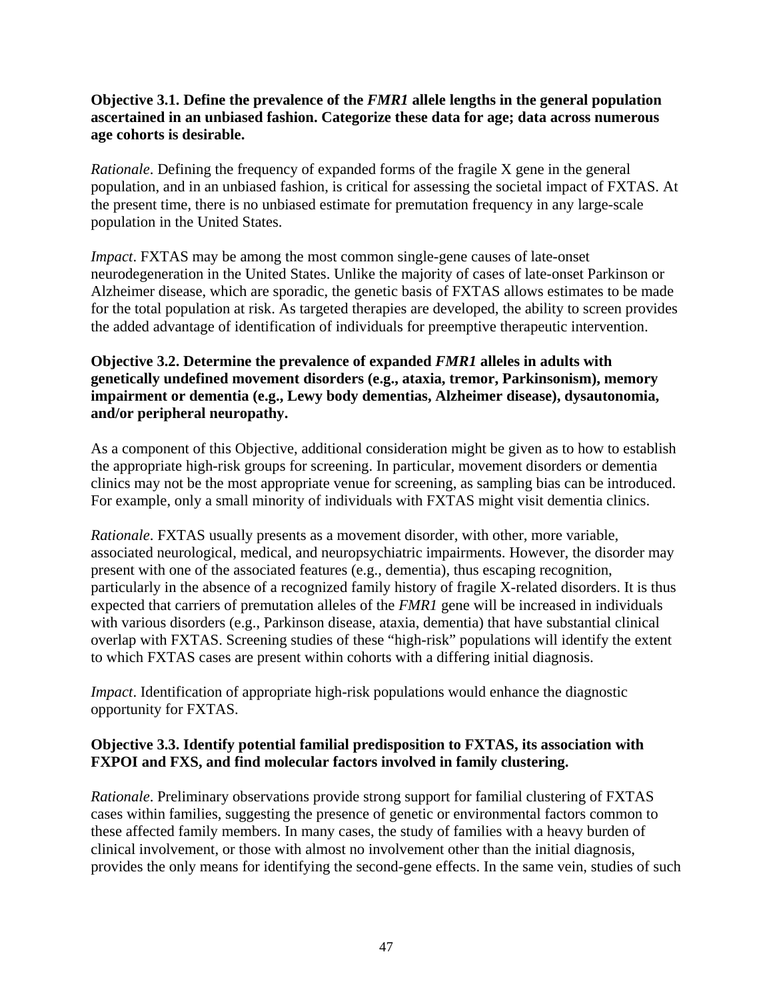### **Objective 3.1. Define the prevalence of the** *FMR1* **allele lengths in the general population ascertained in an unbiased fashion. Categorize these data for age; data across numerous age cohorts is desirable.**

*Rationale*. Defining the frequency of expanded forms of the fragile X gene in the general population, and in an unbiased fashion, is critical for assessing the societal impact of FXTAS. At the present time, there is no unbiased estimate for premutation frequency in any large-scale population in the United States.

*Impact*. FXTAS may be among the most common single-gene causes of late-onset neurodegeneration in the United States. Unlike the majority of cases of late-onset Parkinson or Alzheimer disease, which are sporadic, the genetic basis of FXTAS allows estimates to be made for the total population at risk. As targeted therapies are developed, the ability to screen provides the added advantage of identification of individuals for preemptive therapeutic intervention.

### **Objective 3.2. Determine the prevalence of expanded** *FMR1* **alleles in adults with genetically undefined movement disorders (e.g., ataxia, tremor, Parkinsonism), memory impairment or dementia (e.g., Lewy body dementias, Alzheimer disease), dysautonomia, and/or peripheral neuropathy.**

As a component of this Objective, additional consideration might be given as to how to establish the appropriate high-risk groups for screening. In particular, movement disorders or dementia clinics may not be the most appropriate venue for screening, as sampling bias can be introduced. For example, only a small minority of individuals with FXTAS might visit dementia clinics.

*Rationale*. FXTAS usually presents as a movement disorder, with other, more variable, associated neurological, medical, and neuropsychiatric impairments. However, the disorder may present with one of the associated features (e.g., dementia), thus escaping recognition, particularly in the absence of a recognized family history of fragile X-related disorders. It is thus expected that carriers of premutation alleles of the *FMR1* gene will be increased in individuals with various disorders (e.g., Parkinson disease, ataxia, dementia) that have substantial clinical overlap with FXTAS. Screening studies of these "high-risk" populations will identify the extent to which FXTAS cases are present within cohorts with a differing initial diagnosis.

*Impact*. Identification of appropriate high-risk populations would enhance the diagnostic opportunity for FXTAS.

### **Objective 3.3. Identify potential familial predisposition to FXTAS, its association with FXPOI and FXS, and find molecular factors involved in family clustering.**

*Rationale*. Preliminary observations provide strong support for familial clustering of FXTAS cases within families, suggesting the presence of genetic or environmental factors common to these affected family members. In many cases, the study of families with a heavy burden of clinical involvement, or those with almost no involvement other than the initial diagnosis, provides the only means for identifying the second-gene effects. In the same vein, studies of such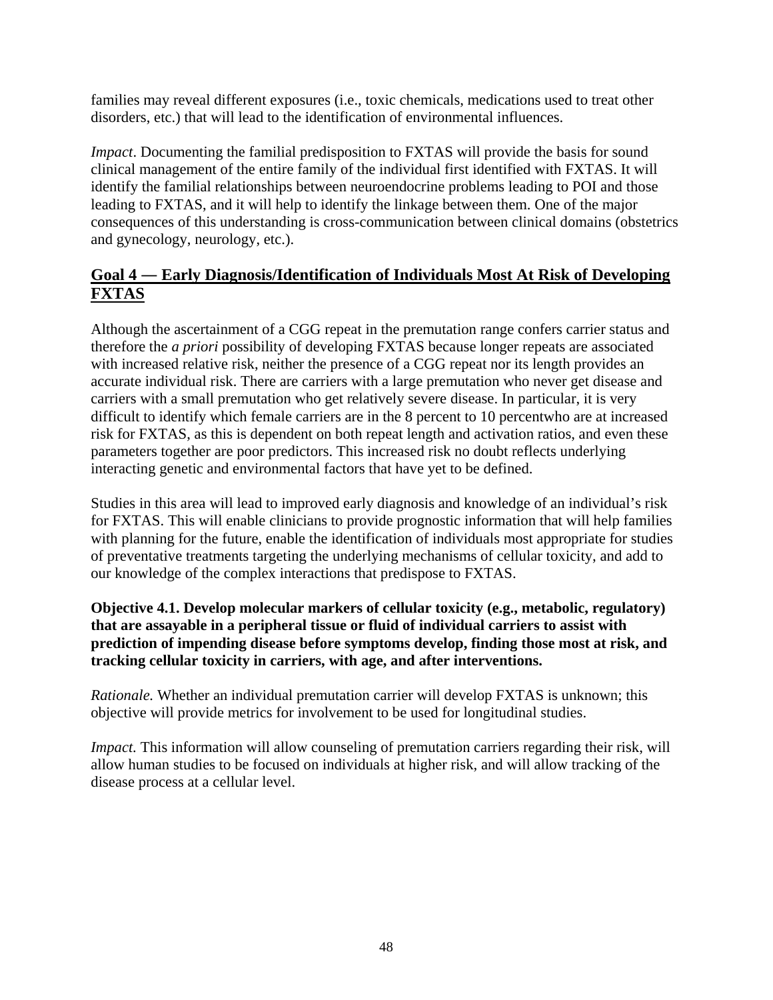families may reveal different exposures (i.e., toxic chemicals, medications used to treat other disorders, etc.) that will lead to the identification of environmental influences.

*Impact*. Documenting the familial predisposition to FXTAS will provide the basis for sound clinical management of the entire family of the individual first identified with FXTAS. It will identify the familial relationships between neuroendocrine problems leading to POI and those leading to FXTAS, and it will help to identify the linkage between them. One of the major consequences of this understanding is cross-communication between clinical domains (obstetrics and gynecology, neurology, etc.).

## **Goal 4 ― Early Diagnosis/Identification of Individuals Most At Risk of Developing FXTAS**

Although the ascertainment of a CGG repeat in the premutation range confers carrier status and therefore the *a priori* possibility of developing FXTAS because longer repeats are associated with increased relative risk, neither the presence of a CGG repeat nor its length provides an accurate individual risk. There are carriers with a large premutation who never get disease and carriers with a small premutation who get relatively severe disease. In particular, it is very difficult to identify which female carriers are in the 8 percent to 10 percentwho are at increased risk for FXTAS, as this is dependent on both repeat length and activation ratios, and even these parameters together are poor predictors. This increased risk no doubt reflects underlying interacting genetic and environmental factors that have yet to be defined.

Studies in this area will lead to improved early diagnosis and knowledge of an individual's risk for FXTAS. This will enable clinicians to provide prognostic information that will help families with planning for the future, enable the identification of individuals most appropriate for studies of preventative treatments targeting the underlying mechanisms of cellular toxicity, and add to our knowledge of the complex interactions that predispose to FXTAS.

**Objective 4.1. Develop molecular markers of cellular toxicity (e.g., metabolic, regulatory) that are assayable in a peripheral tissue or fluid of individual carriers to assist with prediction of impending disease before symptoms develop, finding those most at risk, and tracking cellular toxicity in carriers, with age, and after interventions.** 

*Rationale.* Whether an individual premutation carrier will develop FXTAS is unknown; this objective will provide metrics for involvement to be used for longitudinal studies.

*Impact.* This information will allow counseling of premutation carriers regarding their risk, will allow human studies to be focused on individuals at higher risk, and will allow tracking of the disease process at a cellular level.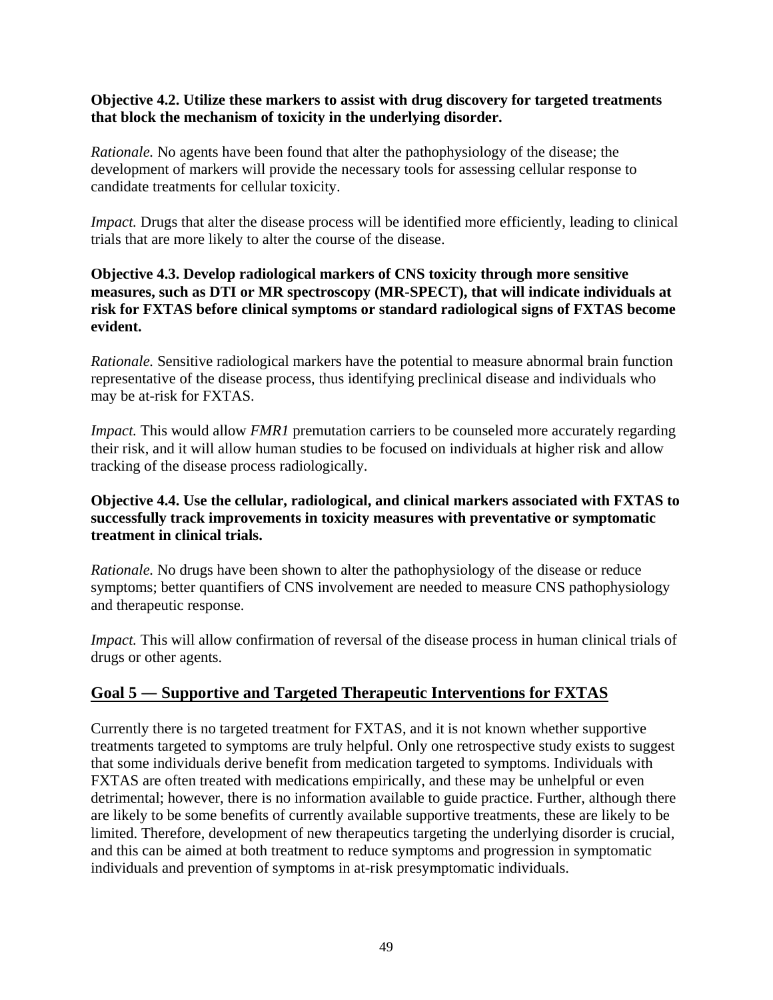### **Objective 4.2. Utilize these markers to assist with drug discovery for targeted treatments that block the mechanism of toxicity in the underlying disorder.**

*Rationale.* No agents have been found that alter the pathophysiology of the disease; the development of markers will provide the necessary tools for assessing cellular response to candidate treatments for cellular toxicity.

*Impact.* Drugs that alter the disease process will be identified more efficiently, leading to clinical trials that are more likely to alter the course of the disease.

### **Objective 4.3. Develop radiological markers of CNS toxicity through more sensitive measures, such as DTI or MR spectroscopy (MR-SPECT), that will indicate individuals at risk for FXTAS before clinical symptoms or standard radiological signs of FXTAS become evident.**

*Rationale.* Sensitive radiological markers have the potential to measure abnormal brain function representative of the disease process, thus identifying preclinical disease and individuals who may be at-risk for FXTAS.

*Impact.* This would allow *FMR1* premutation carriers to be counseled more accurately regarding their risk, and it will allow human studies to be focused on individuals at higher risk and allow tracking of the disease process radiologically.

### **Objective 4.4. Use the cellular, radiological, and clinical markers associated with FXTAS to successfully track improvements in toxicity measures with preventative or symptomatic treatment in clinical trials.**

*Rationale.* No drugs have been shown to alter the pathophysiology of the disease or reduce symptoms; better quantifiers of CNS involvement are needed to measure CNS pathophysiology and therapeutic response.

*Impact.* This will allow confirmation of reversal of the disease process in human clinical trials of drugs or other agents.

# **Goal 5 ― Supportive and Targeted Therapeutic Interventions for FXTAS**

Currently there is no targeted treatment for FXTAS, and it is not known whether supportive treatments targeted to symptoms are truly helpful. Only one retrospective study exists to suggest that some individuals derive benefit from medication targeted to symptoms. Individuals with FXTAS are often treated with medications empirically, and these may be unhelpful or even detrimental; however, there is no information available to guide practice. Further, although there are likely to be some benefits of currently available supportive treatments, these are likely to be limited. Therefore, development of new therapeutics targeting the underlying disorder is crucial, and this can be aimed at both treatment to reduce symptoms and progression in symptomatic individuals and prevention of symptoms in at-risk presymptomatic individuals.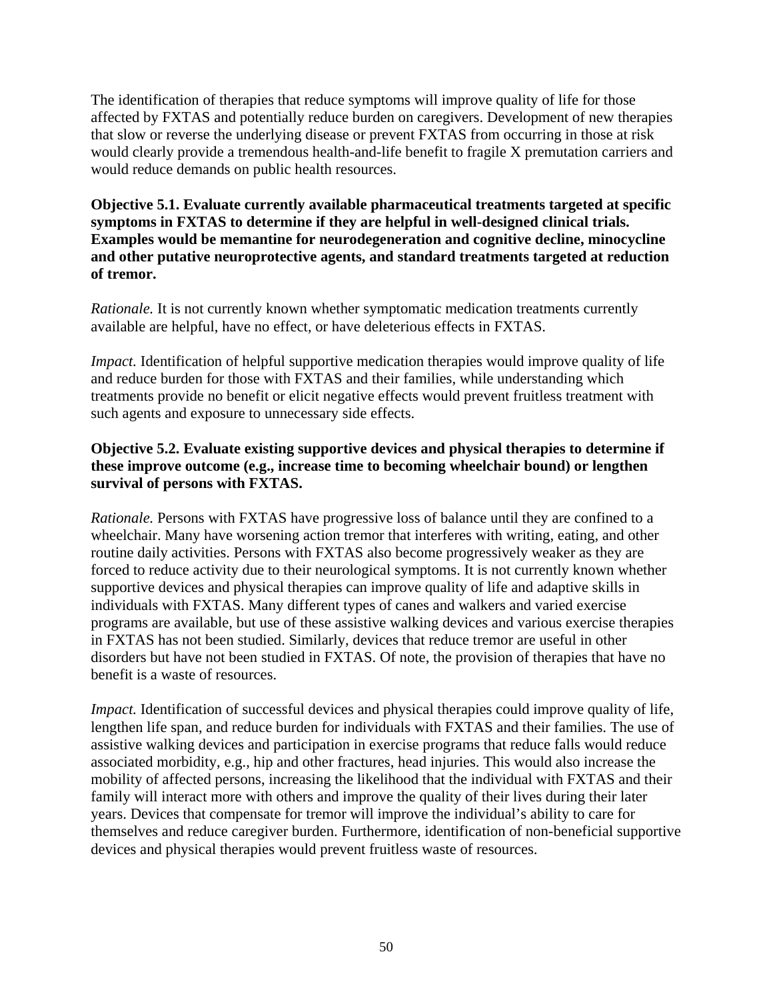The identification of therapies that reduce symptoms will improve quality of life for those affected by FXTAS and potentially reduce burden on caregivers. Development of new therapies that slow or reverse the underlying disease or prevent FXTAS from occurring in those at risk would clearly provide a tremendous health-and-life benefit to fragile X premutation carriers and would reduce demands on public health resources.

**Objective 5.1. Evaluate currently available pharmaceutical treatments targeted at specific symptoms in FXTAS to determine if they are helpful in well-designed clinical trials. Examples would be memantine for neurodegeneration and cognitive decline, minocycline and other putative neuroprotective agents, and standard treatments targeted at reduction of tremor.** 

*Rationale.* It is not currently known whether symptomatic medication treatments currently available are helpful, have no effect, or have deleterious effects in FXTAS.

*Impact.* Identification of helpful supportive medication therapies would improve quality of life and reduce burden for those with FXTAS and their families, while understanding which treatments provide no benefit or elicit negative effects would prevent fruitless treatment with such agents and exposure to unnecessary side effects.

### **Objective 5.2. Evaluate existing supportive devices and physical therapies to determine if these improve outcome (e.g., increase time to becoming wheelchair bound) or lengthen survival of persons with FXTAS.**

*Rationale.* Persons with FXTAS have progressive loss of balance until they are confined to a wheelchair. Many have worsening action tremor that interferes with writing, eating, and other routine daily activities. Persons with FXTAS also become progressively weaker as they are forced to reduce activity due to their neurological symptoms. It is not currently known whether supportive devices and physical therapies can improve quality of life and adaptive skills in individuals with FXTAS. Many different types of canes and walkers and varied exercise programs are available, but use of these assistive walking devices and various exercise therapies in FXTAS has not been studied. Similarly, devices that reduce tremor are useful in other disorders but have not been studied in FXTAS. Of note, the provision of therapies that have no benefit is a waste of resources.

*Impact.* Identification of successful devices and physical therapies could improve quality of life, lengthen life span, and reduce burden for individuals with FXTAS and their families. The use of assistive walking devices and participation in exercise programs that reduce falls would reduce associated morbidity, e.g., hip and other fractures, head injuries. This would also increase the mobility of affected persons, increasing the likelihood that the individual with FXTAS and their family will interact more with others and improve the quality of their lives during their later years. Devices that compensate for tremor will improve the individual's ability to care for themselves and reduce caregiver burden. Furthermore, identification of non-beneficial supportive devices and physical therapies would prevent fruitless waste of resources.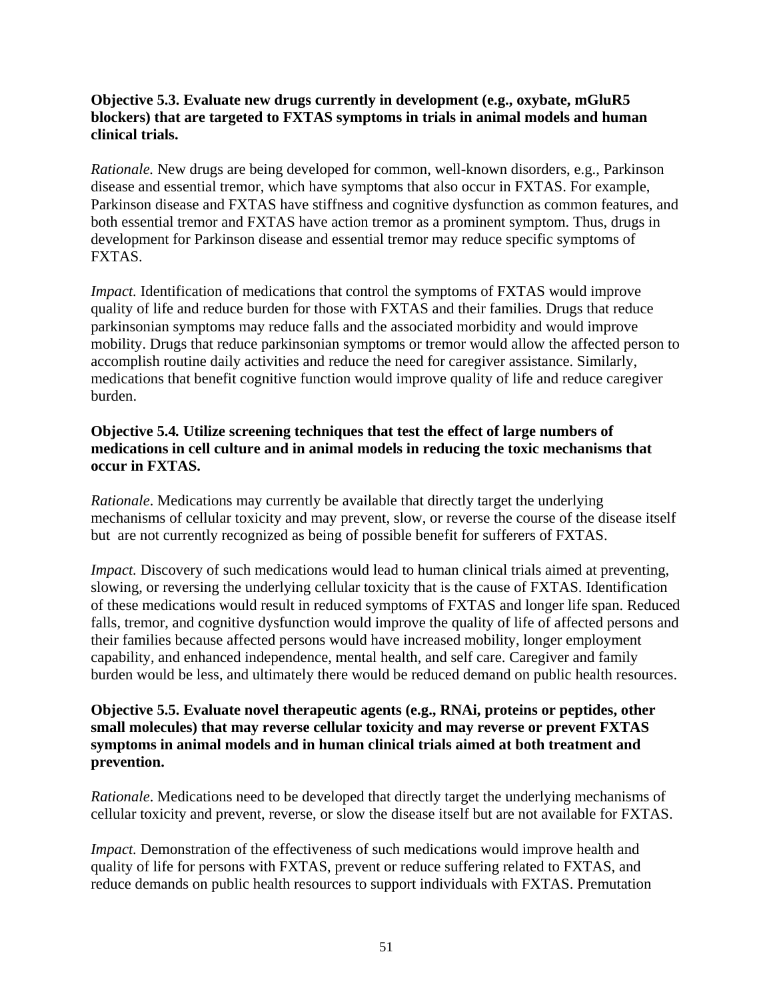### **Objective 5.3. Evaluate new drugs currently in development (e.g., oxybate, mGluR5 blockers) that are targeted to FXTAS symptoms in trials in animal models and human clinical trials.**

*Rationale.* New drugs are being developed for common, well-known disorders, e.g., Parkinson disease and essential tremor, which have symptoms that also occur in FXTAS. For example, Parkinson disease and FXTAS have stiffness and cognitive dysfunction as common features, and both essential tremor and FXTAS have action tremor as a prominent symptom. Thus, drugs in development for Parkinson disease and essential tremor may reduce specific symptoms of FXTAS.

*Impact.* Identification of medications that control the symptoms of FXTAS would improve quality of life and reduce burden for those with FXTAS and their families. Drugs that reduce parkinsonian symptoms may reduce falls and the associated morbidity and would improve mobility. Drugs that reduce parkinsonian symptoms or tremor would allow the affected person to accomplish routine daily activities and reduce the need for caregiver assistance. Similarly, medications that benefit cognitive function would improve quality of life and reduce caregiver burden.

### **Objective 5.4***.* **Utilize screening techniques that test the effect of large numbers of medications in cell culture and in animal models in reducing the toxic mechanisms that occur in FXTAS.**

*Rationale*. Medications may currently be available that directly target the underlying mechanisms of cellular toxicity and may prevent, slow, or reverse the course of the disease itself but are not currently recognized as being of possible benefit for sufferers of FXTAS.

*Impact.* Discovery of such medications would lead to human clinical trials aimed at preventing, slowing, or reversing the underlying cellular toxicity that is the cause of FXTAS. Identification of these medications would result in reduced symptoms of FXTAS and longer life span. Reduced falls, tremor, and cognitive dysfunction would improve the quality of life of affected persons and their families because affected persons would have increased mobility, longer employment capability, and enhanced independence, mental health, and self care. Caregiver and family burden would be less, and ultimately there would be reduced demand on public health resources.

### **Objective 5.5. Evaluate novel therapeutic agents (e.g., RNAi, proteins or peptides, other small molecules) that may reverse cellular toxicity and may reverse or prevent FXTAS symptoms in animal models and in human clinical trials aimed at both treatment and prevention.**

*Rationale*. Medications need to be developed that directly target the underlying mechanisms of cellular toxicity and prevent, reverse, or slow the disease itself but are not available for FXTAS.

*Impact.* Demonstration of the effectiveness of such medications would improve health and quality of life for persons with FXTAS, prevent or reduce suffering related to FXTAS, and reduce demands on public health resources to support individuals with FXTAS. Premutation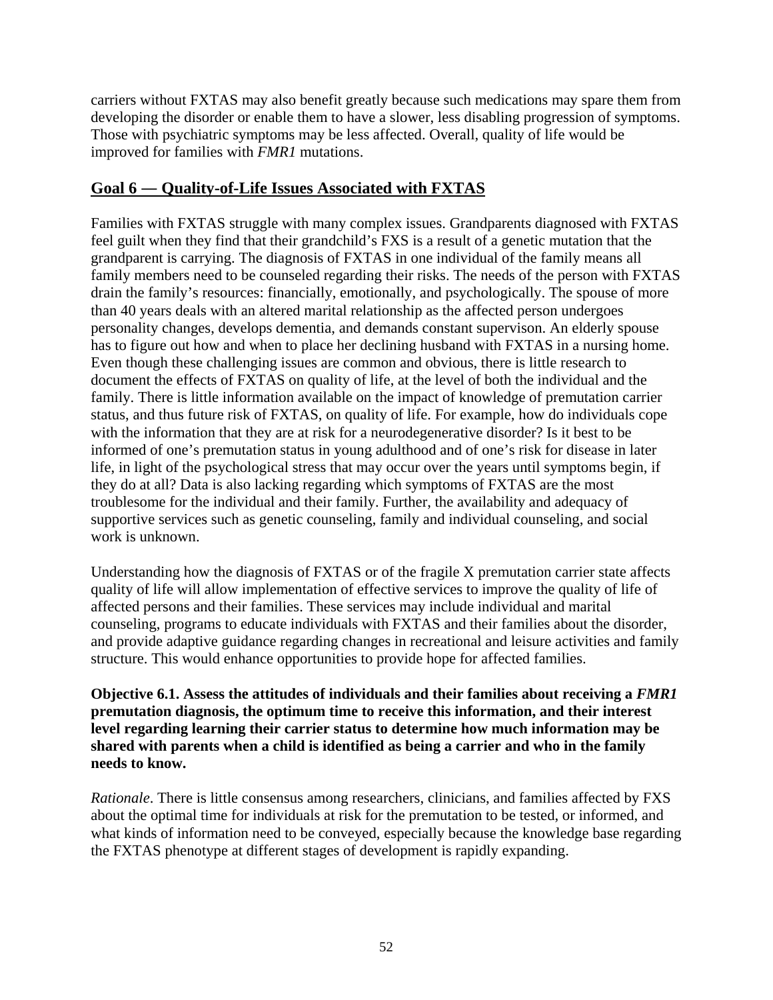carriers without FXTAS may also benefit greatly because such medications may spare them from developing the disorder or enable them to have a slower, less disabling progression of symptoms. Those with psychiatric symptoms may be less affected. Overall, quality of life would be improved for families with *FMR1* mutations.

### **Goal 6 ― Quality-of-Life Issues Associated with FXTAS**

Families with FXTAS struggle with many complex issues. Grandparents diagnosed with FXTAS feel guilt when they find that their grandchild's FXS is a result of a genetic mutation that the grandparent is carrying. The diagnosis of FXTAS in one individual of the family means all family members need to be counseled regarding their risks. The needs of the person with FXTAS drain the family's resources: financially, emotionally, and psychologically. The spouse of more than 40 years deals with an altered marital relationship as the affected person undergoes personality changes, develops dementia, and demands constant supervison. An elderly spouse has to figure out how and when to place her declining husband with FXTAS in a nursing home. Even though these challenging issues are common and obvious, there is little research to document the effects of FXTAS on quality of life, at the level of both the individual and the family. There is little information available on the impact of knowledge of premutation carrier status, and thus future risk of FXTAS, on quality of life. For example, how do individuals cope with the information that they are at risk for a neurodegenerative disorder? Is it best to be informed of one's premutation status in young adulthood and of one's risk for disease in later life, in light of the psychological stress that may occur over the years until symptoms begin, if they do at all? Data is also lacking regarding which symptoms of FXTAS are the most troublesome for the individual and their family. Further, the availability and adequacy of supportive services such as genetic counseling, family and individual counseling, and social work is unknown.

Understanding how the diagnosis of FXTAS or of the fragile X premutation carrier state affects quality of life will allow implementation of effective services to improve the quality of life of affected persons and their families. These services may include individual and marital counseling, programs to educate individuals with FXTAS and their families about the disorder, and provide adaptive guidance regarding changes in recreational and leisure activities and family structure. This would enhance opportunities to provide hope for affected families.

**Objective 6.1. Assess the attitudes of individuals and their families about receiving a** *FMR1* **premutation diagnosis, the optimum time to receive this information, and their interest level regarding learning their carrier status to determine how much information may be shared with parents when a child is identified as being a carrier and who in the family needs to know.** 

*Rationale*. There is little consensus among researchers, clinicians, and families affected by FXS about the optimal time for individuals at risk for the premutation to be tested, or informed, and what kinds of information need to be conveyed, especially because the knowledge base regarding the FXTAS phenotype at different stages of development is rapidly expanding.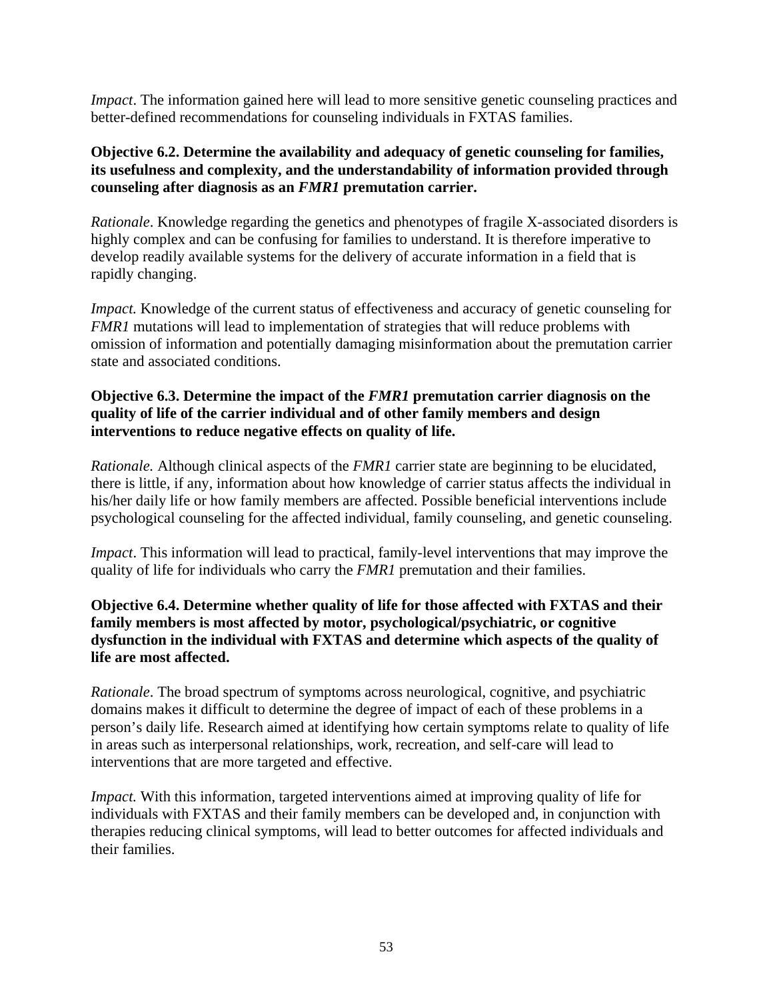*Impact*. The information gained here will lead to more sensitive genetic counseling practices and better-defined recommendations for counseling individuals in FXTAS families.

### **Objective 6.2. Determine the availability and adequacy of genetic counseling for families, its usefulness and complexity, and the understandability of information provided through counseling after diagnosis as an** *FMR1* **premutation carrier.**

*Rationale*. Knowledge regarding the genetics and phenotypes of fragile X-associated disorders is highly complex and can be confusing for families to understand. It is therefore imperative to develop readily available systems for the delivery of accurate information in a field that is rapidly changing.

*Impact.* Knowledge of the current status of effectiveness and accuracy of genetic counseling for *FMR1* mutations will lead to implementation of strategies that will reduce problems with omission of information and potentially damaging misinformation about the premutation carrier state and associated conditions.

### **Objective 6.3. Determine the impact of the** *FMR1* **premutation carrier diagnosis on the quality of life of the carrier individual and of other family members and design interventions to reduce negative effects on quality of life.**

*Rationale.* Although clinical aspects of the *FMR1* carrier state are beginning to be elucidated, there is little, if any, information about how knowledge of carrier status affects the individual in his/her daily life or how family members are affected. Possible beneficial interventions include psychological counseling for the affected individual, family counseling, and genetic counseling.

*Impact*. This information will lead to practical, family-level interventions that may improve the quality of life for individuals who carry the *FMR1* premutation and their families.

### **Objective 6.4. Determine whether quality of life for those affected with FXTAS and their family members is most affected by motor, psychological/psychiatric, or cognitive dysfunction in the individual with FXTAS and determine which aspects of the quality of life are most affected.**

*Rationale*. The broad spectrum of symptoms across neurological, cognitive, and psychiatric domains makes it difficult to determine the degree of impact of each of these problems in a person's daily life. Research aimed at identifying how certain symptoms relate to quality of life in areas such as interpersonal relationships, work, recreation, and self-care will lead to interventions that are more targeted and effective.

*Impact.* With this information, targeted interventions aimed at improving quality of life for individuals with FXTAS and their family members can be developed and, in conjunction with therapies reducing clinical symptoms, will lead to better outcomes for affected individuals and their families.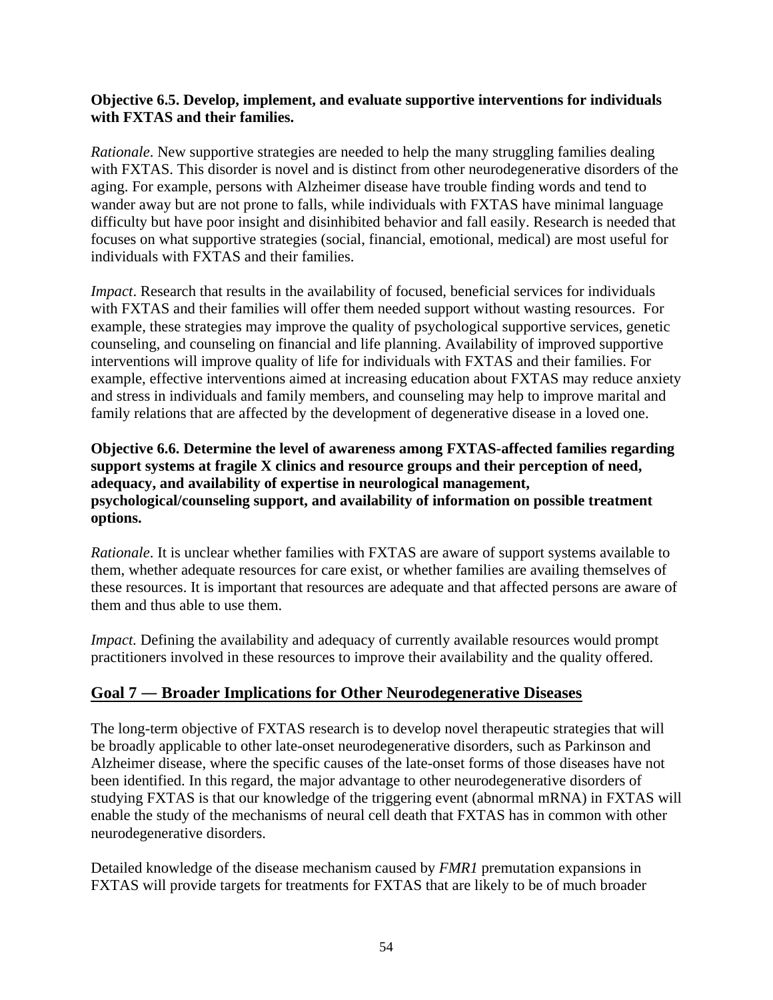### **Objective 6.5. Develop, implement, and evaluate supportive interventions for individuals with FXTAS and their families.**

*Rationale*. New supportive strategies are needed to help the many struggling families dealing with FXTAS. This disorder is novel and is distinct from other neurodegenerative disorders of the aging. For example, persons with Alzheimer disease have trouble finding words and tend to wander away but are not prone to falls, while individuals with FXTAS have minimal language difficulty but have poor insight and disinhibited behavior and fall easily. Research is needed that focuses on what supportive strategies (social, financial, emotional, medical) are most useful for individuals with FXTAS and their families.

*Impact*. Research that results in the availability of focused, beneficial services for individuals with FXTAS and their families will offer them needed support without wasting resources. For example, these strategies may improve the quality of psychological supportive services, genetic counseling, and counseling on financial and life planning. Availability of improved supportive interventions will improve quality of life for individuals with FXTAS and their families. For example, effective interventions aimed at increasing education about FXTAS may reduce anxiety and stress in individuals and family members, and counseling may help to improve marital and family relations that are affected by the development of degenerative disease in a loved one.

**Objective 6.6. Determine the level of awareness among FXTAS-affected families regarding support systems at fragile X clinics and resource groups and their perception of need, adequacy, and availability of expertise in neurological management, psychological/counseling support, and availability of information on possible treatment options.** 

*Rationale*. It is unclear whether families with FXTAS are aware of support systems available to them, whether adequate resources for care exist, or whether families are availing themselves of these resources. It is important that resources are adequate and that affected persons are aware of them and thus able to use them.

*Impact.* Defining the availability and adequacy of currently available resources would prompt practitioners involved in these resources to improve their availability and the quality offered.

### **Goal 7 ― Broader Implications for Other Neurodegenerative Diseases**

The long-term objective of FXTAS research is to develop novel therapeutic strategies that will be broadly applicable to other late-onset neurodegenerative disorders, such as Parkinson and Alzheimer disease, where the specific causes of the late-onset forms of those diseases have not been identified. In this regard, the major advantage to other neurodegenerative disorders of studying FXTAS is that our knowledge of the triggering event (abnormal mRNA) in FXTAS will enable the study of the mechanisms of neural cell death that FXTAS has in common with other neurodegenerative disorders.

Detailed knowledge of the disease mechanism caused by *FMR1* premutation expansions in FXTAS will provide targets for treatments for FXTAS that are likely to be of much broader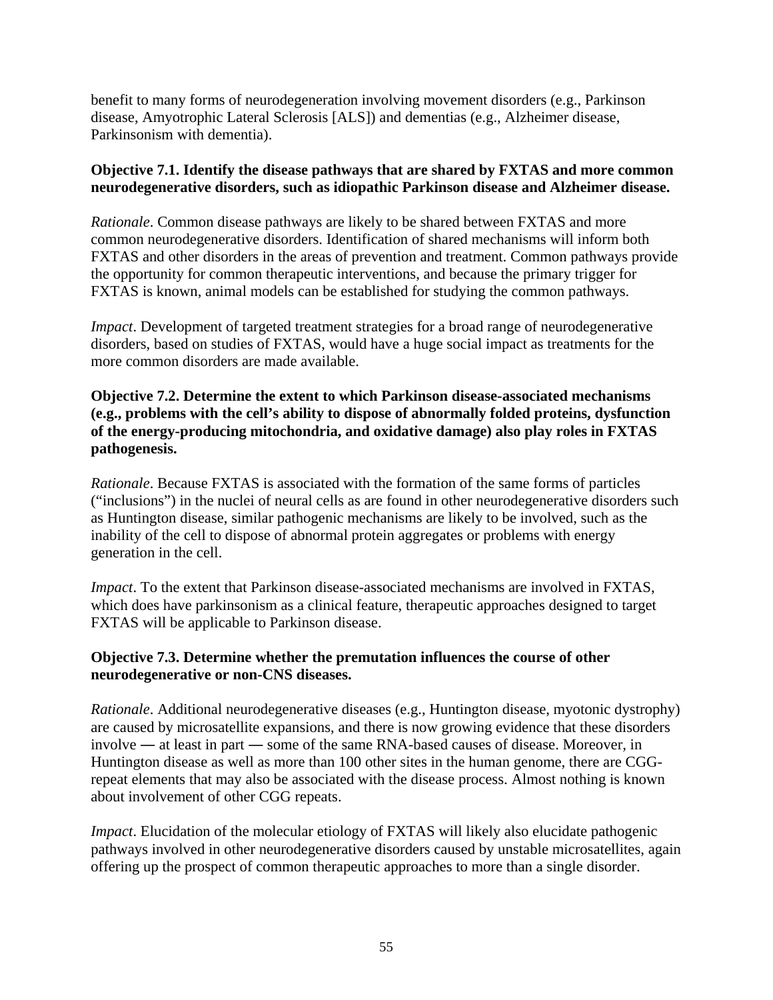benefit to many forms of neurodegeneration involving movement disorders (e.g., Parkinson disease, Amyotrophic Lateral Sclerosis [ALS]) and dementias (e.g., Alzheimer disease, Parkinsonism with dementia).

### **Objective 7.1. Identify the disease pathways that are shared by FXTAS and more common neurodegenerative disorders, such as idiopathic Parkinson disease and Alzheimer disease.**

*Rationale*. Common disease pathways are likely to be shared between FXTAS and more common neurodegenerative disorders. Identification of shared mechanisms will inform both FXTAS and other disorders in the areas of prevention and treatment. Common pathways provide the opportunity for common therapeutic interventions, and because the primary trigger for FXTAS is known, animal models can be established for studying the common pathways.

*Impact*. Development of targeted treatment strategies for a broad range of neurodegenerative disorders, based on studies of FXTAS, would have a huge social impact as treatments for the more common disorders are made available.

### **Objective 7.2. Determine the extent to which Parkinson disease-associated mechanisms (e.g., problems with the cell's ability to dispose of abnormally folded proteins, dysfunction of the energy-producing mitochondria, and oxidative damage) also play roles in FXTAS pathogenesis.**

*Rationale*. Because FXTAS is associated with the formation of the same forms of particles ("inclusions") in the nuclei of neural cells as are found in other neurodegenerative disorders such as Huntington disease, similar pathogenic mechanisms are likely to be involved, such as the inability of the cell to dispose of abnormal protein aggregates or problems with energy generation in the cell.

*Impact*. To the extent that Parkinson disease-associated mechanisms are involved in FXTAS, which does have parkinsonism as a clinical feature, therapeutic approaches designed to target FXTAS will be applicable to Parkinson disease.

### **Objective 7.3. Determine whether the premutation influences the course of other neurodegenerative or non-CNS diseases.**

*Rationale*. Additional neurodegenerative diseases (e.g., Huntington disease, myotonic dystrophy) are caused by microsatellite expansions, and there is now growing evidence that these disorders involve ― at least in part ― some of the same RNA-based causes of disease. Moreover, in Huntington disease as well as more than 100 other sites in the human genome, there are CGGrepeat elements that may also be associated with the disease process. Almost nothing is known about involvement of other CGG repeats.

*Impact*. Elucidation of the molecular etiology of FXTAS will likely also elucidate pathogenic pathways involved in other neurodegenerative disorders caused by unstable microsatellites, again offering up the prospect of common therapeutic approaches to more than a single disorder.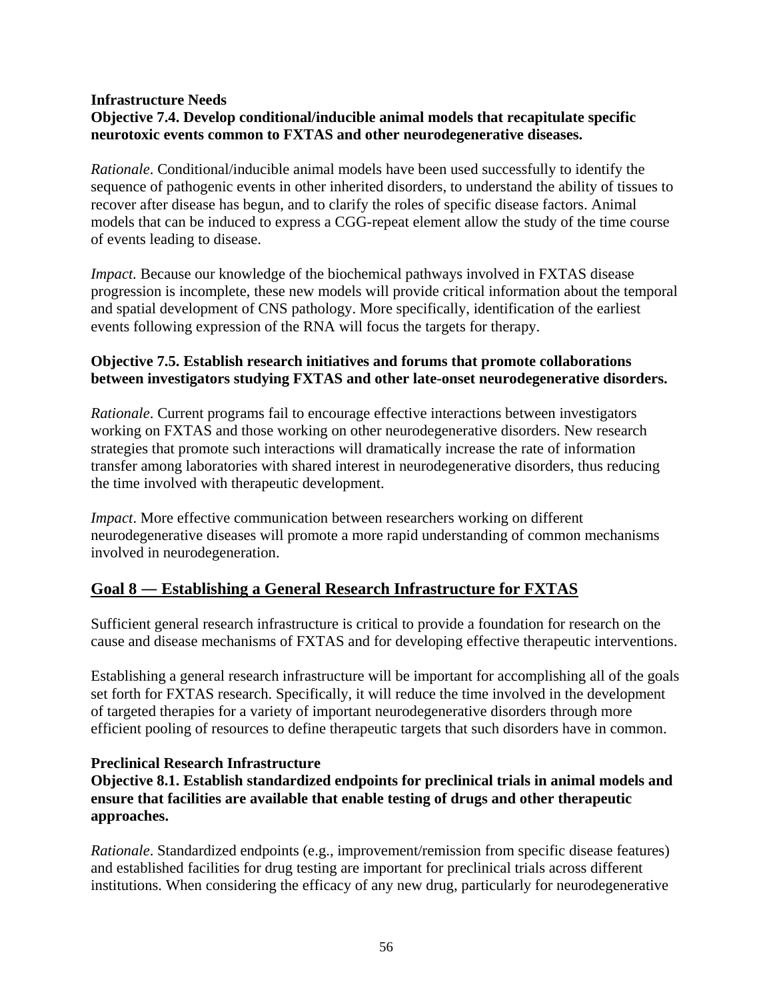### **Infrastructure Needs Objective 7.4. Develop conditional/inducible animal models that recapitulate specific neurotoxic events common to FXTAS and other neurodegenerative diseases.**

*Rationale*. Conditional/inducible animal models have been used successfully to identify the sequence of pathogenic events in other inherited disorders, to understand the ability of tissues to recover after disease has begun, and to clarify the roles of specific disease factors. Animal models that can be induced to express a CGG-repeat element allow the study of the time course of events leading to disease.

*Impact.* Because our knowledge of the biochemical pathways involved in FXTAS disease progression is incomplete, these new models will provide critical information about the temporal and spatial development of CNS pathology. More specifically, identification of the earliest events following expression of the RNA will focus the targets for therapy.

### **Objective 7.5. Establish research initiatives and forums that promote collaborations between investigators studying FXTAS and other late-onset neurodegenerative disorders.**

*Rationale*. Current programs fail to encourage effective interactions between investigators working on FXTAS and those working on other neurodegenerative disorders. New research strategies that promote such interactions will dramatically increase the rate of information transfer among laboratories with shared interest in neurodegenerative disorders, thus reducing the time involved with therapeutic development.

*Impact*. More effective communication between researchers working on different neurodegenerative diseases will promote a more rapid understanding of common mechanisms involved in neurodegeneration.

# **Goal 8 ― Establishing a General Research Infrastructure for FXTAS**

Sufficient general research infrastructure is critical to provide a foundation for research on the cause and disease mechanisms of FXTAS and for developing effective therapeutic interventions.

Establishing a general research infrastructure will be important for accomplishing all of the goals set forth for FXTAS research. Specifically, it will reduce the time involved in the development of targeted therapies for a variety of important neurodegenerative disorders through more efficient pooling of resources to define therapeutic targets that such disorders have in common.

### **Preclinical Research Infrastructure**

**Objective 8.1. Establish standardized endpoints for preclinical trials in animal models and ensure that facilities are available that enable testing of drugs and other therapeutic approaches.** 

*Rationale*. Standardized endpoints (e.g., improvement/remission from specific disease features) and established facilities for drug testing are important for preclinical trials across different institutions. When considering the efficacy of any new drug, particularly for neurodegenerative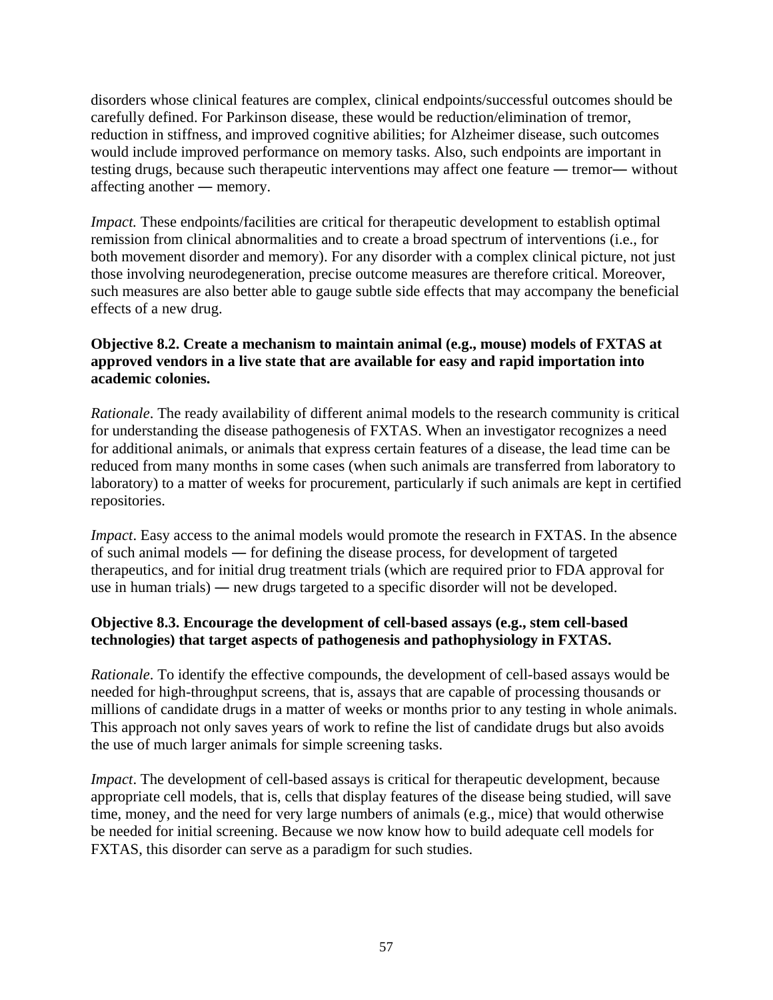disorders whose clinical features are complex, clinical endpoints/successful outcomes should be carefully defined. For Parkinson disease, these would be reduction/elimination of tremor, reduction in stiffness, and improved cognitive abilities; for Alzheimer disease, such outcomes would include improved performance on memory tasks. Also, such endpoints are important in testing drugs, because such therapeutic interventions may affect one feature ― tremor― without affecting another ― memory.

*Impact.* These endpoints/facilities are critical for therapeutic development to establish optimal remission from clinical abnormalities and to create a broad spectrum of interventions (i.e., for both movement disorder and memory). For any disorder with a complex clinical picture, not just those involving neurodegeneration, precise outcome measures are therefore critical. Moreover, such measures are also better able to gauge subtle side effects that may accompany the beneficial effects of a new drug.

### **Objective 8.2. Create a mechanism to maintain animal (e.g., mouse) models of FXTAS at approved vendors in a live state that are available for easy and rapid importation into academic colonies.**

*Rationale*. The ready availability of different animal models to the research community is critical for understanding the disease pathogenesis of FXTAS. When an investigator recognizes a need for additional animals, or animals that express certain features of a disease, the lead time can be reduced from many months in some cases (when such animals are transferred from laboratory to laboratory) to a matter of weeks for procurement, particularly if such animals are kept in certified repositories.

*Impact*. Easy access to the animal models would promote the research in FXTAS. In the absence of such animal models ― for defining the disease process, for development of targeted therapeutics, and for initial drug treatment trials (which are required prior to FDA approval for use in human trials) ― new drugs targeted to a specific disorder will not be developed.

### **Objective 8.3. Encourage the development of cell-based assays (e.g., stem cell-based technologies) that target aspects of pathogenesis and pathophysiology in FXTAS.**

*Rationale*. To identify the effective compounds, the development of cell-based assays would be needed for high-throughput screens, that is, assays that are capable of processing thousands or millions of candidate drugs in a matter of weeks or months prior to any testing in whole animals. This approach not only saves years of work to refine the list of candidate drugs but also avoids the use of much larger animals for simple screening tasks.

*Impact*. The development of cell-based assays is critical for therapeutic development, because appropriate cell models, that is, cells that display features of the disease being studied, will save time, money, and the need for very large numbers of animals (e.g., mice) that would otherwise be needed for initial screening. Because we now know how to build adequate cell models for FXTAS, this disorder can serve as a paradigm for such studies.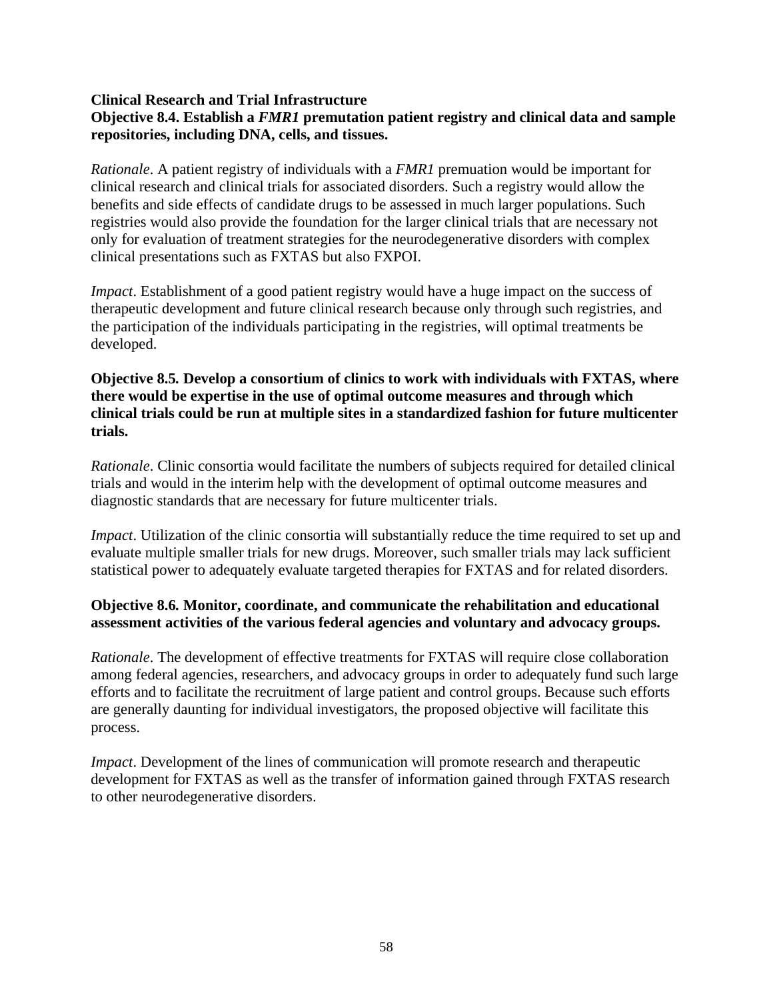#### **Clinical Research and Trial Infrastructure Objective 8.4. Establish a** *FMR1* **premutation patient registry and clinical data and sample repositories, including DNA, cells, and tissues.**

*Rationale*. A patient registry of individuals with a *FMR1* premuation would be important for clinical research and clinical trials for associated disorders. Such a registry would allow the benefits and side effects of candidate drugs to be assessed in much larger populations. Such registries would also provide the foundation for the larger clinical trials that are necessary not only for evaluation of treatment strategies for the neurodegenerative disorders with complex clinical presentations such as FXTAS but also FXPOI.

*Impact*. Establishment of a good patient registry would have a huge impact on the success of therapeutic development and future clinical research because only through such registries, and the participation of the individuals participating in the registries, will optimal treatments be developed.

### **Objective 8.5***.* **Develop a consortium of clinics to work with individuals with FXTAS, where there would be expertise in the use of optimal outcome measures and through which clinical trials could be run at multiple sites in a standardized fashion for future multicenter trials.**

*Rationale*. Clinic consortia would facilitate the numbers of subjects required for detailed clinical trials and would in the interim help with the development of optimal outcome measures and diagnostic standards that are necessary for future multicenter trials.

*Impact*. Utilization of the clinic consortia will substantially reduce the time required to set up and evaluate multiple smaller trials for new drugs. Moreover, such smaller trials may lack sufficient statistical power to adequately evaluate targeted therapies for FXTAS and for related disorders.

### **Objective 8.6***.* **Monitor, coordinate, and communicate the rehabilitation and educational assessment activities of the various federal agencies and voluntary and advocacy groups.**

*Rationale*. The development of effective treatments for FXTAS will require close collaboration among federal agencies, researchers, and advocacy groups in order to adequately fund such large efforts and to facilitate the recruitment of large patient and control groups. Because such efforts are generally daunting for individual investigators, the proposed objective will facilitate this process.

*Impact*. Development of the lines of communication will promote research and therapeutic development for FXTAS as well as the transfer of information gained through FXTAS research to other neurodegenerative disorders.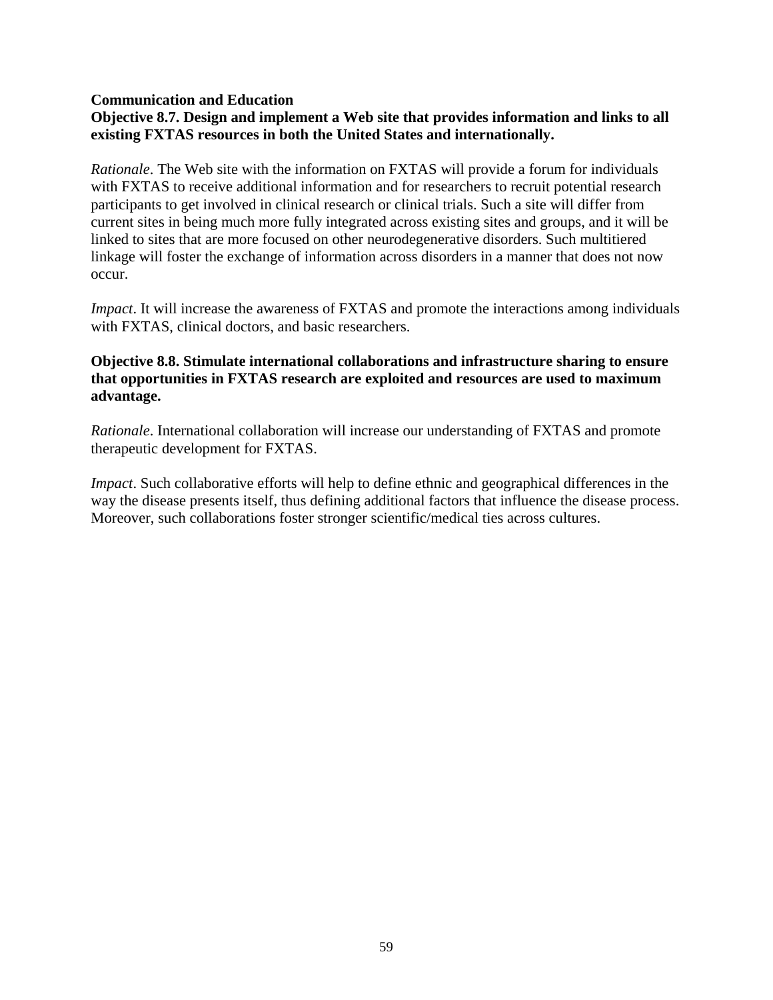#### **Communication and Education**

### **Objective 8.7. Design and implement a Web site that provides information and links to all existing FXTAS resources in both the United States and internationally.**

*Rationale*. The Web site with the information on FXTAS will provide a forum for individuals with FXTAS to receive additional information and for researchers to recruit potential research participants to get involved in clinical research or clinical trials. Such a site will differ from current sites in being much more fully integrated across existing sites and groups, and it will be linked to sites that are more focused on other neurodegenerative disorders. Such multitiered linkage will foster the exchange of information across disorders in a manner that does not now occur.

*Impact*. It will increase the awareness of FXTAS and promote the interactions among individuals with FXTAS, clinical doctors, and basic researchers.

#### **Objective 8.8. Stimulate international collaborations and infrastructure sharing to ensure that opportunities in FXTAS research are exploited and resources are used to maximum advantage.**

*Rationale*. International collaboration will increase our understanding of FXTAS and promote therapeutic development for FXTAS.

*Impact*. Such collaborative efforts will help to define ethnic and geographical differences in the way the disease presents itself, thus defining additional factors that influence the disease process. Moreover, such collaborations foster stronger scientific/medical ties across cultures.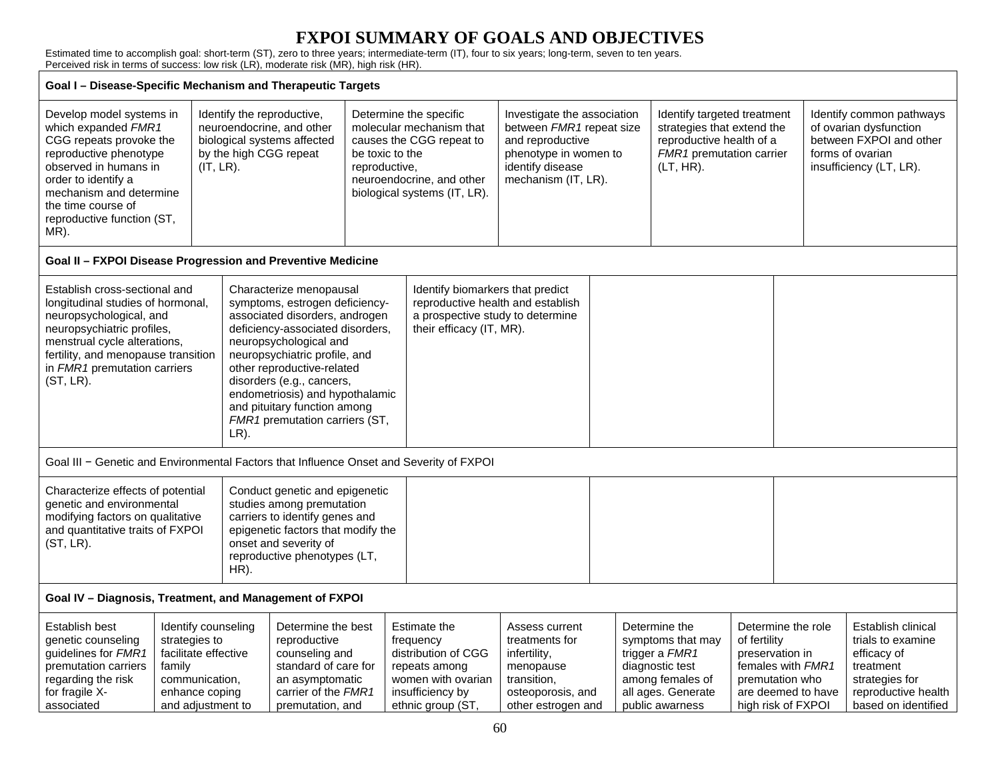# **FXPOI SUMMARY OF GOALS AND OBJECTIVES**

Estimated time to accomplish goal: short-term (ST), zero to three years; intermediate-term (IT), four to six years; long-term, seven to ten years. Perceived risk in terms of success: low risk (LR), moderate risk (MR), high risk (HR).

| Goal I - Disease-Specific Mechanism and Therapeutic Targets                                                                                                                                                                                                                                                                                                                                                                                                                                                                                                                                                                 |                                                                                                          |                                                                                                                                                                   |                                                                                                                                                        |                                                                                                                                                                                 |                                                                                                                         |                                                                                                                                                 |                                                                                                                                                                                                   |                                                                                                                                   |                                                                                     |                                                                                                                                     |                                                                                                                              |
|-----------------------------------------------------------------------------------------------------------------------------------------------------------------------------------------------------------------------------------------------------------------------------------------------------------------------------------------------------------------------------------------------------------------------------------------------------------------------------------------------------------------------------------------------------------------------------------------------------------------------------|----------------------------------------------------------------------------------------------------------|-------------------------------------------------------------------------------------------------------------------------------------------------------------------|--------------------------------------------------------------------------------------------------------------------------------------------------------|---------------------------------------------------------------------------------------------------------------------------------------------------------------------------------|-------------------------------------------------------------------------------------------------------------------------|-------------------------------------------------------------------------------------------------------------------------------------------------|---------------------------------------------------------------------------------------------------------------------------------------------------------------------------------------------------|-----------------------------------------------------------------------------------------------------------------------------------|-------------------------------------------------------------------------------------|-------------------------------------------------------------------------------------------------------------------------------------|------------------------------------------------------------------------------------------------------------------------------|
| Develop model systems in<br>which expanded FMR1<br>CGG repeats provoke the<br>reproductive phenotype<br>observed in humans in<br>order to identify a<br>mechanism and determine<br>the time course of<br>reproductive function (ST,<br>MR).                                                                                                                                                                                                                                                                                                                                                                                 |                                                                                                          | Identify the reproductive,<br>neuroendocrine, and other<br>biological systems affected<br>by the high CGG repeat<br>$(IT, LR)$ .                                  |                                                                                                                                                        | Determine the specific<br>molecular mechanism that<br>causes the CGG repeat to<br>be toxic to the<br>reproductive,<br>neuroendocrine, and other<br>biological systems (IT, LR). |                                                                                                                         | Investigate the association<br>between FMR1 repeat size<br>and reproductive<br>phenotype in women to<br>identify disease<br>mechanism (IT, LR). |                                                                                                                                                                                                   | Identify targeted treatment<br>strategies that extend the<br>reproductive health of a<br>FMR1 premutation carrier<br>$(LT, HR)$ . |                                                                                     |                                                                                                                                     | Identify common pathways<br>of ovarian dysfunction<br>between FXPOI and other<br>forms of ovarian<br>insufficiency (LT, LR). |
| Goal II - FXPOI Disease Progression and Preventive Medicine                                                                                                                                                                                                                                                                                                                                                                                                                                                                                                                                                                 |                                                                                                          |                                                                                                                                                                   |                                                                                                                                                        |                                                                                                                                                                                 |                                                                                                                         |                                                                                                                                                 |                                                                                                                                                                                                   |                                                                                                                                   |                                                                                     |                                                                                                                                     |                                                                                                                              |
| Establish cross-sectional and<br>Characterize menopausal<br>longitudinal studies of hormonal,<br>symptoms, estrogen deficiency-<br>neuropsychological, and<br>associated disorders, androgen<br>neuropsychiatric profiles,<br>deficiency-associated disorders,<br>menstrual cycle alterations,<br>neuropsychological and<br>neuropsychiatric profile, and<br>fertility, and menopause transition<br>in FMR1 premutation carriers<br>other reproductive-related<br>$(ST, LR)$ .<br>disorders (e.g., cancers,<br>endometriosis) and hypothalamic<br>and pituitary function among<br>FMR1 premutation carriers (ST,<br>$LR$ ). |                                                                                                          |                                                                                                                                                                   | Identify biomarkers that predict<br>reproductive health and establish<br>a prospective study to determine<br>their efficacy (IT, MR).                  |                                                                                                                                                                                 |                                                                                                                         |                                                                                                                                                 |                                                                                                                                                                                                   |                                                                                                                                   |                                                                                     |                                                                                                                                     |                                                                                                                              |
| Goal III - Genetic and Environmental Factors that Influence Onset and Severity of FXPOI                                                                                                                                                                                                                                                                                                                                                                                                                                                                                                                                     |                                                                                                          |                                                                                                                                                                   |                                                                                                                                                        |                                                                                                                                                                                 |                                                                                                                         |                                                                                                                                                 |                                                                                                                                                                                                   |                                                                                                                                   |                                                                                     |                                                                                                                                     |                                                                                                                              |
| Characterize effects of potential<br>genetic and environmental<br>modifying factors on qualitative<br>and quantitative traits of FXPOI<br>$(ST, LR)$ .<br>HR).                                                                                                                                                                                                                                                                                                                                                                                                                                                              |                                                                                                          |                                                                                                                                                                   | Conduct genetic and epigenetic<br>studies among premutation<br>carriers to identify genes and<br>onset and severity of<br>reproductive phenotypes (LT, | epigenetic factors that modify the                                                                                                                                              |                                                                                                                         |                                                                                                                                                 |                                                                                                                                                                                                   |                                                                                                                                   |                                                                                     |                                                                                                                                     |                                                                                                                              |
| Goal IV - Diagnosis, Treatment, and Management of FXPOI                                                                                                                                                                                                                                                                                                                                                                                                                                                                                                                                                                     |                                                                                                          |                                                                                                                                                                   |                                                                                                                                                        |                                                                                                                                                                                 |                                                                                                                         |                                                                                                                                                 |                                                                                                                                                                                                   |                                                                                                                                   |                                                                                     |                                                                                                                                     |                                                                                                                              |
| Establish best<br>genetic counseling<br>guidelines for FMR1<br>premutation carriers<br>regarding the risk<br>for fragile X-<br>associated                                                                                                                                                                                                                                                                                                                                                                                                                                                                                   | strategies to<br>facilitate effective<br>family<br>communication,<br>enhance coping<br>and adjustment to | Identify counseling<br>Determine the best<br>reproductive<br>counseling and<br>standard of care for<br>an asymptomatic<br>carrier of the FMR1<br>premutation, and |                                                                                                                                                        | Estimate the<br>frequency<br>distribution of CGG<br>repeats among<br>women with ovarian<br>insufficiency by<br>ethnic group (ST,                                                | Assess current<br>treatments for<br>infertility,<br>menopause<br>transition,<br>osteoporosis, and<br>other estrogen and |                                                                                                                                                 | Determine the<br>symptoms that may<br>of fertility<br>trigger a <i>FMR1</i><br>preservation in<br>diagnostic test<br>among females of<br>premutation who<br>all ages. Generate<br>public awarness |                                                                                                                                   | Determine the role<br>females with FMR1<br>are deemed to have<br>high risk of FXPOI | Establish clinical<br>trials to examine<br>efficacy of<br>treatment<br>strategies for<br>reproductive health<br>based on identified |                                                                                                                              |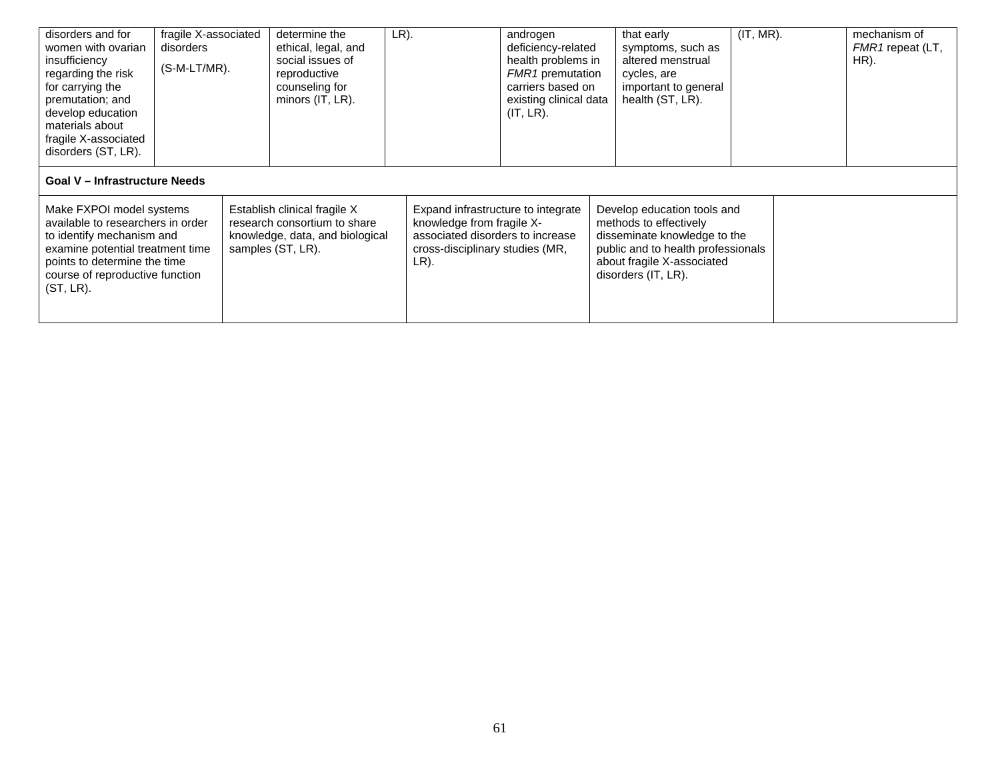| disorders and for<br>fragile X-associated<br>women with ovarian<br>disorders<br>insufficiency<br>$(S-M-LT/MR)$ .<br>regarding the risk<br>for carrying the<br>premutation; and<br>develop education<br>materials about<br>fragile X-associated<br>disorders (ST, LR).                                                                     |                                      | determine the<br>ethical, legal, and<br>social issues of<br>reproductive<br>counseling for<br>minors (IT, LR). | LR).                                                                                                                                           |  | androgen<br>deficiency-related<br>health problems in<br><b>FMR1</b> premutation<br>carriers based on<br>existing clinical data<br>(IT, LR). |                                                                                                                                                                                  | that early<br>symptoms, such as<br>altered menstrual<br>cycles, are<br>important to general<br>health (ST, LR). | (IT, MR). |  | mechanism of<br>FMR1 repeat (LT,<br>HR). |
|-------------------------------------------------------------------------------------------------------------------------------------------------------------------------------------------------------------------------------------------------------------------------------------------------------------------------------------------|--------------------------------------|----------------------------------------------------------------------------------------------------------------|------------------------------------------------------------------------------------------------------------------------------------------------|--|---------------------------------------------------------------------------------------------------------------------------------------------|----------------------------------------------------------------------------------------------------------------------------------------------------------------------------------|-----------------------------------------------------------------------------------------------------------------|-----------|--|------------------------------------------|
|                                                                                                                                                                                                                                                                                                                                           | <b>Goal V - Infrastructure Needs</b> |                                                                                                                |                                                                                                                                                |  |                                                                                                                                             |                                                                                                                                                                                  |                                                                                                                 |           |  |                                          |
| Make FXPOI model systems<br>Establish clinical fragile X<br>available to researchers in order<br>research consortium to share<br>to identify mechanism and<br>knowledge, data, and biological<br>examine potential treatment time<br>samples (ST, LR).<br>points to determine the time<br>course of reproductive function<br>$(ST, LR)$ . |                                      |                                                                                                                | Expand infrastructure to integrate<br>knowledge from fragile X-<br>associated disorders to increase<br>cross-disciplinary studies (MR,<br>LR). |  |                                                                                                                                             | Develop education tools and<br>methods to effectively<br>disseminate knowledge to the<br>public and to health professionals<br>about fragile X-associated<br>disorders (IT, LR). |                                                                                                                 |           |  |                                          |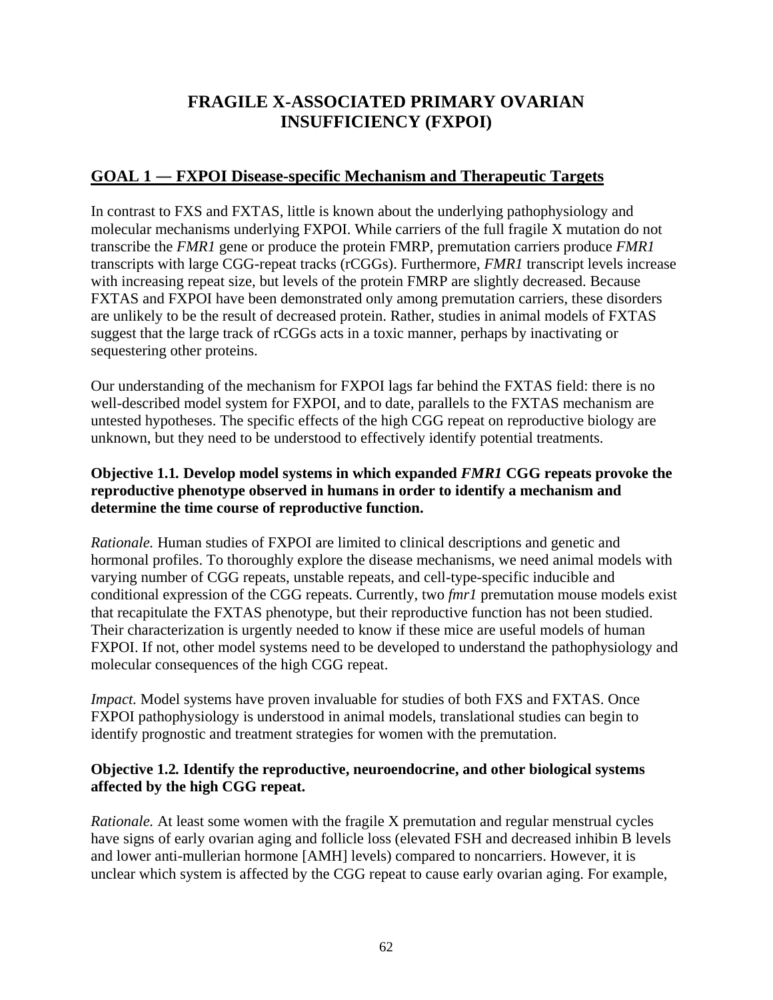# **FRAGILE X-ASSOCIATED PRIMARY OVARIAN INSUFFICIENCY (FXPOI)**

### **GOAL 1 ― FXPOI Disease-specific Mechanism and Therapeutic Targets**

In contrast to FXS and FXTAS, little is known about the underlying pathophysiology and molecular mechanisms underlying FXPOI. While carriers of the full fragile X mutation do not transcribe the *FMR1* gene or produce the protein FMRP, premutation carriers produce *FMR1* transcripts with large CGG-repeat tracks (rCGGs). Furthermore, *FMR1* transcript levels increase with increasing repeat size, but levels of the protein FMRP are slightly decreased. Because FXTAS and FXPOI have been demonstrated only among premutation carriers, these disorders are unlikely to be the result of decreased protein. Rather, studies in animal models of FXTAS suggest that the large track of rCGGs acts in a toxic manner, perhaps by inactivating or sequestering other proteins.

Our understanding of the mechanism for FXPOI lags far behind the FXTAS field: there is no well-described model system for FXPOI, and to date, parallels to the FXTAS mechanism are untested hypotheses. The specific effects of the high CGG repeat on reproductive biology are unknown, but they need to be understood to effectively identify potential treatments.

### **Objective 1.1***.* **Develop model systems in which expanded** *FMR1* **CGG repeats provoke the reproductive phenotype observed in humans in order to identify a mechanism and determine the time course of reproductive function.**

*Rationale.* Human studies of FXPOI are limited to clinical descriptions and genetic and hormonal profiles. To thoroughly explore the disease mechanisms, we need animal models with varying number of CGG repeats, unstable repeats, and cell-type-specific inducible and conditional expression of the CGG repeats. Currently, two *fmr1* premutation mouse models exist that recapitulate the FXTAS phenotype, but their reproductive function has not been studied. Their characterization is urgently needed to know if these mice are useful models of human FXPOI. If not, other model systems need to be developed to understand the pathophysiology and molecular consequences of the high CGG repeat.

*Impact.* Model systems have proven invaluable for studies of both FXS and FXTAS. Once FXPOI pathophysiology is understood in animal models, translational studies can begin to identify prognostic and treatment strategies for women with the premutation.

### **Objective 1.2***.* **Identify the reproductive, neuroendocrine, and other biological systems affected by the high CGG repeat.**

*Rationale.* At least some women with the fragile X premutation and regular menstrual cycles have signs of early ovarian aging and follicle loss (elevated FSH and decreased inhibin B levels and lower anti-mullerian hormone [AMH] levels) compared to noncarriers. However, it is unclear which system is affected by the CGG repeat to cause early ovarian aging. For example,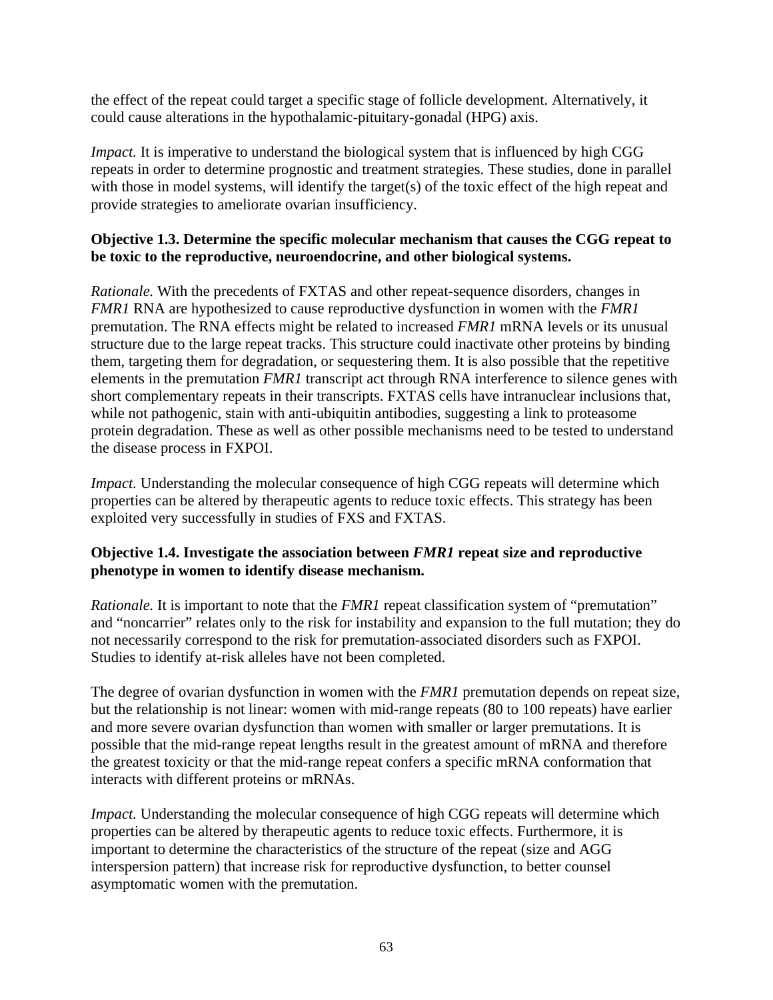the effect of the repeat could target a specific stage of follicle development. Alternatively, it could cause alterations in the hypothalamic-pituitary-gonadal (HPG) axis.

*Impact*. It is imperative to understand the biological system that is influenced by high CGG repeats in order to determine prognostic and treatment strategies. These studies, done in parallel with those in model systems, will identify the target(s) of the toxic effect of the high repeat and provide strategies to ameliorate ovarian insufficiency.

### **Objective 1.3. Determine the specific molecular mechanism that causes the CGG repeat to be toxic to the reproductive, neuroendocrine, and other biological systems.**

*Rationale.* With the precedents of FXTAS and other repeat-sequence disorders, changes in *FMR1* RNA are hypothesized to cause reproductive dysfunction in women with the *FMR1* premutation. The RNA effects might be related to increased *FMR1* mRNA levels or its unusual structure due to the large repeat tracks. This structure could inactivate other proteins by binding them, targeting them for degradation, or sequestering them. It is also possible that the repetitive elements in the premutation *FMR1* transcript act through RNA interference to silence genes with short complementary repeats in their transcripts. FXTAS cells have intranuclear inclusions that, while not pathogenic, stain with anti-ubiquitin antibodies, suggesting a link to proteasome protein degradation. These as well as other possible mechanisms need to be tested to understand the disease process in FXPOI.

*Impact.* Understanding the molecular consequence of high CGG repeats will determine which properties can be altered by therapeutic agents to reduce toxic effects. This strategy has been exploited very successfully in studies of FXS and FXTAS.

### **Objective 1.4. Investigate the association between** *FMR1* **repeat size and reproductive phenotype in women to identify disease mechanism.**

*Rationale.* It is important to note that the *FMR1* repeat classification system of "premutation" and "noncarrier" relates only to the risk for instability and expansion to the full mutation; they do not necessarily correspond to the risk for premutation-associated disorders such as FXPOI. Studies to identify at-risk alleles have not been completed.

The degree of ovarian dysfunction in women with the *FMR1* premutation depends on repeat size, but the relationship is not linear: women with mid-range repeats (80 to 100 repeats) have earlier and more severe ovarian dysfunction than women with smaller or larger premutations. It is possible that the mid-range repeat lengths result in the greatest amount of mRNA and therefore the greatest toxicity or that the mid-range repeat confers a specific mRNA conformation that interacts with different proteins or mRNAs.

*Impact.* Understanding the molecular consequence of high CGG repeats will determine which properties can be altered by therapeutic agents to reduce toxic effects. Furthermore, it is important to determine the characteristics of the structure of the repeat (size and AGG interspersion pattern) that increase risk for reproductive dysfunction, to better counsel asymptomatic women with the premutation.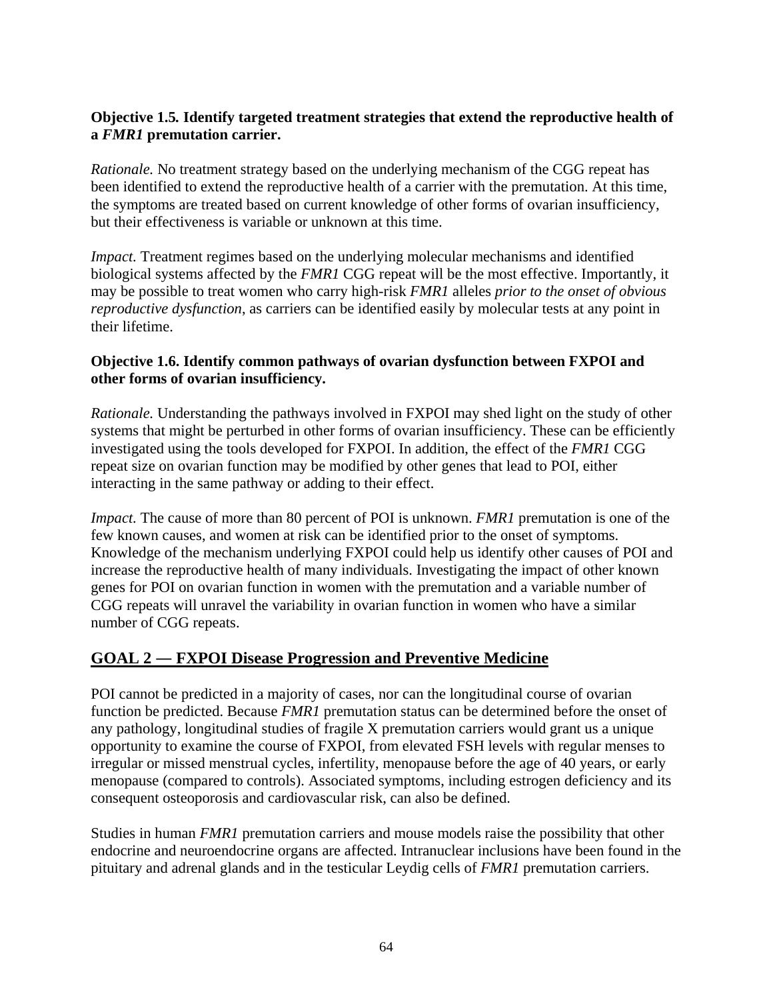### **Objective 1.5***.* **Identify targeted treatment strategies that extend the reproductive health of a** *FMR1* **premutation carrier.**

*Rationale.* No treatment strategy based on the underlying mechanism of the CGG repeat has been identified to extend the reproductive health of a carrier with the premutation. At this time, the symptoms are treated based on current knowledge of other forms of ovarian insufficiency, but their effectiveness is variable or unknown at this time.

*Impact*. Treatment regimes based on the underlying molecular mechanisms and identified biological systems affected by the *FMR1* CGG repeat will be the most effective. Importantly, it may be possible to treat women who carry high-risk *FMR1* alleles *prior to the onset of obvious reproductive dysfunction*, as carriers can be identified easily by molecular tests at any point in their lifetime.

### **Objective 1.6. Identify common pathways of ovarian dysfunction between FXPOI and other forms of ovarian insufficiency.**

*Rationale.* Understanding the pathways involved in FXPOI may shed light on the study of other systems that might be perturbed in other forms of ovarian insufficiency. These can be efficiently investigated using the tools developed for FXPOI. In addition, the effect of the *FMR1* CGG repeat size on ovarian function may be modified by other genes that lead to POI, either interacting in the same pathway or adding to their effect.

*Impact.* The cause of more than 80 percent of POI is unknown. *FMR1* premutation is one of the few known causes, and women at risk can be identified prior to the onset of symptoms. Knowledge of the mechanism underlying FXPOI could help us identify other causes of POI and increase the reproductive health of many individuals. Investigating the impact of other known genes for POI on ovarian function in women with the premutation and a variable number of CGG repeats will unravel the variability in ovarian function in women who have a similar number of CGG repeats.

# **GOAL 2 ― FXPOI Disease Progression and Preventive Medicine**

POI cannot be predicted in a majority of cases, nor can the longitudinal course of ovarian function be predicted. Because *FMR1* premutation status can be determined before the onset of any pathology, longitudinal studies of fragile X premutation carriers would grant us a unique opportunity to examine the course of FXPOI, from elevated FSH levels with regular menses to irregular or missed menstrual cycles, infertility, menopause before the age of 40 years, or early menopause (compared to controls). Associated symptoms, including estrogen deficiency and its consequent osteoporosis and cardiovascular risk, can also be defined.

Studies in human *FMR1* premutation carriers and mouse models raise the possibility that other endocrine and neuroendocrine organs are affected. Intranuclear inclusions have been found in the pituitary and adrenal glands and in the testicular Leydig cells of *FMR1* premutation carriers.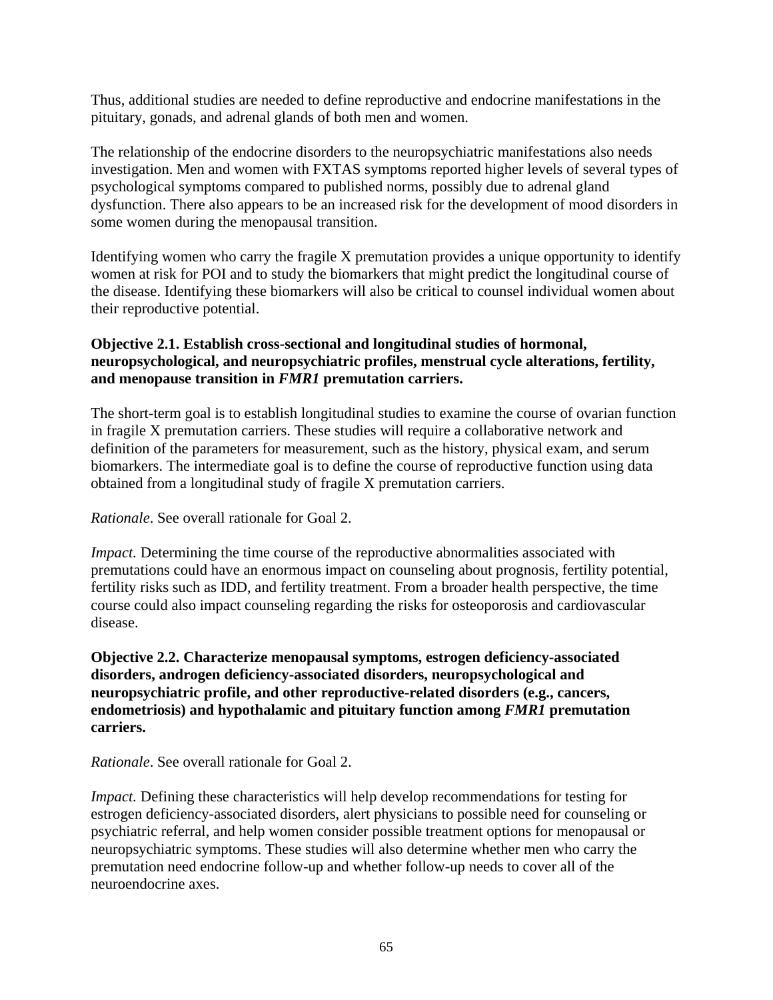Thus, additional studies are needed to define reproductive and endocrine manifestations in the pituitary, gonads, and adrenal glands of both men and women.

The relationship of the endocrine disorders to the neuropsychiatric manifestations also needs investigation. Men and women with FXTAS symptoms reported higher levels of several types of psychological symptoms compared to published norms, possibly due to adrenal gland dysfunction. There also appears to be an increased risk for the development of mood disorders in some women during the menopausal transition.

Identifying women who carry the fragile X premutation provides a unique opportunity to identify women at risk for POI and to study the biomarkers that might predict the longitudinal course of the disease. Identifying these biomarkers will also be critical to counsel individual women about their reproductive potential.

### **Objective 2.1. Establish cross-sectional and longitudinal studies of hormonal, neuropsychological, and neuropsychiatric profiles, menstrual cycle alterations, fertility, and menopause transition in** *FMR1* **premutation carriers.**

The short-term goal is to establish longitudinal studies to examine the course of ovarian function in fragile X premutation carriers. These studies will require a collaborative network and definition of the parameters for measurement, such as the history, physical exam, and serum biomarkers. The intermediate goal is to define the course of reproductive function using data obtained from a longitudinal study of fragile X premutation carriers.

### *Rationale*. See overall rationale for Goal 2.

*Impact.* Determining the time course of the reproductive abnormalities associated with premutations could have an enormous impact on counseling about prognosis, fertility potential, fertility risks such as IDD, and fertility treatment. From a broader health perspective, the time course could also impact counseling regarding the risks for osteoporosis and cardiovascular disease.

### **Objective 2.2. Characterize menopausal symptoms, estrogen deficiency-associated disorders, androgen deficiency-associated disorders, neuropsychological and neuropsychiatric profile, and other reproductive-related disorders (e.g., cancers, endometriosis) and hypothalamic and pituitary function among** *FMR1* **premutation carriers.**

*Rationale*. See overall rationale for Goal 2.

*Impact.* Defining these characteristics will help develop recommendations for testing for estrogen deficiency-associated disorders, alert physicians to possible need for counseling or psychiatric referral, and help women consider possible treatment options for menopausal or neuropsychiatric symptoms. These studies will also determine whether men who carry the premutation need endocrine follow-up and whether follow-up needs to cover all of the neuroendocrine axes.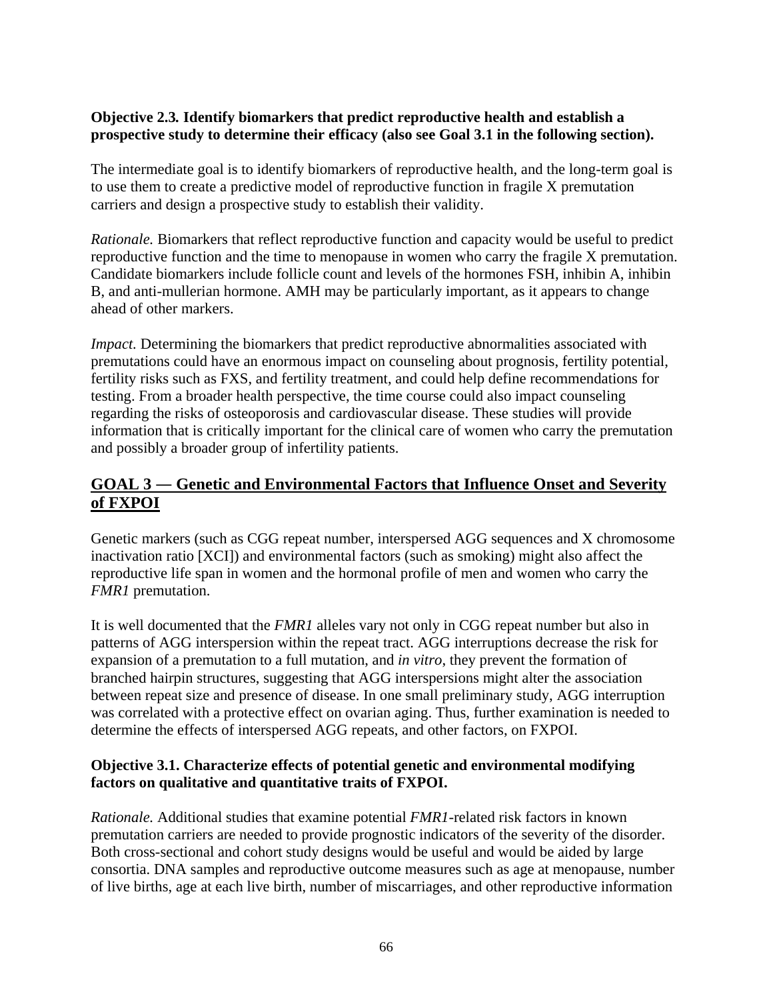### **Objective 2.3***.* **Identify biomarkers that predict reproductive health and establish a prospective study to determine their efficacy (also see Goal 3.1 in the following section).**

The intermediate goal is to identify biomarkers of reproductive health, and the long-term goal is to use them to create a predictive model of reproductive function in fragile X premutation carriers and design a prospective study to establish their validity.

*Rationale.* Biomarkers that reflect reproductive function and capacity would be useful to predict reproductive function and the time to menopause in women who carry the fragile X premutation. Candidate biomarkers include follicle count and levels of the hormones FSH, inhibin A, inhibin B, and anti-mullerian hormone. AMH may be particularly important, as it appears to change ahead of other markers.

*Impact.* Determining the biomarkers that predict reproductive abnormalities associated with premutations could have an enormous impact on counseling about prognosis, fertility potential, fertility risks such as FXS, and fertility treatment, and could help define recommendations for testing. From a broader health perspective, the time course could also impact counseling regarding the risks of osteoporosis and cardiovascular disease. These studies will provide information that is critically important for the clinical care of women who carry the premutation and possibly a broader group of infertility patients.

# **GOAL 3 ― Genetic and Environmental Factors that Influence Onset and Severity of FXPOI**

Genetic markers (such as CGG repeat number, interspersed AGG sequences and X chromosome inactivation ratio [XCI]) and environmental factors (such as smoking) might also affect the reproductive life span in women and the hormonal profile of men and women who carry the *FMR1* premutation.

It is well documented that the *FMR1* alleles vary not only in CGG repeat number but also in patterns of AGG interspersion within the repeat tract. AGG interruptions decrease the risk for expansion of a premutation to a full mutation, and *in vitro*, they prevent the formation of branched hairpin structures, suggesting that AGG interspersions might alter the association between repeat size and presence of disease. In one small preliminary study, AGG interruption was correlated with a protective effect on ovarian aging. Thus, further examination is needed to determine the effects of interspersed AGG repeats, and other factors, on FXPOI.

### **Objective 3.1. Characterize effects of potential genetic and environmental modifying factors on qualitative and quantitative traits of FXPOI.**

*Rationale.* Additional studies that examine potential *FMR1-*related risk factors in known premutation carriers are needed to provide prognostic indicators of the severity of the disorder. Both cross-sectional and cohort study designs would be useful and would be aided by large consortia. DNA samples and reproductive outcome measures such as age at menopause, number of live births, age at each live birth, number of miscarriages, and other reproductive information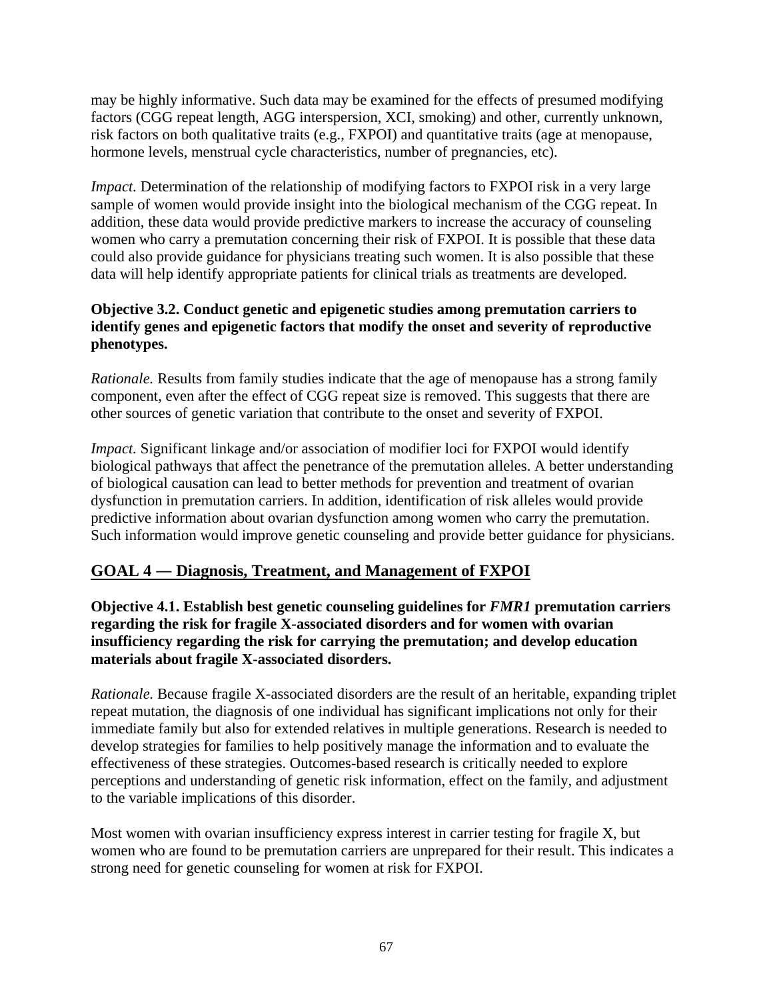may be highly informative. Such data may be examined for the effects of presumed modifying factors (CGG repeat length, AGG interspersion, XCI, smoking) and other, currently unknown, risk factors on both qualitative traits (e.g., FXPOI) and quantitative traits (age at menopause, hormone levels, menstrual cycle characteristics, number of pregnancies, etc).

*Impact.* Determination of the relationship of modifying factors to FXPOI risk in a very large sample of women would provide insight into the biological mechanism of the CGG repeat. In addition, these data would provide predictive markers to increase the accuracy of counseling women who carry a premutation concerning their risk of FXPOI. It is possible that these data could also provide guidance for physicians treating such women. It is also possible that these data will help identify appropriate patients for clinical trials as treatments are developed.

### **Objective 3.2. Conduct genetic and epigenetic studies among premutation carriers to identify genes and epigenetic factors that modify the onset and severity of reproductive phenotypes.**

*Rationale.* Results from family studies indicate that the age of menopause has a strong family component, even after the effect of CGG repeat size is removed. This suggests that there are other sources of genetic variation that contribute to the onset and severity of FXPOI.

*Impact.* Significant linkage and/or association of modifier loci for FXPOI would identify biological pathways that affect the penetrance of the premutation alleles. A better understanding of biological causation can lead to better methods for prevention and treatment of ovarian dysfunction in premutation carriers. In addition, identification of risk alleles would provide predictive information about ovarian dysfunction among women who carry the premutation. Such information would improve genetic counseling and provide better guidance for physicians.

# **GOAL 4 ― Diagnosis, Treatment, and Management of FXPOI**

**Objective 4.1. Establish best genetic counseling guidelines for** *FMR1* **premutation carriers regarding the risk for fragile X-associated disorders and for women with ovarian insufficiency regarding the risk for carrying the premutation; and develop education materials about fragile X-associated disorders.** 

*Rationale.* Because fragile X-associated disorders are the result of an heritable, expanding triplet repeat mutation, the diagnosis of one individual has significant implications not only for their immediate family but also for extended relatives in multiple generations. Research is needed to develop strategies for families to help positively manage the information and to evaluate the effectiveness of these strategies. Outcomes-based research is critically needed to explore perceptions and understanding of genetic risk information, effect on the family, and adjustment to the variable implications of this disorder.

Most women with ovarian insufficiency express interest in carrier testing for fragile X, but women who are found to be premutation carriers are unprepared for their result. This indicates a strong need for genetic counseling for women at risk for FXPOI.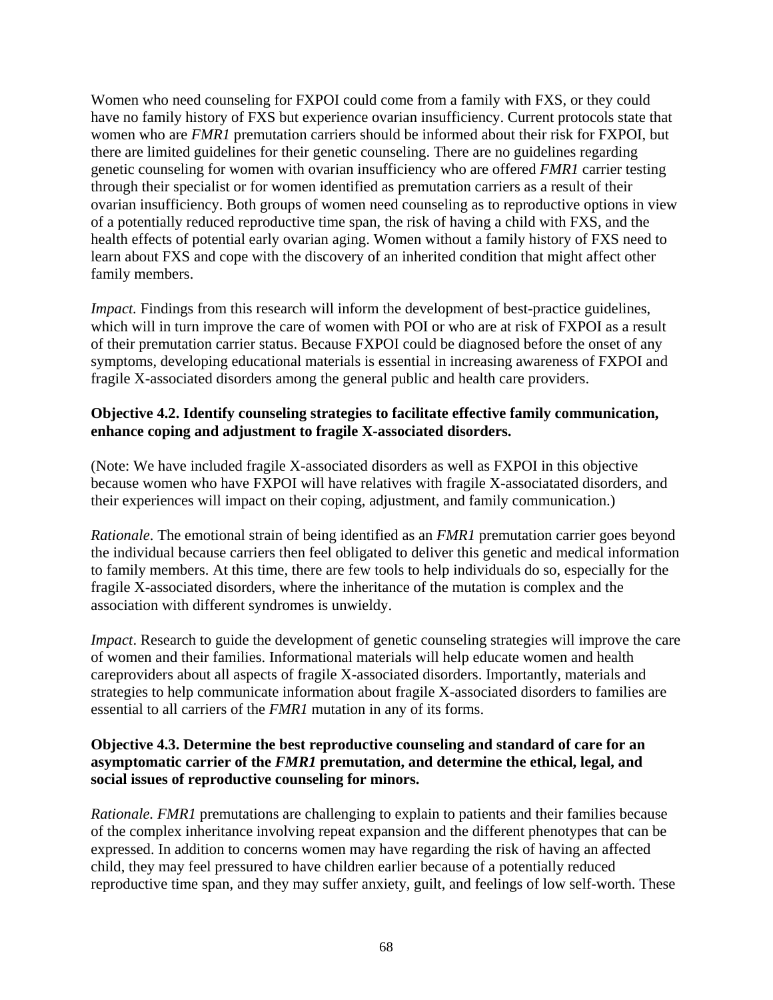Women who need counseling for FXPOI could come from a family with FXS, or they could have no family history of FXS but experience ovarian insufficiency. Current protocols state that women who are *FMR1* premutation carriers should be informed about their risk for FXPOI, but there are limited guidelines for their genetic counseling. There are no guidelines regarding genetic counseling for women with ovarian insufficiency who are offered *FMR1* carrier testing through their specialist or for women identified as premutation carriers as a result of their ovarian insufficiency. Both groups of women need counseling as to reproductive options in view of a potentially reduced reproductive time span, the risk of having a child with FXS, and the health effects of potential early ovarian aging. Women without a family history of FXS need to learn about FXS and cope with the discovery of an inherited condition that might affect other family members.

*Impact.* Findings from this research will inform the development of best-practice guidelines, which will in turn improve the care of women with POI or who are at risk of FXPOI as a result of their premutation carrier status. Because FXPOI could be diagnosed before the onset of any symptoms, developing educational materials is essential in increasing awareness of FXPOI and fragile X-associated disorders among the general public and health care providers.

### **Objective 4.2. Identify counseling strategies to facilitate effective family communication, enhance coping and adjustment to fragile X-associated disorders.**

(Note: We have included fragile X-associated disorders as well as FXPOI in this objective because women who have FXPOI will have relatives with fragile X-associatated disorders, and their experiences will impact on their coping, adjustment, and family communication.)

*Rationale*. The emotional strain of being identified as an *FMR1* premutation carrier goes beyond the individual because carriers then feel obligated to deliver this genetic and medical information to family members. At this time, there are few tools to help individuals do so, especially for the fragile X-associated disorders, where the inheritance of the mutation is complex and the association with different syndromes is unwieldy.

*Impact*. Research to guide the development of genetic counseling strategies will improve the care of women and their families. Informational materials will help educate women and health careproviders about all aspects of fragile X-associated disorders. Importantly, materials and strategies to help communicate information about fragile X-associated disorders to families are essential to all carriers of the *FMR1* mutation in any of its forms.

#### **Objective 4.3. Determine the best reproductive counseling and standard of care for an asymptomatic carrier of the** *FMR1* **premutation, and determine the ethical, legal, and social issues of reproductive counseling for minors.**

*Rationale. FMR1* premutations are challenging to explain to patients and their families because of the complex inheritance involving repeat expansion and the different phenotypes that can be expressed. In addition to concerns women may have regarding the risk of having an affected child, they may feel pressured to have children earlier because of a potentially reduced reproductive time span, and they may suffer anxiety, guilt, and feelings of low self-worth. These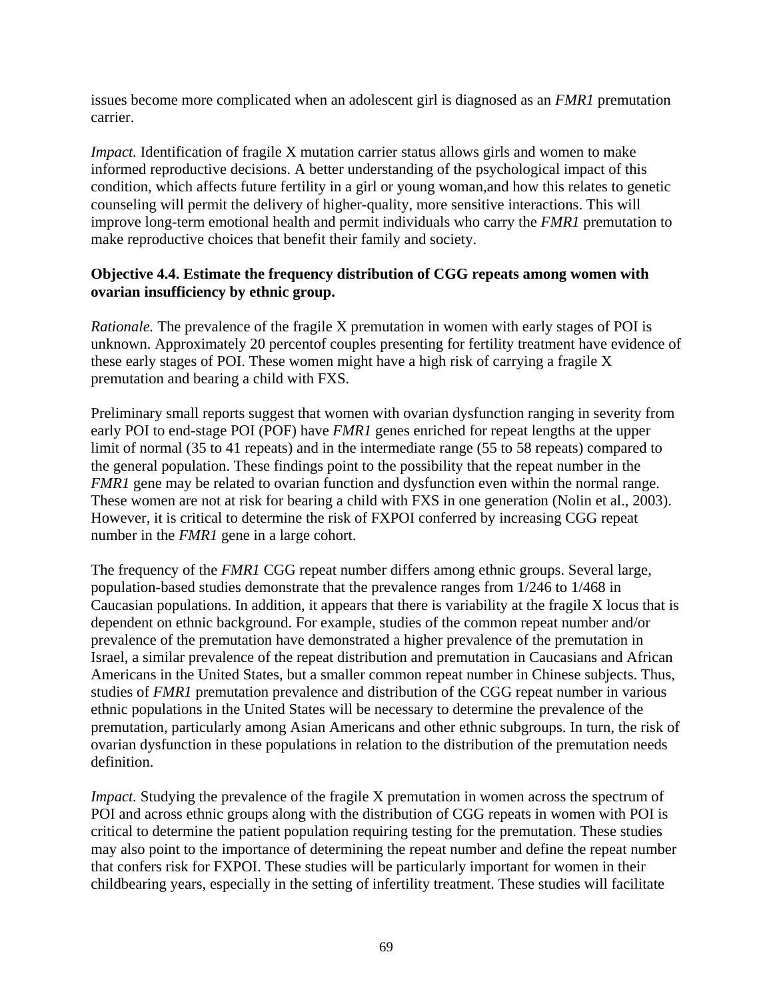issues become more complicated when an adolescent girl is diagnosed as an *FMR1* premutation carrier.

*Impact.* Identification of fragile X mutation carrier status allows girls and women to make informed reproductive decisions. A better understanding of the psychological impact of this condition, which affects future fertility in a girl or young woman,and how this relates to genetic counseling will permit the delivery of higher-quality, more sensitive interactions. This will improve long-term emotional health and permit individuals who carry the *FMR1* premutation to make reproductive choices that benefit their family and society.

### **Objective 4.4. Estimate the frequency distribution of CGG repeats among women with ovarian insufficiency by ethnic group.**

*Rationale.* The prevalence of the fragile X premutation in women with early stages of POI is unknown. Approximately 20 percentof couples presenting for fertility treatment have evidence of these early stages of POI. These women might have a high risk of carrying a fragile X premutation and bearing a child with FXS.

Preliminary small reports suggest that women with ovarian dysfunction ranging in severity from early POI to end-stage POI (POF) have *FMR1* genes enriched for repeat lengths at the upper limit of normal (35 to 41 repeats) and in the intermediate range (55 to 58 repeats) compared to the general population. These findings point to the possibility that the repeat number in the *FMR1* gene may be related to ovarian function and dysfunction even within the normal range. These women are not at risk for bearing a child with FXS in one generation (Nolin et al., 2003). However, it is critical to determine the risk of FXPOI conferred by increasing CGG repeat number in the *FMR1* gene in a large cohort.

The frequency of the *FMR1* CGG repeat number differs among ethnic groups. Several large, population-based studies demonstrate that the prevalence ranges from 1/246 to 1/468 in Caucasian populations. In addition, it appears that there is variability at the fragile X locus that is dependent on ethnic background. For example, studies of the common repeat number and/or prevalence of the premutation have demonstrated a higher prevalence of the premutation in Israel, a similar prevalence of the repeat distribution and premutation in Caucasians and African Americans in the United States, but a smaller common repeat number in Chinese subjects. Thus, studies of *FMR1* premutation prevalence and distribution of the CGG repeat number in various ethnic populations in the United States will be necessary to determine the prevalence of the premutation, particularly among Asian Americans and other ethnic subgroups. In turn, the risk of ovarian dysfunction in these populations in relation to the distribution of the premutation needs definition.

*Impact.* Studying the prevalence of the fragile X premutation in women across the spectrum of POI and across ethnic groups along with the distribution of CGG repeats in women with POI is critical to determine the patient population requiring testing for the premutation. These studies may also point to the importance of determining the repeat number and define the repeat number that confers risk for FXPOI. These studies will be particularly important for women in their childbearing years, especially in the setting of infertility treatment. These studies will facilitate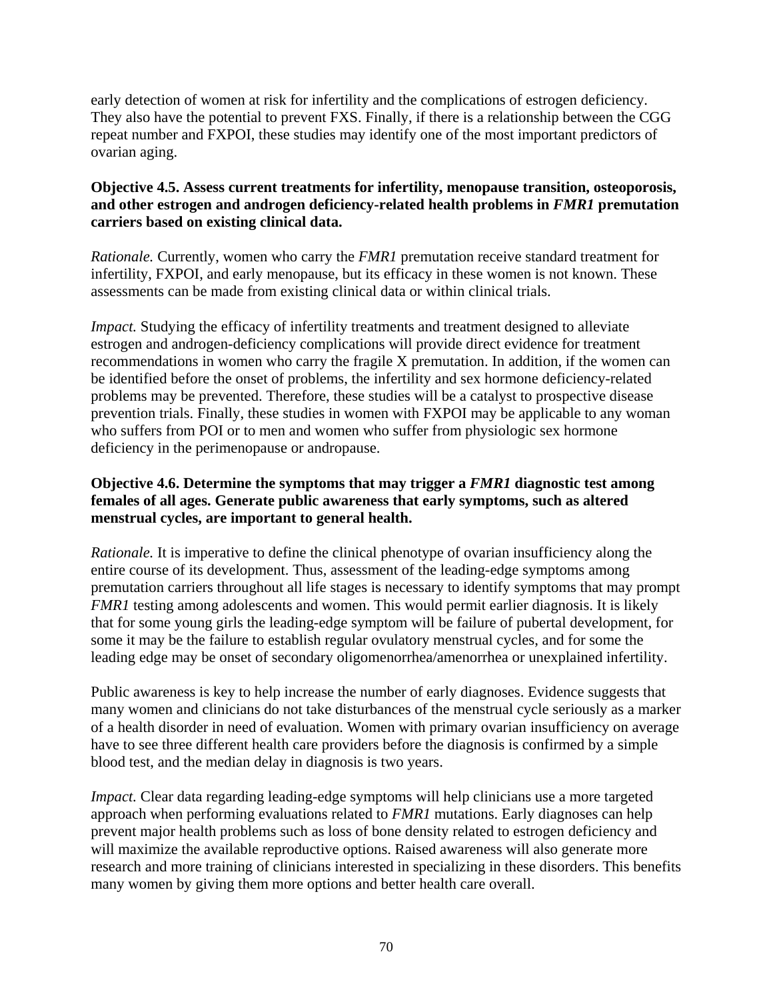early detection of women at risk for infertility and the complications of estrogen deficiency. They also have the potential to prevent FXS. Finally, if there is a relationship between the CGG repeat number and FXPOI, these studies may identify one of the most important predictors of ovarian aging.

## **Objective 4.5. Assess current treatments for infertility, menopause transition, osteoporosis, and other estrogen and androgen deficiency-related health problems in** *FMR1* **premutation carriers based on existing clinical data.**

*Rationale.* Currently, women who carry the *FMR1* premutation receive standard treatment for infertility, FXPOI, and early menopause, but its efficacy in these women is not known. These assessments can be made from existing clinical data or within clinical trials.

*Impact.* Studying the efficacy of infertility treatments and treatment designed to alleviate estrogen and androgen-deficiency complications will provide direct evidence for treatment recommendations in women who carry the fragile X premutation. In addition, if the women can be identified before the onset of problems, the infertility and sex hormone deficiency-related problems may be prevented. Therefore, these studies will be a catalyst to prospective disease prevention trials. Finally, these studies in women with FXPOI may be applicable to any woman who suffers from POI or to men and women who suffer from physiologic sex hormone deficiency in the perimenopause or andropause.

## **Objective 4.6. Determine the symptoms that may trigger a** *FMR1* **diagnostic test among females of all ages. Generate public awareness that early symptoms, such as altered menstrual cycles, are important to general health.**

*Rationale.* It is imperative to define the clinical phenotype of ovarian insufficiency along the entire course of its development. Thus, assessment of the leading-edge symptoms among premutation carriers throughout all life stages is necessary to identify symptoms that may prompt *FMR1* testing among adolescents and women. This would permit earlier diagnosis. It is likely that for some young girls the leading-edge symptom will be failure of pubertal development, for some it may be the failure to establish regular ovulatory menstrual cycles, and for some the leading edge may be onset of secondary oligomenorrhea/amenorrhea or unexplained infertility.

Public awareness is key to help increase the number of early diagnoses. Evidence suggests that many women and clinicians do not take disturbances of the menstrual cycle seriously as a marker of a health disorder in need of evaluation. Women with primary ovarian insufficiency on average have to see three different health care providers before the diagnosis is confirmed by a simple blood test, and the median delay in diagnosis is two years.

*Impact*. Clear data regarding leading-edge symptoms will help clinicians use a more targeted approach when performing evaluations related to *FMR1* mutations. Early diagnoses can help prevent major health problems such as loss of bone density related to estrogen deficiency and will maximize the available reproductive options. Raised awareness will also generate more research and more training of clinicians interested in specializing in these disorders. This benefits many women by giving them more options and better health care overall.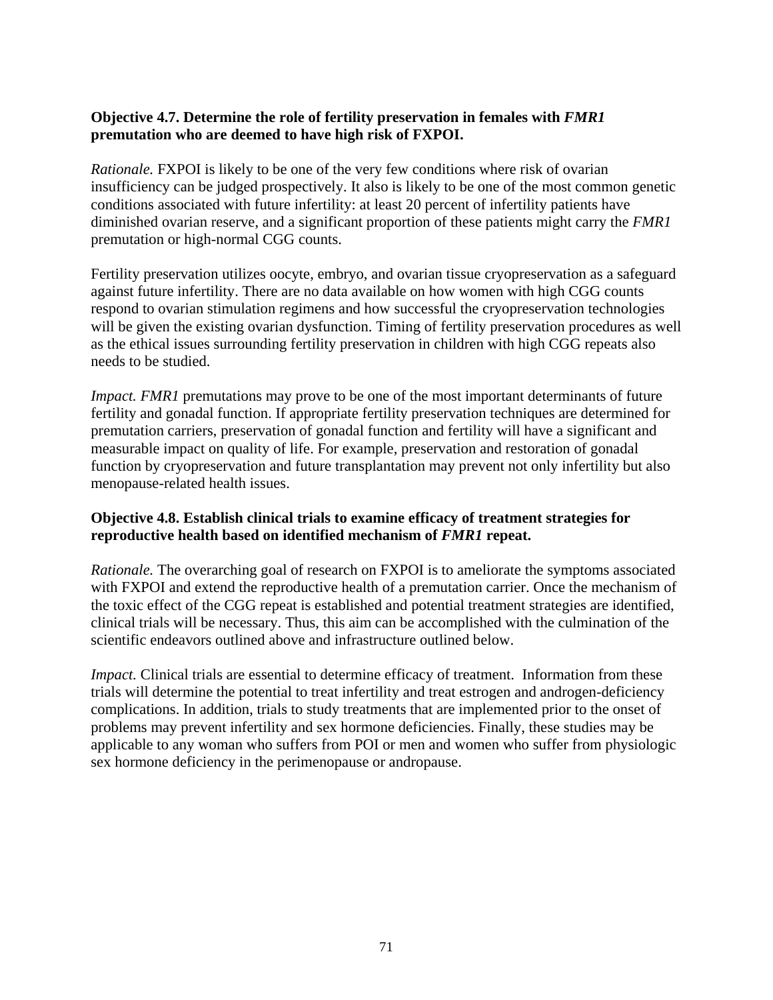## **Objective 4.7. Determine the role of fertility preservation in females with** *FMR1* **premutation who are deemed to have high risk of FXPOI.**

*Rationale.* FXPOI is likely to be one of the very few conditions where risk of ovarian insufficiency can be judged prospectively. It also is likely to be one of the most common genetic conditions associated with future infertility: at least 20 percent of infertility patients have diminished ovarian reserve, and a significant proportion of these patients might carry the *FMR1* premutation or high-normal CGG counts.

Fertility preservation utilizes oocyte, embryo, and ovarian tissue cryopreservation as a safeguard against future infertility. There are no data available on how women with high CGG counts respond to ovarian stimulation regimens and how successful the cryopreservation technologies will be given the existing ovarian dysfunction. Timing of fertility preservation procedures as well as the ethical issues surrounding fertility preservation in children with high CGG repeats also needs to be studied.

*Impact. FMR1* premutations may prove to be one of the most important determinants of future fertility and gonadal function. If appropriate fertility preservation techniques are determined for premutation carriers, preservation of gonadal function and fertility will have a significant and measurable impact on quality of life. For example, preservation and restoration of gonadal function by cryopreservation and future transplantation may prevent not only infertility but also menopause-related health issues.

## **Objective 4.8. Establish clinical trials to examine efficacy of treatment strategies for reproductive health based on identified mechanism of** *FMR1* **repeat.**

*Rationale.* The overarching goal of research on FXPOI is to ameliorate the symptoms associated with FXPOI and extend the reproductive health of a premutation carrier. Once the mechanism of the toxic effect of the CGG repeat is established and potential treatment strategies are identified, clinical trials will be necessary. Thus, this aim can be accomplished with the culmination of the scientific endeavors outlined above and infrastructure outlined below.

*Impact.* Clinical trials are essential to determine efficacy of treatment. Information from these trials will determine the potential to treat infertility and treat estrogen and androgen-deficiency complications. In addition, trials to study treatments that are implemented prior to the onset of problems may prevent infertility and sex hormone deficiencies. Finally, these studies may be applicable to any woman who suffers from POI or men and women who suffer from physiologic sex hormone deficiency in the perimenopause or andropause.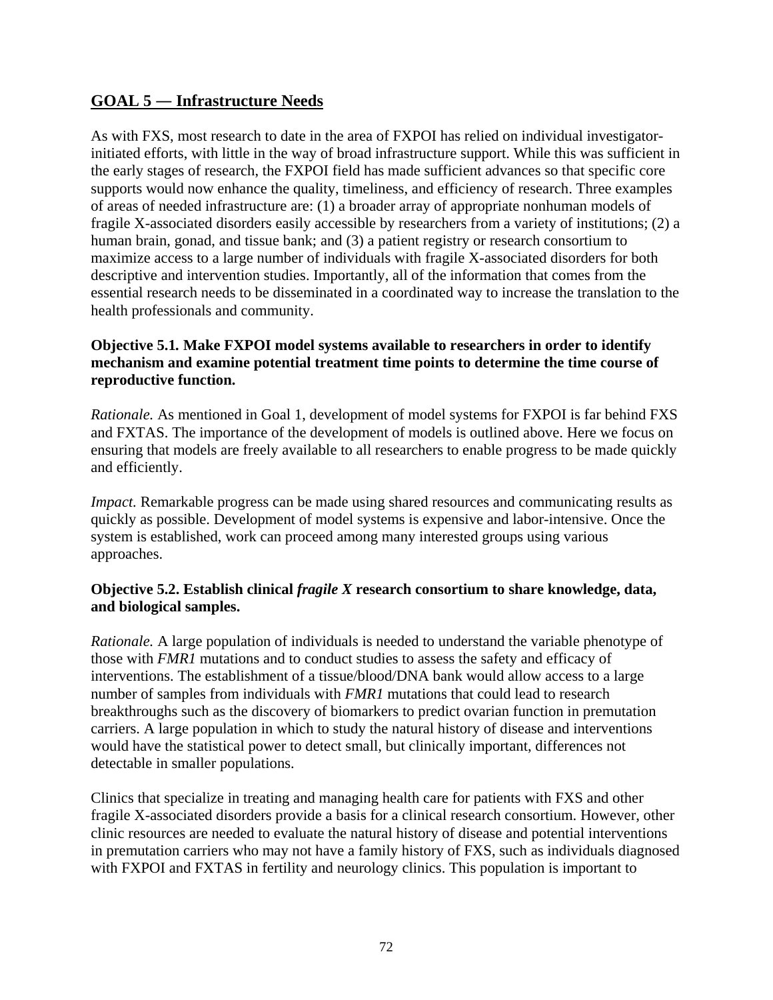## **GOAL 5 ― Infrastructure Needs**

As with FXS, most research to date in the area of FXPOI has relied on individual investigatorinitiated efforts, with little in the way of broad infrastructure support. While this was sufficient in the early stages of research, the FXPOI field has made sufficient advances so that specific core supports would now enhance the quality, timeliness, and efficiency of research. Three examples of areas of needed infrastructure are: (1) a broader array of appropriate nonhuman models of fragile X-associated disorders easily accessible by researchers from a variety of institutions; (2) a human brain, gonad, and tissue bank; and (3) a patient registry or research consortium to maximize access to a large number of individuals with fragile X-associated disorders for both descriptive and intervention studies. Importantly, all of the information that comes from the essential research needs to be disseminated in a coordinated way to increase the translation to the health professionals and community.

## **Objective 5.1***.* **Make FXPOI model systems available to researchers in order to identify mechanism and examine potential treatment time points to determine the time course of reproductive function.**

*Rationale.* As mentioned in Goal 1, development of model systems for FXPOI is far behind FXS and FXTAS. The importance of the development of models is outlined above. Here we focus on ensuring that models are freely available to all researchers to enable progress to be made quickly and efficiently.

*Impact.* Remarkable progress can be made using shared resources and communicating results as quickly as possible. Development of model systems is expensive and labor-intensive. Once the system is established, work can proceed among many interested groups using various approaches.

## **Objective 5.2. Establish clinical** *fragile X* **research consortium to share knowledge, data, and biological samples.**

*Rationale.* A large population of individuals is needed to understand the variable phenotype of those with *FMR1* mutations and to conduct studies to assess the safety and efficacy of interventions. The establishment of a tissue/blood/DNA bank would allow access to a large number of samples from individuals with *FMR1* mutations that could lead to research breakthroughs such as the discovery of biomarkers to predict ovarian function in premutation carriers. A large population in which to study the natural history of disease and interventions would have the statistical power to detect small, but clinically important, differences not detectable in smaller populations.

Clinics that specialize in treating and managing health care for patients with FXS and other fragile X-associated disorders provide a basis for a clinical research consortium. However, other clinic resources are needed to evaluate the natural history of disease and potential interventions in premutation carriers who may not have a family history of FXS, such as individuals diagnosed with FXPOI and FXTAS in fertility and neurology clinics. This population is important to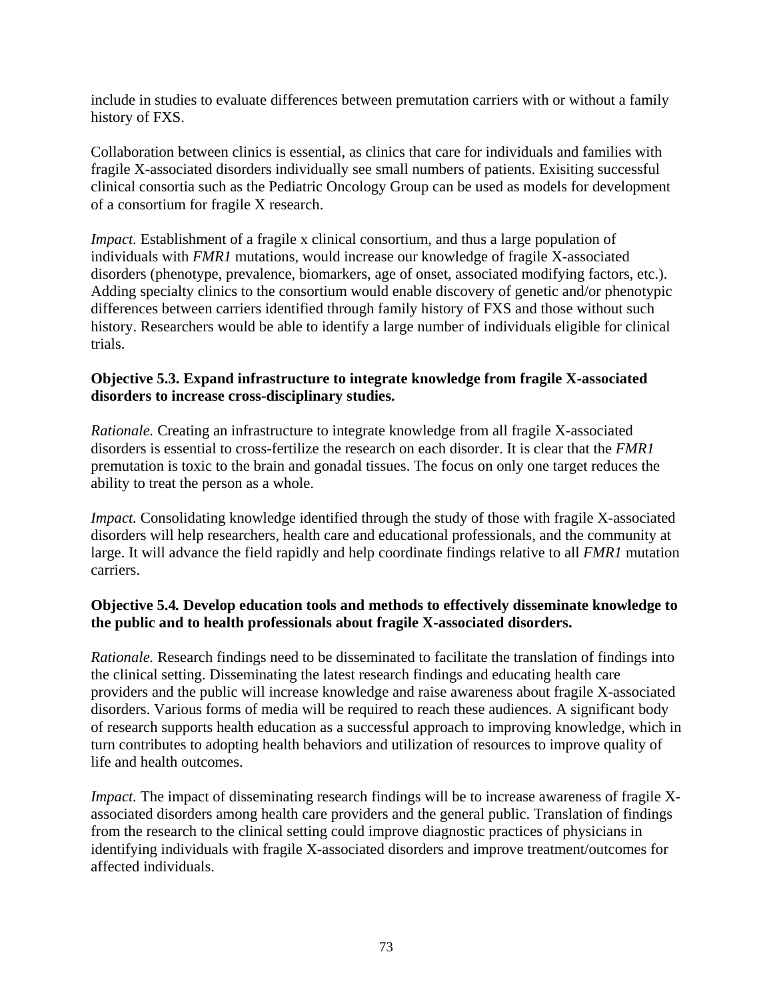include in studies to evaluate differences between premutation carriers with or without a family history of FXS.

Collaboration between clinics is essential, as clinics that care for individuals and families with fragile X-associated disorders individually see small numbers of patients. Exisiting successful clinical consortia such as the Pediatric Oncology Group can be used as models for development of a consortium for fragile X research.

*Impact.* Establishment of a fragile x clinical consortium, and thus a large population of individuals with *FMR1* mutations, would increase our knowledge of fragile X-associated disorders (phenotype, prevalence, biomarkers, age of onset, associated modifying factors, etc.). Adding specialty clinics to the consortium would enable discovery of genetic and/or phenotypic differences between carriers identified through family history of FXS and those without such history. Researchers would be able to identify a large number of individuals eligible for clinical trials.

## **Objective 5.3. Expand infrastructure to integrate knowledge from fragile X-associated disorders to increase cross-disciplinary studies.**

*Rationale.* Creating an infrastructure to integrate knowledge from all fragile X-associated disorders is essential to cross-fertilize the research on each disorder. It is clear that the *FMR1* premutation is toxic to the brain and gonadal tissues. The focus on only one target reduces the ability to treat the person as a whole.

*Impact.* Consolidating knowledge identified through the study of those with fragile X-associated disorders will help researchers, health care and educational professionals, and the community at large. It will advance the field rapidly and help coordinate findings relative to all *FMR1* mutation carriers.

## **Objective 5.4***.* **Develop education tools and methods to effectively disseminate knowledge to the public and to health professionals about fragile X-associated disorders.**

*Rationale.* Research findings need to be disseminated to facilitate the translation of findings into the clinical setting. Disseminating the latest research findings and educating health care providers and the public will increase knowledge and raise awareness about fragile X-associated disorders. Various forms of media will be required to reach these audiences. A significant body of research supports health education as a successful approach to improving knowledge, which in turn contributes to adopting health behaviors and utilization of resources to improve quality of life and health outcomes.

*Impact.* The impact of disseminating research findings will be to increase awareness of fragile Xassociated disorders among health care providers and the general public. Translation of findings from the research to the clinical setting could improve diagnostic practices of physicians in identifying individuals with fragile X-associated disorders and improve treatment/outcomes for affected individuals.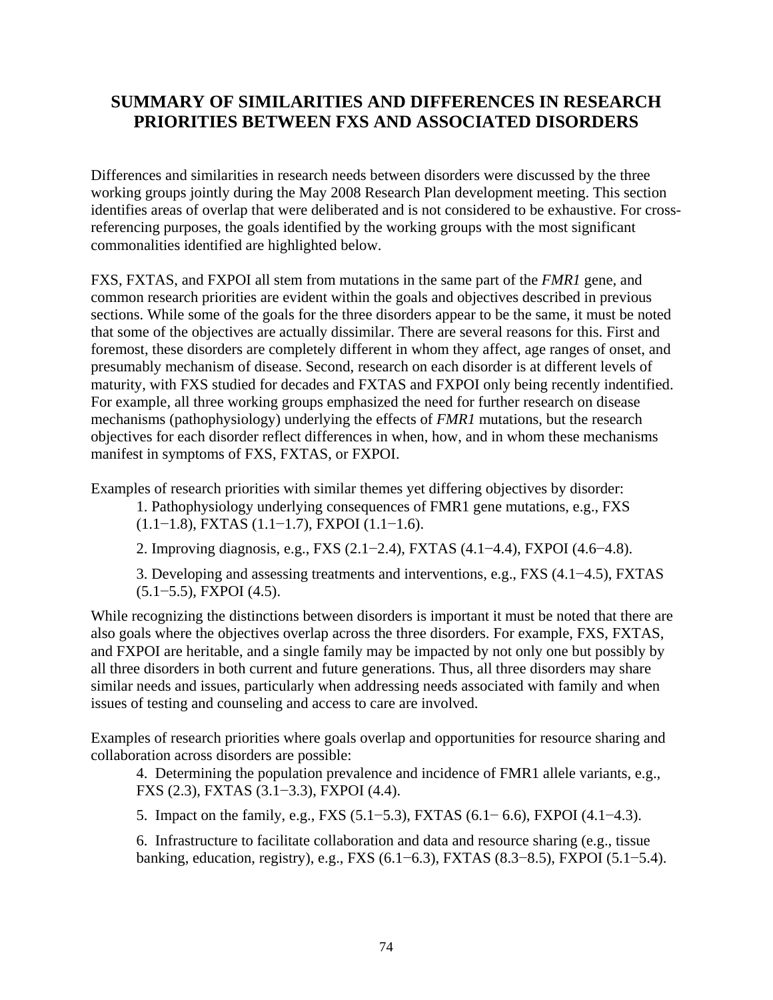# **SUMMARY OF SIMILARITIES AND DIFFERENCES IN RESEARCH PRIORITIES BETWEEN FXS AND ASSOCIATED DISORDERS**

Differences and similarities in research needs between disorders were discussed by the three working groups jointly during the May 2008 Research Plan development meeting. This section identifies areas of overlap that were deliberated and is not considered to be exhaustive. For crossreferencing purposes, the goals identified by the working groups with the most significant commonalities identified are highlighted below.

FXS, FXTAS, and FXPOI all stem from mutations in the same part of the *FMR1* gene, and common research priorities are evident within the goals and objectives described in previous sections. While some of the goals for the three disorders appear to be the same, it must be noted that some of the objectives are actually dissimilar. There are several reasons for this. First and foremost, these disorders are completely different in whom they affect, age ranges of onset, and presumably mechanism of disease. Second, research on each disorder is at different levels of maturity, with FXS studied for decades and FXTAS and FXPOI only being recently indentified. For example, all three working groups emphasized the need for further research on disease mechanisms (pathophysiology) underlying the effects of *FMR1* mutations, but the research objectives for each disorder reflect differences in when, how, and in whom these mechanisms manifest in symptoms of FXS, FXTAS, or FXPOI.

Examples of research priorities with similar themes yet differing objectives by disorder:

- 1. Pathophysiology underlying consequences of FMR1 gene mutations, e.g., FXS (1.1−1.8), FXTAS (1.1−1.7), FXPOI (1.1−1.6).
- 2. Improving diagnosis, e.g., FXS (2.1−2.4), FXTAS (4.1−4.4), FXPOI (4.6−4.8).

3. Developing and assessing treatments and interventions, e.g., FXS (4.1−4.5), FXTAS (5.1−5.5), FXPOI (4.5).

While recognizing the distinctions between disorders is important it must be noted that there are also goals where the objectives overlap across the three disorders. For example, FXS, FXTAS, and FXPOI are heritable, and a single family may be impacted by not only one but possibly by all three disorders in both current and future generations. Thus, all three disorders may share similar needs and issues, particularly when addressing needs associated with family and when issues of testing and counseling and access to care are involved.

Examples of research priorities where goals overlap and opportunities for resource sharing and collaboration across disorders are possible:

4. Determining the population prevalence and incidence of FMR1 allele variants, e.g., FXS (2.3), FXTAS (3.1−3.3), FXPOI (4.4).

5. Impact on the family, e.g., FXS (5.1−5.3), FXTAS (6.1− 6.6), FXPOI (4.1−4.3).

6. Infrastructure to facilitate collaboration and data and resource sharing (e.g., tissue banking, education, registry), e.g., FXS (6.1−6.3), FXTAS (8.3−8.5), FXPOI (5.1−5.4).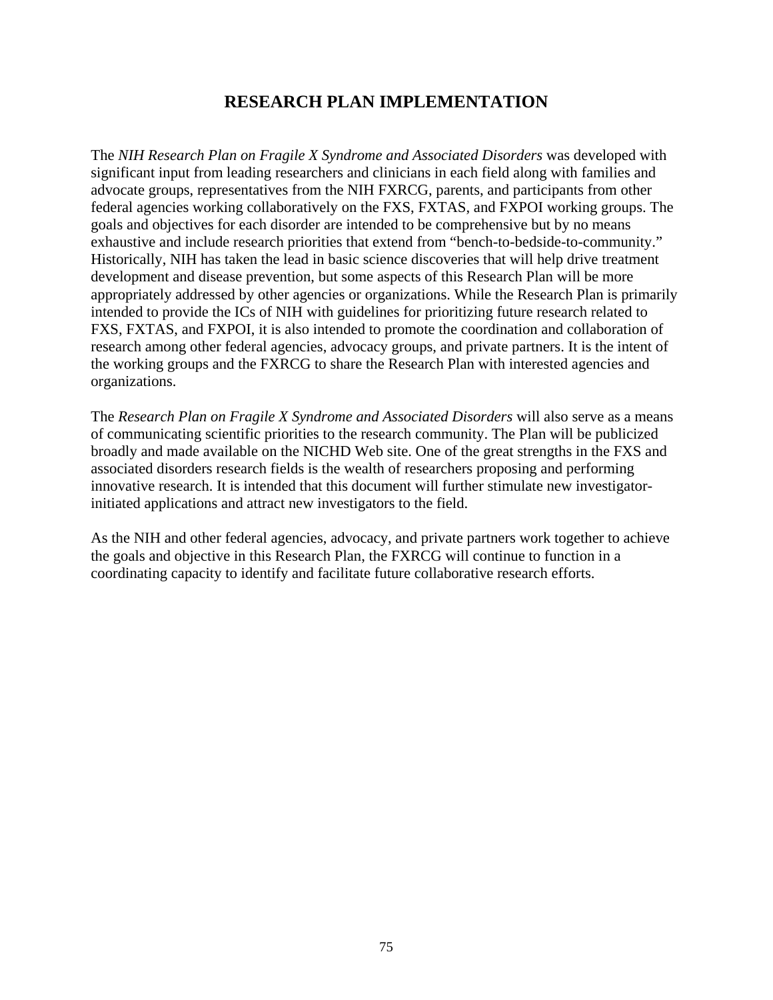## **RESEARCH PLAN IMPLEMENTATION**

The *NIH Research Plan on Fragile X Syndrome and Associated Disorders* was developed with significant input from leading researchers and clinicians in each field along with families and advocate groups, representatives from the NIH FXRCG, parents, and participants from other federal agencies working collaboratively on the FXS, FXTAS, and FXPOI working groups. The goals and objectives for each disorder are intended to be comprehensive but by no means exhaustive and include research priorities that extend from "bench-to-bedside-to-community." Historically, NIH has taken the lead in basic science discoveries that will help drive treatment development and disease prevention, but some aspects of this Research Plan will be more appropriately addressed by other agencies or organizations. While the Research Plan is primarily intended to provide the ICs of NIH with guidelines for prioritizing future research related to FXS, FXTAS, and FXPOI, it is also intended to promote the coordination and collaboration of research among other federal agencies, advocacy groups, and private partners. It is the intent of the working groups and the FXRCG to share the Research Plan with interested agencies and organizations.

The *Research Plan on Fragile X Syndrome and Associated Disorders* will also serve as a means of communicating scientific priorities to the research community. The Plan will be publicized broadly and made available on the NICHD Web site. One of the great strengths in the FXS and associated disorders research fields is the wealth of researchers proposing and performing innovative research. It is intended that this document will further stimulate new investigatorinitiated applications and attract new investigators to the field.

As the NIH and other federal agencies, advocacy, and private partners work together to achieve the goals and objective in this Research Plan, the FXRCG will continue to function in a coordinating capacity to identify and facilitate future collaborative research efforts.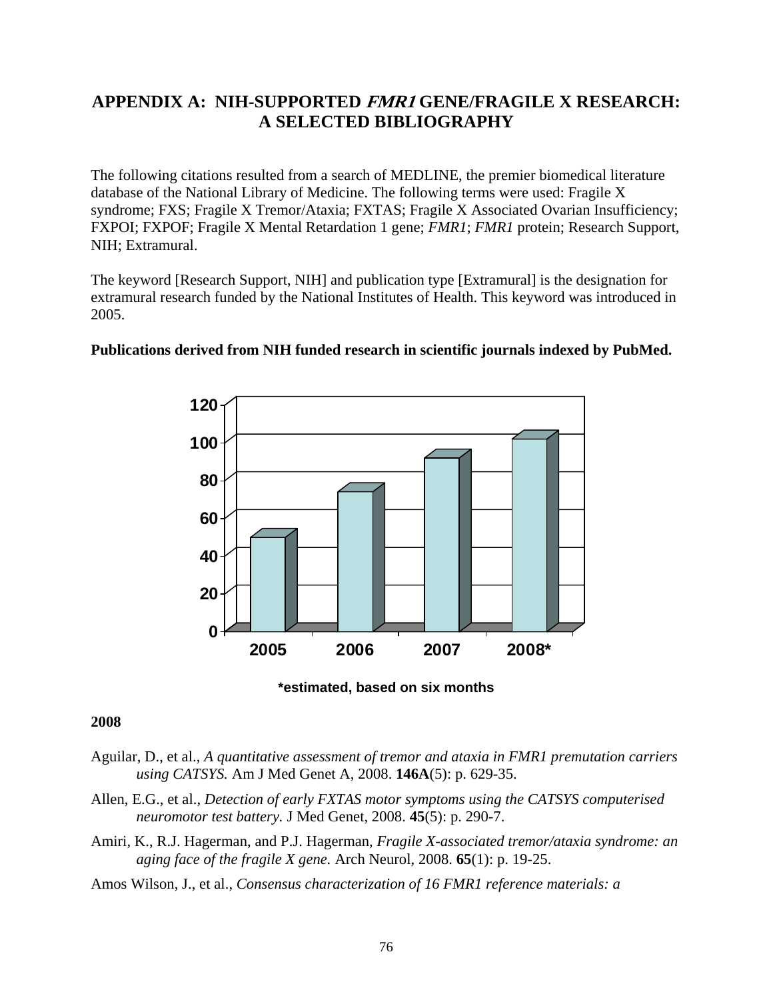# **APPENDIX A: NIH-SUPPORTED FMR1 GENE/FRAGILE X RESEARCH: A SELECTED BIBLIOGRAPHY**

The following citations resulted from a search of MEDLINE, the premier biomedical literature database of the National Library of Medicine. The following terms were used: Fragile X syndrome; FXS; Fragile X Tremor/Ataxia; FXTAS; Fragile X Associated Ovarian Insufficiency; FXPOI; FXPOF; Fragile X Mental Retardation 1 gene; *FMR1*; *FMR1* protein; Research Support, NIH; Extramural.

The keyword [Research Support, NIH] and publication type [Extramural] is the designation for extramural research funded by the National Institutes of Health. This keyword was introduced in 2005.



### **Publications derived from NIH funded research in scientific journals indexed by PubMed.**

**\*estimated, based on six months** 

#### **2008**

- Aguilar, D., et al., *A quantitative assessment of tremor and ataxia in FMR1 premutation carriers using CATSYS.* Am J Med Genet A, 2008. **146A**(5): p. 629-35.
- Allen, E.G., et al., *Detection of early FXTAS motor symptoms using the CATSYS computerised neuromotor test battery.* J Med Genet, 2008. **45**(5): p. 290-7.
- Amiri, K., R.J. Hagerman, and P.J. Hagerman, *Fragile X-associated tremor/ataxia syndrome: an aging face of the fragile X gene.* Arch Neurol, 2008. **65**(1): p. 19-25.
- Amos Wilson, J., et al., *Consensus characterization of 16 FMR1 reference materials: a*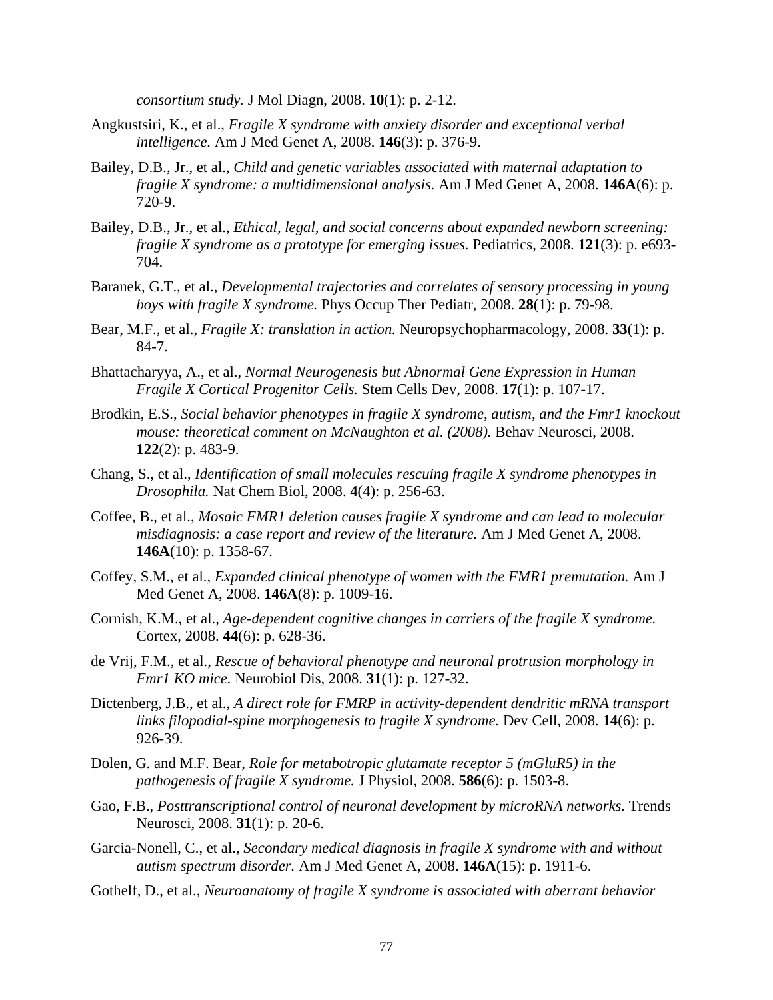*consortium study.* J Mol Diagn, 2008. **10**(1): p. 2-12.

- Angkustsiri, K., et al., *Fragile X syndrome with anxiety disorder and exceptional verbal intelligence.* Am J Med Genet A, 2008. **146**(3): p. 376-9.
- Bailey, D.B., Jr., et al., *Child and genetic variables associated with maternal adaptation to fragile X syndrome: a multidimensional analysis.* Am J Med Genet A, 2008. **146A**(6): p. 720-9.
- Bailey, D.B., Jr., et al., *Ethical, legal, and social concerns about expanded newborn screening: fragile X syndrome as a prototype for emerging issues.* Pediatrics, 2008. **121**(3): p. e693- 704.
- Baranek, G.T., et al., *Developmental trajectories and correlates of sensory processing in young boys with fragile X syndrome.* Phys Occup Ther Pediatr, 2008. **28**(1): p. 79-98.
- Bear, M.F., et al., *Fragile X: translation in action.* Neuropsychopharmacology, 2008. **33**(1): p. 84-7.
- Bhattacharyya, A., et al., *Normal Neurogenesis but Abnormal Gene Expression in Human Fragile X Cortical Progenitor Cells.* Stem Cells Dev, 2008. **17**(1): p. 107-17.
- Brodkin, E.S., *Social behavior phenotypes in fragile X syndrome, autism, and the Fmr1 knockout mouse: theoretical comment on McNaughton et al. (2008).* Behav Neurosci, 2008. **122**(2): p. 483-9.
- Chang, S., et al., *Identification of small molecules rescuing fragile X syndrome phenotypes in Drosophila.* Nat Chem Biol, 2008. **4**(4): p. 256-63.
- Coffee, B., et al., *Mosaic FMR1 deletion causes fragile X syndrome and can lead to molecular misdiagnosis: a case report and review of the literature.* Am J Med Genet A, 2008. **146A**(10): p. 1358-67.
- Coffey, S.M., et al., *Expanded clinical phenotype of women with the FMR1 premutation.* Am J Med Genet A, 2008. **146A**(8): p. 1009-16.
- Cornish, K.M., et al., *Age-dependent cognitive changes in carriers of the fragile X syndrome.* Cortex, 2008. **44**(6): p. 628-36.
- de Vrij, F.M., et al., *Rescue of behavioral phenotype and neuronal protrusion morphology in Fmr1 KO mice.* Neurobiol Dis, 2008. **31**(1): p. 127-32.
- Dictenberg, J.B., et al., *A direct role for FMRP in activity-dependent dendritic mRNA transport links filopodial-spine morphogenesis to fragile X syndrome.* Dev Cell, 2008. **14**(6): p. 926-39.
- Dolen, G. and M.F. Bear, *Role for metabotropic glutamate receptor 5 (mGluR5) in the pathogenesis of fragile X syndrome.* J Physiol, 2008. **586**(6): p. 1503-8.
- Gao, F.B., *Posttranscriptional control of neuronal development by microRNA networks.* Trends Neurosci, 2008. **31**(1): p. 20-6.
- Garcia-Nonell, C., et al., *Secondary medical diagnosis in fragile X syndrome with and without autism spectrum disorder.* Am J Med Genet A, 2008. **146A**(15): p. 1911-6.
- Gothelf, D., et al., *Neuroanatomy of fragile X syndrome is associated with aberrant behavior*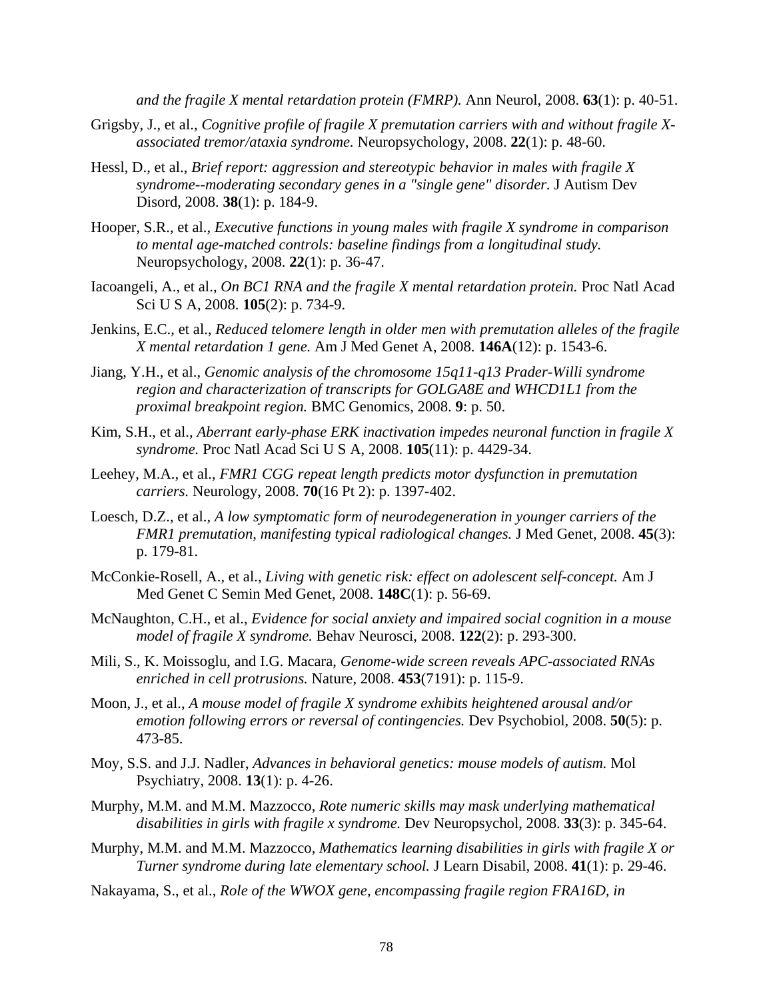*and the fragile X mental retardation protein (FMRP).* Ann Neurol, 2008. **63**(1): p. 40-51.

- Grigsby, J., et al., *Cognitive profile of fragile X premutation carriers with and without fragile Xassociated tremor/ataxia syndrome.* Neuropsychology, 2008. **22**(1): p. 48-60.
- Hessl, D., et al., *Brief report: aggression and stereotypic behavior in males with fragile X syndrome--moderating secondary genes in a "single gene" disorder.* J Autism Dev Disord, 2008. **38**(1): p. 184-9.
- Hooper, S.R., et al., *Executive functions in young males with fragile X syndrome in comparison to mental age-matched controls: baseline findings from a longitudinal study.* Neuropsychology, 2008. **22**(1): p. 36-47.
- Iacoangeli, A., et al., *On BC1 RNA and the fragile X mental retardation protein.* Proc Natl Acad Sci U S A, 2008. **105**(2): p. 734-9.
- Jenkins, E.C., et al., *Reduced telomere length in older men with premutation alleles of the fragile X mental retardation 1 gene.* Am J Med Genet A, 2008. **146A**(12): p. 1543-6.
- Jiang, Y.H., et al., *Genomic analysis of the chromosome 15q11-q13 Prader-Willi syndrome region and characterization of transcripts for GOLGA8E and WHCD1L1 from the proximal breakpoint region.* BMC Genomics, 2008. **9**: p. 50.
- Kim, S.H., et al., *Aberrant early-phase ERK inactivation impedes neuronal function in fragile X syndrome.* Proc Natl Acad Sci U S A, 2008. **105**(11): p. 4429-34.
- Leehey, M.A., et al., *FMR1 CGG repeat length predicts motor dysfunction in premutation carriers.* Neurology, 2008. **70**(16 Pt 2): p. 1397-402.
- Loesch, D.Z., et al., *A low symptomatic form of neurodegeneration in younger carriers of the FMR1 premutation, manifesting typical radiological changes.* J Med Genet, 2008. **45**(3): p. 179-81.
- McConkie-Rosell, A., et al., *Living with genetic risk: effect on adolescent self-concept.* Am J Med Genet C Semin Med Genet, 2008. **148C**(1): p. 56-69.
- McNaughton, C.H., et al., *Evidence for social anxiety and impaired social cognition in a mouse model of fragile X syndrome.* Behav Neurosci, 2008. **122**(2): p. 293-300.
- Mili, S., K. Moissoglu, and I.G. Macara, *Genome-wide screen reveals APC-associated RNAs enriched in cell protrusions.* Nature, 2008. **453**(7191): p. 115-9.
- Moon, J., et al., *A mouse model of fragile X syndrome exhibits heightened arousal and/or emotion following errors or reversal of contingencies.* Dev Psychobiol, 2008. **50**(5): p. 473-85.
- Moy, S.S. and J.J. Nadler, *Advances in behavioral genetics: mouse models of autism.* Mol Psychiatry, 2008. **13**(1): p. 4-26.
- Murphy, M.M. and M.M. Mazzocco, *Rote numeric skills may mask underlying mathematical disabilities in girls with fragile x syndrome.* Dev Neuropsychol, 2008. **33**(3): p. 345-64.
- Murphy, M.M. and M.M. Mazzocco, *Mathematics learning disabilities in girls with fragile X or Turner syndrome during late elementary school.* J Learn Disabil, 2008. **41**(1): p. 29-46.
- Nakayama, S., et al., *Role of the WWOX gene, encompassing fragile region FRA16D, in*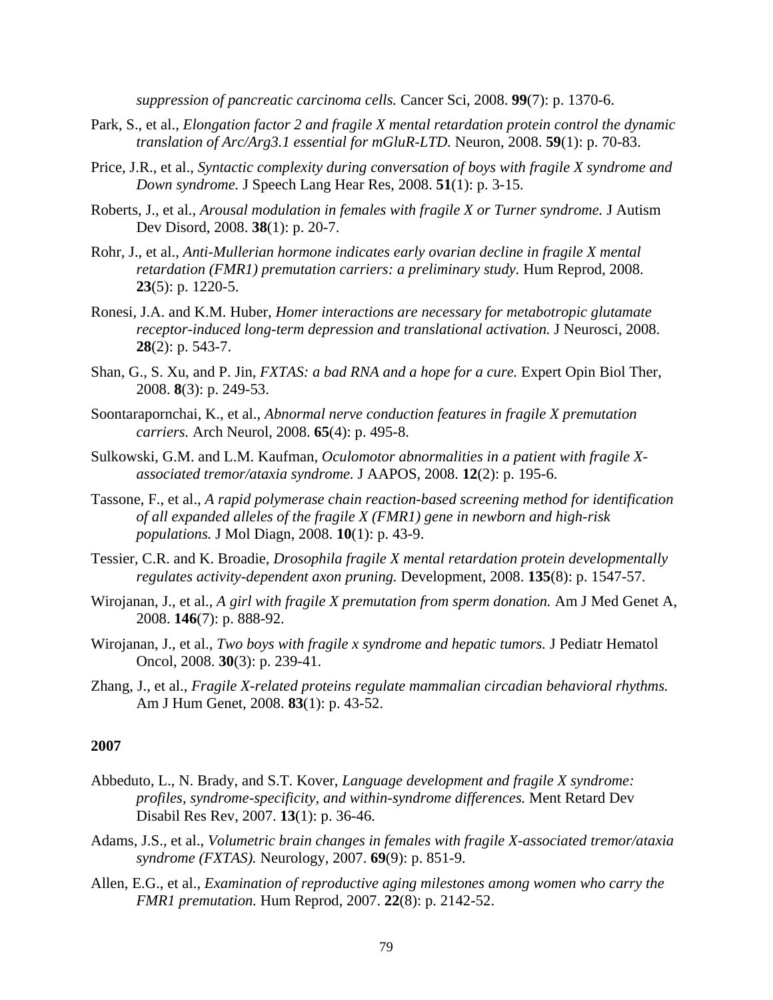*suppression of pancreatic carcinoma cells.* Cancer Sci, 2008. **99**(7): p. 1370-6.

- Park, S., et al., *Elongation factor 2 and fragile X mental retardation protein control the dynamic translation of Arc/Arg3.1 essential for mGluR-LTD.* Neuron, 2008. **59**(1): p. 70-83.
- Price, J.R., et al., *Syntactic complexity during conversation of boys with fragile X syndrome and Down syndrome.* J Speech Lang Hear Res, 2008. **51**(1): p. 3-15.
- Roberts, J., et al., *Arousal modulation in females with fragile X or Turner syndrome.* J Autism Dev Disord, 2008. **38**(1): p. 20-7.
- Rohr, J., et al., *Anti-Mullerian hormone indicates early ovarian decline in fragile X mental retardation (FMR1) premutation carriers: a preliminary study.* Hum Reprod, 2008. **23**(5): p. 1220-5.
- Ronesi, J.A. and K.M. Huber, *Homer interactions are necessary for metabotropic glutamate receptor-induced long-term depression and translational activation.* J Neurosci, 2008. **28**(2): p. 543-7.
- Shan, G., S. Xu, and P. Jin, *FXTAS: a bad RNA and a hope for a cure.* Expert Opin Biol Ther, 2008. **8**(3): p. 249-53.
- Soontarapornchai, K., et al., *Abnormal nerve conduction features in fragile X premutation carriers.* Arch Neurol, 2008. **65**(4): p. 495-8.
- Sulkowski, G.M. and L.M. Kaufman, *Oculomotor abnormalities in a patient with fragile Xassociated tremor/ataxia syndrome.* J AAPOS, 2008. **12**(2): p. 195-6.
- Tassone, F., et al., *A rapid polymerase chain reaction-based screening method for identification of all expanded alleles of the fragile X (FMR1) gene in newborn and high-risk populations.* J Mol Diagn, 2008. **10**(1): p. 43-9.
- Tessier, C.R. and K. Broadie, *Drosophila fragile X mental retardation protein developmentally regulates activity-dependent axon pruning.* Development, 2008. **135**(8): p. 1547-57.
- Wirojanan, J., et al., *A girl with fragile X premutation from sperm donation.* Am J Med Genet A, 2008. **146**(7): p. 888-92.
- Wirojanan, J., et al., *Two boys with fragile x syndrome and hepatic tumors.* J Pediatr Hematol Oncol, 2008. **30**(3): p. 239-41.
- Zhang, J., et al., *Fragile X-related proteins regulate mammalian circadian behavioral rhythms.* Am J Hum Genet, 2008. **83**(1): p. 43-52.

#### **2007**

- Abbeduto, L., N. Brady, and S.T. Kover, *Language development and fragile X syndrome: profiles, syndrome-specificity, and within-syndrome differences.* Ment Retard Dev Disabil Res Rev, 2007. **13**(1): p. 36-46.
- Adams, J.S., et al., *Volumetric brain changes in females with fragile X-associated tremor/ataxia syndrome (FXTAS).* Neurology, 2007. **69**(9): p. 851-9.
- Allen, E.G., et al., *Examination of reproductive aging milestones among women who carry the FMR1 premutation.* Hum Reprod, 2007. **22**(8): p. 2142-52.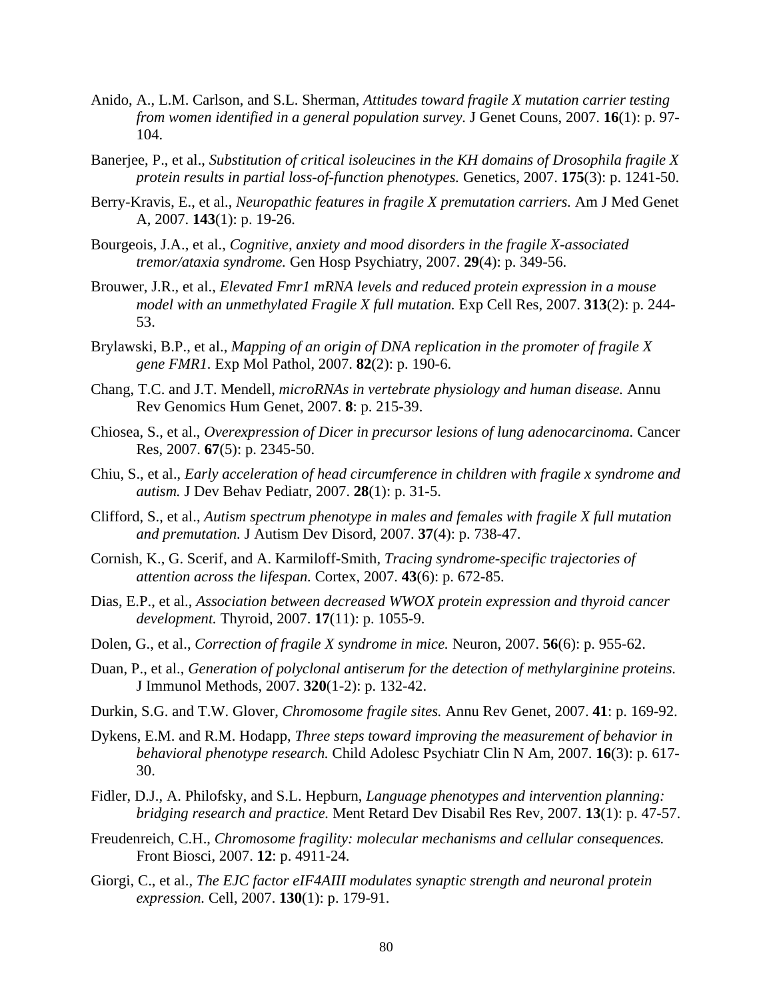- Anido, A., L.M. Carlson, and S.L. Sherman, *Attitudes toward fragile X mutation carrier testing from women identified in a general population survey.* J Genet Couns, 2007. **16**(1): p. 97- 104.
- Banerjee, P., et al., *Substitution of critical isoleucines in the KH domains of Drosophila fragile X protein results in partial loss-of-function phenotypes.* Genetics, 2007. **175**(3): p. 1241-50.
- Berry-Kravis, E., et al., *Neuropathic features in fragile X premutation carriers.* Am J Med Genet A, 2007. **143**(1): p. 19-26.
- Bourgeois, J.A., et al., *Cognitive, anxiety and mood disorders in the fragile X-associated tremor/ataxia syndrome.* Gen Hosp Psychiatry, 2007. **29**(4): p. 349-56.
- Brouwer, J.R., et al., *Elevated Fmr1 mRNA levels and reduced protein expression in a mouse model with an unmethylated Fragile X full mutation.* Exp Cell Res, 2007. **313**(2): p. 244- 53.
- Brylawski, B.P., et al., *Mapping of an origin of DNA replication in the promoter of fragile X gene FMR1.* Exp Mol Pathol, 2007. **82**(2): p. 190-6.
- Chang, T.C. and J.T. Mendell, *microRNAs in vertebrate physiology and human disease.* Annu Rev Genomics Hum Genet, 2007. **8**: p. 215-39.
- Chiosea, S., et al., *Overexpression of Dicer in precursor lesions of lung adenocarcinoma.* Cancer Res, 2007. **67**(5): p. 2345-50.
- Chiu, S., et al., *Early acceleration of head circumference in children with fragile x syndrome and autism.* J Dev Behav Pediatr, 2007. **28**(1): p. 31-5.
- Clifford, S., et al., *Autism spectrum phenotype in males and females with fragile X full mutation and premutation.* J Autism Dev Disord, 2007. **37**(4): p. 738-47.
- Cornish, K., G. Scerif, and A. Karmiloff-Smith, *Tracing syndrome-specific trajectories of attention across the lifespan.* Cortex, 2007. **43**(6): p. 672-85.
- Dias, E.P., et al., *Association between decreased WWOX protein expression and thyroid cancer development.* Thyroid, 2007. **17**(11): p. 1055-9.
- Dolen, G., et al., *Correction of fragile X syndrome in mice.* Neuron, 2007. **56**(6): p. 955-62.
- Duan, P., et al., *Generation of polyclonal antiserum for the detection of methylarginine proteins.* J Immunol Methods, 2007. **320**(1-2): p. 132-42.
- Durkin, S.G. and T.W. Glover, *Chromosome fragile sites.* Annu Rev Genet, 2007. **41**: p. 169-92.
- Dykens, E.M. and R.M. Hodapp, *Three steps toward improving the measurement of behavior in behavioral phenotype research.* Child Adolesc Psychiatr Clin N Am, 2007. **16**(3): p. 617- 30.
- Fidler, D.J., A. Philofsky, and S.L. Hepburn, *Language phenotypes and intervention planning: bridging research and practice.* Ment Retard Dev Disabil Res Rev, 2007. **13**(1): p. 47-57.
- Freudenreich, C.H., *Chromosome fragility: molecular mechanisms and cellular consequences.* Front Biosci, 2007. **12**: p. 4911-24.
- Giorgi, C., et al., *The EJC factor eIF4AIII modulates synaptic strength and neuronal protein expression.* Cell, 2007. **130**(1): p. 179-91.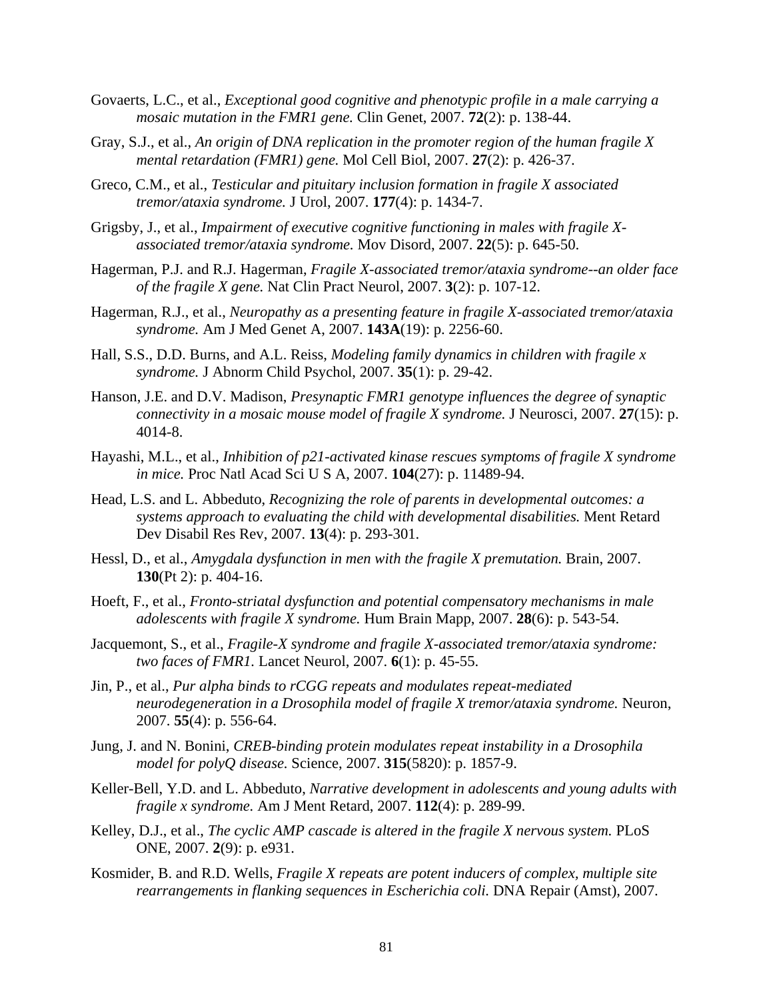- Govaerts, L.C., et al., *Exceptional good cognitive and phenotypic profile in a male carrying a mosaic mutation in the FMR1 gene.* Clin Genet, 2007. **72**(2): p. 138-44.
- Gray, S.J., et al., *An origin of DNA replication in the promoter region of the human fragile X mental retardation (FMR1) gene.* Mol Cell Biol, 2007. **27**(2): p. 426-37.
- Greco, C.M., et al., *Testicular and pituitary inclusion formation in fragile X associated tremor/ataxia syndrome.* J Urol, 2007. **177**(4): p. 1434-7.
- Grigsby, J., et al., *Impairment of executive cognitive functioning in males with fragile Xassociated tremor/ataxia syndrome.* Mov Disord, 2007. **22**(5): p. 645-50.
- Hagerman, P.J. and R.J. Hagerman, *Fragile X-associated tremor/ataxia syndrome--an older face of the fragile X gene.* Nat Clin Pract Neurol, 2007. **3**(2): p. 107-12.
- Hagerman, R.J., et al., *Neuropathy as a presenting feature in fragile X-associated tremor/ataxia syndrome.* Am J Med Genet A, 2007. **143A**(19): p. 2256-60.
- Hall, S.S., D.D. Burns, and A.L. Reiss, *Modeling family dynamics in children with fragile x syndrome.* J Abnorm Child Psychol, 2007. **35**(1): p. 29-42.
- Hanson, J.E. and D.V. Madison, *Presynaptic FMR1 genotype influences the degree of synaptic connectivity in a mosaic mouse model of fragile X syndrome.* J Neurosci, 2007. **27**(15): p. 4014-8.
- Hayashi, M.L., et al., *Inhibition of p21-activated kinase rescues symptoms of fragile X syndrome in mice.* Proc Natl Acad Sci U S A, 2007. **104**(27): p. 11489-94.
- Head, L.S. and L. Abbeduto, *Recognizing the role of parents in developmental outcomes: a systems approach to evaluating the child with developmental disabilities.* Ment Retard Dev Disabil Res Rev, 2007. **13**(4): p. 293-301.
- Hessl, D., et al., *Amygdala dysfunction in men with the fragile X premutation.* Brain, 2007. **130**(Pt 2): p. 404-16.
- Hoeft, F., et al., *Fronto-striatal dysfunction and potential compensatory mechanisms in male adolescents with fragile X syndrome.* Hum Brain Mapp, 2007. **28**(6): p. 543-54.
- Jacquemont, S., et al., *Fragile-X syndrome and fragile X-associated tremor/ataxia syndrome: two faces of FMR1.* Lancet Neurol, 2007. **6**(1): p. 45-55.
- Jin, P., et al., *Pur alpha binds to rCGG repeats and modulates repeat-mediated neurodegeneration in a Drosophila model of fragile X tremor/ataxia syndrome.* Neuron, 2007. **55**(4): p. 556-64.
- Jung, J. and N. Bonini, *CREB-binding protein modulates repeat instability in a Drosophila model for polyQ disease.* Science, 2007. **315**(5820): p. 1857-9.
- Keller-Bell, Y.D. and L. Abbeduto, *Narrative development in adolescents and young adults with fragile x syndrome.* Am J Ment Retard, 2007. **112**(4): p. 289-99.
- Kelley, D.J., et al., *The cyclic AMP cascade is altered in the fragile X nervous system.* PLoS ONE, 2007. **2**(9): p. e931.
- Kosmider, B. and R.D. Wells, *Fragile X repeats are potent inducers of complex, multiple site rearrangements in flanking sequences in Escherichia coli.* DNA Repair (Amst), 2007.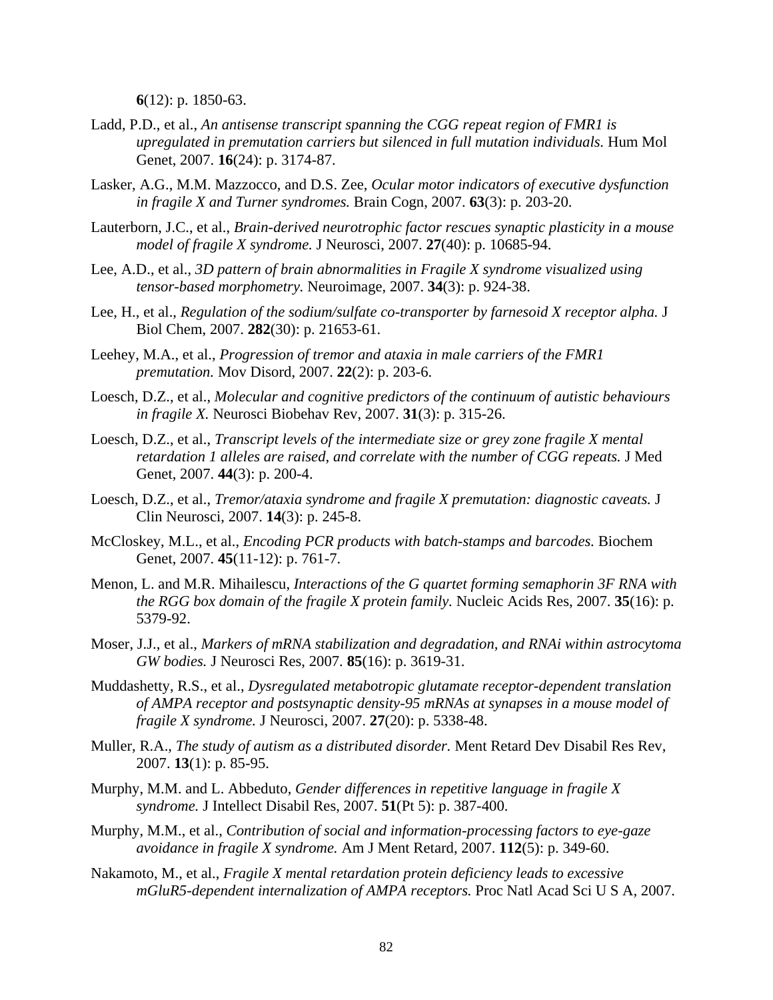**6**(12): p. 1850-63.

- Ladd, P.D., et al., *An antisense transcript spanning the CGG repeat region of FMR1 is upregulated in premutation carriers but silenced in full mutation individuals.* Hum Mol Genet, 2007. **16**(24): p. 3174-87.
- Lasker, A.G., M.M. Mazzocco, and D.S. Zee, *Ocular motor indicators of executive dysfunction in fragile X and Turner syndromes.* Brain Cogn, 2007. **63**(3): p. 203-20.
- Lauterborn, J.C., et al., *Brain-derived neurotrophic factor rescues synaptic plasticity in a mouse model of fragile X syndrome.* J Neurosci, 2007. **27**(40): p. 10685-94.
- Lee, A.D., et al., *3D pattern of brain abnormalities in Fragile X syndrome visualized using tensor-based morphometry.* Neuroimage, 2007. **34**(3): p. 924-38.
- Lee, H., et al., *Regulation of the sodium/sulfate co-transporter by farnesoid X receptor alpha.* J Biol Chem, 2007. **282**(30): p. 21653-61.
- Leehey, M.A., et al., *Progression of tremor and ataxia in male carriers of the FMR1 premutation.* Mov Disord, 2007. **22**(2): p. 203-6.
- Loesch, D.Z., et al., *Molecular and cognitive predictors of the continuum of autistic behaviours in fragile X.* Neurosci Biobehav Rev, 2007. **31**(3): p. 315-26.
- Loesch, D.Z., et al., *Transcript levels of the intermediate size or grey zone fragile X mental retardation 1 alleles are raised, and correlate with the number of CGG repeats.* J Med Genet, 2007. **44**(3): p. 200-4.
- Loesch, D.Z., et al., *Tremor/ataxia syndrome and fragile X premutation: diagnostic caveats.* J Clin Neurosci, 2007. **14**(3): p. 245-8.
- McCloskey, M.L., et al., *Encoding PCR products with batch-stamps and barcodes.* Biochem Genet, 2007. **45**(11-12): p. 761-7.
- Menon, L. and M.R. Mihailescu, *Interactions of the G quartet forming semaphorin 3F RNA with the RGG box domain of the fragile X protein family.* Nucleic Acids Res, 2007. **35**(16): p. 5379-92.
- Moser, J.J., et al., *Markers of mRNA stabilization and degradation, and RNAi within astrocytoma GW bodies.* J Neurosci Res, 2007. **85**(16): p. 3619-31.
- Muddashetty, R.S., et al., *Dysregulated metabotropic glutamate receptor-dependent translation of AMPA receptor and postsynaptic density-95 mRNAs at synapses in a mouse model of fragile X syndrome.* J Neurosci, 2007. **27**(20): p. 5338-48.
- Muller, R.A., *The study of autism as a distributed disorder.* Ment Retard Dev Disabil Res Rev, 2007. **13**(1): p. 85-95.
- Murphy, M.M. and L. Abbeduto, *Gender differences in repetitive language in fragile X syndrome.* J Intellect Disabil Res, 2007. **51**(Pt 5): p. 387-400.
- Murphy, M.M., et al., *Contribution of social and information-processing factors to eye-gaze avoidance in fragile X syndrome.* Am J Ment Retard, 2007. **112**(5): p. 349-60.
- Nakamoto, M., et al., *Fragile X mental retardation protein deficiency leads to excessive mGluR5-dependent internalization of AMPA receptors.* Proc Natl Acad Sci U S A, 2007.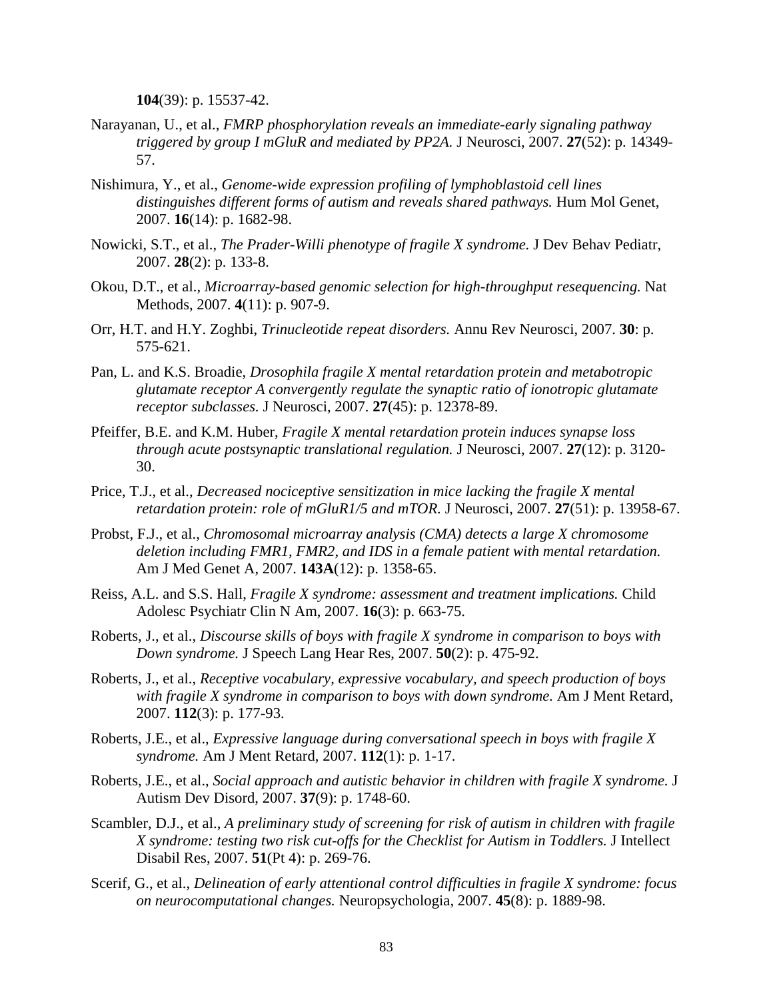**104**(39): p. 15537-42.

- Narayanan, U., et al., *FMRP phosphorylation reveals an immediate-early signaling pathway triggered by group I mGluR and mediated by PP2A.* J Neurosci, 2007. **27**(52): p. 14349- 57.
- Nishimura, Y., et al., *Genome-wide expression profiling of lymphoblastoid cell lines distinguishes different forms of autism and reveals shared pathways.* Hum Mol Genet, 2007. **16**(14): p. 1682-98.
- Nowicki, S.T., et al., *The Prader-Willi phenotype of fragile X syndrome.* J Dev Behav Pediatr, 2007. **28**(2): p. 133-8.
- Okou, D.T., et al., *Microarray-based genomic selection for high-throughput resequencing.* Nat Methods, 2007. **4**(11): p. 907-9.
- Orr, H.T. and H.Y. Zoghbi, *Trinucleotide repeat disorders.* Annu Rev Neurosci, 2007. **30**: p. 575-621.
- Pan, L. and K.S. Broadie, *Drosophila fragile X mental retardation protein and metabotropic glutamate receptor A convergently regulate the synaptic ratio of ionotropic glutamate receptor subclasses.* J Neurosci, 2007. **27**(45): p. 12378-89.
- Pfeiffer, B.E. and K.M. Huber, *Fragile X mental retardation protein induces synapse loss through acute postsynaptic translational regulation.* J Neurosci, 2007. **27**(12): p. 3120- 30.
- Price, T.J., et al., *Decreased nociceptive sensitization in mice lacking the fragile X mental retardation protein: role of mGluR1/5 and mTOR.* J Neurosci, 2007. **27**(51): p. 13958-67.
- Probst, F.J., et al., *Chromosomal microarray analysis (CMA) detects a large X chromosome deletion including FMR1, FMR2, and IDS in a female patient with mental retardation.* Am J Med Genet A, 2007. **143A**(12): p. 1358-65.
- Reiss, A.L. and S.S. Hall, *Fragile X syndrome: assessment and treatment implications.* Child Adolesc Psychiatr Clin N Am, 2007. **16**(3): p. 663-75.
- Roberts, J., et al., *Discourse skills of boys with fragile X syndrome in comparison to boys with Down syndrome.* J Speech Lang Hear Res, 2007. **50**(2): p. 475-92.
- Roberts, J., et al., *Receptive vocabulary, expressive vocabulary, and speech production of boys with fragile X syndrome in comparison to boys with down syndrome.* Am J Ment Retard, 2007. **112**(3): p. 177-93.
- Roberts, J.E., et al., *Expressive language during conversational speech in boys with fragile X syndrome.* Am J Ment Retard, 2007. **112**(1): p. 1-17.
- Roberts, J.E., et al., *Social approach and autistic behavior in children with fragile X syndrome.* J Autism Dev Disord, 2007. **37**(9): p. 1748-60.
- Scambler, D.J., et al., *A preliminary study of screening for risk of autism in children with fragile X syndrome: testing two risk cut-offs for the Checklist for Autism in Toddlers.* J Intellect Disabil Res, 2007. **51**(Pt 4): p. 269-76.
- Scerif, G., et al., *Delineation of early attentional control difficulties in fragile X syndrome: focus on neurocomputational changes.* Neuropsychologia, 2007. **45**(8): p. 1889-98.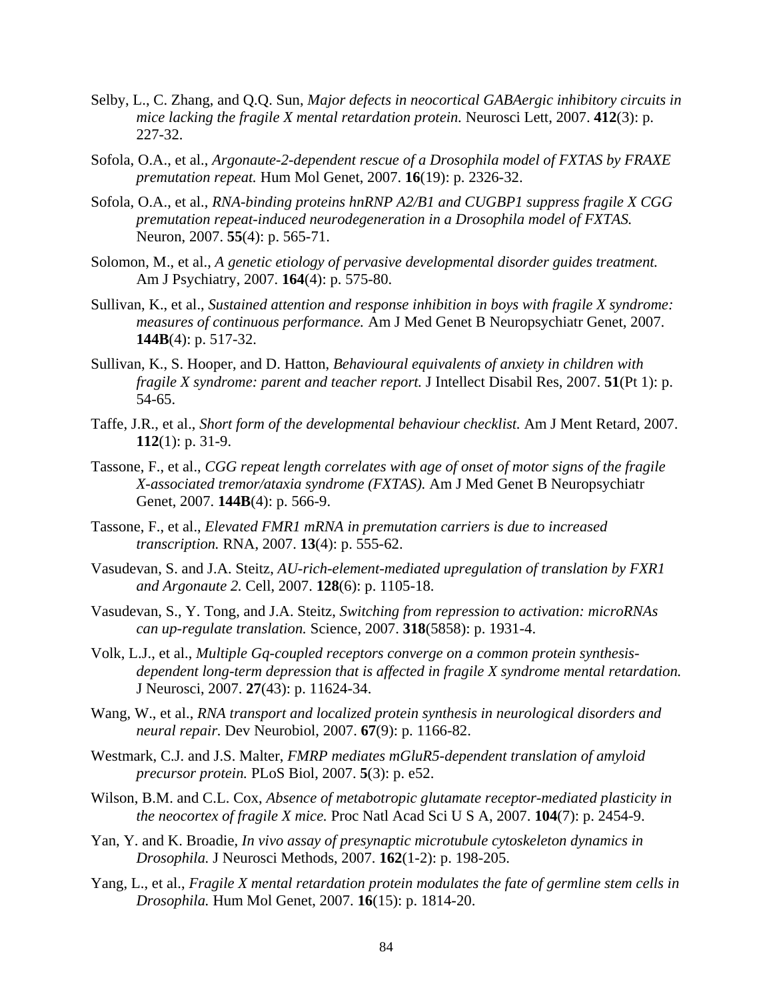- Selby, L., C. Zhang, and Q.Q. Sun, *Major defects in neocortical GABAergic inhibitory circuits in mice lacking the fragile X mental retardation protein.* Neurosci Lett, 2007. **412**(3): p. 227-32.
- Sofola, O.A., et al., *Argonaute-2-dependent rescue of a Drosophila model of FXTAS by FRAXE premutation repeat.* Hum Mol Genet, 2007. **16**(19): p. 2326-32.
- Sofola, O.A., et al., *RNA-binding proteins hnRNP A2/B1 and CUGBP1 suppress fragile X CGG premutation repeat-induced neurodegeneration in a Drosophila model of FXTAS.* Neuron, 2007. **55**(4): p. 565-71.
- Solomon, M., et al., *A genetic etiology of pervasive developmental disorder guides treatment.* Am J Psychiatry, 2007. **164**(4): p. 575-80.
- Sullivan, K., et al., *Sustained attention and response inhibition in boys with fragile X syndrome: measures of continuous performance.* Am J Med Genet B Neuropsychiatr Genet, 2007. **144B**(4): p. 517-32.
- Sullivan, K., S. Hooper, and D. Hatton, *Behavioural equivalents of anxiety in children with fragile X syndrome: parent and teacher report.* J Intellect Disabil Res, 2007. **51**(Pt 1): p. 54-65.
- Taffe, J.R., et al., *Short form of the developmental behaviour checklist.* Am J Ment Retard, 2007. **112**(1): p. 31-9.
- Tassone, F., et al., *CGG repeat length correlates with age of onset of motor signs of the fragile X-associated tremor/ataxia syndrome (FXTAS).* Am J Med Genet B Neuropsychiatr Genet, 2007. **144B**(4): p. 566-9.
- Tassone, F., et al., *Elevated FMR1 mRNA in premutation carriers is due to increased transcription.* RNA, 2007. **13**(4): p. 555-62.
- Vasudevan, S. and J.A. Steitz, *AU-rich-element-mediated upregulation of translation by FXR1 and Argonaute 2.* Cell, 2007. **128**(6): p. 1105-18.
- Vasudevan, S., Y. Tong, and J.A. Steitz, *Switching from repression to activation: microRNAs can up-regulate translation.* Science, 2007. **318**(5858): p. 1931-4.
- Volk, L.J., et al., *Multiple Gq-coupled receptors converge on a common protein synthesisdependent long-term depression that is affected in fragile X syndrome mental retardation.* J Neurosci, 2007. **27**(43): p. 11624-34.
- Wang, W., et al., *RNA transport and localized protein synthesis in neurological disorders and neural repair.* Dev Neurobiol, 2007. **67**(9): p. 1166-82.
- Westmark, C.J. and J.S. Malter, *FMRP mediates mGluR5-dependent translation of amyloid precursor protein.* PLoS Biol, 2007. **5**(3): p. e52.
- Wilson, B.M. and C.L. Cox, *Absence of metabotropic glutamate receptor-mediated plasticity in the neocortex of fragile X mice.* Proc Natl Acad Sci U S A, 2007. **104**(7): p. 2454-9.
- Yan, Y. and K. Broadie, *In vivo assay of presynaptic microtubule cytoskeleton dynamics in Drosophila.* J Neurosci Methods, 2007. **162**(1-2): p. 198-205.
- Yang, L., et al., *Fragile X mental retardation protein modulates the fate of germline stem cells in Drosophila.* Hum Mol Genet, 2007. **16**(15): p. 1814-20.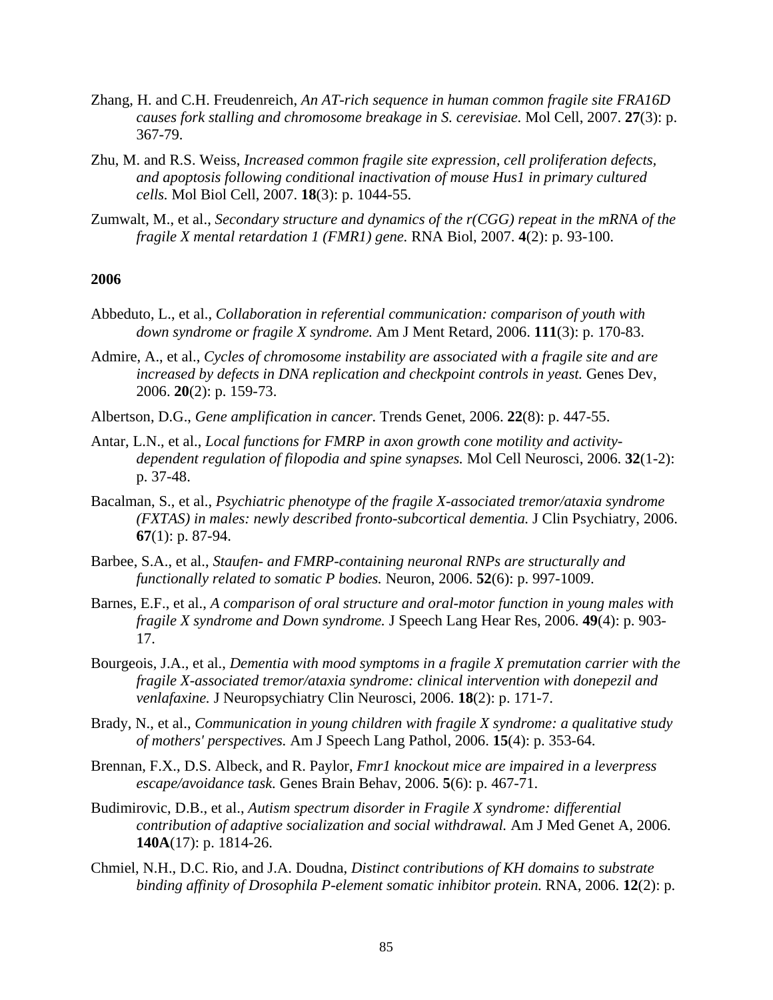- Zhang, H. and C.H. Freudenreich, *An AT-rich sequence in human common fragile site FRA16D causes fork stalling and chromosome breakage in S. cerevisiae.* Mol Cell, 2007. **27**(3): p. 367-79.
- Zhu, M. and R.S. Weiss, *Increased common fragile site expression, cell proliferation defects, and apoptosis following conditional inactivation of mouse Hus1 in primary cultured cells.* Mol Biol Cell, 2007. **18**(3): p. 1044-55.
- Zumwalt, M., et al., *Secondary structure and dynamics of the r(CGG) repeat in the mRNA of the fragile X mental retardation 1 (FMR1) gene.* RNA Biol, 2007. **4**(2): p. 93-100.

#### **2006**

- Abbeduto, L., et al., *Collaboration in referential communication: comparison of youth with down syndrome or fragile X syndrome.* Am J Ment Retard, 2006. **111**(3): p. 170-83.
- Admire, A., et al., *Cycles of chromosome instability are associated with a fragile site and are increased by defects in DNA replication and checkpoint controls in yeast.* Genes Dev, 2006. **20**(2): p. 159-73.
- Albertson, D.G., *Gene amplification in cancer.* Trends Genet, 2006. **22**(8): p. 447-55.
- Antar, L.N., et al., *Local functions for FMRP in axon growth cone motility and activitydependent regulation of filopodia and spine synapses.* Mol Cell Neurosci, 2006. **32**(1-2): p. 37-48.
- Bacalman, S., et al., *Psychiatric phenotype of the fragile X-associated tremor/ataxia syndrome (FXTAS) in males: newly described fronto-subcortical dementia.* J Clin Psychiatry, 2006. **67**(1): p. 87-94.
- Barbee, S.A., et al., *Staufen- and FMRP-containing neuronal RNPs are structurally and functionally related to somatic P bodies.* Neuron, 2006. **52**(6): p. 997-1009.
- Barnes, E.F., et al., *A comparison of oral structure and oral-motor function in young males with fragile X syndrome and Down syndrome.* J Speech Lang Hear Res, 2006. **49**(4): p. 903- 17.
- Bourgeois, J.A., et al., *Dementia with mood symptoms in a fragile X premutation carrier with the fragile X-associated tremor/ataxia syndrome: clinical intervention with donepezil and venlafaxine.* J Neuropsychiatry Clin Neurosci, 2006. **18**(2): p. 171-7.
- Brady, N., et al., *Communication in young children with fragile X syndrome: a qualitative study of mothers' perspectives.* Am J Speech Lang Pathol, 2006. **15**(4): p. 353-64.
- Brennan, F.X., D.S. Albeck, and R. Paylor, *Fmr1 knockout mice are impaired in a leverpress escape/avoidance task.* Genes Brain Behav, 2006. **5**(6): p. 467-71.
- Budimirovic, D.B., et al., *Autism spectrum disorder in Fragile X syndrome: differential contribution of adaptive socialization and social withdrawal.* Am J Med Genet A, 2006. **140A**(17): p. 1814-26.
- Chmiel, N.H., D.C. Rio, and J.A. Doudna, *Distinct contributions of KH domains to substrate binding affinity of Drosophila P-element somatic inhibitor protein.* RNA, 2006. **12**(2): p.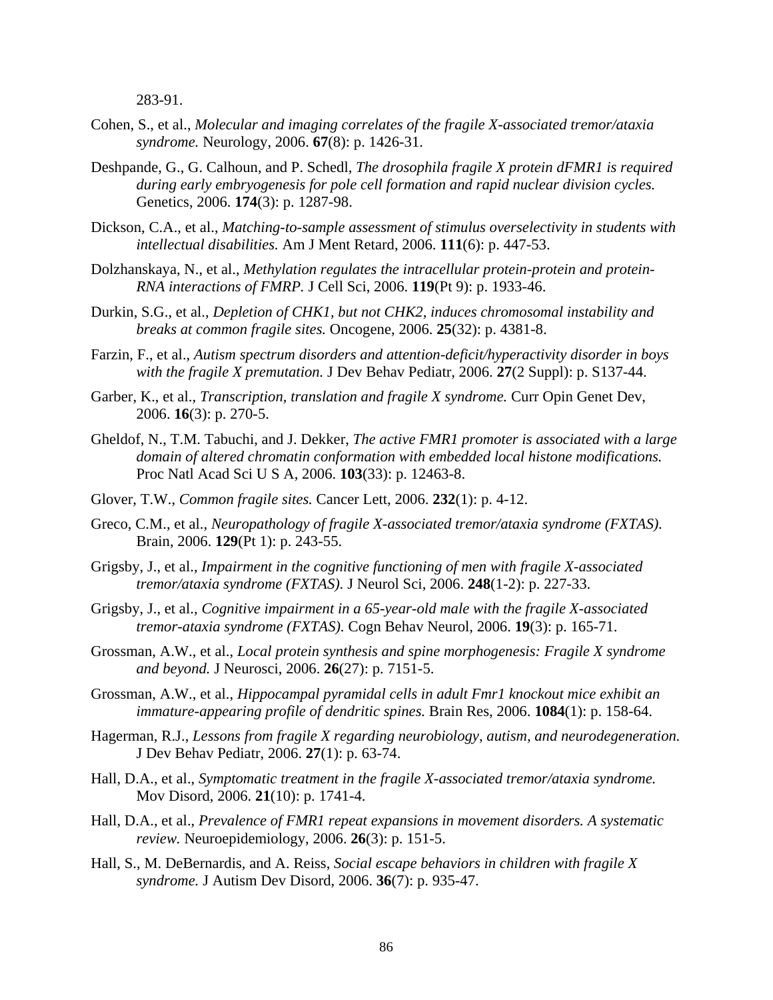283-91.

- Cohen, S., et al., *Molecular and imaging correlates of the fragile X-associated tremor/ataxia syndrome.* Neurology, 2006. **67**(8): p. 1426-31.
- Deshpande, G., G. Calhoun, and P. Schedl, *The drosophila fragile X protein dFMR1 is required during early embryogenesis for pole cell formation and rapid nuclear division cycles.* Genetics, 2006. **174**(3): p. 1287-98.
- Dickson, C.A., et al., *Matching-to-sample assessment of stimulus overselectivity in students with intellectual disabilities.* Am J Ment Retard, 2006. **111**(6): p. 447-53.
- Dolzhanskaya, N., et al., *Methylation regulates the intracellular protein-protein and protein-RNA interactions of FMRP.* J Cell Sci, 2006. **119**(Pt 9): p. 1933-46.
- Durkin, S.G., et al., *Depletion of CHK1, but not CHK2, induces chromosomal instability and breaks at common fragile sites.* Oncogene, 2006. **25**(32): p. 4381-8.
- Farzin, F., et al., *Autism spectrum disorders and attention-deficit/hyperactivity disorder in boys with the fragile X premutation.* J Dev Behav Pediatr, 2006. **27**(2 Suppl): p. S137-44.
- Garber, K., et al., *Transcription, translation and fragile X syndrome.* Curr Opin Genet Dev, 2006. **16**(3): p. 270-5.
- Gheldof, N., T.M. Tabuchi, and J. Dekker, *The active FMR1 promoter is associated with a large domain of altered chromatin conformation with embedded local histone modifications.* Proc Natl Acad Sci U S A, 2006. **103**(33): p. 12463-8.
- Glover, T.W., *Common fragile sites.* Cancer Lett, 2006. **232**(1): p. 4-12.
- Greco, C.M., et al., *Neuropathology of fragile X-associated tremor/ataxia syndrome (FXTAS).* Brain, 2006. **129**(Pt 1): p. 243-55.
- Grigsby, J., et al., *Impairment in the cognitive functioning of men with fragile X-associated tremor/ataxia syndrome (FXTAS).* J Neurol Sci, 2006. **248**(1-2): p. 227-33.
- Grigsby, J., et al., *Cognitive impairment in a 65-year-old male with the fragile X-associated tremor-ataxia syndrome (FXTAS).* Cogn Behav Neurol, 2006. **19**(3): p. 165-71.
- Grossman, A.W., et al., *Local protein synthesis and spine morphogenesis: Fragile X syndrome and beyond.* J Neurosci, 2006. **26**(27): p. 7151-5.
- Grossman, A.W., et al., *Hippocampal pyramidal cells in adult Fmr1 knockout mice exhibit an immature-appearing profile of dendritic spines.* Brain Res, 2006. **1084**(1): p. 158-64.
- Hagerman, R.J., *Lessons from fragile X regarding neurobiology, autism, and neurodegeneration.* J Dev Behav Pediatr, 2006. **27**(1): p. 63-74.
- Hall, D.A., et al., *Symptomatic treatment in the fragile X-associated tremor/ataxia syndrome.* Mov Disord, 2006. **21**(10): p. 1741-4.
- Hall, D.A., et al., *Prevalence of FMR1 repeat expansions in movement disorders. A systematic review.* Neuroepidemiology, 2006. **26**(3): p. 151-5.
- Hall, S., M. DeBernardis, and A. Reiss, *Social escape behaviors in children with fragile X syndrome.* J Autism Dev Disord, 2006. **36**(7): p. 935-47.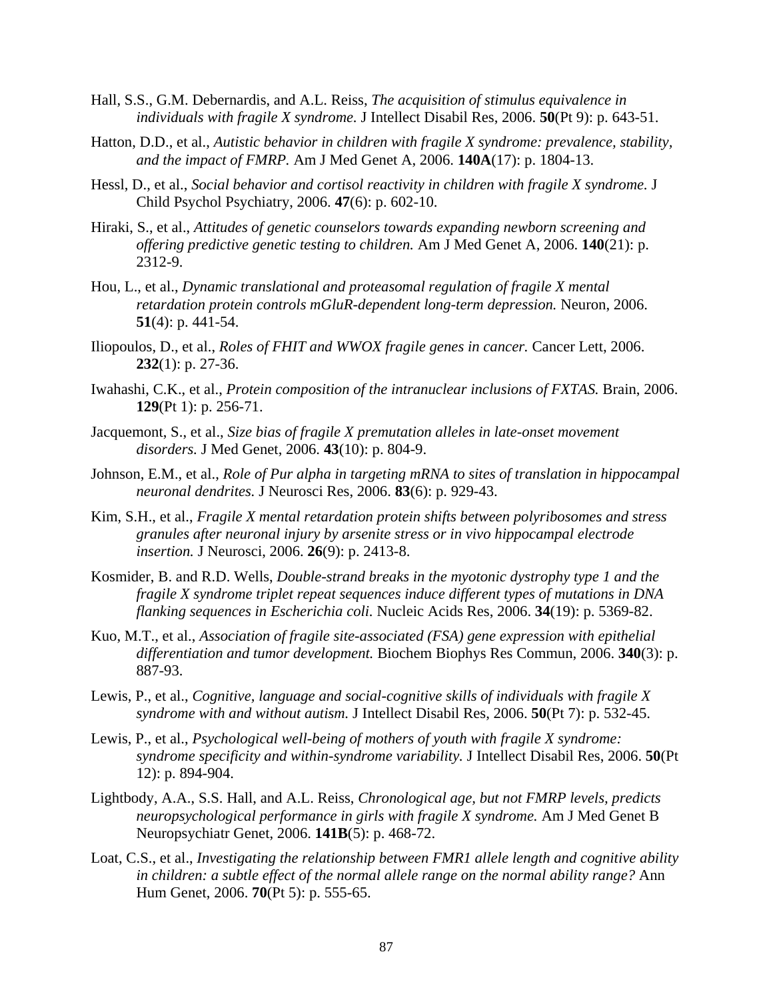- Hall, S.S., G.M. Debernardis, and A.L. Reiss, *The acquisition of stimulus equivalence in individuals with fragile X syndrome.* J Intellect Disabil Res, 2006. **50**(Pt 9): p. 643-51.
- Hatton, D.D., et al., *Autistic behavior in children with fragile X syndrome: prevalence, stability, and the impact of FMRP.* Am J Med Genet A, 2006. **140A**(17): p. 1804-13.
- Hessl, D., et al., *Social behavior and cortisol reactivity in children with fragile X syndrome.* J Child Psychol Psychiatry, 2006. **47**(6): p. 602-10.
- Hiraki, S., et al., *Attitudes of genetic counselors towards expanding newborn screening and offering predictive genetic testing to children.* Am J Med Genet A, 2006. **140**(21): p. 2312-9.
- Hou, L., et al., *Dynamic translational and proteasomal regulation of fragile X mental retardation protein controls mGluR-dependent long-term depression.* Neuron, 2006. **51**(4): p. 441-54.
- Iliopoulos, D., et al., *Roles of FHIT and WWOX fragile genes in cancer.* Cancer Lett, 2006. **232**(1): p. 27-36.
- Iwahashi, C.K., et al., *Protein composition of the intranuclear inclusions of FXTAS.* Brain, 2006. **129**(Pt 1): p. 256-71.
- Jacquemont, S., et al., *Size bias of fragile X premutation alleles in late-onset movement disorders.* J Med Genet, 2006. **43**(10): p. 804-9.
- Johnson, E.M., et al., *Role of Pur alpha in targeting mRNA to sites of translation in hippocampal neuronal dendrites.* J Neurosci Res, 2006. **83**(6): p. 929-43.
- Kim, S.H., et al., *Fragile X mental retardation protein shifts between polyribosomes and stress granules after neuronal injury by arsenite stress or in vivo hippocampal electrode insertion.* J Neurosci, 2006. **26**(9): p. 2413-8.
- Kosmider, B. and R.D. Wells, *Double-strand breaks in the myotonic dystrophy type 1 and the fragile X syndrome triplet repeat sequences induce different types of mutations in DNA flanking sequences in Escherichia coli.* Nucleic Acids Res, 2006. **34**(19): p. 5369-82.
- Kuo, M.T., et al., *Association of fragile site-associated (FSA) gene expression with epithelial differentiation and tumor development.* Biochem Biophys Res Commun, 2006. **340**(3): p. 887-93.
- Lewis, P., et al., *Cognitive, language and social-cognitive skills of individuals with fragile X syndrome with and without autism.* J Intellect Disabil Res, 2006. **50**(Pt 7): p. 532-45.
- Lewis, P., et al., *Psychological well-being of mothers of youth with fragile X syndrome: syndrome specificity and within-syndrome variability.* J Intellect Disabil Res, 2006. **50**(Pt 12): p. 894-904.
- Lightbody, A.A., S.S. Hall, and A.L. Reiss, *Chronological age, but not FMRP levels, predicts neuropsychological performance in girls with fragile X syndrome.* Am J Med Genet B Neuropsychiatr Genet, 2006. **141B**(5): p. 468-72.
- Loat, C.S., et al., *Investigating the relationship between FMR1 allele length and cognitive ability in children: a subtle effect of the normal allele range on the normal ability range?* Ann Hum Genet, 2006. **70**(Pt 5): p. 555-65.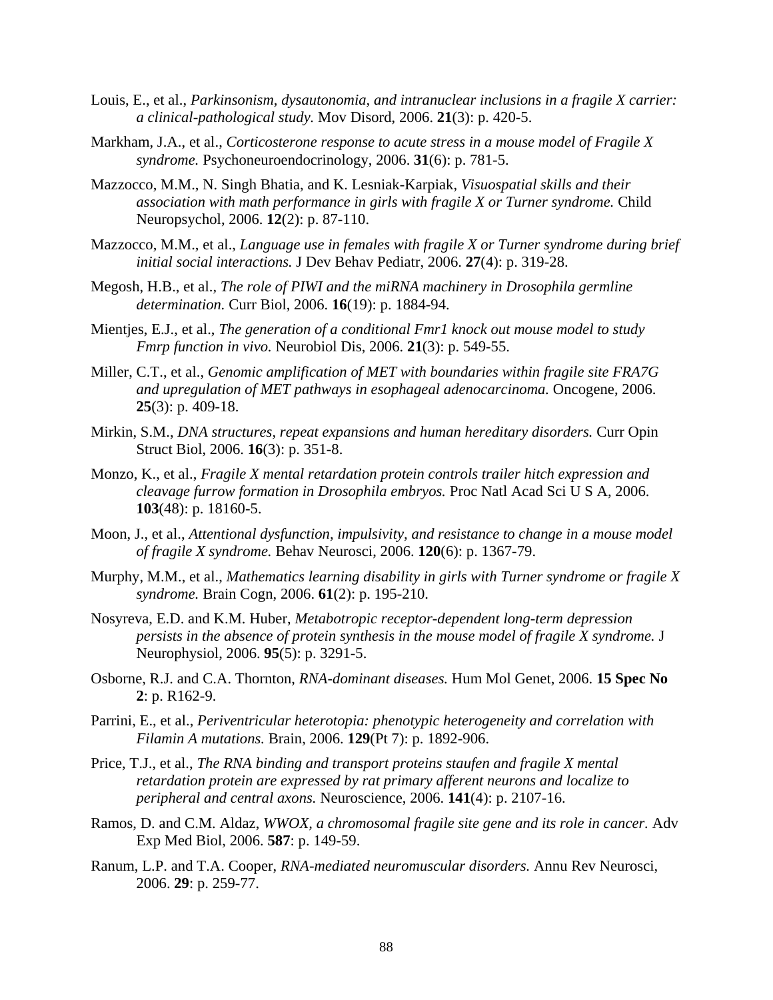- Louis, E., et al., *Parkinsonism, dysautonomia, and intranuclear inclusions in a fragile X carrier: a clinical-pathological study.* Mov Disord, 2006. **21**(3): p. 420-5.
- Markham, J.A., et al., *Corticosterone response to acute stress in a mouse model of Fragile X syndrome.* Psychoneuroendocrinology, 2006. **31**(6): p. 781-5.
- Mazzocco, M.M., N. Singh Bhatia, and K. Lesniak-Karpiak, *Visuospatial skills and their association with math performance in girls with fragile X or Turner syndrome.* Child Neuropsychol, 2006. **12**(2): p. 87-110.
- Mazzocco, M.M., et al., *Language use in females with fragile X or Turner syndrome during brief initial social interactions.* J Dev Behav Pediatr, 2006. **27**(4): p. 319-28.
- Megosh, H.B., et al., *The role of PIWI and the miRNA machinery in Drosophila germline determination.* Curr Biol, 2006. **16**(19): p. 1884-94.
- Mientjes, E.J., et al., *The generation of a conditional Fmr1 knock out mouse model to study Fmrp function in vivo.* Neurobiol Dis, 2006. **21**(3): p. 549-55.
- Miller, C.T., et al., *Genomic amplification of MET with boundaries within fragile site FRA7G and upregulation of MET pathways in esophageal adenocarcinoma.* Oncogene, 2006. **25**(3): p. 409-18.
- Mirkin, S.M., *DNA structures, repeat expansions and human hereditary disorders.* Curr Opin Struct Biol, 2006. **16**(3): p. 351-8.
- Monzo, K., et al., *Fragile X mental retardation protein controls trailer hitch expression and cleavage furrow formation in Drosophila embryos.* Proc Natl Acad Sci U S A, 2006. **103**(48): p. 18160-5.
- Moon, J., et al., *Attentional dysfunction, impulsivity, and resistance to change in a mouse model of fragile X syndrome.* Behav Neurosci, 2006. **120**(6): p. 1367-79.
- Murphy, M.M., et al., *Mathematics learning disability in girls with Turner syndrome or fragile X syndrome.* Brain Cogn, 2006. **61**(2): p. 195-210.
- Nosyreva, E.D. and K.M. Huber, *Metabotropic receptor-dependent long-term depression persists in the absence of protein synthesis in the mouse model of fragile X syndrome.* J Neurophysiol, 2006. **95**(5): p. 3291-5.
- Osborne, R.J. and C.A. Thornton, *RNA-dominant diseases.* Hum Mol Genet, 2006. **15 Spec No 2**: p. R162-9.
- Parrini, E., et al., *Periventricular heterotopia: phenotypic heterogeneity and correlation with Filamin A mutations.* Brain, 2006. **129**(Pt 7): p. 1892-906.
- Price, T.J., et al., *The RNA binding and transport proteins staufen and fragile X mental retardation protein are expressed by rat primary afferent neurons and localize to peripheral and central axons.* Neuroscience, 2006. **141**(4): p. 2107-16.
- Ramos, D. and C.M. Aldaz, *WWOX, a chromosomal fragile site gene and its role in cancer.* Adv Exp Med Biol, 2006. **587**: p. 149-59.
- Ranum, L.P. and T.A. Cooper, *RNA-mediated neuromuscular disorders.* Annu Rev Neurosci, 2006. **29**: p. 259-77.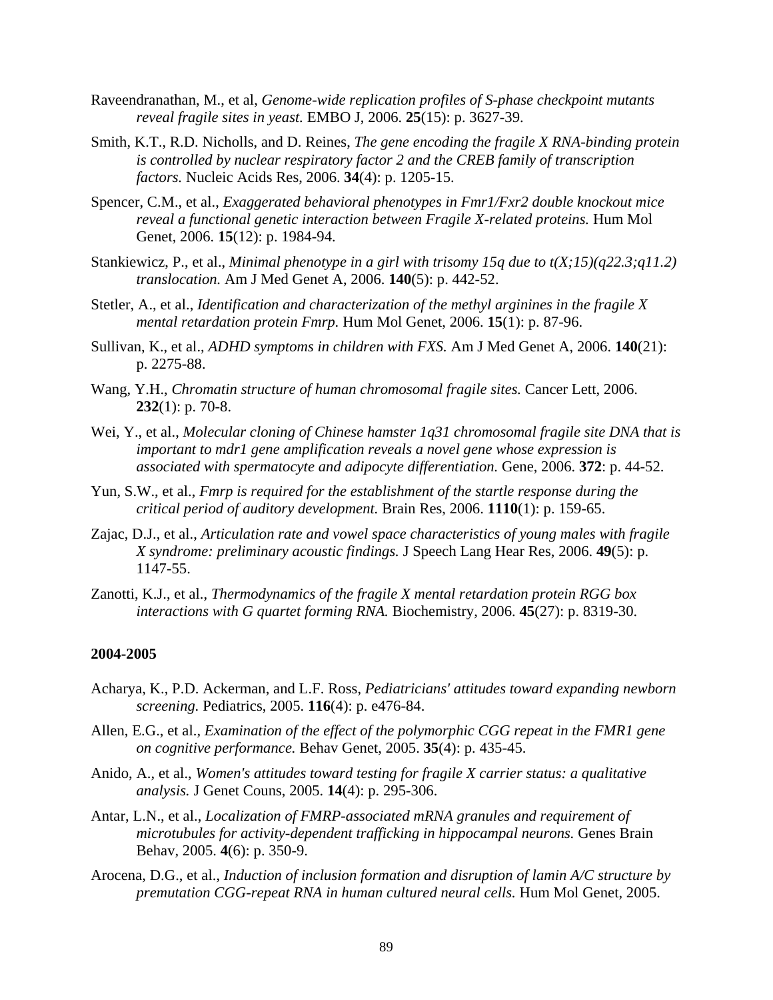- Raveendranathan, M., et al, *Genome-wide replication profiles of S-phase checkpoint mutants reveal fragile sites in yeast.* EMBO J, 2006. **25**(15): p. 3627-39.
- Smith, K.T., R.D. Nicholls, and D. Reines, *The gene encoding the fragile X RNA-binding protein is controlled by nuclear respiratory factor 2 and the CREB family of transcription factors.* Nucleic Acids Res, 2006. **34**(4): p. 1205-15.
- Spencer, C.M., et al., *Exaggerated behavioral phenotypes in Fmr1/Fxr2 double knockout mice reveal a functional genetic interaction between Fragile X-related proteins.* Hum Mol Genet, 2006. **15**(12): p. 1984-94.
- Stankiewicz, P., et al., *Minimal phenotype in a girl with trisomy 15q due to t(X;15)(q22.3;q11.2) translocation.* Am J Med Genet A, 2006. **140**(5): p. 442-52.
- Stetler, A., et al., *Identification and characterization of the methyl arginines in the fragile X mental retardation protein Fmrp.* Hum Mol Genet, 2006. **15**(1): p. 87-96.
- Sullivan, K., et al., *ADHD symptoms in children with FXS.* Am J Med Genet A, 2006. **140**(21): p. 2275-88.
- Wang, Y.H., *Chromatin structure of human chromosomal fragile sites.* Cancer Lett, 2006. **232**(1): p. 70-8.
- Wei, Y., et al., *Molecular cloning of Chinese hamster 1q31 chromosomal fragile site DNA that is important to mdr1 gene amplification reveals a novel gene whose expression is associated with spermatocyte and adipocyte differentiation.* Gene, 2006. **372**: p. 44-52.
- Yun, S.W., et al., *Fmrp is required for the establishment of the startle response during the critical period of auditory development.* Brain Res, 2006. **1110**(1): p. 159-65.
- Zajac, D.J., et al., *Articulation rate and vowel space characteristics of young males with fragile X syndrome: preliminary acoustic findings.* J Speech Lang Hear Res, 2006. **49**(5): p. 1147-55.
- Zanotti, K.J., et al., *Thermodynamics of the fragile X mental retardation protein RGG box interactions with G quartet forming RNA.* Biochemistry, 2006. **45**(27): p. 8319-30.

#### **2004-2005**

- Acharya, K., P.D. Ackerman, and L.F. Ross, *Pediatricians' attitudes toward expanding newborn screening.* Pediatrics, 2005. **116**(4): p. e476-84.
- Allen, E.G., et al., *Examination of the effect of the polymorphic CGG repeat in the FMR1 gene on cognitive performance.* Behav Genet, 2005. **35**(4): p. 435-45.
- Anido, A., et al., *Women's attitudes toward testing for fragile X carrier status: a qualitative analysis.* J Genet Couns, 2005. **14**(4): p. 295-306.
- Antar, L.N., et al., *Localization of FMRP-associated mRNA granules and requirement of microtubules for activity-dependent trafficking in hippocampal neurons.* Genes Brain Behav, 2005. **4**(6): p. 350-9.
- Arocena, D.G., et al., *Induction of inclusion formation and disruption of lamin A/C structure by premutation CGG-repeat RNA in human cultured neural cells.* Hum Mol Genet, 2005.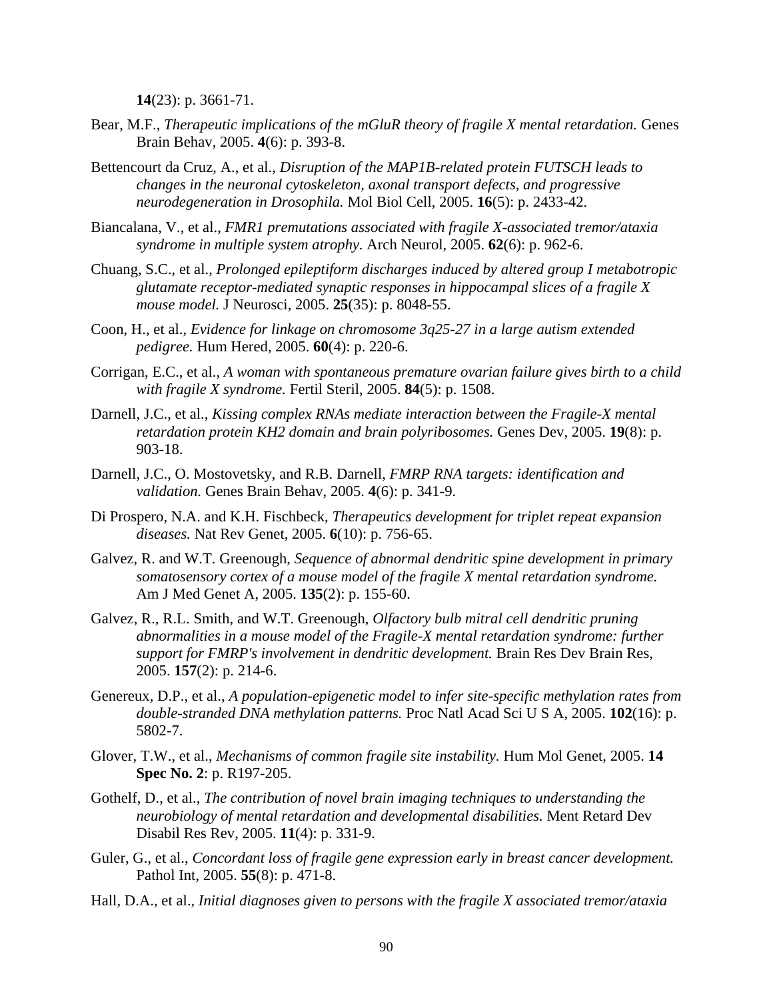**14**(23): p. 3661-71.

- Bear, M.F., *Therapeutic implications of the mGluR theory of fragile X mental retardation.* Genes Brain Behav, 2005. **4**(6): p. 393-8.
- Bettencourt da Cruz, A., et al., *Disruption of the MAP1B-related protein FUTSCH leads to changes in the neuronal cytoskeleton, axonal transport defects, and progressive neurodegeneration in Drosophila.* Mol Biol Cell, 2005. **16**(5): p. 2433-42.
- Biancalana, V., et al., *FMR1 premutations associated with fragile X-associated tremor/ataxia syndrome in multiple system atrophy.* Arch Neurol, 2005. **62**(6): p. 962-6.
- Chuang, S.C., et al., *Prolonged epileptiform discharges induced by altered group I metabotropic glutamate receptor-mediated synaptic responses in hippocampal slices of a fragile X mouse model.* J Neurosci, 2005. **25**(35): p. 8048-55.
- Coon, H., et al., *Evidence for linkage on chromosome 3q25-27 in a large autism extended pedigree.* Hum Hered, 2005. **60**(4): p. 220-6.
- Corrigan, E.C., et al., *A woman with spontaneous premature ovarian failure gives birth to a child with fragile X syndrome.* Fertil Steril, 2005. **84**(5): p. 1508.
- Darnell, J.C., et al., *Kissing complex RNAs mediate interaction between the Fragile-X mental retardation protein KH2 domain and brain polyribosomes.* Genes Dev, 2005. **19**(8): p. 903-18.
- Darnell, J.C., O. Mostovetsky, and R.B. Darnell, *FMRP RNA targets: identification and validation.* Genes Brain Behav, 2005. **4**(6): p. 341-9.
- Di Prospero, N.A. and K.H. Fischbeck, *Therapeutics development for triplet repeat expansion diseases.* Nat Rev Genet, 2005. **6**(10): p. 756-65.
- Galvez, R. and W.T. Greenough, *Sequence of abnormal dendritic spine development in primary somatosensory cortex of a mouse model of the fragile X mental retardation syndrome.* Am J Med Genet A, 2005. **135**(2): p. 155-60.
- Galvez, R., R.L. Smith, and W.T. Greenough, *Olfactory bulb mitral cell dendritic pruning abnormalities in a mouse model of the Fragile-X mental retardation syndrome: further support for FMRP's involvement in dendritic development.* Brain Res Dev Brain Res, 2005. **157**(2): p. 214-6.
- Genereux, D.P., et al., *A population-epigenetic model to infer site-specific methylation rates from double-stranded DNA methylation patterns.* Proc Natl Acad Sci U S A, 2005. **102**(16): p. 5802-7.
- Glover, T.W., et al., *Mechanisms of common fragile site instability.* Hum Mol Genet, 2005. **14 Spec No. 2**: p. R197-205.
- Gothelf, D., et al., *The contribution of novel brain imaging techniques to understanding the neurobiology of mental retardation and developmental disabilities.* Ment Retard Dev Disabil Res Rev, 2005. **11**(4): p. 331-9.
- Guler, G., et al., *Concordant loss of fragile gene expression early in breast cancer development.* Pathol Int, 2005. **55**(8): p. 471-8.
- Hall, D.A., et al., *Initial diagnoses given to persons with the fragile X associated tremor/ataxia*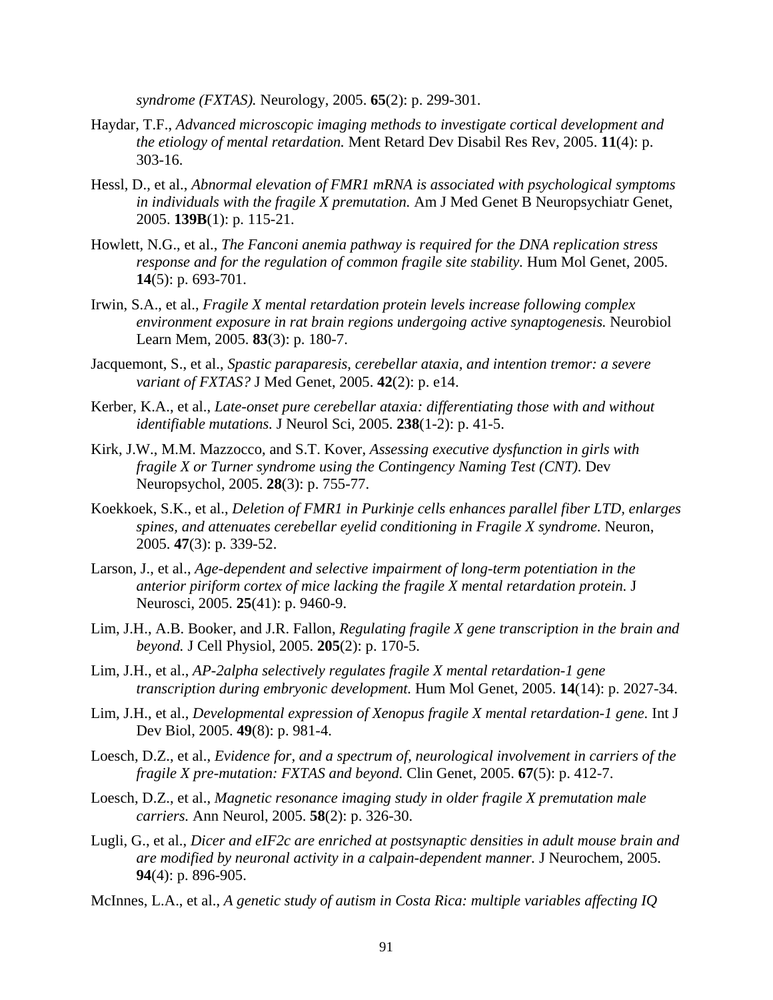*syndrome (FXTAS).* Neurology, 2005. **65**(2): p. 299-301.

- Haydar, T.F., *Advanced microscopic imaging methods to investigate cortical development and the etiology of mental retardation.* Ment Retard Dev Disabil Res Rev, 2005. **11**(4): p. 303-16.
- Hessl, D., et al., *Abnormal elevation of FMR1 mRNA is associated with psychological symptoms in individuals with the fragile X premutation.* Am J Med Genet B Neuropsychiatr Genet, 2005. **139B**(1): p. 115-21.
- Howlett, N.G., et al., *The Fanconi anemia pathway is required for the DNA replication stress response and for the regulation of common fragile site stability.* Hum Mol Genet, 2005. **14**(5): p. 693-701.
- Irwin, S.A., et al., *Fragile X mental retardation protein levels increase following complex environment exposure in rat brain regions undergoing active synaptogenesis.* Neurobiol Learn Mem, 2005. **83**(3): p. 180-7.
- Jacquemont, S., et al., *Spastic paraparesis, cerebellar ataxia, and intention tremor: a severe variant of FXTAS?* J Med Genet, 2005. **42**(2): p. e14.
- Kerber, K.A., et al., *Late-onset pure cerebellar ataxia: differentiating those with and without identifiable mutations.* J Neurol Sci, 2005. **238**(1-2): p. 41-5.
- Kirk, J.W., M.M. Mazzocco, and S.T. Kover, *Assessing executive dysfunction in girls with fragile X or Turner syndrome using the Contingency Naming Test (CNT).* Dev Neuropsychol, 2005. **28**(3): p. 755-77.
- Koekkoek, S.K., et al., *Deletion of FMR1 in Purkinje cells enhances parallel fiber LTD, enlarges spines, and attenuates cerebellar eyelid conditioning in Fragile X syndrome.* Neuron, 2005. **47**(3): p. 339-52.
- Larson, J., et al., *Age-dependent and selective impairment of long-term potentiation in the anterior piriform cortex of mice lacking the fragile X mental retardation protein.* J Neurosci, 2005. **25**(41): p. 9460-9.
- Lim, J.H., A.B. Booker, and J.R. Fallon, *Regulating fragile X gene transcription in the brain and beyond.* J Cell Physiol, 2005. **205**(2): p. 170-5.
- Lim, J.H., et al., *AP-2alpha selectively regulates fragile X mental retardation-1 gene transcription during embryonic development.* Hum Mol Genet, 2005. **14**(14): p. 2027-34.
- Lim, J.H., et al., *Developmental expression of Xenopus fragile X mental retardation-1 gene.* Int J Dev Biol, 2005. **49**(8): p. 981-4.
- Loesch, D.Z., et al., *Evidence for, and a spectrum of, neurological involvement in carriers of the fragile X pre-mutation: FXTAS and beyond.* Clin Genet, 2005. **67**(5): p. 412-7.
- Loesch, D.Z., et al., *Magnetic resonance imaging study in older fragile X premutation male carriers.* Ann Neurol, 2005. **58**(2): p. 326-30.
- Lugli, G., et al., *Dicer and eIF2c are enriched at postsynaptic densities in adult mouse brain and are modified by neuronal activity in a calpain-dependent manner.* J Neurochem, 2005. **94**(4): p. 896-905.
- McInnes, L.A., et al., *A genetic study of autism in Costa Rica: multiple variables affecting IQ*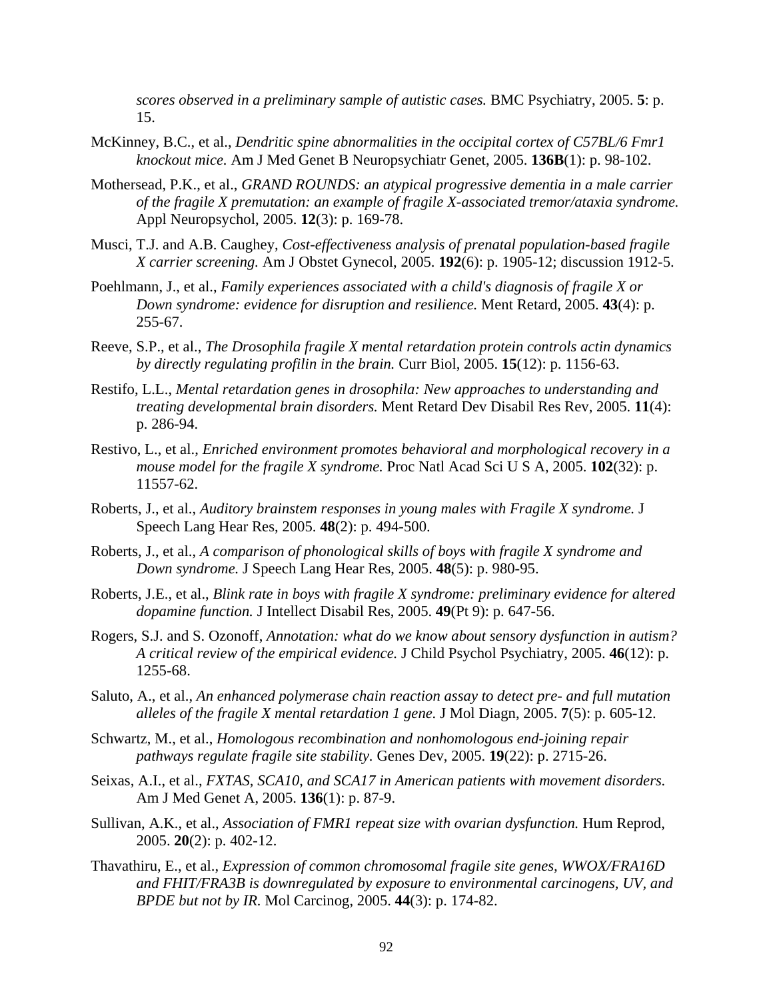*scores observed in a preliminary sample of autistic cases.* BMC Psychiatry, 2005. **5**: p. 15.

- McKinney, B.C., et al., *Dendritic spine abnormalities in the occipital cortex of C57BL/6 Fmr1 knockout mice.* Am J Med Genet B Neuropsychiatr Genet, 2005. **136B**(1): p. 98-102.
- Mothersead, P.K., et al., *GRAND ROUNDS: an atypical progressive dementia in a male carrier of the fragile X premutation: an example of fragile X-associated tremor/ataxia syndrome.* Appl Neuropsychol, 2005. **12**(3): p. 169-78.
- Musci, T.J. and A.B. Caughey, *Cost-effectiveness analysis of prenatal population-based fragile X carrier screening.* Am J Obstet Gynecol, 2005. **192**(6): p. 1905-12; discussion 1912-5.
- Poehlmann, J., et al., *Family experiences associated with a child's diagnosis of fragile X or Down syndrome: evidence for disruption and resilience.* Ment Retard, 2005. **43**(4): p. 255-67.
- Reeve, S.P., et al., *The Drosophila fragile X mental retardation protein controls actin dynamics by directly regulating profilin in the brain.* Curr Biol, 2005. **15**(12): p. 1156-63.
- Restifo, L.L., *Mental retardation genes in drosophila: New approaches to understanding and treating developmental brain disorders.* Ment Retard Dev Disabil Res Rev, 2005. **11**(4): p. 286-94.
- Restivo, L., et al., *Enriched environment promotes behavioral and morphological recovery in a mouse model for the fragile X syndrome.* Proc Natl Acad Sci U S A, 2005. **102**(32): p. 11557-62.
- Roberts, J., et al., *Auditory brainstem responses in young males with Fragile X syndrome.* J Speech Lang Hear Res, 2005. **48**(2): p. 494-500.
- Roberts, J., et al., *A comparison of phonological skills of boys with fragile X syndrome and Down syndrome.* J Speech Lang Hear Res, 2005. **48**(5): p. 980-95.
- Roberts, J.E., et al., *Blink rate in boys with fragile X syndrome: preliminary evidence for altered dopamine function.* J Intellect Disabil Res, 2005. **49**(Pt 9): p. 647-56.
- Rogers, S.J. and S. Ozonoff, *Annotation: what do we know about sensory dysfunction in autism? A critical review of the empirical evidence.* J Child Psychol Psychiatry, 2005. **46**(12): p. 1255-68.
- Saluto, A., et al., *An enhanced polymerase chain reaction assay to detect pre- and full mutation alleles of the fragile X mental retardation 1 gene.* J Mol Diagn, 2005. **7**(5): p. 605-12.
- Schwartz, M., et al., *Homologous recombination and nonhomologous end-joining repair pathways regulate fragile site stability.* Genes Dev, 2005. **19**(22): p. 2715-26.
- Seixas, A.I., et al., *FXTAS, SCA10, and SCA17 in American patients with movement disorders.* Am J Med Genet A, 2005. **136**(1): p. 87-9.
- Sullivan, A.K., et al., *Association of FMR1 repeat size with ovarian dysfunction.* Hum Reprod, 2005. **20**(2): p. 402-12.
- Thavathiru, E., et al., *Expression of common chromosomal fragile site genes, WWOX/FRA16D and FHIT/FRA3B is downregulated by exposure to environmental carcinogens, UV, and BPDE but not by IR.* Mol Carcinog, 2005. **44**(3): p. 174-82.